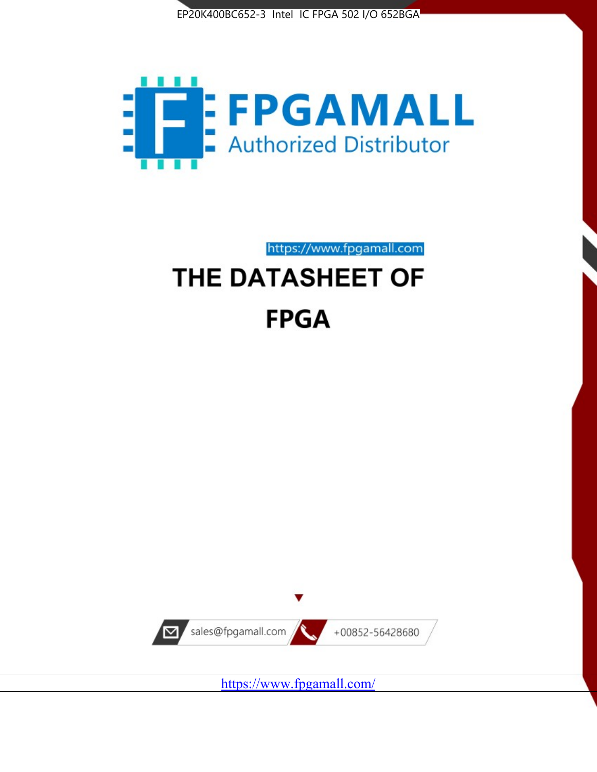



https://www.fpgamall.com

# THE DATASHEET OF **FPGA**



<https://www.fpgamall.com/>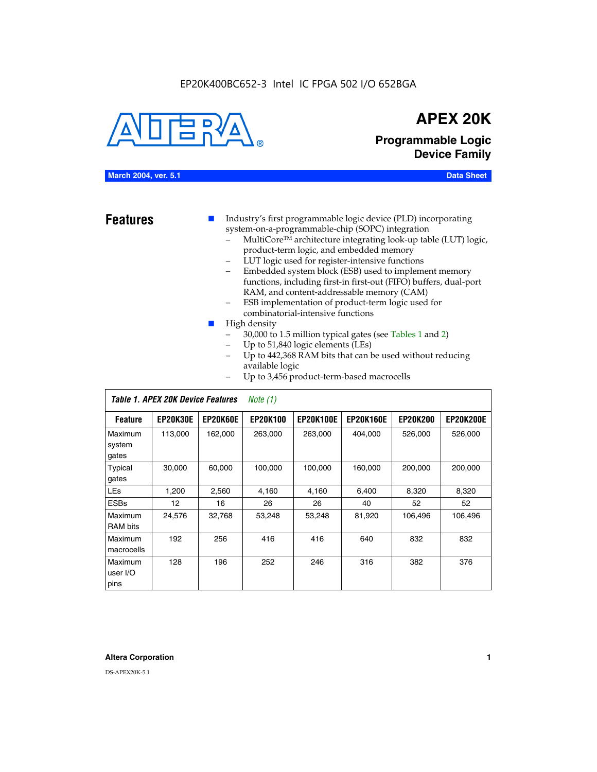#### EP20K400BC652-3 Intel IC FPGA 502 I/O 652BGA



## **APEX 20K**

**Programmable Logic Device Family**

#### **March 2004, ver. 5.1 Data Sheet**

**Features ■** Industry's first programmable logic device (PLD) incorporating system-on-a-programmable-chip (SOPC) integration

- MultiCore™ architecture integrating look-up table (LUT) logic, product-term logic, and embedded memory
- LUT logic used for register-intensive functions
- Embedded system block (ESB) used to implement memory functions, including first-in first-out (FIFO) buffers, dual-port RAM, and content-addressable memory (CAM)
- ESB implementation of product-term logic used for combinatorial-intensive functions
- High density
	- 30,000 to 1.5 million typical gates (see Tables 1 and 2)
	- Up to 51,840 logic elements (LEs)
	- Up to 442,368 RAM bits that can be used without reducing available logic
	- Up to 3,456 product-term-based macrocells

|                             | Table 1. APEX 20K Device Features<br>Note $(1)$ |                 |                 |                  |                  |                 |                  |  |  |  |
|-----------------------------|-------------------------------------------------|-----------------|-----------------|------------------|------------------|-----------------|------------------|--|--|--|
| <b>Feature</b>              | <b>EP20K30E</b>                                 | <b>EP20K60E</b> | <b>EP20K100</b> | <b>EP20K100E</b> | <b>EP20K160E</b> | <b>EP20K200</b> | <b>EP20K200E</b> |  |  |  |
| Maximum<br>system<br>gates  | 113,000                                         | 162,000         | 263.000         | 263,000          | 404.000          | 526,000         | 526,000          |  |  |  |
| Typical<br>gates            | 30,000                                          | 60,000          | 100,000         | 100,000          | 160,000          | 200,000         | 200,000          |  |  |  |
| <b>LEs</b>                  | 1,200                                           | 2,560           | 4,160           | 4,160            | 6.400            | 8,320           | 8,320            |  |  |  |
| <b>ESBs</b>                 | $12 \overline{ }$                               | 16              | 26              | 26               | 40               | 52              | 52               |  |  |  |
| Maximum<br><b>RAM</b> bits  | 24,576                                          | 32,768          | 53,248          | 53,248           | 81,920           | 106,496         | 106,496          |  |  |  |
| Maximum<br>macrocells       | 192                                             | 256             | 416             | 416              | 640              | 832             | 832              |  |  |  |
| Maximum<br>user I/O<br>pins | 128                                             | 196             | 252             | 246              | 316              | 382             | 376              |  |  |  |

#### **Altera Corporation 1**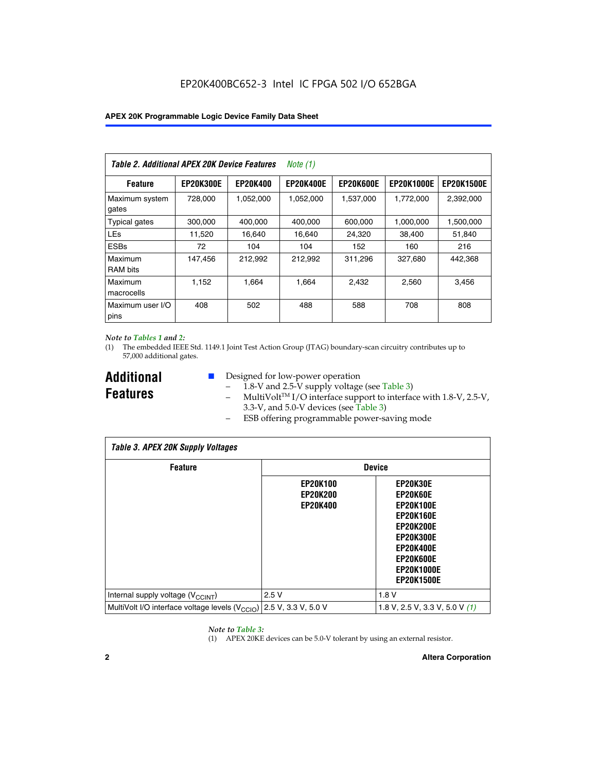| Table 2. Additional APEX 20K Device Features |                  |                 | <i>Note</i> $(1)$ |                  |                   |                   |
|----------------------------------------------|------------------|-----------------|-------------------|------------------|-------------------|-------------------|
| <b>Feature</b>                               | <b>EP20K300E</b> | <b>EP20K400</b> | <b>EP20K400E</b>  | <b>EP20K600E</b> | <b>EP20K1000E</b> | <b>EP20K1500E</b> |
| Maximum system<br>gates                      | 728,000          | 1,052,000       | 1,052,000         | 1,537,000        | 1,772,000         | 2,392,000         |
| <b>Typical gates</b>                         | 300,000          | 400,000         | 400,000           | 600,000          | 1,000,000         | 1,500,000         |
| <b>LEs</b>                                   | 11,520           | 16.640          | 16,640            | 24,320           | 38,400            | 51,840            |
| <b>ESBs</b>                                  | 72               | 104             | 104               | 152              | 160               | 216               |
| Maximum<br><b>RAM bits</b>                   | 147,456          | 212,992         | 212.992           | 311,296          | 327,680           | 442.368           |
| Maximum<br>macrocells                        | 1,152            | 1,664           | 1,664             | 2.432            | 2,560             | 3,456             |
| Maximum user I/O<br>pins                     | 408              | 502             | 488               | 588              | 708               | 808               |

#### *Note to Tables 1 and 2:*

*Table 3. APEX 20K Supply Voltages*

(1) The embedded IEEE Std. 1149.1 Joint Test Action Group (JTAG) boundary-scan circuitry contributes up to 57,000 additional gates.

**Additional Features**

 $\mathbf{I}$ 

- Designed for low-power operation
	- 1.8-V and 2.5-V supply voltage (see Table 3)
	- $-$  MultiVolt<sup>TM</sup> I/O interface support to interface with 1.8-V, 2.5-V, 3.3-V, and 5.0-V devices (see Table 3)
	- ESB offering programmable power-saving mode

| Tadie 3. Apex zuk Supply voltages                                               |                                                       |                                                                                                                                                                                 |  |  |  |  |  |  |
|---------------------------------------------------------------------------------|-------------------------------------------------------|---------------------------------------------------------------------------------------------------------------------------------------------------------------------------------|--|--|--|--|--|--|
| <b>Feature</b>                                                                  | <b>Device</b>                                         |                                                                                                                                                                                 |  |  |  |  |  |  |
|                                                                                 | <b>EP20K100</b><br><b>EP20K200</b><br><b>EP20K400</b> | EP20K30E<br>EP20K60E<br><b>EP20K100E</b><br><b>EP20K160E</b><br><b>EP20K200E</b><br><b>EP20K300E</b><br><b>EP20K400E</b><br>EP20K600E<br><b>EP20K1000E</b><br><b>EP20K1500E</b> |  |  |  |  |  |  |
| Internal supply voltage (V <sub>CCINT</sub> )                                   | 2.5V                                                  | 1.8V                                                                                                                                                                            |  |  |  |  |  |  |
| MultiVolt I/O interface voltage levels (V <sub>CCIO</sub> ) 2.5 V, 3.3 V, 5.0 V |                                                       | 1.8 V, 2.5 V, 3.3 V, 5.0 V (1)                                                                                                                                                  |  |  |  |  |  |  |

#### *Note to Table 3:*

(1) APEX 20KE devices can be 5.0-V tolerant by using an external resistor.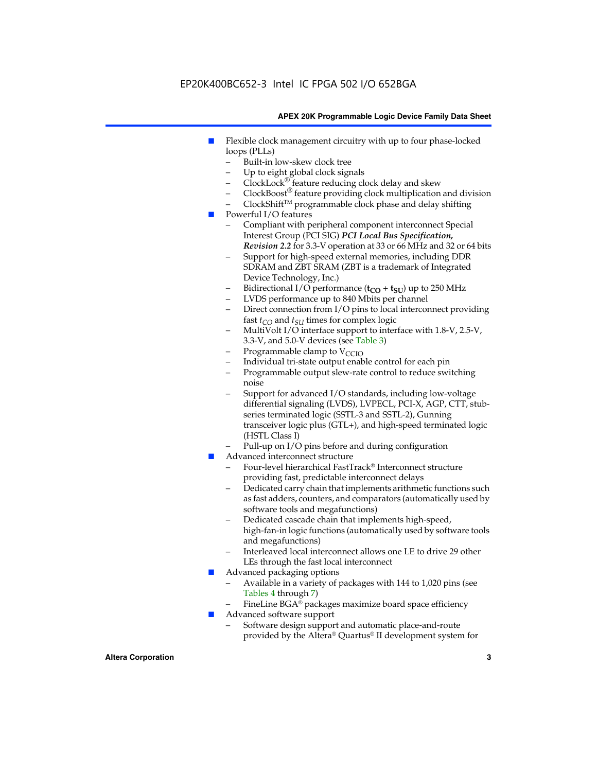### EP20K400BC652-3 Intel IC FPGA 502 I/O 652BGA

#### **APEX 20K Programmable Logic Device Family Data Sheet**

- Flexible clock management circuitry with up to four phase-locked loops (PLLs)
	- Built-in low-skew clock tree
	- Up to eight global clock signals
	- $ClockLock^{\circledR}$  feature reducing clock delay and skew
	- $ClockBoost^{\circledR}$  feature providing clock multiplication and division
	- ClockShiftTM programmable clock phase and delay shifting
- Powerful I/O features
	- Compliant with peripheral component interconnect Special Interest Group (PCI SIG) *PCI Local Bus Specification, Revision 2.2* for 3.3-V operation at 33 or 66 MHz and 32 or 64 bits
	- Support for high-speed external memories, including DDR SDRAM and ZBT SRAM (ZBT is a trademark of Integrated Device Technology, Inc.)
	- Bidirectional I/O performance  $(t_{CO} + t_{SU})$  up to 250 MHz
	- LVDS performance up to 840 Mbits per channel
	- Direct connection from I/O pins to local interconnect providing fast  $t_{CO}$  and  $t_{SU}$  times for complex logic
	- MultiVolt I/O interface support to interface with 1.8-V, 2.5-V, 3.3-V, and 5.0-V devices (see Table 3)
	- Programmable clamp to  $V_{\text{C}CD}$
	- Individual tri-state output enable control for each pin
	- Programmable output slew-rate control to reduce switching noise
	- Support for advanced I/O standards, including low-voltage differential signaling (LVDS), LVPECL, PCI-X, AGP, CTT, stubseries terminated logic (SSTL-3 and SSTL-2), Gunning transceiver logic plus (GTL+), and high-speed terminated logic (HSTL Class I)
	- Pull-up on I/O pins before and during configuration
- Advanced interconnect structure
	- Four-level hierarchical FastTrack® Interconnect structure providing fast, predictable interconnect delays
	- Dedicated carry chain that implements arithmetic functions such as fast adders, counters, and comparators (automatically used by software tools and megafunctions)
	- Dedicated cascade chain that implements high-speed, high-fan-in logic functions (automatically used by software tools and megafunctions)
	- Interleaved local interconnect allows one LE to drive 29 other LEs through the fast local interconnect
- Advanced packaging options
	- Available in a variety of packages with 144 to 1,020 pins (see Tables 4 through 7)
	- FineLine BGA® packages maximize board space efficiency
- Advanced software support
	- Software design support and automatic place-and-route provided by the Altera® Quartus® II development system for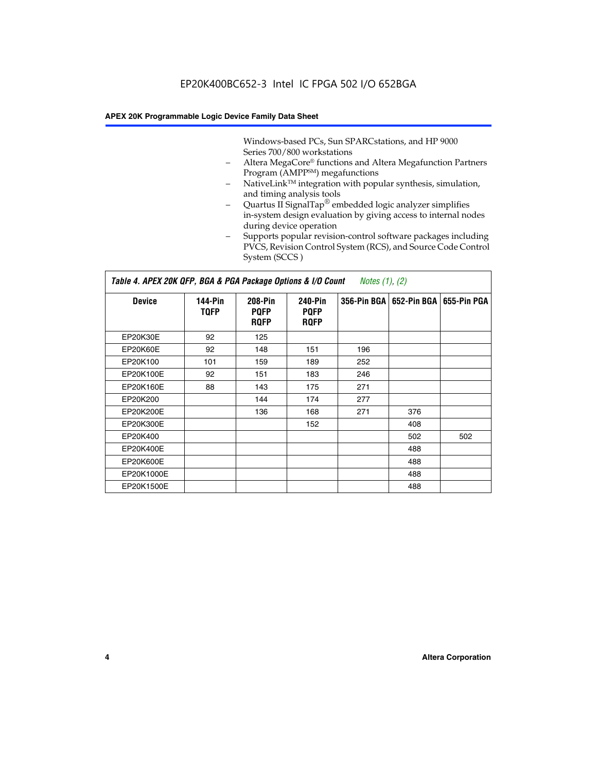Windows-based PCs, Sun SPARCstations, and HP 9000 Series 700/800 workstations

- Altera MegaCore® functions and Altera Megafunction Partners Program (AMPP<sup>SM</sup>) megafunctions
- NativeLink™ integration with popular synthesis, simulation, and timing analysis tools
- Quartus II SignalTap® embedded logic analyzer simplifies in-system design evaluation by giving access to internal nodes during device operation
- Supports popular revision-control software packages including PVCS, Revision Control System (RCS), and Source Code Control System (SCCS )

#### *Table 4. APEX 20K QFP, BGA & PGA Package Options & I/O Count Notes (1), (2)*

| <b>Device</b>   | 144-Pin<br><b>TQFP</b> | 208-Pin<br><b>PQFP</b><br><b>ROFP</b> | 240-Pin<br><b>PQFP</b><br><b>ROFP</b> |     | 356-Pin BGA   652-Pin BGA | 655-Pin PGA |
|-----------------|------------------------|---------------------------------------|---------------------------------------|-----|---------------------------|-------------|
| EP20K30E        | 92                     | 125                                   |                                       |     |                           |             |
| <b>EP20K60E</b> | 92                     | 148                                   | 151                                   | 196 |                           |             |
| EP20K100        | 101                    | 159                                   | 189                                   | 252 |                           |             |
| EP20K100E       | 92                     | 151                                   | 183                                   | 246 |                           |             |
| EP20K160E       | 88                     | 143                                   | 175                                   | 271 |                           |             |
| EP20K200        |                        | 144                                   | 174                                   | 277 |                           |             |
| EP20K200E       |                        | 136                                   | 168                                   | 271 | 376                       |             |
| EP20K300E       |                        |                                       | 152                                   |     | 408                       |             |
| EP20K400        |                        |                                       |                                       |     | 502                       | 502         |
| EP20K400E       |                        |                                       |                                       |     | 488                       |             |
| EP20K600E       |                        |                                       |                                       |     | 488                       |             |
| EP20K1000E      |                        |                                       |                                       |     | 488                       |             |
| EP20K1500E      |                        |                                       |                                       |     | 488                       |             |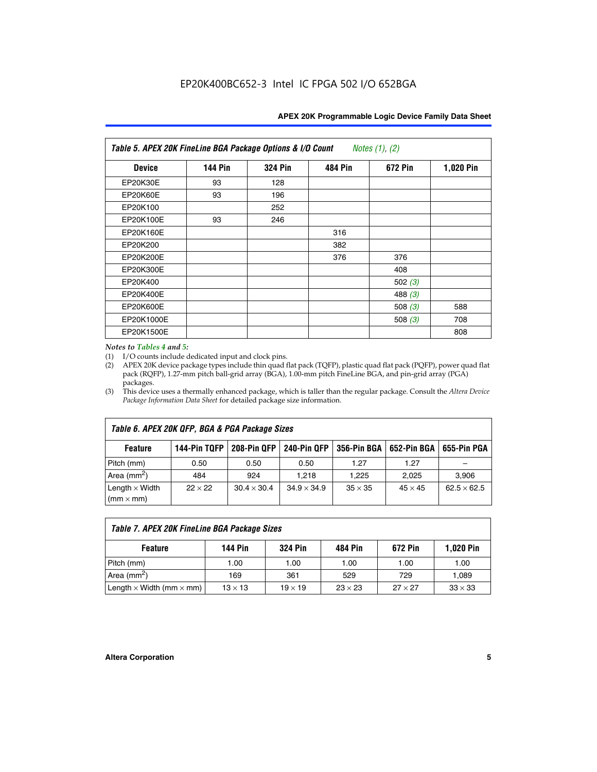| Table 5. APEX 20K FineLine BGA Package Options & I/O Count<br>Notes $(1)$ , $(2)$ |                |                |                |           |           |  |  |  |
|-----------------------------------------------------------------------------------|----------------|----------------|----------------|-----------|-----------|--|--|--|
| <b>Device</b>                                                                     | <b>144 Pin</b> | <b>324 Pin</b> | <b>484 Pin</b> | 672 Pin   | 1,020 Pin |  |  |  |
| EP20K30E                                                                          | 93             | 128            |                |           |           |  |  |  |
| <b>EP20K60E</b>                                                                   | 93             | 196            |                |           |           |  |  |  |
| EP20K100                                                                          |                | 252            |                |           |           |  |  |  |
| EP20K100E                                                                         | 93             | 246            |                |           |           |  |  |  |
| EP20K160E                                                                         |                |                | 316            |           |           |  |  |  |
| EP20K200                                                                          |                |                | 382            |           |           |  |  |  |
| EP20K200E                                                                         |                |                | 376            | 376       |           |  |  |  |
| EP20K300E                                                                         |                |                |                | 408       |           |  |  |  |
| EP20K400                                                                          |                |                |                | 502 $(3)$ |           |  |  |  |
| EP20K400E                                                                         |                |                |                | 488 $(3)$ |           |  |  |  |
| EP20K600E                                                                         |                |                |                | 508 $(3)$ | 588       |  |  |  |
| EP20K1000E                                                                        |                |                |                | 508 $(3)$ | 708       |  |  |  |
| EP20K1500E                                                                        |                |                |                |           | 808       |  |  |  |

#### *Notes to Tables 4 and 5:*

 $\Gamma$ 

(1) I/O counts include dedicated input and clock pins.

(2) APEX 20K device package types include thin quad flat pack (TQFP), plastic quad flat pack (PQFP), power quad flat pack (RQFP), 1.27-mm pitch ball-grid array (BGA), 1.00-mm pitch FineLine BGA, and pin-grid array (PGA) packages.

(3) This device uses a thermally enhanced package, which is taller than the regular package. Consult the *Altera Device Package Information Data Sheet* for detailed package size information.

| Table 6. APEX 20K QFP, BGA & PGA Package Sizes                                                           |                |                    |                    |                |                |                    |  |  |  |
|----------------------------------------------------------------------------------------------------------|----------------|--------------------|--------------------|----------------|----------------|--------------------|--|--|--|
| 144-Pin TQFP<br>240-Pin QFP<br>356-Pin BGA   652-Pin BGA<br>208-Pin QFP<br>655-Pin PGA<br><b>Feature</b> |                |                    |                    |                |                |                    |  |  |  |
| Pitch (mm)                                                                                               | 0.50           | 0.50               | 0.50               | 1.27           | 1.27           |                    |  |  |  |
| Area $(mm^2)$                                                                                            | 484            | 924                | 1.218              | 1.225          | 2.025          | 3,906              |  |  |  |
| Length $\times$ Width<br>$(mm \times mm)$                                                                | $22 \times 22$ | $30.4 \times 30.4$ | $34.9 \times 34.9$ | $35 \times 35$ | $45 \times 45$ | $62.5 \times 62.5$ |  |  |  |

| Table 7. APEX 20K FineLine BGA Package Sizes                                          |                |      |      |      |       |  |  |  |
|---------------------------------------------------------------------------------------|----------------|------|------|------|-------|--|--|--|
| <b>324 Pin</b><br><b>1,020 Pin</b><br>144 Pin<br>672 Pin<br>484 Pin<br><b>Feature</b> |                |      |      |      |       |  |  |  |
| Pitch (mm)                                                                            | 1.00           | 1.00 | 1.00 | 1.00 | 1.00  |  |  |  |
| Area ( $mm2$ )                                                                        | 169            | 361  | 529  | 729  | 1,089 |  |  |  |
| Length $\times$ Width (mm $\times$ mm)                                                | $33 \times 33$ |      |      |      |       |  |  |  |

٦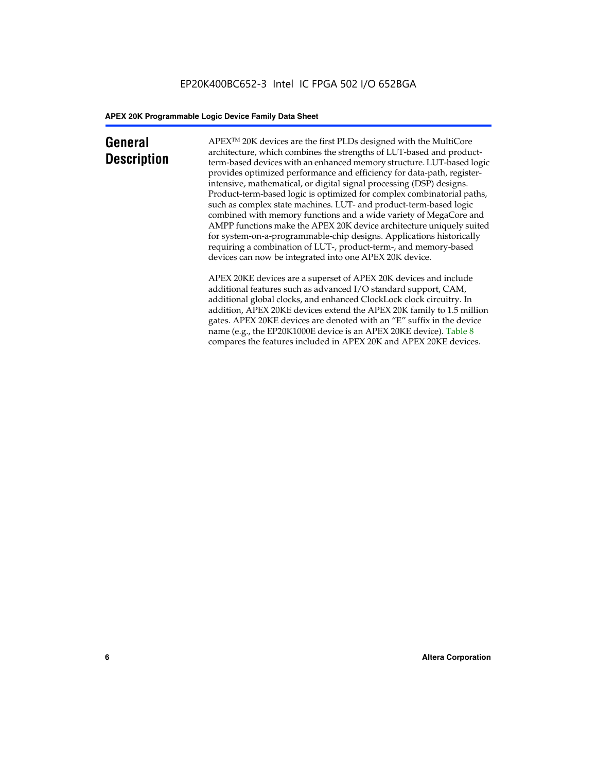### **General Description**

APEXTM 20K devices are the first PLDs designed with the MultiCore architecture, which combines the strengths of LUT-based and productterm-based devices with an enhanced memory structure. LUT-based logic provides optimized performance and efficiency for data-path, registerintensive, mathematical, or digital signal processing (DSP) designs. Product-term-based logic is optimized for complex combinatorial paths, such as complex state machines. LUT- and product-term-based logic combined with memory functions and a wide variety of MegaCore and AMPP functions make the APEX 20K device architecture uniquely suited for system-on-a-programmable-chip designs. Applications historically requiring a combination of LUT-, product-term-, and memory-based devices can now be integrated into one APEX 20K device.

APEX 20KE devices are a superset of APEX 20K devices and include additional features such as advanced I/O standard support, CAM, additional global clocks, and enhanced ClockLock clock circuitry. In addition, APEX 20KE devices extend the APEX 20K family to 1.5 million gates. APEX 20KE devices are denoted with an "E" suffix in the device name (e.g., the EP20K1000E device is an APEX 20KE device). Table 8 compares the features included in APEX 20K and APEX 20KE devices.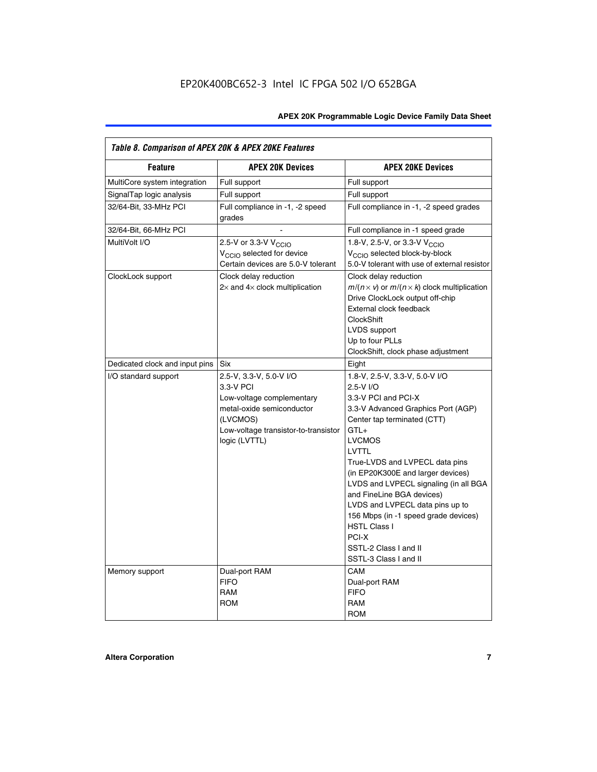| Table 8. Comparison of APEX 20K & APEX 20KE Features |                                                                                                                                                                     |                                                                                                                                                                                                                                                                                                                                                                                                                                                                                              |  |  |  |  |  |
|------------------------------------------------------|---------------------------------------------------------------------------------------------------------------------------------------------------------------------|----------------------------------------------------------------------------------------------------------------------------------------------------------------------------------------------------------------------------------------------------------------------------------------------------------------------------------------------------------------------------------------------------------------------------------------------------------------------------------------------|--|--|--|--|--|
| <b>Feature</b>                                       | <b>APEX 20K Devices</b>                                                                                                                                             | <b>APEX 20KE Devices</b>                                                                                                                                                                                                                                                                                                                                                                                                                                                                     |  |  |  |  |  |
| MultiCore system integration                         | Full support                                                                                                                                                        | Full support                                                                                                                                                                                                                                                                                                                                                                                                                                                                                 |  |  |  |  |  |
| SignalTap logic analysis                             | Full support                                                                                                                                                        | Full support                                                                                                                                                                                                                                                                                                                                                                                                                                                                                 |  |  |  |  |  |
| 32/64-Bit, 33-MHz PCI                                | Full compliance in -1, -2 speed<br>grades                                                                                                                           | Full compliance in -1, -2 speed grades                                                                                                                                                                                                                                                                                                                                                                                                                                                       |  |  |  |  |  |
| 32/64-Bit, 66-MHz PCI                                |                                                                                                                                                                     | Full compliance in -1 speed grade                                                                                                                                                                                                                                                                                                                                                                                                                                                            |  |  |  |  |  |
| MultiVolt I/O                                        | 2.5-V or 3.3-V V <sub>CCIO</sub><br>V <sub>CCIO</sub> selected for device<br>Certain devices are 5.0-V tolerant                                                     | 1.8-V, 2.5-V, or 3.3-V V <sub>CCIO</sub><br>V <sub>CCIO</sub> selected block-by-block<br>5.0-V tolerant with use of external resistor                                                                                                                                                                                                                                                                                                                                                        |  |  |  |  |  |
| ClockLock support                                    | Clock delay reduction<br>$2\times$ and $4\times$ clock multiplication                                                                                               | Clock delay reduction<br>$m/(n \times v)$ or $m/(n \times k)$ clock multiplication<br>Drive ClockLock output off-chip<br>External clock feedback<br><b>ClockShift</b><br>LVDS support<br>Up to four PLLs<br>ClockShift, clock phase adjustment                                                                                                                                                                                                                                               |  |  |  |  |  |
| Dedicated clock and input pins                       | Six                                                                                                                                                                 | Eight                                                                                                                                                                                                                                                                                                                                                                                                                                                                                        |  |  |  |  |  |
| I/O standard support                                 | 2.5-V, 3.3-V, 5.0-V I/O<br>3.3-V PCI<br>Low-voltage complementary<br>metal-oxide semiconductor<br>(LVCMOS)<br>Low-voltage transistor-to-transistor<br>logic (LVTTL) | 1.8-V, 2.5-V, 3.3-V, 5.0-V I/O<br>2.5-V I/O<br>3.3-V PCI and PCI-X<br>3.3-V Advanced Graphics Port (AGP)<br>Center tap terminated (CTT)<br>$GTL+$<br><b>LVCMOS</b><br><b>LVTTL</b><br>True-LVDS and LVPECL data pins<br>(in EP20K300E and larger devices)<br>LVDS and LVPECL signaling (in all BGA<br>and FineLine BGA devices)<br>LVDS and LVPECL data pins up to<br>156 Mbps (in -1 speed grade devices)<br><b>HSTL Class I</b><br>PCI-X<br>SSTL-2 Class I and II<br>SSTL-3 Class I and II |  |  |  |  |  |
| Memory support                                       | Dual-port RAM<br><b>FIFO</b><br><b>RAM</b><br><b>ROM</b>                                                                                                            | CAM<br>Dual-port RAM<br><b>FIFO</b><br>RAM<br><b>ROM</b>                                                                                                                                                                                                                                                                                                                                                                                                                                     |  |  |  |  |  |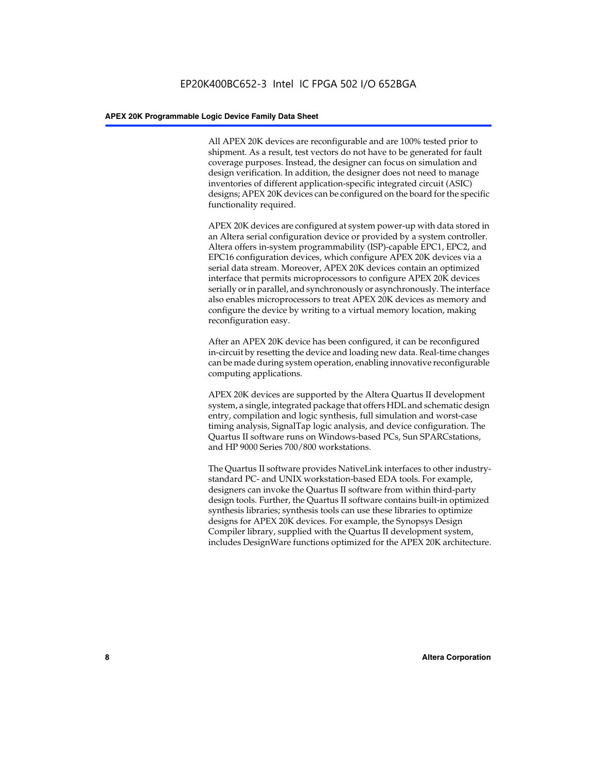All APEX 20K devices are reconfigurable and are 100% tested prior to shipment. As a result, test vectors do not have to be generated for fault coverage purposes. Instead, the designer can focus on simulation and design verification. In addition, the designer does not need to manage inventories of different application-specific integrated circuit (ASIC) designs; APEX 20K devices can be configured on the board for the specific functionality required.

APEX 20K devices are configured at system power-up with data stored in an Altera serial configuration device or provided by a system controller. Altera offers in-system programmability (ISP)-capable EPC1, EPC2, and EPC16 configuration devices, which configure APEX 20K devices via a serial data stream. Moreover, APEX 20K devices contain an optimized interface that permits microprocessors to configure APEX 20K devices serially or in parallel, and synchronously or asynchronously. The interface also enables microprocessors to treat APEX 20K devices as memory and configure the device by writing to a virtual memory location, making reconfiguration easy.

After an APEX 20K device has been configured, it can be reconfigured in-circuit by resetting the device and loading new data. Real-time changes can be made during system operation, enabling innovative reconfigurable computing applications.

APEX 20K devices are supported by the Altera Quartus II development system, a single, integrated package that offers HDL and schematic design entry, compilation and logic synthesis, full simulation and worst-case timing analysis, SignalTap logic analysis, and device configuration. The Quartus II software runs on Windows-based PCs, Sun SPARCstations, and HP 9000 Series 700/800 workstations.

The Quartus II software provides NativeLink interfaces to other industrystandard PC- and UNIX workstation-based EDA tools. For example, designers can invoke the Quartus II software from within third-party design tools. Further, the Quartus II software contains built-in optimized synthesis libraries; synthesis tools can use these libraries to optimize designs for APEX 20K devices. For example, the Synopsys Design Compiler library, supplied with the Quartus II development system, includes DesignWare functions optimized for the APEX 20K architecture.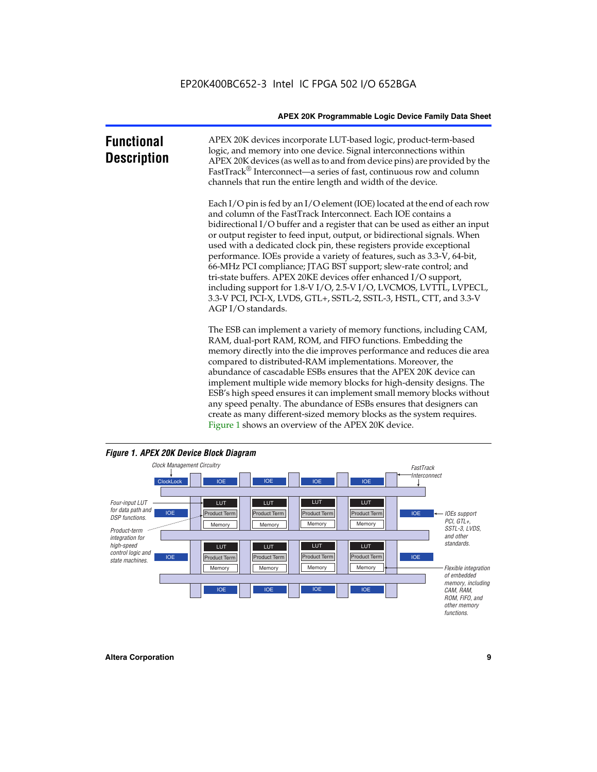| <b>Functional</b><br><b>Description</b> | APEX 20K devices incorporate LUT-based logic, product-term-based<br>logic, and memory into one device. Signal interconnections within<br>APEX 20K devices (as well as to and from device pins) are provided by the<br>FastTrack <sup>®</sup> Interconnect—a series of fast, continuous row and column<br>channels that run the entire length and width of the device.                                                                                                                                                                                                                                                                                                                                                                                              |
|-----------------------------------------|--------------------------------------------------------------------------------------------------------------------------------------------------------------------------------------------------------------------------------------------------------------------------------------------------------------------------------------------------------------------------------------------------------------------------------------------------------------------------------------------------------------------------------------------------------------------------------------------------------------------------------------------------------------------------------------------------------------------------------------------------------------------|
|                                         | Each I/O pin is fed by an I/O element (IOE) located at the end of each row<br>and column of the FastTrack Interconnect. Each IOE contains a<br>bidirectional I/O buffer and a register that can be used as either an input<br>or output register to feed input, output, or bidirectional signals. When<br>used with a dedicated clock pin, these registers provide exceptional<br>performance. IOEs provide a variety of features, such as 3.3-V, 64-bit,<br>66-MHz PCI compliance; JTAG BST support; slew-rate control; and<br>tri-state buffers. APEX 20KE devices offer enhanced I/O support,<br>including support for 1.8-V I/O, 2.5-V I/O, LVCMOS, LVTTL, LVPECL,<br>3.3-V PCI, PCI-X, LVDS, GTL+, SSTL-2, SSTL-3, HSTL, CTT, and 3.3-V<br>AGP I/O standards. |
|                                         | The ESB can implement a variety of memory functions, including CAM,<br>RAM, dual-port RAM, ROM, and FIFO functions. Embedding the<br>memory directly into the die improves performance and reduces die area<br>compared to distributed-RAM implementations. Moreover, the<br>abundance of cascadable ESBs ensures that the APEX 20K device can<br>implement multiple wide memory blocks for high-density designs. The<br>ESB's high speed ensures it can implement small memory blocks without<br>any speed penalty. The abundance of ESBs ensures that designers can<br>create as many different-sized memory blocks as the system requires.                                                                                                                      |



Figure 1 shows an overview of the APEX 20K device.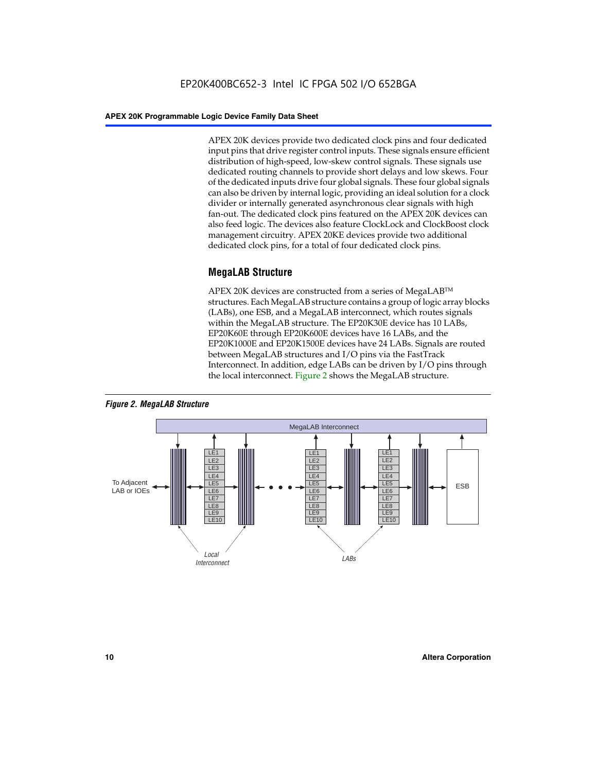APEX 20K devices provide two dedicated clock pins and four dedicated input pins that drive register control inputs. These signals ensure efficient distribution of high-speed, low-skew control signals. These signals use dedicated routing channels to provide short delays and low skews. Four of the dedicated inputs drive four global signals. These four global signals can also be driven by internal logic, providing an ideal solution for a clock divider or internally generated asynchronous clear signals with high fan-out. The dedicated clock pins featured on the APEX 20K devices can also feed logic. The devices also feature ClockLock and ClockBoost clock management circuitry. APEX 20KE devices provide two additional dedicated clock pins, for a total of four dedicated clock pins.

#### **MegaLAB Structure**

APEX 20K devices are constructed from a series of MegaLAB<sup>™</sup> structures. Each MegaLAB structure contains a group of logic array blocks (LABs), one ESB, and a MegaLAB interconnect, which routes signals within the MegaLAB structure. The EP20K30E device has 10 LABs, EP20K60E through EP20K600E devices have 16 LABs, and the EP20K1000E and EP20K1500E devices have 24 LABs. Signals are routed between MegaLAB structures and I/O pins via the FastTrack Interconnect. In addition, edge LABs can be driven by I/O pins through the local interconnect. Figure 2 shows the MegaLAB structure.



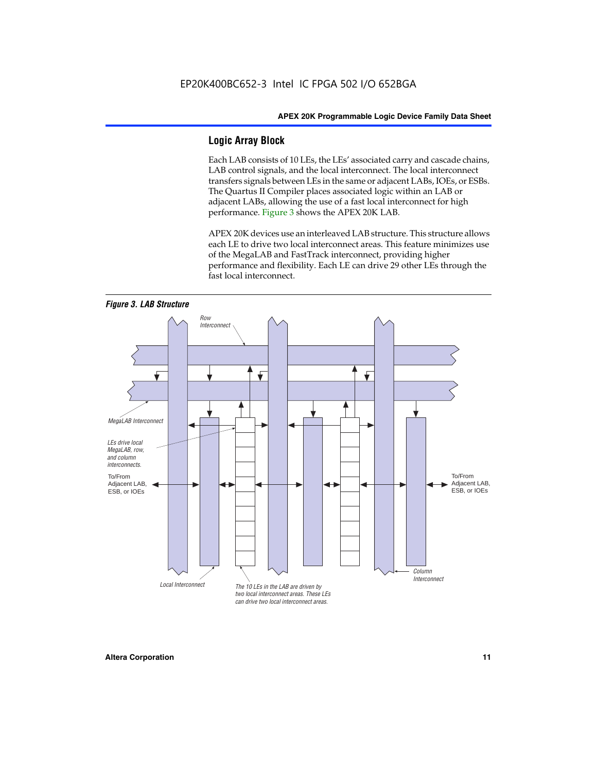#### **Logic Array Block**

Each LAB consists of 10 LEs, the LEs' associated carry and cascade chains, LAB control signals, and the local interconnect. The local interconnect transfers signals between LEs in the same or adjacent LABs, IOEs, or ESBs. The Quartus II Compiler places associated logic within an LAB or adjacent LABs, allowing the use of a fast local interconnect for high performance. Figure 3 shows the APEX 20K LAB.

APEX 20K devices use an interleaved LAB structure. This structure allows each LE to drive two local interconnect areas. This feature minimizes use of the MegaLAB and FastTrack interconnect, providing higher performance and flexibility. Each LE can drive 29 other LEs through the fast local interconnect.

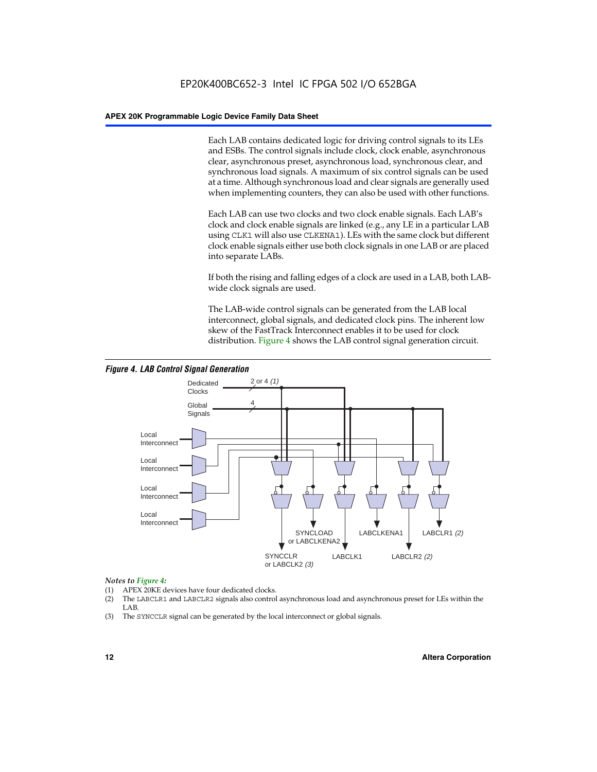Each LAB contains dedicated logic for driving control signals to its LEs and ESBs. The control signals include clock, clock enable, asynchronous clear, asynchronous preset, asynchronous load, synchronous clear, and synchronous load signals. A maximum of six control signals can be used at a time. Although synchronous load and clear signals are generally used when implementing counters, they can also be used with other functions.

Each LAB can use two clocks and two clock enable signals. Each LAB's clock and clock enable signals are linked (e.g., any LE in a particular LAB using CLK1 will also use CLKENA1). LEs with the same clock but different clock enable signals either use both clock signals in one LAB or are placed into separate LABs.

If both the rising and falling edges of a clock are used in a LAB, both LABwide clock signals are used.

The LAB-wide control signals can be generated from the LAB local interconnect, global signals, and dedicated clock pins. The inherent low skew of the FastTrack Interconnect enables it to be used for clock distribution. Figure 4 shows the LAB control signal generation circuit.



#### *Figure 4. LAB Control Signal Generation*

#### *Notes to Figure 4:*

- (1) APEX 20KE devices have four dedicated clocks.
- (2) The LABCLR1 and LABCLR2 signals also control asynchronous load and asynchronous preset for LEs within the LAB.
- (3) The SYNCCLR signal can be generated by the local interconnect or global signals.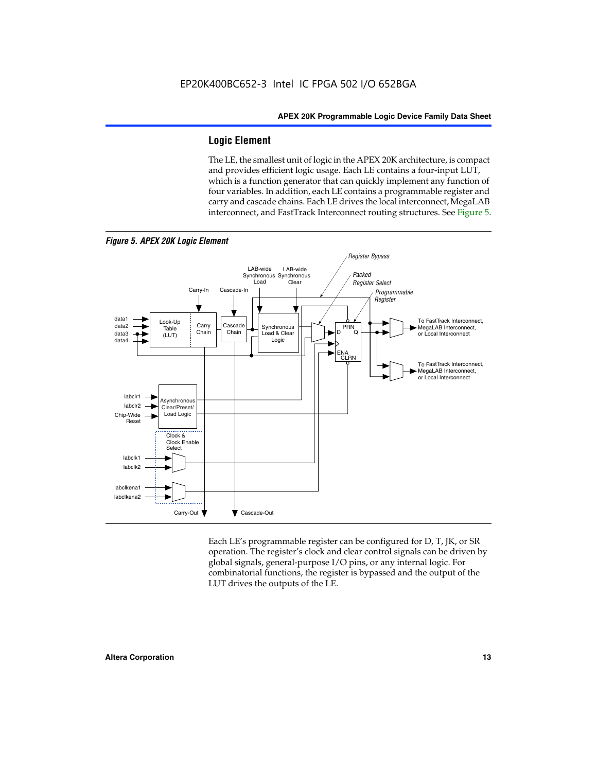#### **Logic Element**

The LE, the smallest unit of logic in the APEX 20K architecture, is compact and provides efficient logic usage. Each LE contains a four-input LUT, which is a function generator that can quickly implement any function of four variables. In addition, each LE contains a programmable register and carry and cascade chains. Each LE drives the local interconnect, MegaLAB interconnect, and FastTrack Interconnect routing structures. See Figure 5.



Each LE's programmable register can be configured for D, T, JK, or SR operation. The register's clock and clear control signals can be driven by global signals, general-purpose I/O pins, or any internal logic. For combinatorial functions, the register is bypassed and the output of the LUT drives the outputs of the LE.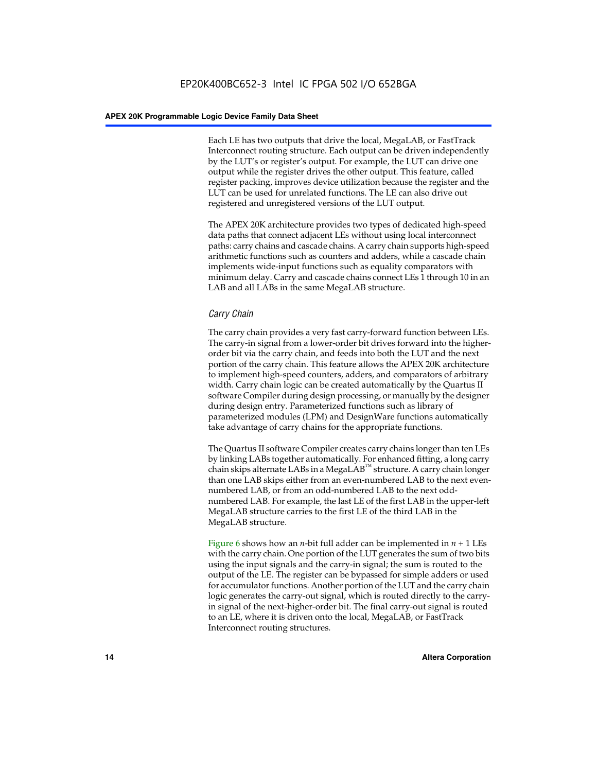Each LE has two outputs that drive the local, MegaLAB, or FastTrack Interconnect routing structure. Each output can be driven independently by the LUT's or register's output. For example, the LUT can drive one output while the register drives the other output. This feature, called register packing, improves device utilization because the register and the LUT can be used for unrelated functions. The LE can also drive out registered and unregistered versions of the LUT output.

The APEX 20K architecture provides two types of dedicated high-speed data paths that connect adjacent LEs without using local interconnect paths: carry chains and cascade chains. A carry chain supports high-speed arithmetic functions such as counters and adders, while a cascade chain implements wide-input functions such as equality comparators with minimum delay. Carry and cascade chains connect LEs 1 through 10 in an LAB and all LABs in the same MegaLAB structure.

#### *Carry Chain*

The carry chain provides a very fast carry-forward function between LEs. The carry-in signal from a lower-order bit drives forward into the higherorder bit via the carry chain, and feeds into both the LUT and the next portion of the carry chain. This feature allows the APEX 20K architecture to implement high-speed counters, adders, and comparators of arbitrary width. Carry chain logic can be created automatically by the Quartus II software Compiler during design processing, or manually by the designer during design entry. Parameterized functions such as library of parameterized modules (LPM) and DesignWare functions automatically take advantage of carry chains for the appropriate functions.

The Quartus II software Compiler creates carry chains longer than ten LEs by linking LABs together automatically. For enhanced fitting, a long carry chain skips alternate LABs in a MegaLAB<sup>™</sup> structure. A carry chain longer than one LAB skips either from an even-numbered LAB to the next evennumbered LAB, or from an odd-numbered LAB to the next oddnumbered LAB. For example, the last LE of the first LAB in the upper-left MegaLAB structure carries to the first LE of the third LAB in the MegaLAB structure.

Figure 6 shows how an *n*-bit full adder can be implemented in *n* + 1 LEs with the carry chain. One portion of the LUT generates the sum of two bits using the input signals and the carry-in signal; the sum is routed to the output of the LE. The register can be bypassed for simple adders or used for accumulator functions. Another portion of the LUT and the carry chain logic generates the carry-out signal, which is routed directly to the carryin signal of the next-higher-order bit. The final carry-out signal is routed to an LE, where it is driven onto the local, MegaLAB, or FastTrack Interconnect routing structures.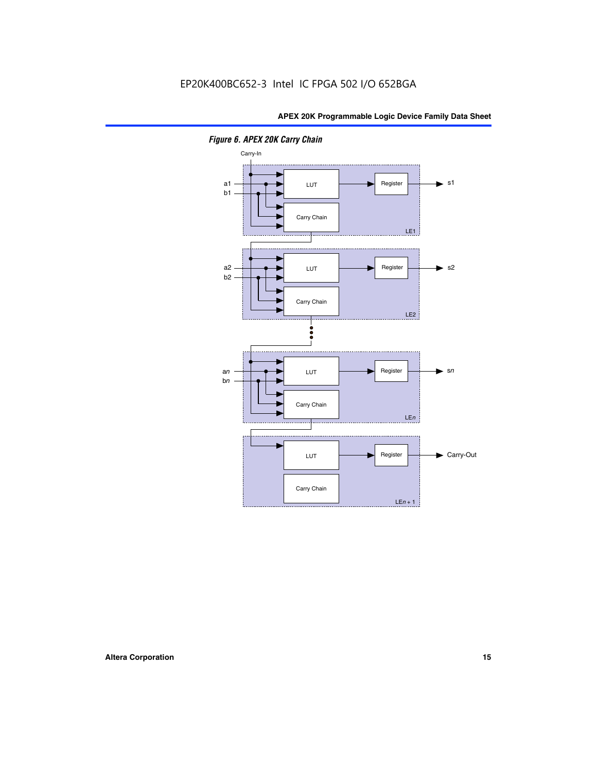

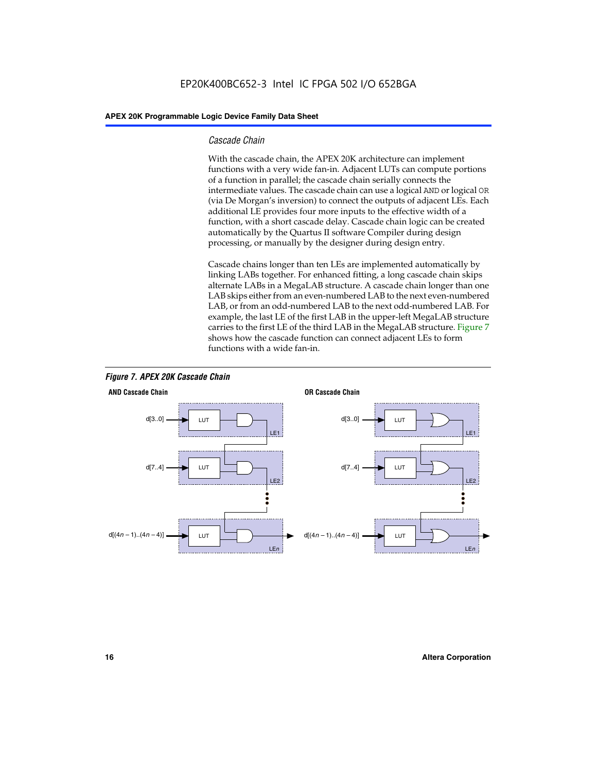#### *Cascade Chain*

With the cascade chain, the APEX 20K architecture can implement functions with a very wide fan-in. Adjacent LUTs can compute portions of a function in parallel; the cascade chain serially connects the intermediate values. The cascade chain can use a logical AND or logical OR (via De Morgan's inversion) to connect the outputs of adjacent LEs. Each additional LE provides four more inputs to the effective width of a function, with a short cascade delay. Cascade chain logic can be created automatically by the Quartus II software Compiler during design processing, or manually by the designer during design entry.

Cascade chains longer than ten LEs are implemented automatically by linking LABs together. For enhanced fitting, a long cascade chain skips alternate LABs in a MegaLAB structure. A cascade chain longer than one LAB skips either from an even-numbered LAB to the next even-numbered LAB, or from an odd-numbered LAB to the next odd-numbered LAB. For example, the last LE of the first LAB in the upper-left MegaLAB structure carries to the first LE of the third LAB in the MegaLAB structure. Figure 7 shows how the cascade function can connect adjacent LEs to form functions with a wide fan-in.



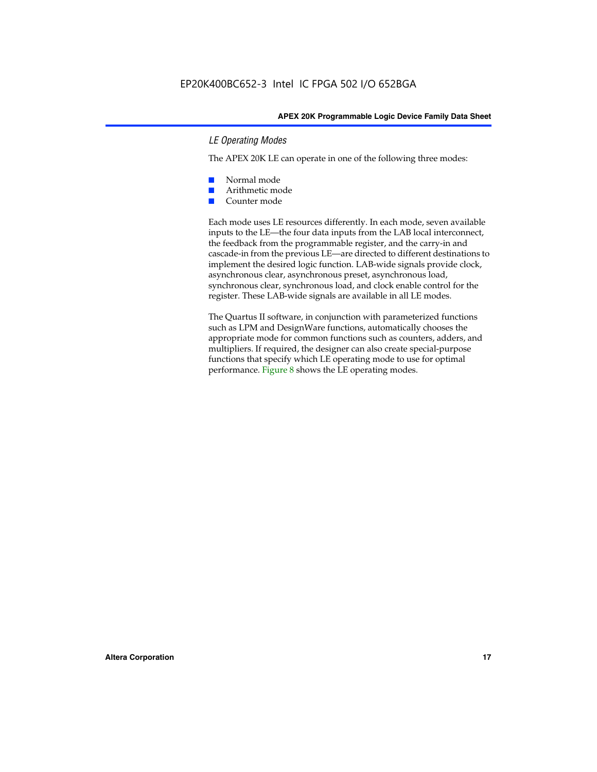#### *LE Operating Modes*

The APEX 20K LE can operate in one of the following three modes:

- Normal mode
- Arithmetic mode
- Counter mode

Each mode uses LE resources differently. In each mode, seven available inputs to the LE—the four data inputs from the LAB local interconnect, the feedback from the programmable register, and the carry-in and cascade-in from the previous LE—are directed to different destinations to implement the desired logic function. LAB-wide signals provide clock, asynchronous clear, asynchronous preset, asynchronous load, synchronous clear, synchronous load, and clock enable control for the register. These LAB-wide signals are available in all LE modes.

The Quartus II software, in conjunction with parameterized functions such as LPM and DesignWare functions, automatically chooses the appropriate mode for common functions such as counters, adders, and multipliers. If required, the designer can also create special-purpose functions that specify which LE operating mode to use for optimal performance. Figure 8 shows the LE operating modes.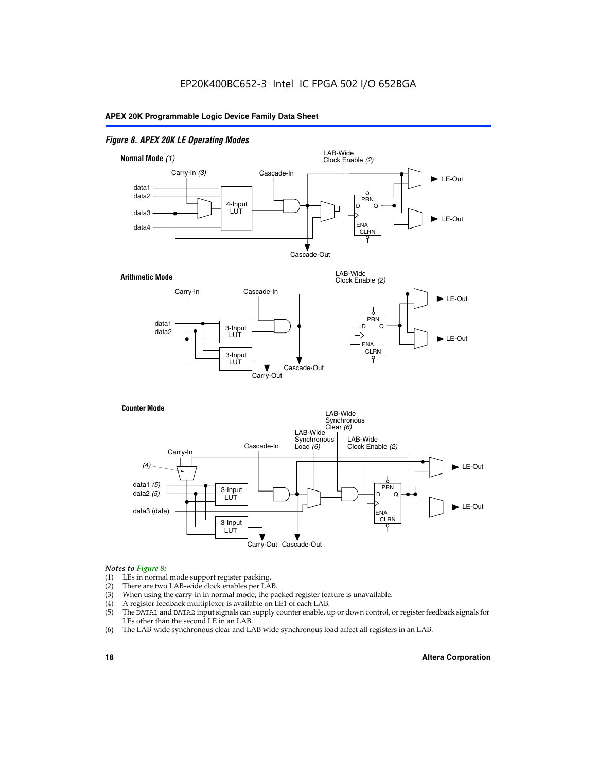#### *Figure 8. APEX 20K LE Operating Modes*



#### *Notes to Figure 8:*

- (1) LEs in normal mode support register packing.
- (2) There are two LAB-wide clock enables per LAB.
- (3) When using the carry-in in normal mode, the packed register feature is unavailable.
- (4) A register feedback multiplexer is available on LE1 of each LAB.
- (5) The DATA1 and DATA2 input signals can supply counter enable, up or down control, or register feedback signals for LEs other than the second LE in an LAB.
- (6) The LAB-wide synchronous clear and LAB wide synchronous load affect all registers in an LAB.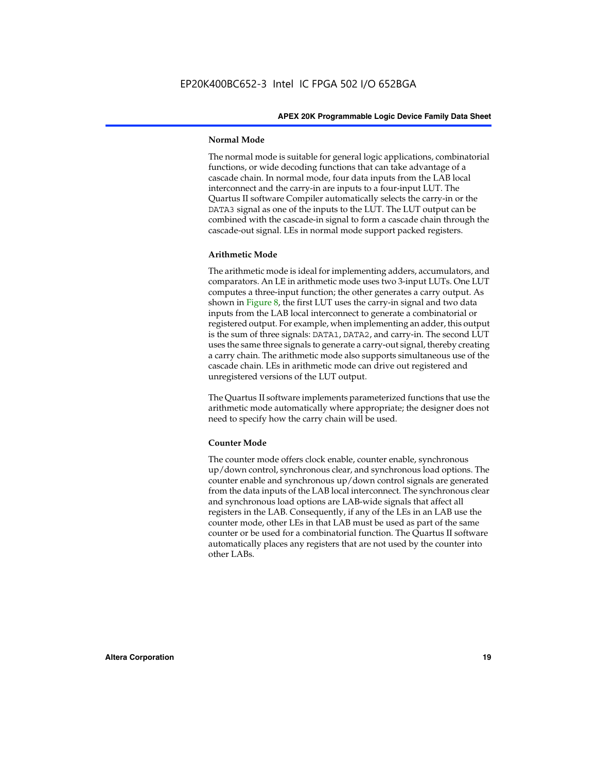#### **Normal Mode**

The normal mode is suitable for general logic applications, combinatorial functions, or wide decoding functions that can take advantage of a cascade chain. In normal mode, four data inputs from the LAB local interconnect and the carry-in are inputs to a four-input LUT. The Quartus II software Compiler automatically selects the carry-in or the DATA3 signal as one of the inputs to the LUT. The LUT output can be combined with the cascade-in signal to form a cascade chain through the cascade-out signal. LEs in normal mode support packed registers.

#### **Arithmetic Mode**

The arithmetic mode is ideal for implementing adders, accumulators, and comparators. An LE in arithmetic mode uses two 3-input LUTs. One LUT computes a three-input function; the other generates a carry output. As shown in Figure 8, the first LUT uses the carry-in signal and two data inputs from the LAB local interconnect to generate a combinatorial or registered output. For example, when implementing an adder, this output is the sum of three signals: DATA1, DATA2, and carry-in. The second LUT uses the same three signals to generate a carry-out signal, thereby creating a carry chain. The arithmetic mode also supports simultaneous use of the cascade chain. LEs in arithmetic mode can drive out registered and unregistered versions of the LUT output.

The Quartus II software implements parameterized functions that use the arithmetic mode automatically where appropriate; the designer does not need to specify how the carry chain will be used.

#### **Counter Mode**

The counter mode offers clock enable, counter enable, synchronous up/down control, synchronous clear, and synchronous load options. The counter enable and synchronous up/down control signals are generated from the data inputs of the LAB local interconnect. The synchronous clear and synchronous load options are LAB-wide signals that affect all registers in the LAB. Consequently, if any of the LEs in an LAB use the counter mode, other LEs in that LAB must be used as part of the same counter or be used for a combinatorial function. The Quartus II software automatically places any registers that are not used by the counter into other LABs.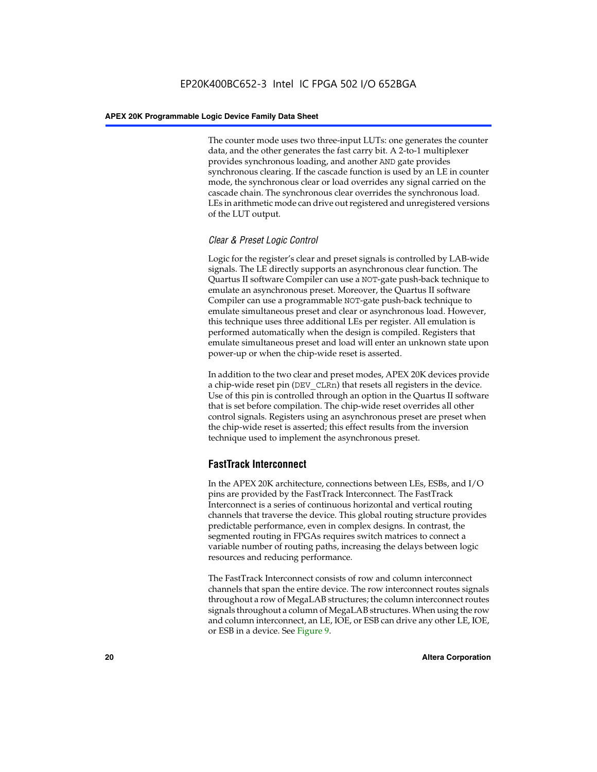The counter mode uses two three-input LUTs: one generates the counter data, and the other generates the fast carry bit. A 2-to-1 multiplexer provides synchronous loading, and another AND gate provides synchronous clearing. If the cascade function is used by an LE in counter mode, the synchronous clear or load overrides any signal carried on the cascade chain. The synchronous clear overrides the synchronous load. LEs in arithmetic mode can drive out registered and unregistered versions of the LUT output.

#### *Clear & Preset Logic Control*

Logic for the register's clear and preset signals is controlled by LAB-wide signals. The LE directly supports an asynchronous clear function. The Quartus II software Compiler can use a NOT-gate push-back technique to emulate an asynchronous preset. Moreover, the Quartus II software Compiler can use a programmable NOT-gate push-back technique to emulate simultaneous preset and clear or asynchronous load. However, this technique uses three additional LEs per register. All emulation is performed automatically when the design is compiled. Registers that emulate simultaneous preset and load will enter an unknown state upon power-up or when the chip-wide reset is asserted.

In addition to the two clear and preset modes, APEX 20K devices provide a chip-wide reset pin (DEV\_CLRn) that resets all registers in the device. Use of this pin is controlled through an option in the Quartus II software that is set before compilation. The chip-wide reset overrides all other control signals. Registers using an asynchronous preset are preset when the chip-wide reset is asserted; this effect results from the inversion technique used to implement the asynchronous preset.

#### **FastTrack Interconnect**

In the APEX 20K architecture, connections between LEs, ESBs, and I/O pins are provided by the FastTrack Interconnect. The FastTrack Interconnect is a series of continuous horizontal and vertical routing channels that traverse the device. This global routing structure provides predictable performance, even in complex designs. In contrast, the segmented routing in FPGAs requires switch matrices to connect a variable number of routing paths, increasing the delays between logic resources and reducing performance.

The FastTrack Interconnect consists of row and column interconnect channels that span the entire device. The row interconnect routes signals throughout a row of MegaLAB structures; the column interconnect routes signals throughout a column of MegaLAB structures. When using the row and column interconnect, an LE, IOE, or ESB can drive any other LE, IOE, or ESB in a device. See Figure 9.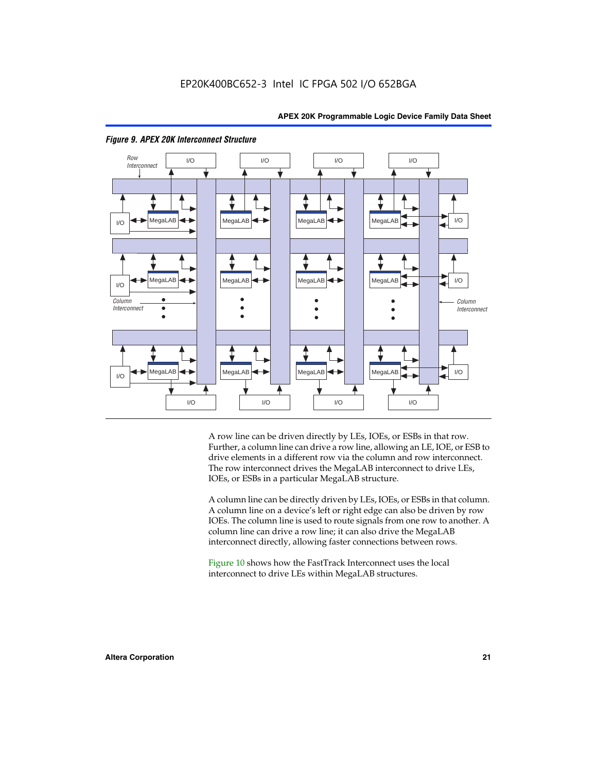

#### *Figure 9. APEX 20K Interconnect Structure*

A row line can be driven directly by LEs, IOEs, or ESBs in that row. Further, a column line can drive a row line, allowing an LE, IOE, or ESB to drive elements in a different row via the column and row interconnect. The row interconnect drives the MegaLAB interconnect to drive LEs, IOEs, or ESBs in a particular MegaLAB structure.

A column line can be directly driven by LEs, IOEs, or ESBs in that column. A column line on a device's left or right edge can also be driven by row IOEs. The column line is used to route signals from one row to another. A column line can drive a row line; it can also drive the MegaLAB interconnect directly, allowing faster connections between rows.

Figure 10 shows how the FastTrack Interconnect uses the local interconnect to drive LEs within MegaLAB structures.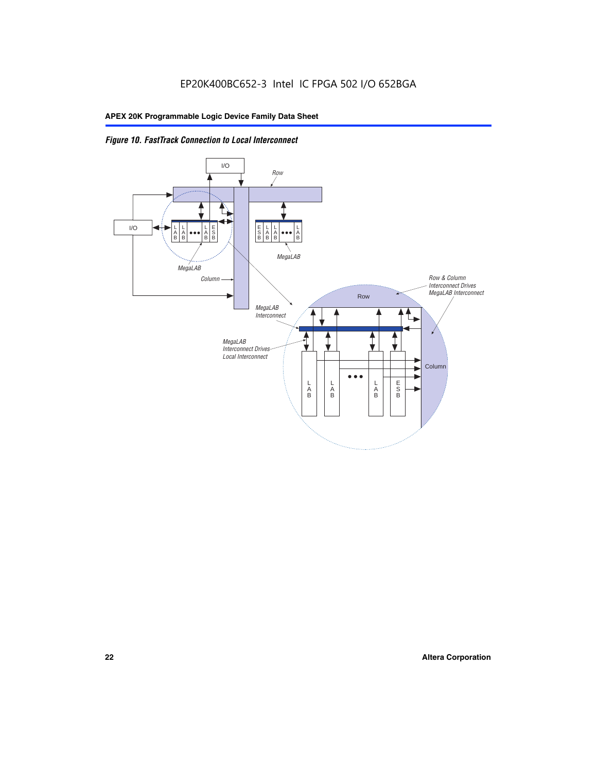

*Figure 10. FastTrack Connection to Local Interconnect*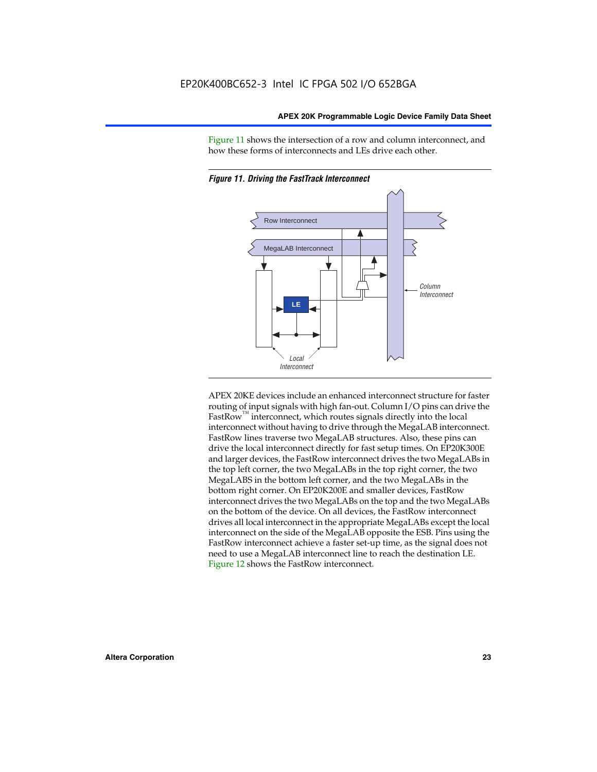Figure 11 shows the intersection of a row and column interconnect, and how these forms of interconnects and LEs drive each other.



*Figure 11. Driving the FastTrack Interconnect*

APEX 20KE devices include an enhanced interconnect structure for faster routing of input signals with high fan-out. Column I/O pins can drive the FastRow<sup>™</sup> interconnect, which routes signals directly into the local interconnect without having to drive through the MegaLAB interconnect. FastRow lines traverse two MegaLAB structures. Also, these pins can drive the local interconnect directly for fast setup times. On EP20K300E and larger devices, the FastRow interconnect drives the two MegaLABs in the top left corner, the two MegaLABs in the top right corner, the two MegaLABS in the bottom left corner, and the two MegaLABs in the bottom right corner. On EP20K200E and smaller devices, FastRow interconnect drives the two MegaLABs on the top and the two MegaLABs on the bottom of the device. On all devices, the FastRow interconnect drives all local interconnect in the appropriate MegaLABs except the local interconnect on the side of the MegaLAB opposite the ESB. Pins using the FastRow interconnect achieve a faster set-up time, as the signal does not need to use a MegaLAB interconnect line to reach the destination LE. Figure 12 shows the FastRow interconnect.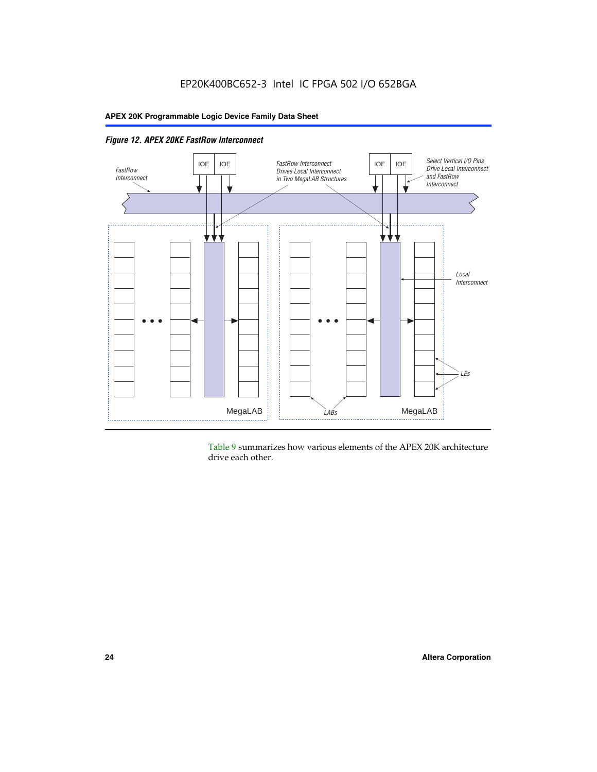

Table 9 summarizes how various elements of the APEX 20K architecture drive each other.

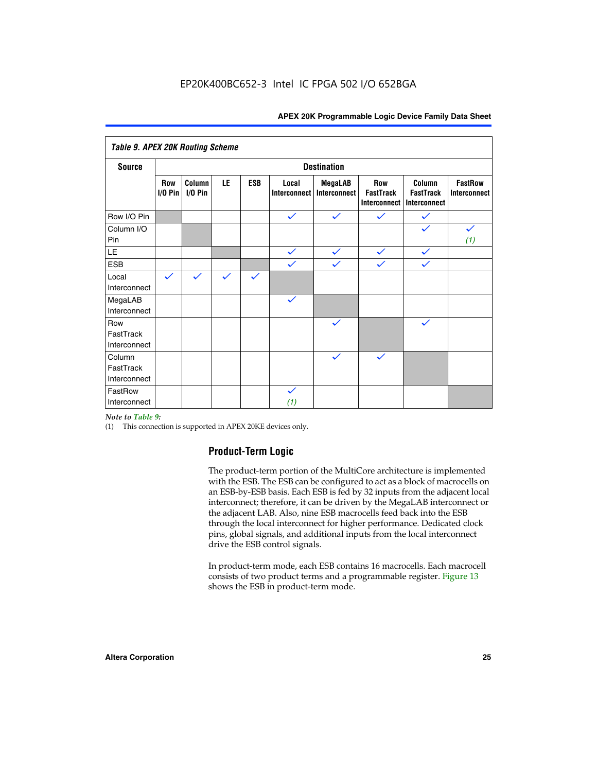| <b>Table 9. APEX 20K Routing Scheme</b> |                          |                     |              |              |                       |                                |                                                       |                                                   |                                |  |
|-----------------------------------------|--------------------------|---------------------|--------------|--------------|-----------------------|--------------------------------|-------------------------------------------------------|---------------------------------------------------|--------------------------------|--|
| <b>Source</b>                           |                          | <b>Destination</b>  |              |              |                       |                                |                                                       |                                                   |                                |  |
|                                         | <b>Row</b><br>$I/O P$ in | Column<br>$I/O$ Pin | LE           | <b>ESB</b>   | Local<br>Interconnect | <b>MegaLAB</b><br>Interconnect | <b>Row</b><br><b>FastTrack</b><br><b>Interconnect</b> | Column<br><b>FastTrack</b><br><b>Interconnect</b> | <b>FastRow</b><br>Interconnect |  |
| Row I/O Pin                             |                          |                     |              |              | $\checkmark$          | $\checkmark$                   | $\checkmark$                                          | $\checkmark$                                      |                                |  |
| Column I/O<br>Pin                       |                          |                     |              |              |                       |                                |                                                       | $\checkmark$                                      | $\checkmark$<br>(1)            |  |
| LE                                      |                          |                     |              |              | $\checkmark$          | $\checkmark$                   | $\checkmark$                                          | $\checkmark$                                      |                                |  |
| <b>ESB</b>                              |                          |                     |              |              | $\checkmark$          | $\checkmark$                   | $\checkmark$                                          | $\checkmark$                                      |                                |  |
| Local<br>Interconnect                   | $\checkmark$             | $\checkmark$        | $\checkmark$ | $\checkmark$ |                       |                                |                                                       |                                                   |                                |  |
| MegaLAB<br>Interconnect                 |                          |                     |              |              | $\checkmark$          |                                |                                                       |                                                   |                                |  |
| Row<br>FastTrack<br>Interconnect        |                          |                     |              |              |                       | $\checkmark$                   |                                                       | $\checkmark$                                      |                                |  |
| Column<br>FastTrack<br>Interconnect     |                          |                     |              |              |                       | $\checkmark$                   | $\checkmark$                                          |                                                   |                                |  |
| FastRow<br>Interconnect                 |                          |                     |              |              | $\checkmark$<br>(1)   |                                |                                                       |                                                   |                                |  |

#### *Note to Table 9:*

(1) This connection is supported in APEX 20KE devices only.

#### **Product-Term Logic**

The product-term portion of the MultiCore architecture is implemented with the ESB. The ESB can be configured to act as a block of macrocells on an ESB-by-ESB basis. Each ESB is fed by 32 inputs from the adjacent local interconnect; therefore, it can be driven by the MegaLAB interconnect or the adjacent LAB. Also, nine ESB macrocells feed back into the ESB through the local interconnect for higher performance. Dedicated clock pins, global signals, and additional inputs from the local interconnect drive the ESB control signals.

In product-term mode, each ESB contains 16 macrocells. Each macrocell consists of two product terms and a programmable register. Figure 13 shows the ESB in product-term mode.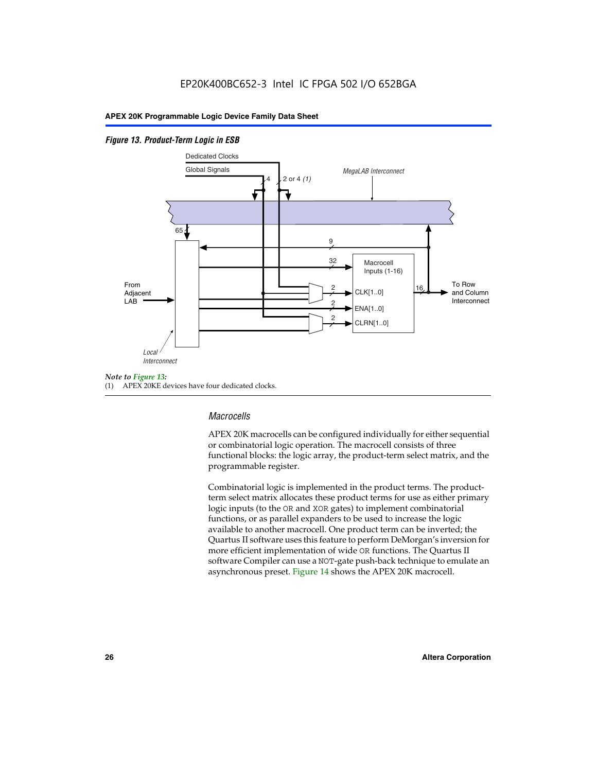#### *Figure 13. Product-Term Logic in ESB*



(1) APEX 20KE devices have four dedicated clocks.

#### *Macrocells*

APEX 20K macrocells can be configured individually for either sequential or combinatorial logic operation. The macrocell consists of three functional blocks: the logic array, the product-term select matrix, and the programmable register.

Combinatorial logic is implemented in the product terms. The productterm select matrix allocates these product terms for use as either primary logic inputs (to the OR and XOR gates) to implement combinatorial functions, or as parallel expanders to be used to increase the logic available to another macrocell. One product term can be inverted; the Quartus II software uses this feature to perform DeMorgan's inversion for more efficient implementation of wide OR functions. The Quartus II software Compiler can use a NOT-gate push-back technique to emulate an asynchronous preset. Figure 14 shows the APEX 20K macrocell.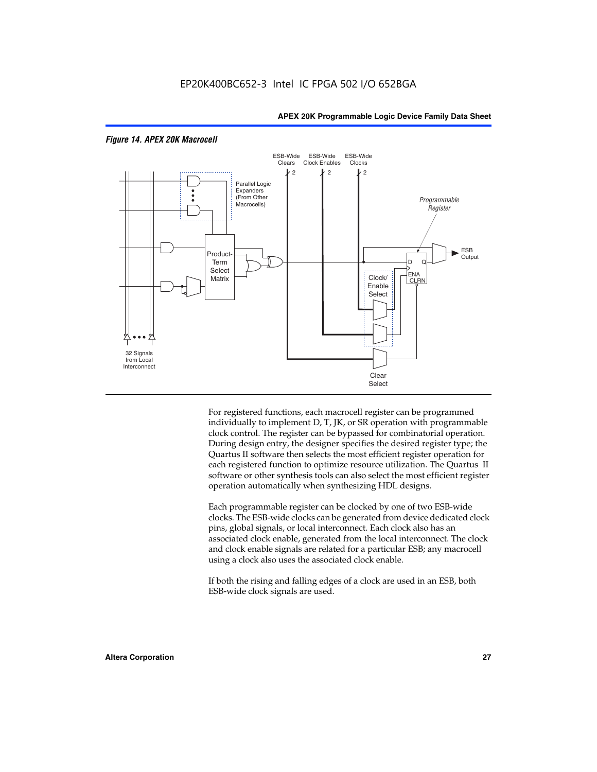

#### *Figure 14. APEX 20K Macrocell*

For registered functions, each macrocell register can be programmed individually to implement D, T, JK, or SR operation with programmable clock control. The register can be bypassed for combinatorial operation. During design entry, the designer specifies the desired register type; the Quartus II software then selects the most efficient register operation for each registered function to optimize resource utilization. The Quartus II software or other synthesis tools can also select the most efficient register operation automatically when synthesizing HDL designs.

Each programmable register can be clocked by one of two ESB-wide clocks. The ESB-wide clocks can be generated from device dedicated clock pins, global signals, or local interconnect. Each clock also has an associated clock enable, generated from the local interconnect. The clock and clock enable signals are related for a particular ESB; any macrocell using a clock also uses the associated clock enable.

If both the rising and falling edges of a clock are used in an ESB, both ESB-wide clock signals are used.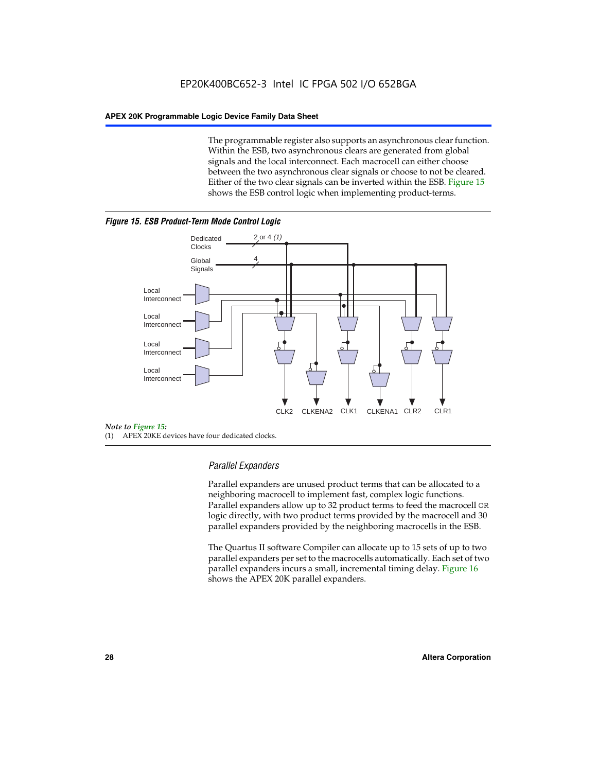The programmable register also supports an asynchronous clear function. Within the ESB, two asynchronous clears are generated from global signals and the local interconnect. Each macrocell can either choose between the two asynchronous clear signals or choose to not be cleared. Either of the two clear signals can be inverted within the ESB. Figure 15 shows the ESB control logic when implementing product-terms.





(1) APEX 20KE devices have four dedicated clocks.

#### *Parallel Expanders*

Parallel expanders are unused product terms that can be allocated to a neighboring macrocell to implement fast, complex logic functions. Parallel expanders allow up to 32 product terms to feed the macrocell OR logic directly, with two product terms provided by the macrocell and 30 parallel expanders provided by the neighboring macrocells in the ESB.

The Quartus II software Compiler can allocate up to 15 sets of up to two parallel expanders per set to the macrocells automatically. Each set of two parallel expanders incurs a small, incremental timing delay. Figure 16 shows the APEX 20K parallel expanders.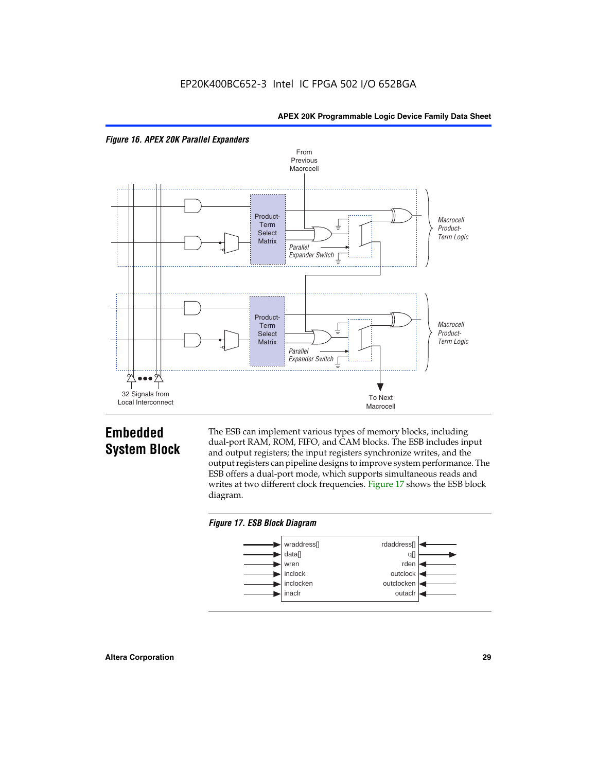



## **Embedded System Block**

The ESB can implement various types of memory blocks, including dual-port RAM, ROM, FIFO, and CAM blocks. The ESB includes input and output registers; the input registers synchronize writes, and the output registers can pipeline designs to improve system performance. The ESB offers a dual-port mode, which supports simultaneous reads and writes at two different clock frequencies. Figure 17 shows the ESB block diagram.



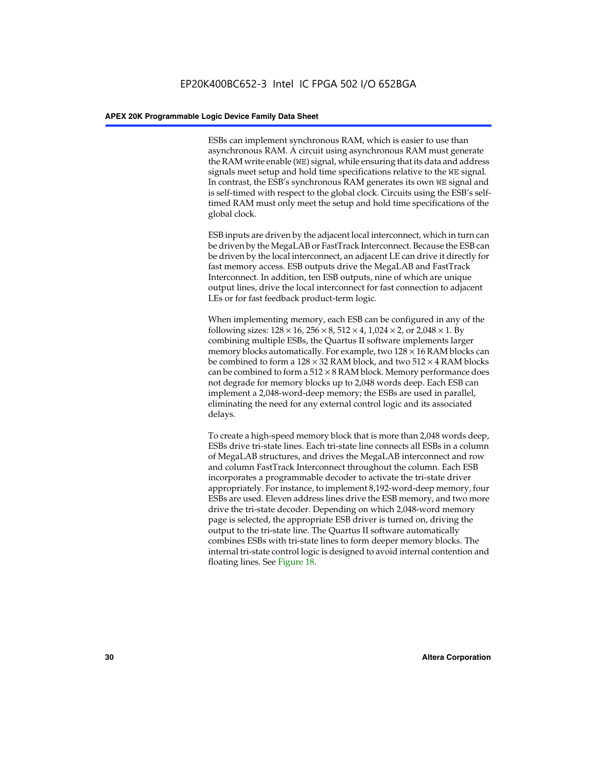ESBs can implement synchronous RAM, which is easier to use than asynchronous RAM. A circuit using asynchronous RAM must generate the RAM write enable (WE) signal, while ensuring that its data and address signals meet setup and hold time specifications relative to the WE signal. In contrast, the ESB's synchronous RAM generates its own WE signal and is self-timed with respect to the global clock. Circuits using the ESB's selftimed RAM must only meet the setup and hold time specifications of the global clock.

ESB inputs are driven by the adjacent local interconnect, which in turn can be driven by the MegaLAB or FastTrack Interconnect. Because the ESB can be driven by the local interconnect, an adjacent LE can drive it directly for fast memory access. ESB outputs drive the MegaLAB and FastTrack Interconnect. In addition, ten ESB outputs, nine of which are unique output lines, drive the local interconnect for fast connection to adjacent LEs or for fast feedback product-term logic.

When implementing memory, each ESB can be configured in any of the following sizes:  $128 \times 16$ ,  $256 \times 8$ ,  $512 \times 4$ ,  $1,024 \times 2$ , or  $2,048 \times 1$ . By combining multiple ESBs, the Quartus II software implements larger memory blocks automatically. For example, two  $128 \times 16$  RAM blocks can be combined to form a  $128 \times 32$  RAM block, and two  $512 \times 4$  RAM blocks can be combined to form a  $512 \times 8$  RAM block. Memory performance does not degrade for memory blocks up to 2,048 words deep. Each ESB can implement a 2,048-word-deep memory; the ESBs are used in parallel, eliminating the need for any external control logic and its associated delays.

To create a high-speed memory block that is more than 2,048 words deep, ESBs drive tri-state lines. Each tri-state line connects all ESBs in a column of MegaLAB structures, and drives the MegaLAB interconnect and row and column FastTrack Interconnect throughout the column. Each ESB incorporates a programmable decoder to activate the tri-state driver appropriately. For instance, to implement 8,192-word-deep memory, four ESBs are used. Eleven address lines drive the ESB memory, and two more drive the tri-state decoder. Depending on which 2,048-word memory page is selected, the appropriate ESB driver is turned on, driving the output to the tri-state line. The Quartus II software automatically combines ESBs with tri-state lines to form deeper memory blocks. The internal tri-state control logic is designed to avoid internal contention and floating lines. See Figure 18.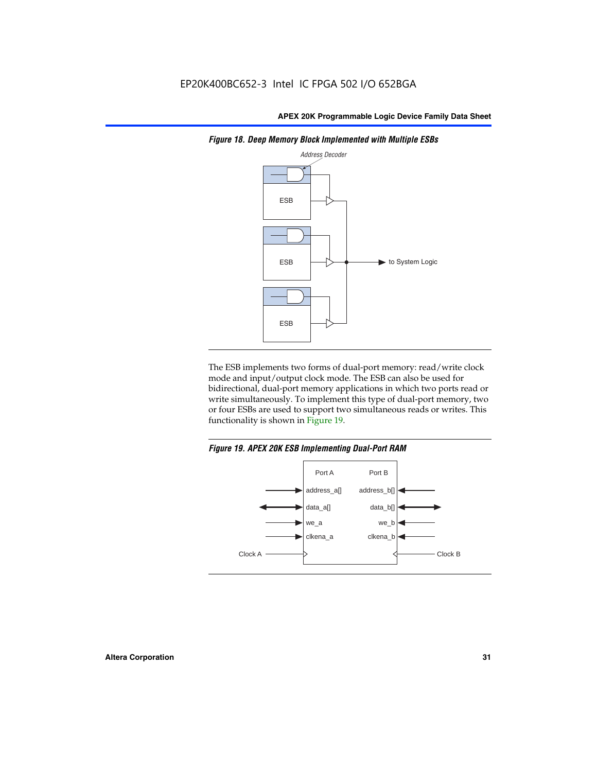

*Figure 18. Deep Memory Block Implemented with Multiple ESBs*

The ESB implements two forms of dual-port memory: read/write clock mode and input/output clock mode. The ESB can also be used for bidirectional, dual-port memory applications in which two ports read or write simultaneously. To implement this type of dual-port memory, two or four ESBs are used to support two simultaneous reads or writes. This functionality is shown in Figure 19.

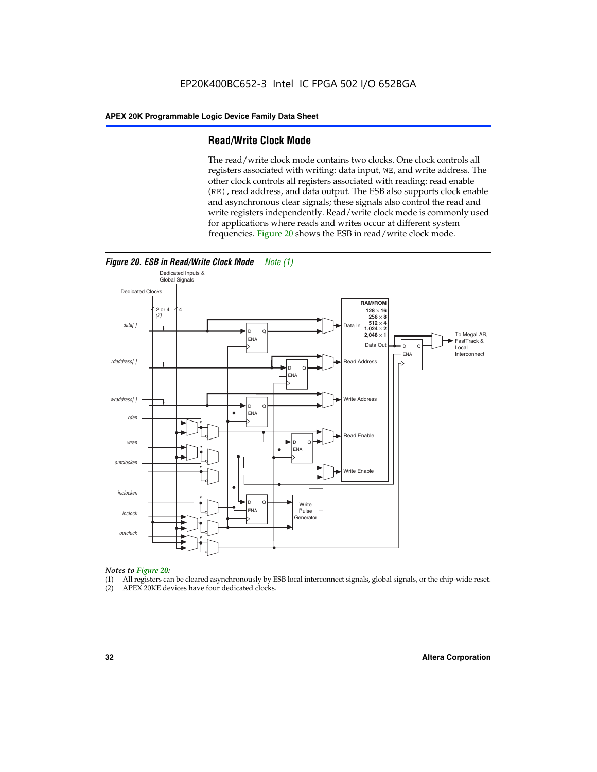#### **Read/Write Clock Mode**

The read/write clock mode contains two clocks. One clock controls all registers associated with writing: data input, WE, and write address. The other clock controls all registers associated with reading: read enable (RE), read address, and data output. The ESB also supports clock enable and asynchronous clear signals; these signals also control the read and write registers independently. Read/write clock mode is commonly used for applications where reads and writes occur at different system frequencies. Figure 20 shows the ESB in read/write clock mode.



## *Notes to Figure 20:*

- (1) All registers can be cleared asynchronously by ESB local interconnect signals, global signals, or the chip-wide reset.
- (2) APEX 20KE devices have four dedicated clocks.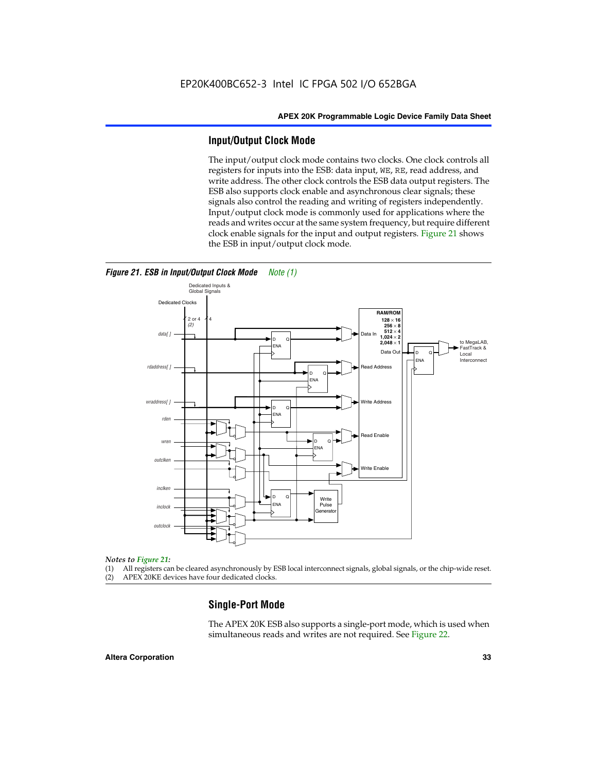#### **Input/Output Clock Mode**

The input/output clock mode contains two clocks. One clock controls all registers for inputs into the ESB: data input, WE, RE, read address, and write address. The other clock controls the ESB data output registers. The ESB also supports clock enable and asynchronous clear signals; these signals also control the reading and writing of registers independently. Input/output clock mode is commonly used for applications where the reads and writes occur at the same system frequency, but require different clock enable signals for the input and output registers. Figure 21 shows the ESB in input/output clock mode.



#### *Figure 21. ESB in Input/Output Clock Mode Note (1)*

#### *Notes to Figure 21:*

(1) All registers can be cleared asynchronously by ESB local interconnect signals, global signals, or the chip-wide reset.

(2) APEX 20KE devices have four dedicated clocks.

#### **Single-Port Mode**

The APEX 20K ESB also supports a single-port mode, which is used when simultaneous reads and writes are not required. See Figure 22.

#### **Altera Corporation 33**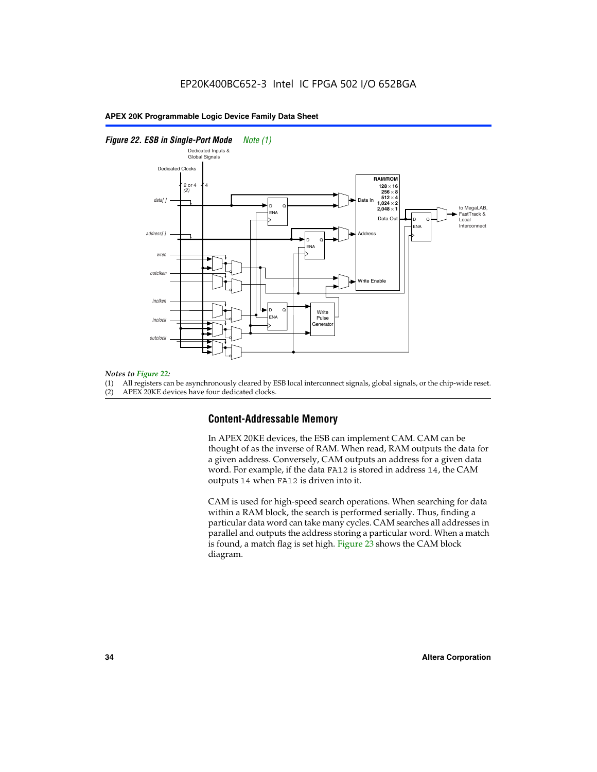#### *Figure 22. ESB in Single-Port Mode Note (1)*



#### *Notes to Figure 22:*

(1) All registers can be asynchronously cleared by ESB local interconnect signals, global signals, or the chip-wide reset.

(2) APEX 20KE devices have four dedicated clocks.

#### **Content-Addressable Memory**

In APEX 20KE devices, the ESB can implement CAM. CAM can be thought of as the inverse of RAM. When read, RAM outputs the data for a given address. Conversely, CAM outputs an address for a given data word. For example, if the data FA12 is stored in address 14, the CAM outputs 14 when FA12 is driven into it.

CAM is used for high-speed search operations. When searching for data within a RAM block, the search is performed serially. Thus, finding a particular data word can take many cycles. CAM searches all addresses in parallel and outputs the address storing a particular word. When a match is found, a match flag is set high. Figure 23 shows the CAM block diagram.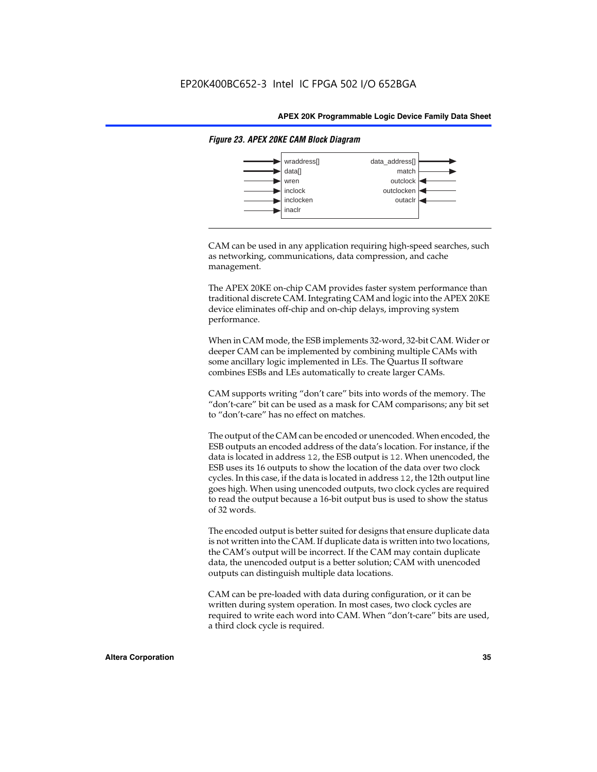

#### *Figure 23. APEX 20KE CAM Block Diagram*

CAM can be used in any application requiring high-speed searches, such as networking, communications, data compression, and cache management.

The APEX 20KE on-chip CAM provides faster system performance than traditional discrete CAM. Integrating CAM and logic into the APEX 20KE device eliminates off-chip and on-chip delays, improving system performance.

When in CAM mode, the ESB implements 32-word, 32-bit CAM. Wider or deeper CAM can be implemented by combining multiple CAMs with some ancillary logic implemented in LEs. The Quartus II software combines ESBs and LEs automatically to create larger CAMs.

CAM supports writing "don't care" bits into words of the memory. The "don't-care" bit can be used as a mask for CAM comparisons; any bit set to "don't-care" has no effect on matches.

The output of the CAM can be encoded or unencoded. When encoded, the ESB outputs an encoded address of the data's location. For instance, if the data is located in address 12, the ESB output is 12. When unencoded, the ESB uses its 16 outputs to show the location of the data over two clock cycles. In this case, if the data is located in address 12, the 12th output line goes high. When using unencoded outputs, two clock cycles are required to read the output because a 16-bit output bus is used to show the status of 32 words.

The encoded output is better suited for designs that ensure duplicate data is not written into the CAM. If duplicate data is written into two locations, the CAM's output will be incorrect. If the CAM may contain duplicate data, the unencoded output is a better solution; CAM with unencoded outputs can distinguish multiple data locations.

CAM can be pre-loaded with data during configuration, or it can be written during system operation. In most cases, two clock cycles are required to write each word into CAM. When "don't-care" bits are used, a third clock cycle is required.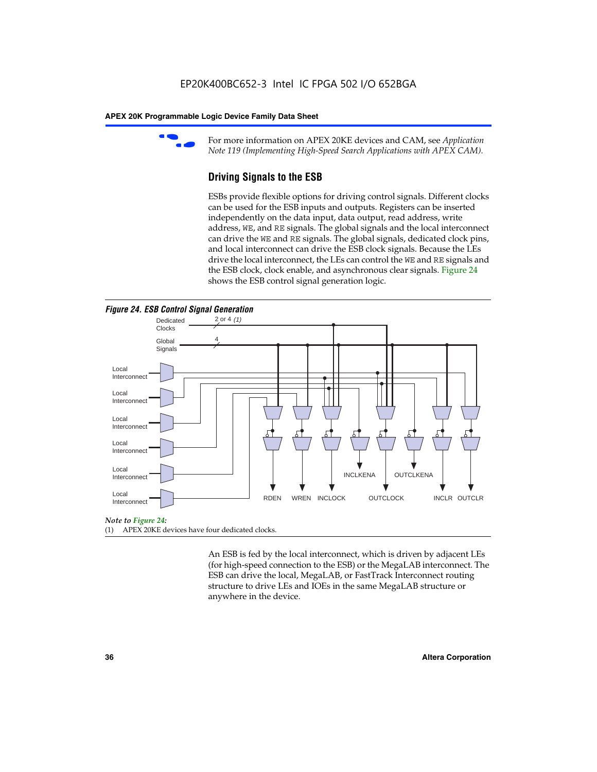

For more information on APEX 20KE devices and CAM, see *Application Note 119 (Implementing High-Speed Search Applications with APEX CAM).*

# **Driving Signals to the ESB**

ESBs provide flexible options for driving control signals. Different clocks can be used for the ESB inputs and outputs. Registers can be inserted independently on the data input, data output, read address, write address, WE, and RE signals. The global signals and the local interconnect can drive the WE and RE signals. The global signals, dedicated clock pins, and local interconnect can drive the ESB clock signals. Because the LEs drive the local interconnect, the LEs can control the WE and RE signals and the ESB clock, clock enable, and asynchronous clear signals. Figure 24 shows the ESB control signal generation logic.





#### *Note to Figure 24:*

(1) APEX 20KE devices have four dedicated clocks.

An ESB is fed by the local interconnect, which is driven by adjacent LEs (for high-speed connection to the ESB) or the MegaLAB interconnect. The ESB can drive the local, MegaLAB, or FastTrack Interconnect routing structure to drive LEs and IOEs in the same MegaLAB structure or anywhere in the device.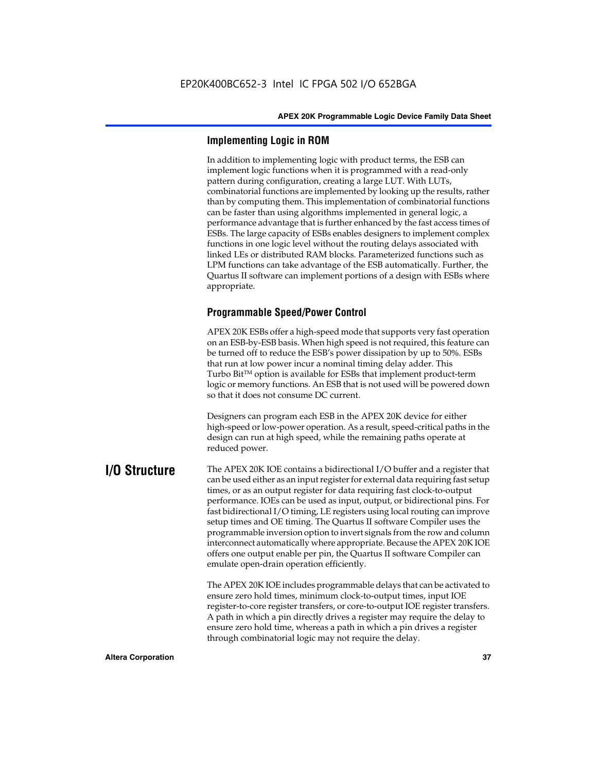# **Implementing Logic in ROM**

In addition to implementing logic with product terms, the ESB can implement logic functions when it is programmed with a read-only pattern during configuration, creating a large LUT. With LUTs, combinatorial functions are implemented by looking up the results, rather than by computing them. This implementation of combinatorial functions can be faster than using algorithms implemented in general logic, a performance advantage that is further enhanced by the fast access times of ESBs. The large capacity of ESBs enables designers to implement complex functions in one logic level without the routing delays associated with linked LEs or distributed RAM blocks. Parameterized functions such as LPM functions can take advantage of the ESB automatically. Further, the Quartus II software can implement portions of a design with ESBs where appropriate.

# **Programmable Speed/Power Control**

APEX 20K ESBs offer a high-speed mode that supports very fast operation on an ESB-by-ESB basis. When high speed is not required, this feature can be turned off to reduce the ESB's power dissipation by up to 50%. ESBs that run at low power incur a nominal timing delay adder. This Turbo  $Bit^{TM}$  option is available for ESBs that implement product-term logic or memory functions. An ESB that is not used will be powered down so that it does not consume DC current.

Designers can program each ESB in the APEX 20K device for either high-speed or low-power operation. As a result, speed-critical paths in the design can run at high speed, while the remaining paths operate at reduced power.

**I/O Structure** The APEX 20K IOE contains a bidirectional I/O buffer and a register that can be used either as an input register for external data requiring fast setup times, or as an output register for data requiring fast clock-to-output performance. IOEs can be used as input, output, or bidirectional pins. For fast bidirectional I/O timing, LE registers using local routing can improve setup times and OE timing. The Quartus II software Compiler uses the programmable inversion option to invert signals from the row and column interconnect automatically where appropriate. Because the APEX 20K IOE offers one output enable per pin, the Quartus II software Compiler can emulate open-drain operation efficiently.

> The APEX 20K IOE includes programmable delays that can be activated to ensure zero hold times, minimum clock-to-output times, input IOE register-to-core register transfers, or core-to-output IOE register transfers. A path in which a pin directly drives a register may require the delay to ensure zero hold time, whereas a path in which a pin drives a register through combinatorial logic may not require the delay.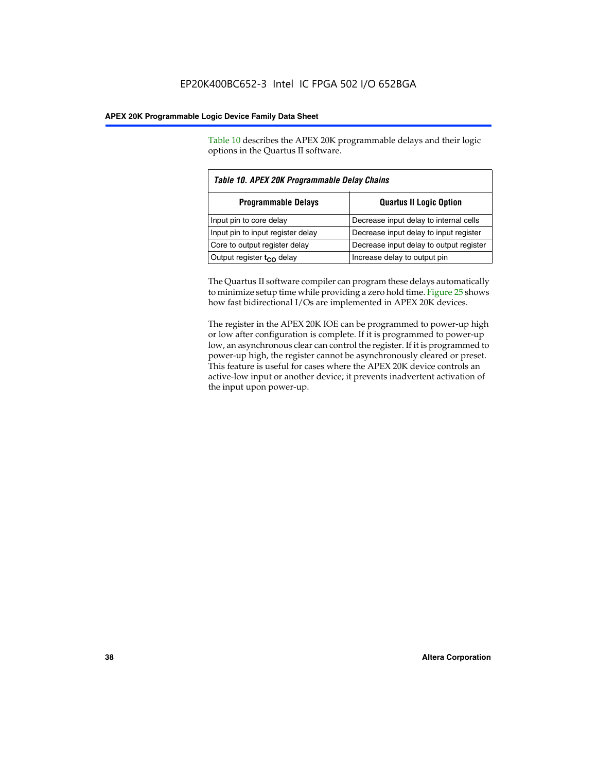Table 10 describes the APEX 20K programmable delays and their logic options in the Quartus II software.

| Table 10. APEX 20K Programmable Delay Chains |                                         |  |  |  |
|----------------------------------------------|-----------------------------------------|--|--|--|
| <b>Programmable Delays</b>                   | <b>Quartus II Logic Option</b>          |  |  |  |
| Input pin to core delay                      | Decrease input delay to internal cells  |  |  |  |
| Input pin to input register delay            | Decrease input delay to input register  |  |  |  |
| Core to output register delay                | Decrease input delay to output register |  |  |  |
| Output register $t_{\rm CO}$ delay           | Increase delay to output pin            |  |  |  |

The Quartus II software compiler can program these delays automatically to minimize setup time while providing a zero hold time. Figure 25 shows how fast bidirectional I/Os are implemented in APEX 20K devices.

The register in the APEX 20K IOE can be programmed to power-up high or low after configuration is complete. If it is programmed to power-up low, an asynchronous clear can control the register. If it is programmed to power-up high, the register cannot be asynchronously cleared or preset. This feature is useful for cases where the APEX 20K device controls an active-low input or another device; it prevents inadvertent activation of the input upon power-up.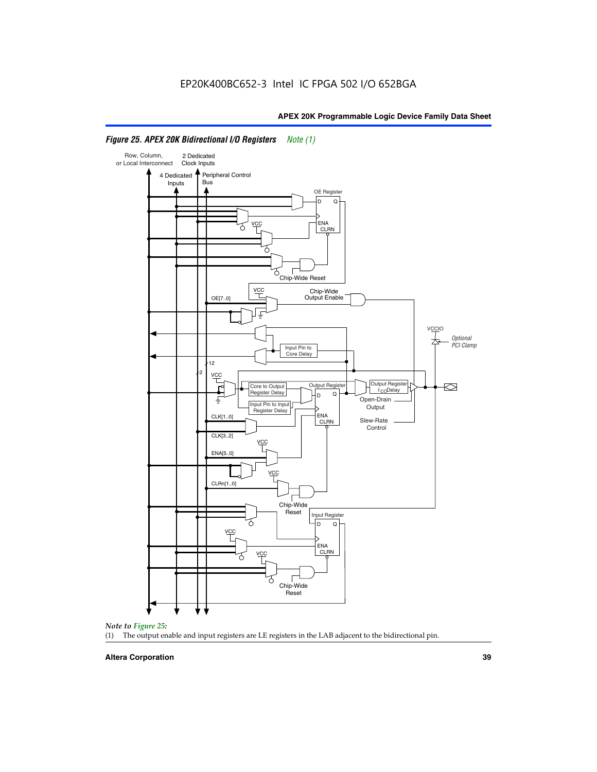

# *Figure 25. APEX 20K Bidirectional I/O Registers Note (1)*



#### **Altera Corporation 39**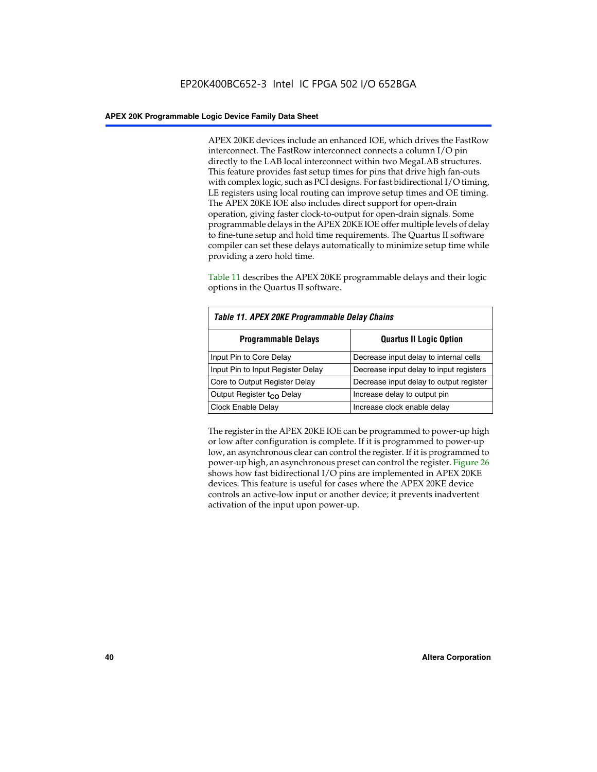APEX 20KE devices include an enhanced IOE, which drives the FastRow interconnect. The FastRow interconnect connects a column I/O pin directly to the LAB local interconnect within two MegaLAB structures. This feature provides fast setup times for pins that drive high fan-outs with complex logic, such as PCI designs. For fast bidirectional I/O timing, LE registers using local routing can improve setup times and OE timing. The APEX 20KE IOE also includes direct support for open-drain operation, giving faster clock-to-output for open-drain signals. Some programmable delays in the APEX 20KE IOE offer multiple levels of delay to fine-tune setup and hold time requirements. The Quartus II software compiler can set these delays automatically to minimize setup time while providing a zero hold time.

Table 11 describes the APEX 20KE programmable delays and their logic options in the Quartus II software.

| Table 11. APEX 20KE Programmable Delay Chains |                                         |  |  |  |
|-----------------------------------------------|-----------------------------------------|--|--|--|
| <b>Programmable Delays</b>                    | <b>Quartus II Logic Option</b>          |  |  |  |
| Input Pin to Core Delay                       | Decrease input delay to internal cells  |  |  |  |
| Input Pin to Input Register Delay             | Decrease input delay to input registers |  |  |  |
| Core to Output Register Delay                 | Decrease input delay to output register |  |  |  |
| Output Register t <sub>CO</sub> Delay         | Increase delay to output pin            |  |  |  |
| <b>Clock Enable Delay</b>                     | Increase clock enable delay             |  |  |  |

The register in the APEX 20KE IOE can be programmed to power-up high or low after configuration is complete. If it is programmed to power-up low, an asynchronous clear can control the register. If it is programmed to power-up high, an asynchronous preset can control the register. Figure 26 shows how fast bidirectional I/O pins are implemented in APEX 20KE devices. This feature is useful for cases where the APEX 20KE device controls an active-low input or another device; it prevents inadvertent activation of the input upon power-up.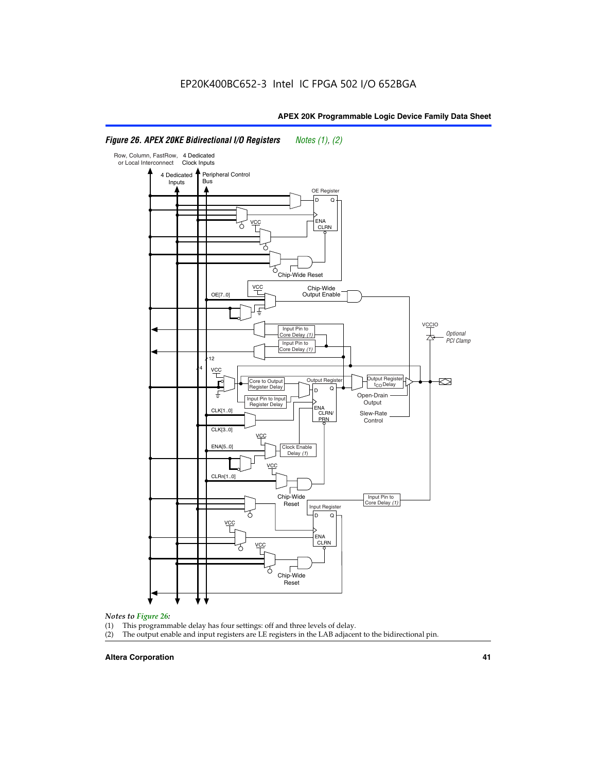#### Row, Column, FastRow, 4 Dedicated or Local Interconnect Clock Inputs Peripheral Control 4 Dedicated **Bus** Inputs OE Register D Q ENA VCC CLRN 7 Chip-Wide Reset YCC Chip-Wide Output Enable OE[7..0] VC Input Pin to **Optional** Core Delay (1) PCI Clamp Input Pin to Core Delay (1) 12 4 **VCC** Output Register **Output Registe**  $\approx$ Core to Output | Output Hegister | Durbut Tropieding | Contput Tropieding | Durbut Tropieding | Output Tropied<br>Register Delay | Durbut Tropieding | Contput Tropieding | Contput Tropieding | O t<sub>CO</sub>Delay  $D$  Q ŧ Open-Drain Input Pin to Input **Output** Register Delay ENA CLK[1..0] CLRN/ Slew-Rate PR<sub>N</sub> Control CLK[3..0] VCC ENA[5..0] Clock Enable Delay (1) VCC CLRn[1..0] Chip-Wide Input Pin to Core Delay (1) Reset Input Register D Q <u>vcc</u> .<br>ENA CLRN **VCC** Chip-Wide Reset

# *Figure 26. APEX 20KE Bidirectional I/O Registers Notes (1), (2)*

#### *Notes to Figure 26:*

- 
- (1) This programmable delay has four settings: off and three levels of delay.<br>(2) The output enable and input registers are LE registers in the LAB adjacer The output enable and input registers are LE registers in the LAB adjacent to the bidirectional pin.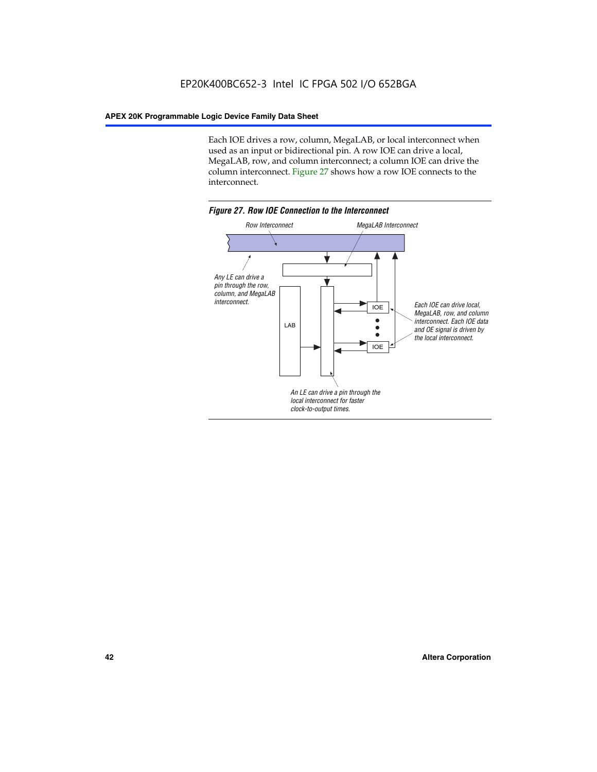Each IOE drives a row, column, MegaLAB, or local interconnect when used as an input or bidirectional pin. A row IOE can drive a local, MegaLAB, row, and column interconnect; a column IOE can drive the column interconnect. Figure 27 shows how a row IOE connects to the interconnect.

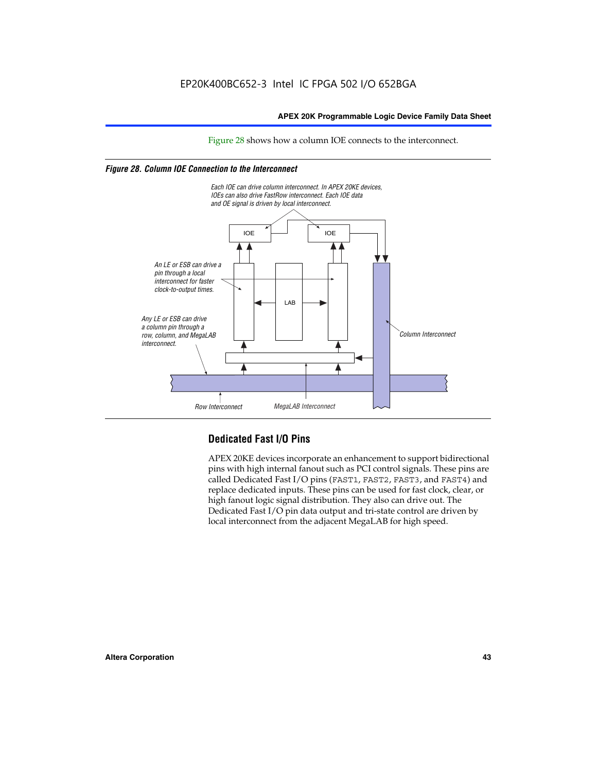Figure 28 shows how a column IOE connects to the interconnect.

# *Figure 28. Column IOE Connection to the Interconnect*



# **Dedicated Fast I/O Pins**

APEX 20KE devices incorporate an enhancement to support bidirectional pins with high internal fanout such as PCI control signals. These pins are called Dedicated Fast I/O pins (FAST1, FAST2, FAST3, and FAST4) and replace dedicated inputs. These pins can be used for fast clock, clear, or high fanout logic signal distribution. They also can drive out. The Dedicated Fast I/O pin data output and tri-state control are driven by local interconnect from the adjacent MegaLAB for high speed.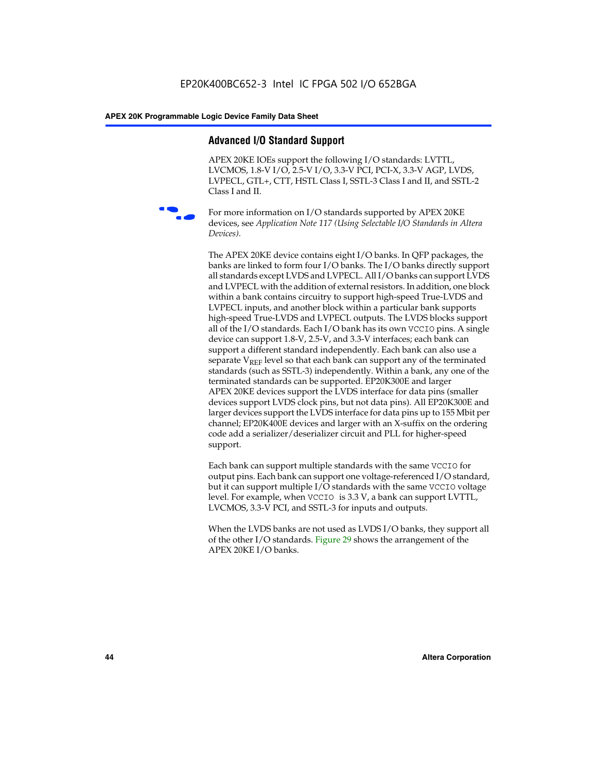# **Advanced I/O Standard Support**

APEX 20KE IOEs support the following I/O standards: LVTTL, LVCMOS, 1.8-V I/O, 2.5-V I/O, 3.3-V PCI, PCI-X, 3.3-V AGP, LVDS, LVPECL, GTL+, CTT, HSTL Class I, SSTL-3 Class I and II, and SSTL-2 Class I and II.



For more information on I/O standards supported by APEX 20KE devices, see *Application Note 117 (Using Selectable I/O Standards in Altera Devices)*.

The APEX 20KE device contains eight I/O banks. In QFP packages, the banks are linked to form four I/O banks. The I/O banks directly support all standards except LVDS and LVPECL. All I/O banks can support LVDS and LVPECL with the addition of external resistors. In addition, one block within a bank contains circuitry to support high-speed True-LVDS and LVPECL inputs, and another block within a particular bank supports high-speed True-LVDS and LVPECL outputs. The LVDS blocks support all of the I/O standards. Each I/O bank has its own VCCIO pins. A single device can support 1.8-V, 2.5-V, and 3.3-V interfaces; each bank can support a different standard independently. Each bank can also use a separate  $V_{\text{REF}}$  level so that each bank can support any of the terminated standards (such as SSTL-3) independently. Within a bank, any one of the terminated standards can be supported. EP20K300E and larger APEX 20KE devices support the LVDS interface for data pins (smaller devices support LVDS clock pins, but not data pins). All EP20K300E and larger devices support the LVDS interface for data pins up to 155 Mbit per channel; EP20K400E devices and larger with an X-suffix on the ordering code add a serializer/deserializer circuit and PLL for higher-speed support.

Each bank can support multiple standards with the same VCCIO for output pins. Each bank can support one voltage-referenced I/O standard, but it can support multiple I/O standards with the same VCCIO voltage level. For example, when VCCIO is 3.3 V, a bank can support LVTTL, LVCMOS, 3.3-V PCI, and SSTL-3 for inputs and outputs.

When the LVDS banks are not used as LVDS I/O banks, they support all of the other I/O standards. Figure 29 shows the arrangement of the APEX 20KE I/O banks.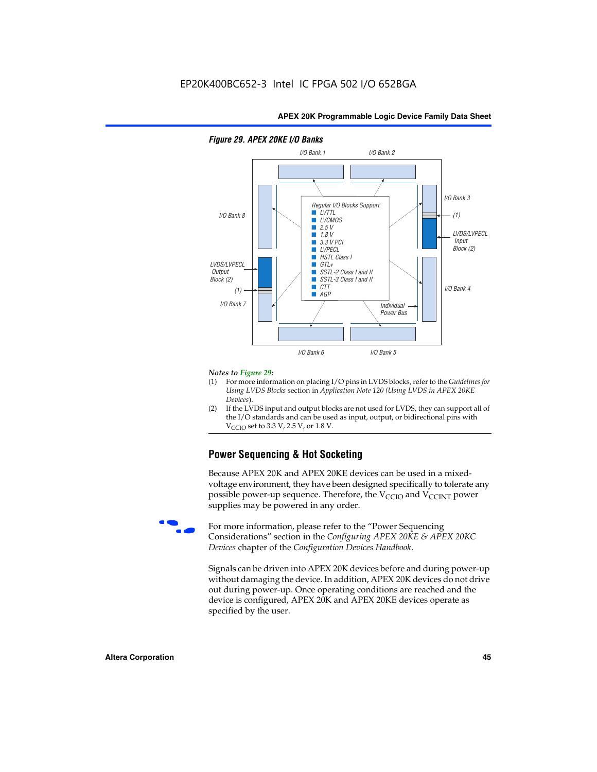

### *Figure 29. APEX 20KE I/O Banks*

#### *Notes to Figure 29:*

- (1) For more information on placing I/O pins in LVDS blocks, refer to the *Guidelines for Using LVDS Blocks* section in *Application Note 120 (Using LVDS in APEX 20KE Devices*).
- (2) If the LVDS input and output blocks are not used for LVDS, they can support all of the I/O standards and can be used as input, output, or bidirectional pins with  $V_{\text{C} \cap \text{O}}$  set to 3.3 V, 2.5 V, or 1.8 V.

# **Power Sequencing & Hot Socketing**

Because APEX 20K and APEX 20KE devices can be used in a mixedvoltage environment, they have been designed specifically to tolerate any possible power-up sequence. Therefore, the  $V_{\text{CCIO}}$  and  $V_{\text{CCINT}}$  power supplies may be powered in any order.

For more information, please refer to the "Power Sequencing Considerations" section in the *Configuring APEX 20KE & APEX 20KC Devices* chapter of the *Configuration Devices Handbook*.

Signals can be driven into APEX 20K devices before and during power-up without damaging the device. In addition, APEX 20K devices do not drive out during power-up. Once operating conditions are reached and the device is configured, APEX 20K and APEX 20KE devices operate as specified by the user.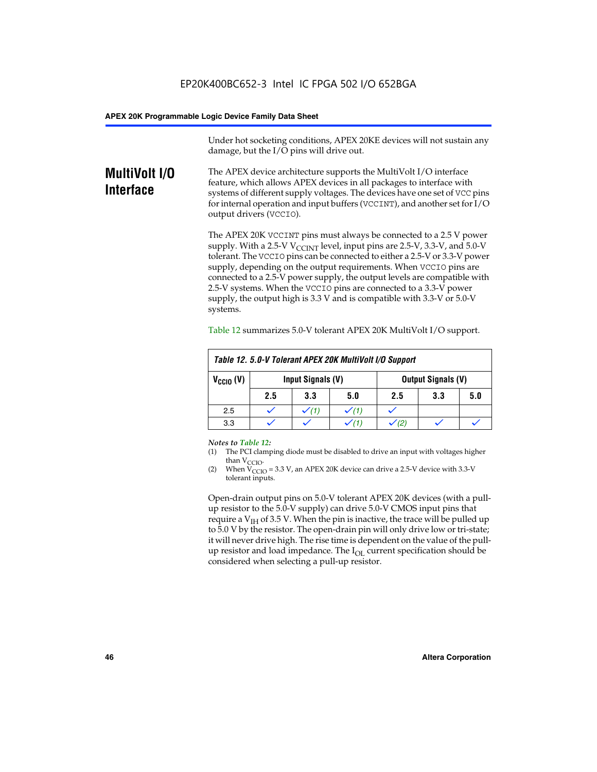Under hot socketing conditions, APEX 20KE devices will not sustain any damage, but the I/O pins will drive out.

# **MultiVolt I/O Interface**

The APEX device architecture supports the MultiVolt I/O interface feature, which allows APEX devices in all packages to interface with systems of different supply voltages. The devices have one set of VCC pins for internal operation and input buffers (VCCINT), and another set for I/O output drivers (VCCIO).

The APEX 20K VCCINT pins must always be connected to a 2.5 V power supply. With a 2.5-V  $V_{\text{CCMT}}$  level, input pins are 2.5-V, 3.3-V, and 5.0-V tolerant. The VCCIO pins can be connected to either a 2.5-V or 3.3-V power supply, depending on the output requirements. When VCCIO pins are connected to a 2.5-V power supply, the output levels are compatible with 2.5-V systems. When the VCCIO pins are connected to a 3.3-V power supply, the output high is 3.3 V and is compatible with 3.3-V or 5.0-V systems.

| Table 12. 5.0-V Tolerant APEX 20K MultiVolt I/O Support |                                                |     |     |     |     |     |
|---------------------------------------------------------|------------------------------------------------|-----|-----|-----|-----|-----|
| $V_{\text{CCIO}}(V)$                                    | Input Signals (V)<br><b>Output Signals (V)</b> |     |     |     |     |     |
|                                                         | 2.5                                            | 3.3 | 5.0 | 2.5 | 3.3 | 5.0 |
| 2.5                                                     |                                                |     |     |     |     |     |
| 3.3                                                     |                                                |     |     |     |     |     |

Table 12 summarizes 5.0-V tolerant APEX 20K MultiVolt I/O support.

#### *Notes to Table 12:*

- (1) The PCI clamping diode must be disabled to drive an input with voltages higher than  $V_{CCIO}$ .
- (2) When  $V_{CCIO} = 3.3 V$ , an APEX 20K device can drive a 2.5-V device with 3.3-V tolerant inputs.

Open-drain output pins on 5.0-V tolerant APEX 20K devices (with a pullup resistor to the 5.0-V supply) can drive 5.0-V CMOS input pins that require a  $V_{IH}$  of 3.5 V. When the pin is inactive, the trace will be pulled up to 5.0 V by the resistor. The open-drain pin will only drive low or tri-state; it will never drive high. The rise time is dependent on the value of the pullup resistor and load impedance. The  $I_{OI}$  current specification should be considered when selecting a pull-up resistor.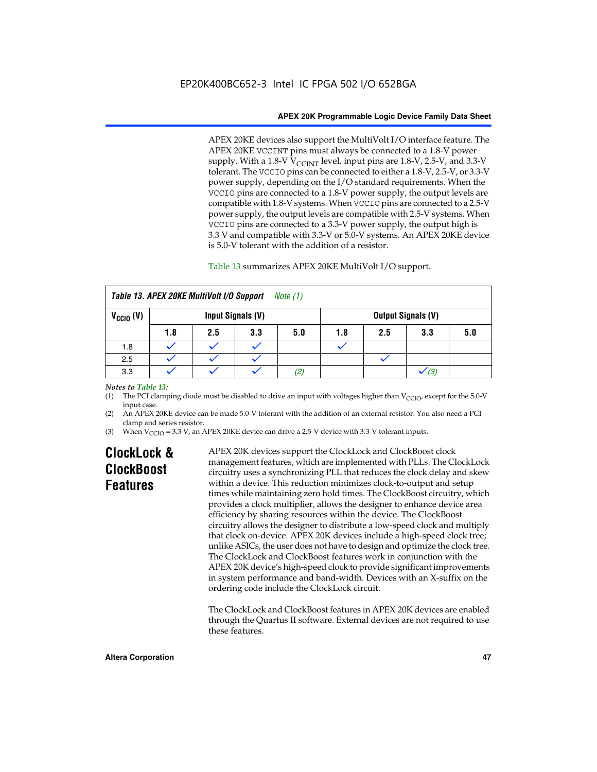APEX 20KE devices also support the MultiVolt I/O interface feature. The APEX 20KE VCCINT pins must always be connected to a 1.8-V power supply. With a 1.8-V  $V_{\text{CCINT}}$  level, input pins are 1.8-V, 2.5-V, and 3.3-V tolerant. The VCCIO pins can be connected to either a 1.8-V, 2.5-V, or 3.3-V power supply, depending on the I/O standard requirements. When the VCCIO pins are connected to a 1.8-V power supply, the output levels are compatible with 1.8-V systems. When VCCIO pins are connected to a 2.5-V power supply, the output levels are compatible with 2.5-V systems. When VCCIO pins are connected to a 3.3-V power supply, the output high is 3.3 V and compatible with 3.3-V or 5.0-V systems. An APEX 20KE device is 5.0-V tolerant with the addition of a resistor.

# Table 13 summarizes APEX 20KE MultiVolt I/O support.

|                      | Table 13. APEX 20KE MultiVolt I/O Support<br>Note (1) |     |                   |     |     |     |                           |     |
|----------------------|-------------------------------------------------------|-----|-------------------|-----|-----|-----|---------------------------|-----|
| $V_{\text{CCIO}}(V)$ |                                                       |     | Input Signals (V) |     |     |     | <b>Output Signals (V)</b> |     |
|                      | 1.8                                                   | 2.5 | 3.3               | 5.0 | 1.8 | 2.5 | 3.3                       | 5.0 |
| 1.8                  |                                                       |     |                   |     |     |     |                           |     |
| 2.5                  |                                                       |     |                   |     |     |     |                           |     |
| 3.3                  |                                                       |     |                   | (2) |     |     | (3)                       |     |

### *Notes to Table 13:*

(1) The PCI clamping diode must be disabled to drive an input with voltages higher than  $V_{CCIO}$ , except for the 5.0-V input case.

(2) An APEX 20KE device can be made 5.0-V tolerant with the addition of an external resistor. You also need a PCI clamp and series resistor.

(3) When  $V_{\text{CCIO}} = 3.3$  V, an APEX 20KE device can drive a 2.5-V device with 3.3-V tolerant inputs.

# **ClockLock & ClockBoost Features**

APEX 20K devices support the ClockLock and ClockBoost clock management features, which are implemented with PLLs. The ClockLock circuitry uses a synchronizing PLL that reduces the clock delay and skew within a device. This reduction minimizes clock-to-output and setup times while maintaining zero hold times. The ClockBoost circuitry, which provides a clock multiplier, allows the designer to enhance device area efficiency by sharing resources within the device. The ClockBoost circuitry allows the designer to distribute a low-speed clock and multiply that clock on-device. APEX 20K devices include a high-speed clock tree; unlike ASICs, the user does not have to design and optimize the clock tree. The ClockLock and ClockBoost features work in conjunction with the APEX 20K device's high-speed clock to provide significant improvements in system performance and band-width. Devices with an X-suffix on the ordering code include the ClockLock circuit.

The ClockLock and ClockBoost features in APEX 20K devices are enabled through the Quartus II software. External devices are not required to use these features.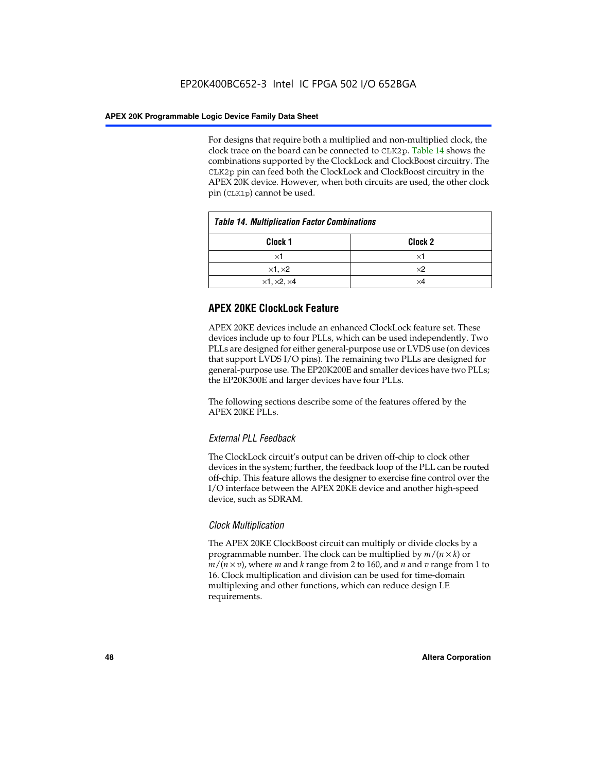For designs that require both a multiplied and non-multiplied clock, the clock trace on the board can be connected to CLK2p. Table 14 shows the combinations supported by the ClockLock and ClockBoost circuitry. The CLK2p pin can feed both the ClockLock and ClockBoost circuitry in the APEX 20K device. However, when both circuits are used, the other clock pin (CLK1p) cannot be used.

| <b>Table 14. Multiplication Factor Combinations</b> |                    |  |
|-----------------------------------------------------|--------------------|--|
| Clock 1                                             | Clock <sub>2</sub> |  |
| ×1                                                  | ×1                 |  |
| $\times$ 1, $\times$ 2                              | $\times 2$         |  |
| $\times$ 1, $\times$ 2, $\times$ 4                  | ×4                 |  |

# **APEX 20KE ClockLock Feature**

APEX 20KE devices include an enhanced ClockLock feature set. These devices include up to four PLLs, which can be used independently. Two PLLs are designed for either general-purpose use or LVDS use (on devices that support LVDS I/O pins). The remaining two PLLs are designed for general-purpose use. The EP20K200E and smaller devices have two PLLs; the EP20K300E and larger devices have four PLLs.

The following sections describe some of the features offered by the APEX 20KE PLLs.

# *External PLL Feedback*

The ClockLock circuit's output can be driven off-chip to clock other devices in the system; further, the feedback loop of the PLL can be routed off-chip. This feature allows the designer to exercise fine control over the I/O interface between the APEX 20KE device and another high-speed device, such as SDRAM.

# *Clock Multiplication*

The APEX 20KE ClockBoost circuit can multiply or divide clocks by a programmable number. The clock can be multiplied by *m*/(*n* × *k*) or  $m/(n \times v)$ , where *m* and *k* range from 2 to 160, and *n* and *v* range from 1 to 16. Clock multiplication and division can be used for time-domain multiplexing and other functions, which can reduce design LE requirements.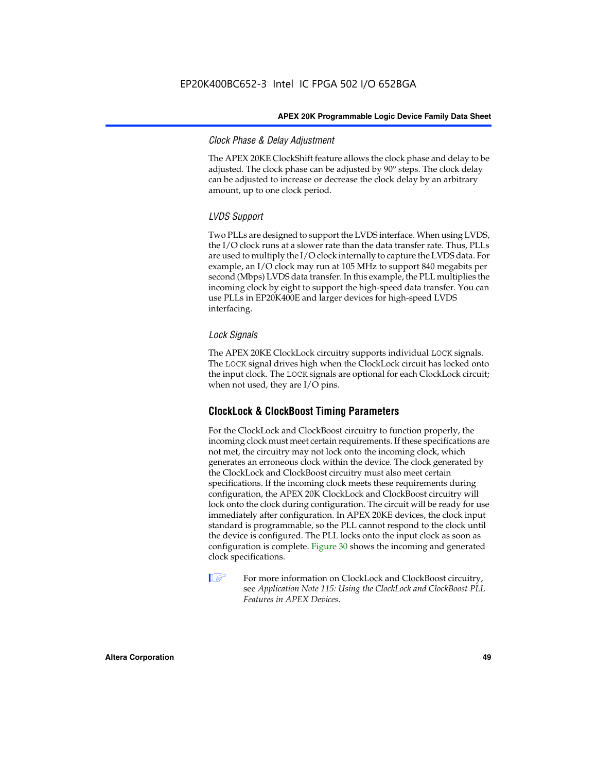# *Clock Phase & Delay Adjustment*

The APEX 20KE ClockShift feature allows the clock phase and delay to be adjusted. The clock phase can be adjusted by 90° steps. The clock delay can be adjusted to increase or decrease the clock delay by an arbitrary amount, up to one clock period.

# *LVDS Support*

Two PLLs are designed to support the LVDS interface. When using LVDS, the I/O clock runs at a slower rate than the data transfer rate. Thus, PLLs are used to multiply the I/O clock internally to capture the LVDS data. For example, an I/O clock may run at 105 MHz to support 840 megabits per second (Mbps) LVDS data transfer. In this example, the PLL multiplies the incoming clock by eight to support the high-speed data transfer. You can use PLLs in EP20K400E and larger devices for high-speed LVDS interfacing.

# *Lock Signals*

The APEX 20KE ClockLock circuitry supports individual LOCK signals. The LOCK signal drives high when the ClockLock circuit has locked onto the input clock. The LOCK signals are optional for each ClockLock circuit; when not used, they are I/O pins.

# **ClockLock & ClockBoost Timing Parameters**

For the ClockLock and ClockBoost circuitry to function properly, the incoming clock must meet certain requirements. If these specifications are not met, the circuitry may not lock onto the incoming clock, which generates an erroneous clock within the device. The clock generated by the ClockLock and ClockBoost circuitry must also meet certain specifications. If the incoming clock meets these requirements during configuration, the APEX 20K ClockLock and ClockBoost circuitry will lock onto the clock during configuration. The circuit will be ready for use immediately after configuration. In APEX 20KE devices, the clock input standard is programmable, so the PLL cannot respond to the clock until the device is configured. The PLL locks onto the input clock as soon as configuration is complete. Figure 30 shows the incoming and generated clock specifications.

 $\mathbb{I} \mathcal{F}$  For more information on ClockLock and ClockBoost circuitry, see *Application Note 115: Using the ClockLock and ClockBoost PLL Features in APEX Devices*.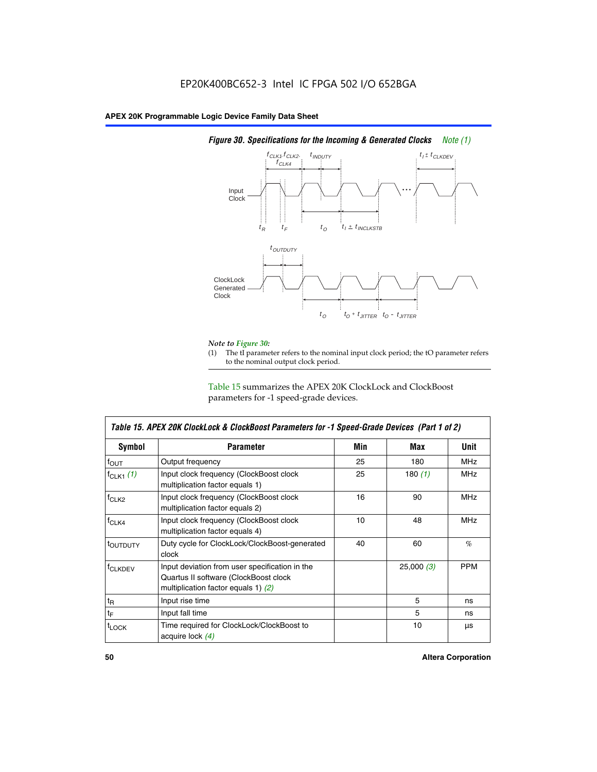

# *Figure 30. Specifications for the Incoming & Generated Clocks Note (1)*

# *Note to Figure 30:*

The tI parameter refers to the nominal input clock period; the tO parameter refers to the nominal output clock period.

Table 15 summarizes the APEX 20K ClockLock and ClockBoost parameters for -1 speed-grade devices.

| <b>Symbol</b>                                                                                                                                       | <b>Parameter</b>                                                           | Min | Max       | <b>Unit</b> |
|-----------------------------------------------------------------------------------------------------------------------------------------------------|----------------------------------------------------------------------------|-----|-----------|-------------|
| $f_{OUT}$                                                                                                                                           | Output frequency                                                           | 25  | 180       | MHz         |
| $f_{CLK1}$ $(1)$                                                                                                                                    | Input clock frequency (ClockBoost clock<br>multiplication factor equals 1) | 25  | 180 $(1)$ | <b>MHz</b>  |
| $f_{CLK2}$                                                                                                                                          | Input clock frequency (ClockBoost clock<br>multiplication factor equals 2) | 16  | 90        | <b>MHz</b>  |
| $f_{CLK4}$                                                                                                                                          | Input clock frequency (ClockBoost clock<br>multiplication factor equals 4) | 10  | 48        | <b>MHz</b>  |
| toutputy                                                                                                                                            | Duty cycle for ClockLock/ClockBoost-generated<br>clock                     | 40  | 60        | %           |
| Input deviation from user specification in the<br><b>f</b> CLKDEV<br>Quartus II software (ClockBoost clock<br>multiplication factor equals 1) $(2)$ |                                                                            |     | 25,000(3) | <b>PPM</b>  |
| $t_{\mathsf{R}}$                                                                                                                                    | Input rise time                                                            |     | 5         | ns          |
| $t_{\mathsf{F}}$                                                                                                                                    | Input fall time                                                            |     | 5         | ns          |
| <sup>t</sup> LOCK                                                                                                                                   | Time required for ClockLock/ClockBoost to<br>acquire lock (4)              |     | 10        | μs          |

 $\mathsf I$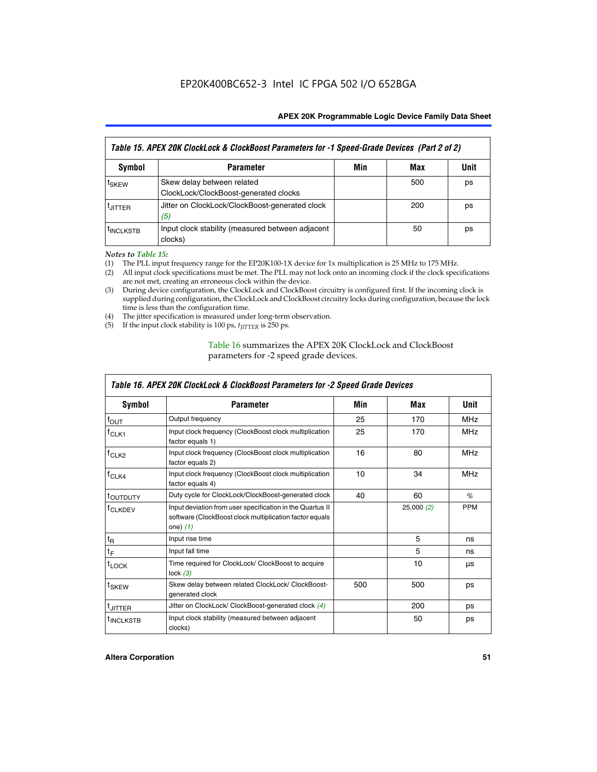| Table 15. APEX 20K ClockLock & ClockBoost Parameters for -1 Speed-Grade Devices (Part 2 of 2) |                                                                     |     |     |      |
|-----------------------------------------------------------------------------------------------|---------------------------------------------------------------------|-----|-----|------|
| <b>Symbol</b>                                                                                 | <b>Parameter</b>                                                    | Min | Max | Unit |
| t <sub>SKEW</sub>                                                                             | Skew delay between related<br>ClockLock/ClockBoost-generated clocks |     | 500 | ps   |
| <b>UITTER</b>                                                                                 | Jitter on ClockLock/ClockBoost-generated clock<br>(5)               |     | 200 | ps   |
| <b>INCLKSTB</b>                                                                               | Input clock stability (measured between adjacent<br>clocks)         |     | 50  | ps   |

*Notes to Table 15:*

- (1) The PLL input frequency range for the EP20K100-1X device for 1x multiplication is 25 MHz to 175 MHz.
- (2) All input clock specifications must be met. The PLL may not lock onto an incoming clock if the clock specifications are not met, creating an erroneous clock within the device.
- (3) During device configuration, the ClockLock and ClockBoost circuitry is configured first. If the incoming clock is supplied during configuration, the ClockLock and ClockBoost circuitry locks during configuration, because the lock time is less than the configuration time.
- (4) The jitter specification is measured under long-term observation.
- (5) If the input clock stability is 100 ps,  $t_{\text{JITTER}}$  is 250 ps.

# Table 16 summarizes the APEX 20K ClockLock and ClockBoost parameters for -2 speed grade devices.

| Symbol                                                                                                                                                    | <b>Parameter</b>                                                     | Min | Max       | Unit       |
|-----------------------------------------------------------------------------------------------------------------------------------------------------------|----------------------------------------------------------------------|-----|-----------|------------|
| f <sub>ouт</sub>                                                                                                                                          | Output frequency                                                     | 25  | 170       | <b>MHz</b> |
| Input clock frequency (ClockBoost clock multiplication<br>$f_{CLK1}$<br>factor equals 1)                                                                  |                                                                      | 25  | 170       | <b>MHz</b> |
| Input clock frequency (ClockBoost clock multiplication<br>$f_{CLK2}$<br>factor equals 2)                                                                  |                                                                      | 16  | 80        | <b>MHz</b> |
| Input clock frequency (ClockBoost clock multiplication<br>$f_{CLK4}$<br>factor equals 4)                                                                  |                                                                      | 10  | 34        | <b>MHz</b> |
| <sup>t</sup> OUTDUTY                                                                                                                                      | Duty cycle for ClockLock/ClockBoost-generated clock                  | 40  | 60        | $\%$       |
| Input deviation from user specification in the Quartus II<br><sup>T</sup> CLKDEV<br>software (ClockBoost clock multiplication factor equals<br>one) $(1)$ |                                                                      |     | 25,000(2) | <b>PPM</b> |
| $t_{\mathsf{R}}$                                                                                                                                          | Input rise time                                                      |     | 5         | ns         |
| $t_F$                                                                                                                                                     | Input fall time                                                      |     | 5         | ns         |
| $t_{\text{LOCK}}$                                                                                                                                         | Time required for ClockLock/ ClockBoost to acquire<br>lock $(3)$     |     | 10        | μs         |
| t <sub>SKEW</sub>                                                                                                                                         | Skew delay between related ClockLock/ ClockBoost-<br>generated clock | 500 | 500       | ps         |
| t <sub>JITTER</sub>                                                                                                                                       | Jitter on ClockLock/ ClockBoost-generated clock (4)                  |     | 200       | ps         |
| <sup>I</sup> INCLKSTB                                                                                                                                     | Input clock stability (measured between adjacent<br>clocks)          |     | 50        | ps         |

# *Table 16. APEX 20K ClockLock & ClockBoost Parameters for -2 Speed Grade Devices*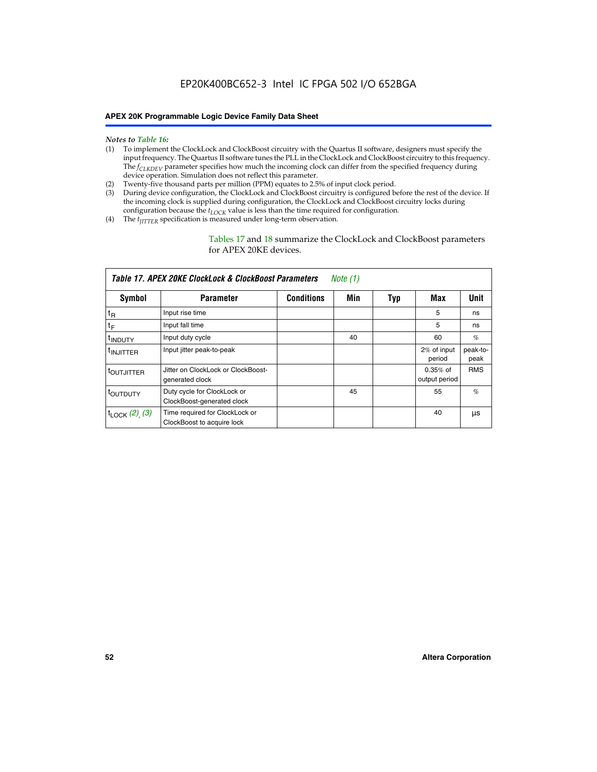#### *Notes to Table 16:*

- (1) To implement the ClockLock and ClockBoost circuitry with the Quartus II software, designers must specify the input frequency. The Quartus II software tunes the PLL in the ClockLock and ClockBoost circuitry to this frequency. The *f<sub>CLKDEV</sub>* parameter specifies how much the incoming clock can differ from the specified frequency during device operation. Simulation does not reflect this parameter.
- (2) Twenty-five thousand parts per million (PPM) equates to 2.5% of input clock period.
- (3) During device configuration, the ClockLock and ClockBoost circuitry is configured before the rest of the device. If the incoming clock is supplied during configuration, the ClockLock and ClockBoost circuitry locks during configuration because the  $t_{LOCK}$  value is less than the time required for configuration.
- (4) The  $t_{\text{ITTTER}}$  specification is measured under long-term observation.

Tables 17 and 18 summarize the ClockLock and ClockBoost parameters for APEX 20KE devices.

|                            | Table 17. APEX 20KE ClockLock & ClockBoost Parameters        |                   | Note (1) |     |                             |                  |
|----------------------------|--------------------------------------------------------------|-------------------|----------|-----|-----------------------------|------------------|
| Symbol                     | <b>Parameter</b>                                             | <b>Conditions</b> | Min      | Typ | Max                         | Unit             |
| $t_{R}$                    | Input rise time                                              |                   |          |     | 5                           | ns               |
| tF                         | Input fall time                                              |                   |          |     | 5                           | ns               |
| <sup>t</sup> INDUTY        | Input duty cycle                                             |                   | 40       |     | 60                          | %                |
| <sup>t</sup> INJITTER      | Input jitter peak-to-peak                                    |                   |          |     | 2% of input<br>period       | peak-to-<br>peak |
| <sup>t</sup> OUTJITTER     | Jitter on ClockLock or ClockBoost-<br>generated clock        |                   |          |     | $0.35%$ of<br>output period | <b>RMS</b>       |
| t <sub>outputy</sub>       | Duty cycle for ClockLock or<br>ClockBoost-generated clock    |                   | 45       |     | 55                          | $\%$             |
| $t_{\text{LOCK}}$ (2), (3) | Time required for ClockLock or<br>ClockBoost to acquire lock |                   |          |     | 40                          | μs               |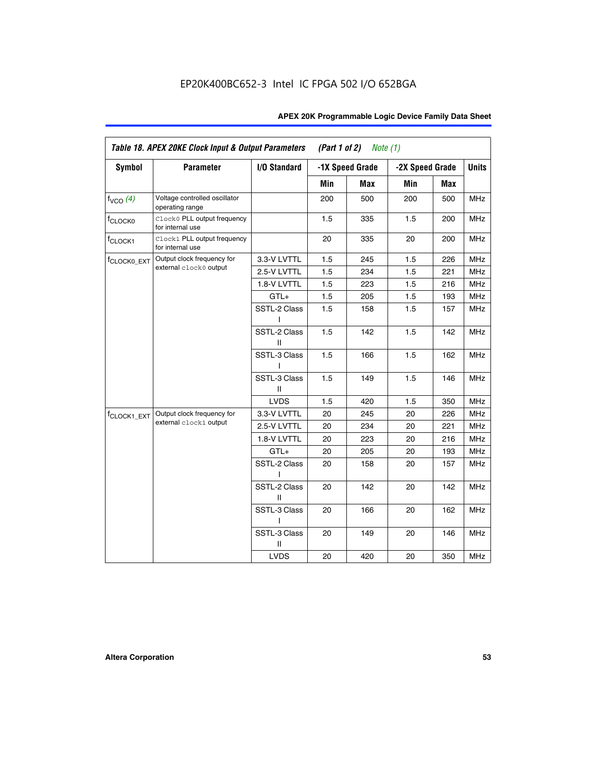| <b>Symbol</b>           | <b>Parameter</b>                                 | I/O Standard      |     | -1X Speed Grade | -2X Speed Grade |     | <b>Units</b> |
|-------------------------|--------------------------------------------------|-------------------|-----|-----------------|-----------------|-----|--------------|
|                         |                                                  |                   |     |                 |                 |     |              |
|                         |                                                  |                   | Min | Max             | Min             | Max |              |
| $f_{VCO}$ $(4)$         | Voltage controlled oscillator<br>operating range |                   | 200 | 500             | 200             | 500 | <b>MHz</b>   |
| f <sub>CLOCK0</sub>     | Clock0 PLL output frequency<br>for internal use  |                   | 1.5 | 335             | 1.5             | 200 | MHz          |
| f <sub>CLOCK1</sub>     | Clock1 PLL output frequency<br>for internal use  |                   | 20  | 335             | 20              | 200 | MHz          |
| f <sub>CLOCK0_EXT</sub> | Output clock frequency for                       | 3.3-V LVTTL       | 1.5 | 245             | 1.5             | 226 | <b>MHz</b>   |
|                         | external clock0 output                           | 2.5-V LVTTL       | 1.5 | 234             | 1.5             | 221 | <b>MHz</b>   |
|                         |                                                  | 1.8-V LVTTL       | 1.5 | 223             | 1.5             | 216 | <b>MHz</b>   |
|                         |                                                  | $GTL+$            | 1.5 | 205             | 1.5             | 193 | <b>MHz</b>   |
|                         |                                                  | SSTL-2 Class<br>L | 1.5 | 158             | 1.5             | 157 | <b>MHz</b>   |
|                         |                                                  | SSTL-2 Class<br>Ш | 1.5 | 142             | 1.5             | 142 | <b>MHz</b>   |
|                         |                                                  | SSTL-3 Class<br>I | 1.5 | 166             | 1.5             | 162 | <b>MHz</b>   |
|                         |                                                  | SSTL-3 Class<br>Ш | 1.5 | 149             | 1.5             | 146 | <b>MHz</b>   |
|                         |                                                  | <b>LVDS</b>       | 1.5 | 420             | 1.5             | 350 | <b>MHz</b>   |
| f <sub>CLOCK1_EXT</sub> | Output clock frequency for                       | 3.3-V LVTTL       | 20  | 245             | 20              | 226 | <b>MHz</b>   |
|                         | external clock1 output                           | 2.5-V LVTTL       | 20  | 234             | 20              | 221 | <b>MHz</b>   |
|                         |                                                  | 1.8-V LVTTL       | 20  | 223             | 20              | 216 | <b>MHz</b>   |
|                         |                                                  | $GTL+$            | 20  | 205             | 20              | 193 | MHz          |
|                         |                                                  | SSTL-2 Class      | 20  | 158             | 20              | 157 | <b>MHz</b>   |
|                         |                                                  | SSTL-2 Class<br>Ш | 20  | 142             | 20              | 142 | <b>MHz</b>   |
|                         |                                                  | SSTL-3 Class      | 20  | 166             | 20              | 162 | <b>MHz</b>   |
|                         |                                                  | SSTL-3 Class<br>Ш | 20  | 149             | 20              | 146 | <b>MHz</b>   |
|                         |                                                  | <b>LVDS</b>       | 20  | 420             | 20              | 350 | MHz          |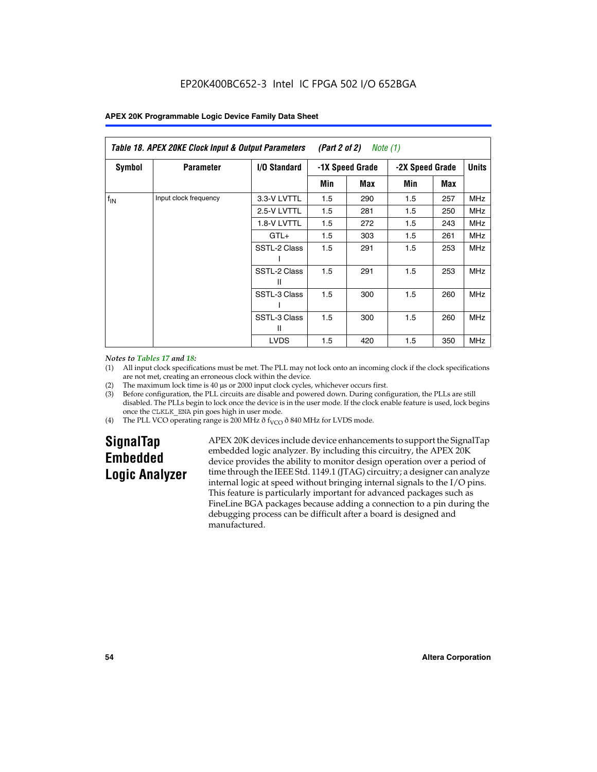| Table 18. APEX 20KE Clock Input & Output Parameters<br>(Part 2 of 2)<br>Note (1) |                       |                     |     |                 |     |                 |            |              |
|----------------------------------------------------------------------------------|-----------------------|---------------------|-----|-----------------|-----|-----------------|------------|--------------|
| <b>Symbol</b>                                                                    | <b>Parameter</b>      | <b>I/O Standard</b> |     | -1X Speed Grade |     | -2X Speed Grade |            | <b>Units</b> |
|                                                                                  |                       |                     | Min | Max             | Min | Max             |            |              |
| $f_{IN}$                                                                         | Input clock frequency | 3.3-V LVTTL         | 1.5 | 290             | 1.5 | 257             | <b>MHz</b> |              |
|                                                                                  |                       | 2.5-V LVTTL         | 1.5 | 281             | 1.5 | 250             | <b>MHz</b> |              |
|                                                                                  |                       | 1.8-V LVTTL         | 1.5 | 272             | 1.5 | 243             | <b>MHz</b> |              |
|                                                                                  |                       | $GTL+$              | 1.5 | 303             | 1.5 | 261             | MHz        |              |
|                                                                                  |                       | SSTL-2 Class        | 1.5 | 291             | 1.5 | 253             | <b>MHz</b> |              |
|                                                                                  |                       | SSTL-2 Class<br>Ш   | 1.5 | 291             | 1.5 | 253             | <b>MHz</b> |              |
|                                                                                  |                       | SSTL-3 Class        | 1.5 | 300             | 1.5 | 260             | <b>MHz</b> |              |
|                                                                                  |                       | SSTL-3 Class<br>Ш   | 1.5 | 300             | 1.5 | 260             | <b>MHz</b> |              |
|                                                                                  |                       | <b>LVDS</b>         | 1.5 | 420             | 1.5 | 350             | <b>MHz</b> |              |

#### *Notes to Tables 17 and 18:*

(1) All input clock specifications must be met. The PLL may not lock onto an incoming clock if the clock specifications are not met, creating an erroneous clock within the device.

- (2) The maximum lock time is 40 µs or 2000 input clock cycles, whichever occurs first.
- (3) Before configuration, the PLL circuits are disable and powered down. During configuration, the PLLs are still disabled. The PLLs begin to lock once the device is in the user mode. If the clock enable feature is used, lock begins once the CLKLK\_ENA pin goes high in user mode.
- (4) The PLL VCO operating range is 200 MHz  $\eth$  f<sub>VCO</sub>  $\eth$  840 MHz for LVDS mode.

# **SignalTap Embedded Logic Analyzer**

APEX 20K devices include device enhancements to support the SignalTap embedded logic analyzer. By including this circuitry, the APEX 20K device provides the ability to monitor design operation over a period of time through the IEEE Std. 1149.1 (JTAG) circuitry; a designer can analyze internal logic at speed without bringing internal signals to the I/O pins. This feature is particularly important for advanced packages such as FineLine BGA packages because adding a connection to a pin during the debugging process can be difficult after a board is designed and manufactured.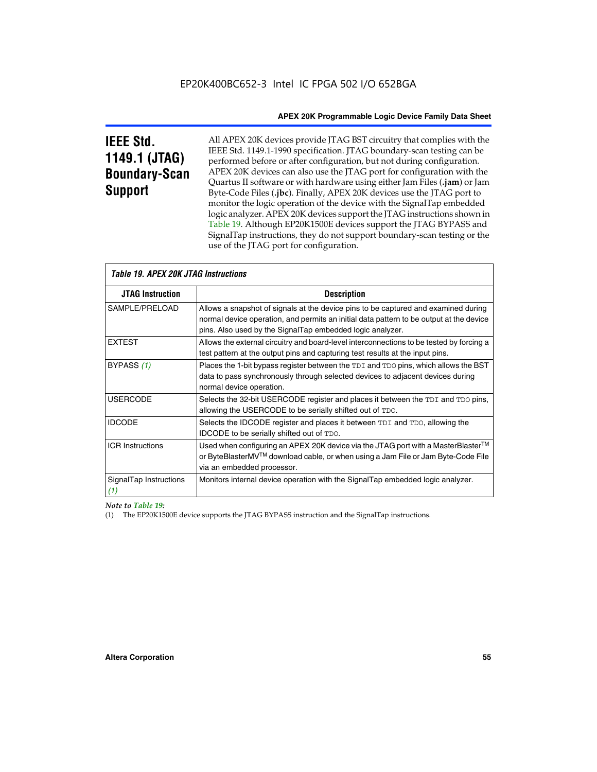# **IEEE Std. 1149.1 (JTAG) Boundary-Scan Support**

All APEX 20K devices provide JTAG BST circuitry that complies with the IEEE Std. 1149.1-1990 specification. JTAG boundary-scan testing can be performed before or after configuration, but not during configuration. APEX 20K devices can also use the JTAG port for configuration with the Quartus II software or with hardware using either Jam Files (**.jam**) or Jam Byte-Code Files (**.jbc**). Finally, APEX 20K devices use the JTAG port to monitor the logic operation of the device with the SignalTap embedded logic analyzer. APEX 20K devices support the JTAG instructions shown in Table 19. Although EP20K1500E devices support the JTAG BYPASS and SignalTap instructions, they do not support boundary-scan testing or the use of the JTAG port for configuration.

| <i><b>Table 19. APEX 20K JTAG Instructions</b></i> |                                                                                                                                                                                                                                            |
|----------------------------------------------------|--------------------------------------------------------------------------------------------------------------------------------------------------------------------------------------------------------------------------------------------|
| <b>JTAG Instruction</b>                            | <b>Description</b>                                                                                                                                                                                                                         |
| SAMPLE/PRELOAD                                     | Allows a snapshot of signals at the device pins to be captured and examined during<br>normal device operation, and permits an initial data pattern to be output at the device<br>pins. Also used by the SignalTap embedded logic analyzer. |
| <b>EXTEST</b>                                      | Allows the external circuitry and board-level interconnections to be tested by forcing a<br>test pattern at the output pins and capturing test results at the input pins.                                                                  |
| BYPASS (1)                                         | Places the 1-bit bypass register between the TDI and TDO pins, which allows the BST<br>data to pass synchronously through selected devices to adjacent devices during<br>normal device operation.                                          |
| <b>USERCODE</b>                                    | Selects the 32-bit USERCODE register and places it between the TDI and TDO pins,<br>allowing the USERCODE to be serially shifted out of TDO.                                                                                               |
| <b>IDCODE</b>                                      | Selects the IDCODE register and places it between TDI and TDO, allowing the<br>IDCODE to be serially shifted out of TDO.                                                                                                                   |
| <b>ICR Instructions</b>                            | Used when configuring an APEX 20K device via the JTAG port with a MasterBlaster™<br>or ByteBlasterMV™ download cable, or when using a Jam File or Jam Byte-Code File<br>via an embedded processor.                                         |
| SignalTap Instructions<br>(1)                      | Monitors internal device operation with the SignalTap embedded logic analyzer.                                                                                                                                                             |

 $\overline{\phantom{a}}$ 

# *Note to Table 19:*

(1) The EP20K1500E device supports the JTAG BYPASS instruction and the SignalTap instructions.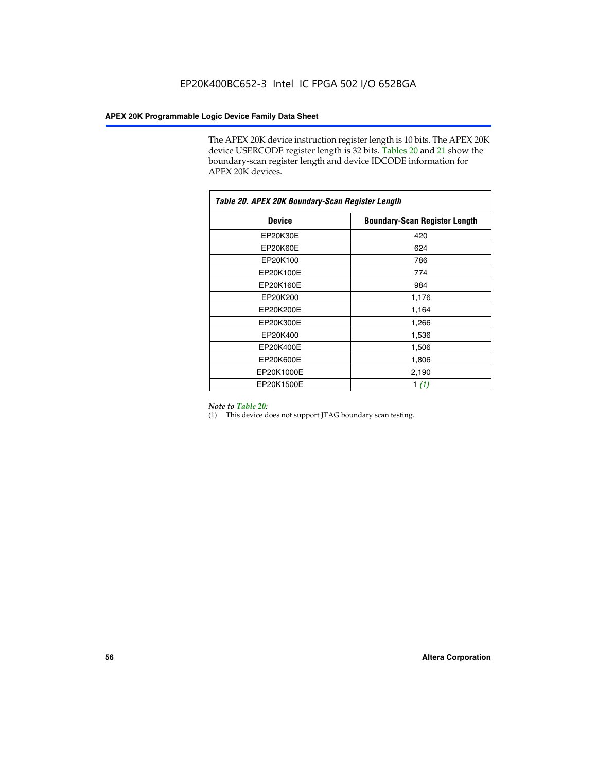The APEX 20K device instruction register length is 10 bits. The APEX 20K device USERCODE register length is 32 bits. Tables 20 and 21 show the boundary-scan register length and device IDCODE information for APEX 20K devices.

| Table 20. APEX 20K Boundary-Scan Register Length |                                      |  |  |  |
|--------------------------------------------------|--------------------------------------|--|--|--|
| <b>Device</b>                                    | <b>Boundary-Scan Register Length</b> |  |  |  |
| EP20K30E                                         | 420                                  |  |  |  |
| EP20K60E                                         | 624                                  |  |  |  |
| EP20K100                                         | 786                                  |  |  |  |
| EP20K100E                                        | 774                                  |  |  |  |
| EP20K160E                                        | 984                                  |  |  |  |
| EP20K200                                         | 1,176                                |  |  |  |
| EP20K200E                                        | 1,164                                |  |  |  |
| EP20K300E                                        | 1,266                                |  |  |  |
| EP20K400                                         | 1,536                                |  |  |  |
| EP20K400E                                        | 1,506                                |  |  |  |
| EP20K600E                                        | 1,806                                |  |  |  |
| EP20K1000E                                       | 2,190                                |  |  |  |
| EP20K1500E                                       | 1 $(1)$                              |  |  |  |

#### *Note to Table 20:*

(1) This device does not support JTAG boundary scan testing.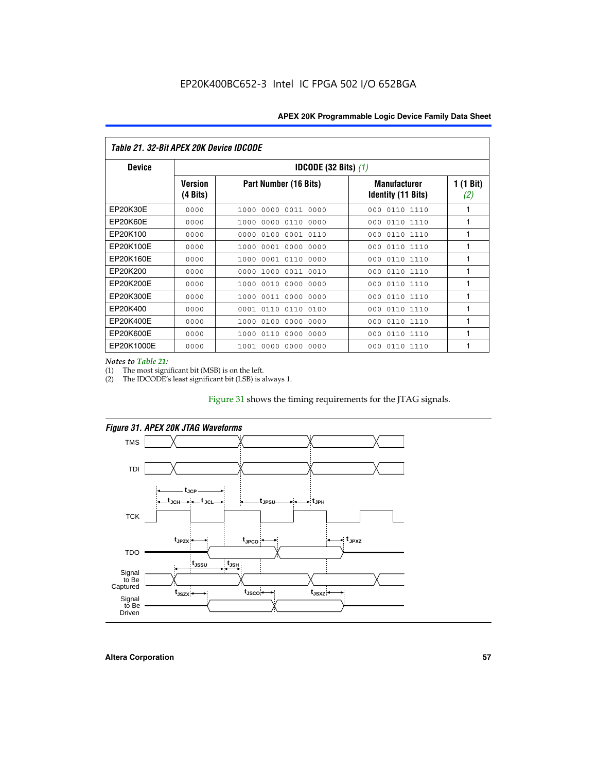| Table 21. 32-Bit APEX 20K Device IDCODE |                                          |                              |                                                  |                  |  |
|-----------------------------------------|------------------------------------------|------------------------------|--------------------------------------------------|------------------|--|
| <b>Device</b>                           | <b>IDCODE (32 Bits) <math>(1)</math></b> |                              |                                                  |                  |  |
|                                         | <b>Version</b><br>(4 Bits)               | Part Number (16 Bits)        | <b>Manufacturer</b><br><b>Identity (11 Bits)</b> | 1 (1 Bit)<br>(2) |  |
| EP20K30E                                | 0000                                     | 0000 0011 0000<br>1000       | 0110 1110<br>000                                 | 1                |  |
| EP20K60E                                | 0000                                     | 1000<br>0000 0110<br>0000    | 0110 1110<br>000                                 | 1                |  |
| EP20K100                                | 0000                                     | 0000<br>0100<br>0001 0110    | 000<br>0110 1110                                 | 1                |  |
| EP20K100E                               | 0000                                     | 1000<br>0001 0000<br>0000    | 0110 1110<br>000                                 | 1                |  |
| EP20K160E                               | 0000                                     | 0001 0110<br>0000<br>1000    | 000<br>0110 1110                                 | 1                |  |
| EP20K200                                | 0000                                     | 1000<br>0011 0010<br>0000    | 0110 1110<br>000                                 | 1                |  |
| EP20K200E                               | 0000                                     | 0010<br>0000<br>0000<br>1000 | 0110 1110<br>000                                 | 1                |  |
| EP20K300E                               | 0000                                     | 0011 0000<br>0000<br>1000    | 0110 1110<br>000                                 | 1                |  |
| EP20K400                                | 0000                                     | 0001<br>0110<br>0110<br>0100 | 0110 1110<br>000                                 | 1                |  |
| EP20K400E                               | 0000                                     | 0100<br>0000<br>0000<br>1000 | 0110 1110<br>000                                 | 1                |  |
| EP20K600E                               | 0000                                     | 1000<br>0110<br>0000<br>0000 | 0110 1110<br>000                                 | 1                |  |
| EP20K1000E                              | 0000                                     | 0000<br>0000<br>0000<br>1001 | 000<br>0110 1110                                 | 1                |  |

*Notes to Table 21:*

The most significant bit (MSB) is on the left.

(2) The IDCODE's least significant bit (LSB) is always 1.

# Figure 31 shows the timing requirements for the JTAG signals.



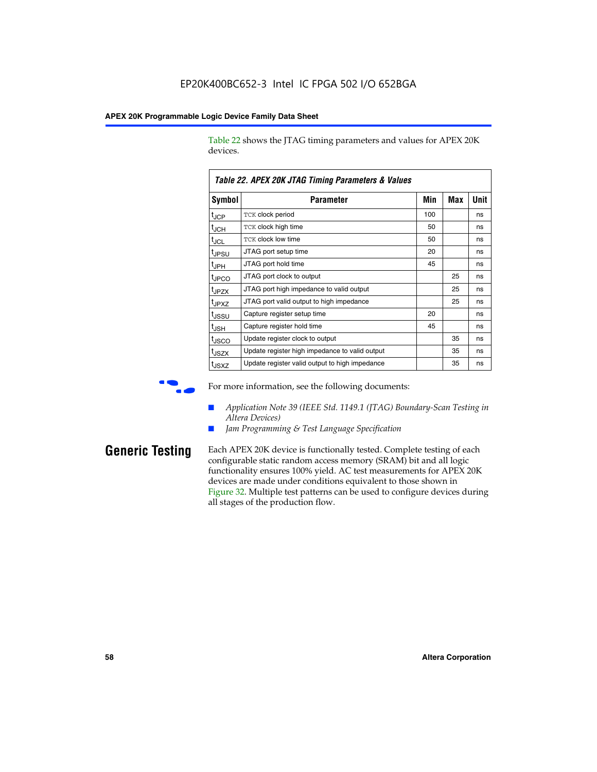Table 22 shows the JTAG timing parameters and values for APEX 20K devices.

|                   | TADIG LL. AF LA LUN JTAU THIIHIY FAIAHIGIGIS & VAIUGS |     |     |      |
|-------------------|-------------------------------------------------------|-----|-----|------|
| Symbol            | Parameter                                             | Min | Max | Unit |
| $t_{JCP}$         | <b>TCK clock period</b>                               | 100 |     | ns   |
| $t_{\text{JCH}}$  | TCK clock high time                                   | 50  |     | ns   |
| $t_{JCL}$         | TCK clock low time                                    | 50  |     | ns   |
| t <sub>JPSU</sub> | JTAG port setup time                                  | 20  |     | ns   |
| $t_{\rm JPH}$     | JTAG port hold time                                   | 45  |     | ns   |
| <sup>t</sup> JPCO | JTAG port clock to output                             |     | 25  | ns   |
| t <sub>JPZX</sub> | JTAG port high impedance to valid output              |     | 25  | ns   |
| t <sub>JPXZ</sub> | JTAG port valid output to high impedance              |     | 25  | ns   |
| tussu             | Capture register setup time                           | 20  |     | ns   |
| $t_{\rm JSH}$     | Capture register hold time                            | 45  |     | ns   |
| t <sub>JSCO</sub> | Update register clock to output                       |     | 35  | ns   |
| t <sub>JSZX</sub> | Update register high impedance to valid output        |     | 35  | ns   |
| t <sub>JSXZ</sub> | Update register valid output to high impedance        |     | 35  | ns   |

*Table 22. APEX 20K JTAG Timing Parameters & Values*

For more information, see the following documents:

- *Application Note 39 (IEEE Std. 1149.1 (JTAG) Boundary-Scan Testing in Altera Devices)*
- Jam Programming & Test Language Specification

**Generic Testing** Each APEX 20K device is functionally tested. Complete testing of each configurable static random access memory (SRAM) bit and all logic functionality ensures 100% yield. AC test measurements for APEX 20K devices are made under conditions equivalent to those shown in Figure 32. Multiple test patterns can be used to configure devices during all stages of the production flow.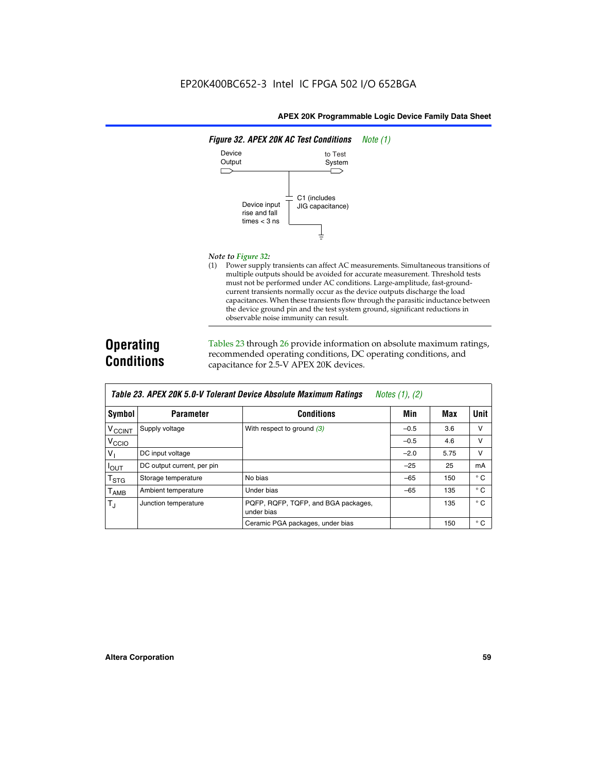

#### *Note to Figure 32:*

(1) Power supply transients can affect AC measurements. Simultaneous transitions of multiple outputs should be avoided for accurate measurement. Threshold tests must not be performed under AC conditions. Large-amplitude, fast-groundcurrent transients normally occur as the device outputs discharge the load capacitances. When these transients flow through the parasitic inductance between the device ground pin and the test system ground, significant reductions in observable noise immunity can result.

# **Operating Conditions**

Tables 23 through 26 provide information on absolute maximum ratings, recommended operating conditions, DC operating conditions, and capacitance for 2.5-V APEX 20K devices.

|                           |                            | TUDIO LO: TII LA LON 0.0 T TOIOIUM DOTIOO HIDOOIUW MUANMUM HUWMYO | $110100 + 11, 141$ |      |              |
|---------------------------|----------------------------|-------------------------------------------------------------------|--------------------|------|--------------|
| Symbol                    | <b>Parameter</b>           | <b>Conditions</b>                                                 | Min                | Max  | Unit         |
| V <sub>CCINT</sub>        | Supply voltage             | With respect to ground $(3)$                                      | $-0.5$             | 3.6  | v            |
| V <sub>CCIO</sub>         |                            |                                                                   | $-0.5$             | 4.6  | $\vee$       |
| $V_{1}$                   | DC input voltage           |                                                                   | $-2.0$             | 5.75 | v            |
| <b>IOUT</b>               | DC output current, per pin |                                                                   | $-25$              | 25   | mA           |
| $\mathsf{T}_{\text{STG}}$ | Storage temperature        | No bias                                                           | $-65$              | 150  | $^{\circ}$ C |
| Т <sub>АМВ</sub>          | Ambient temperature        | Under bias                                                        | $-65$              | 135  | $^{\circ}$ C |
| $T_J$                     | Junction temperature       | PQFP, RQFP, TQFP, and BGA packages,<br>under bias                 |                    | 135  | $^{\circ}$ C |
|                           |                            | Ceramic PGA packages, under bias                                  |                    | 150  | $^{\circ}$ C |

| <b>Table 23. APEX 20K 5.0-V Tolerant Device Absolute Maximum Ratings</b> Notes (1), (2) |  |
|-----------------------------------------------------------------------------------------|--|
|-----------------------------------------------------------------------------------------|--|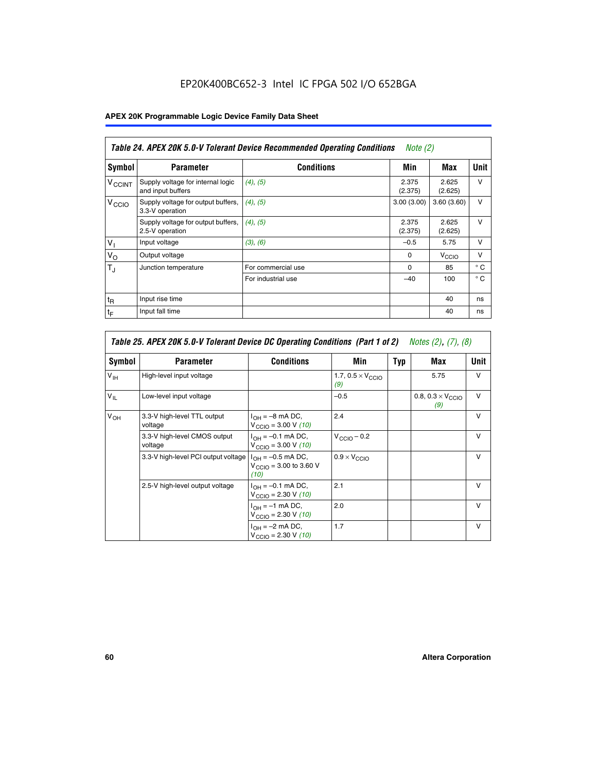# EP20K400BC652-3 Intel IC FPGA 502 I/O 652BGA

# **APEX 20K Programmable Logic Device Family Data Sheet**

|                          | Table 24. APEX 20K 5.0-V Tolerant Device Recommended Operating Conditions<br><i>Note</i> $(2)$ |                    |                  |                  |              |  |
|--------------------------|------------------------------------------------------------------------------------------------|--------------------|------------------|------------------|--------------|--|
| Symbol                   | <b>Parameter</b>                                                                               | <b>Conditions</b>  | Min              | Max              | <b>Unit</b>  |  |
| <b>V<sub>CCINT</sub></b> | Supply voltage for internal logic<br>and input buffers                                         | $(4)$ , $(5)$      | 2.375<br>(2.375) | 2.625<br>(2.625) | $\vee$       |  |
| V <sub>CCIO</sub>        | Supply voltage for output buffers,<br>3.3-V operation                                          | (4), (5)           | 3.00(3.00)       | 3.60(3.60)       | $\vee$       |  |
|                          | Supply voltage for output buffers,<br>2.5-V operation                                          | (4), (5)           | 2.375<br>(2.375) | 2.625<br>(2.625) | $\vee$       |  |
| $V_1$                    | Input voltage                                                                                  | (3), (6)           | $-0.5$           | 5.75             | $\vee$       |  |
| $V_{\rm O}$              | Output voltage                                                                                 |                    | $\Omega$         | V <sub>CCO</sub> | $\vee$       |  |
| $T_{\rm J}$              | Junction temperature                                                                           | For commercial use | 0                | 85               | $^{\circ}$ C |  |
|                          |                                                                                                | For industrial use | $-40$            | 100              | $^{\circ}$ C |  |
| $t_{R}$                  | Input rise time                                                                                |                    |                  | 40               | ns           |  |
| $t_{\mathsf{F}}$         | Input fall time                                                                                |                    |                  | 40               | ns           |  |

|                 | Table 25. APEX 20K 5.0-V Tolerant Device DC Operating Conditions (Part 1 of 2) Notes (2), (7), (8) |                                                                        |                                          |     |                                          |              |  |  |
|-----------------|----------------------------------------------------------------------------------------------------|------------------------------------------------------------------------|------------------------------------------|-----|------------------------------------------|--------------|--|--|
| Symbol          | <b>Parameter</b>                                                                                   | <b>Conditions</b>                                                      | Min                                      | Typ | Max                                      | Unit         |  |  |
| $V_{\text{IH}}$ | High-level input voltage                                                                           |                                                                        | 1.7, $0.5 \times V_{\text{CCIO}}$<br>(9) |     | 5.75                                     | $\mathsf{V}$ |  |  |
| $V_{\parallel}$ | Low-level input voltage                                                                            |                                                                        | $-0.5$                                   |     | 0.8, $0.3 \times V_{\text{CCIO}}$<br>(9) | $\mathsf{V}$ |  |  |
| $V_{OH}$        | 3.3-V high-level TTL output<br>voltage                                                             | $I_{OH} = -8$ mA DC,<br>$V_{\text{CCIO}} = 3.00 V (10)$                | 2.4                                      |     |                                          | $\mathsf{V}$ |  |  |
|                 | 3.3-V high-level CMOS output<br>voltage                                                            | $I_{OH} = -0.1$ mA DC,<br>$V_{\text{CCIO}} = 3.00 \text{ V} (10)$      | $V_{\text{CCIO}} - 0.2$                  |     |                                          | $\mathsf{v}$ |  |  |
|                 | 3.3-V high-level PCI output voltage                                                                | $I_{OH} = -0.5$ mA DC,<br>$V_{\text{GClO}} = 3.00$ to 3.60 V<br>(10)   | $0.9 \times V_{\text{CCIO}}$             |     |                                          | $\mathsf{V}$ |  |  |
|                 | 2.5-V high-level output voltage                                                                    | $I_{OH} = -0.1$ mA DC,<br>$V_{\text{CCIO}} = 2.30 \text{ V} (10)$      | 2.1                                      |     |                                          | $\mathsf{V}$ |  |  |
|                 |                                                                                                    | $I_{\text{OH}} = -1 \text{ mA DC},$<br>$V_{\text{CCIO}} = 2.30 V (10)$ | 2.0                                      |     |                                          | v            |  |  |
|                 |                                                                                                    | $I_{OH} = -2$ mA DC,<br>$V_{\text{CCIO}} = 2.30 V (10)$                | 1.7                                      |     |                                          | v            |  |  |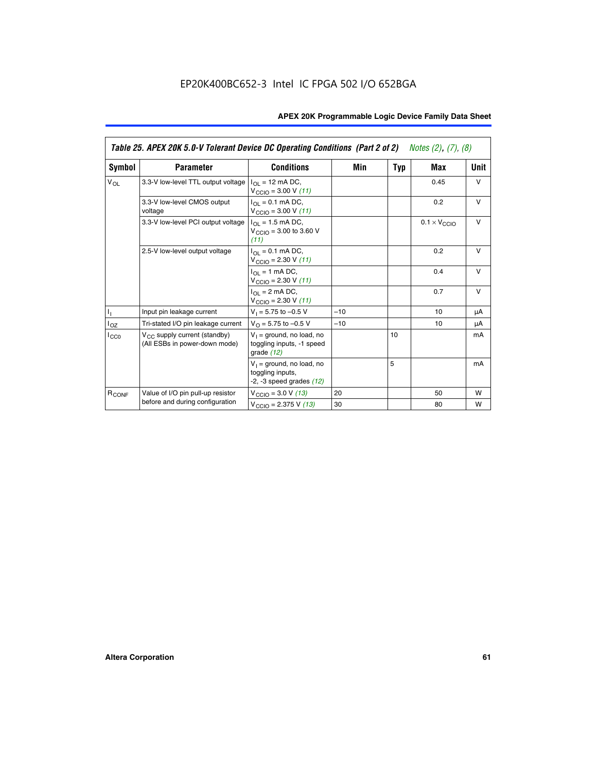|                   | Table 25. APEX 20K 5.0-V Tolerant Device DC Operating Conditions (Part 2 of 2) Notes (2), (7), (8) |                                                                                    |       |     |                              |        |  |
|-------------------|----------------------------------------------------------------------------------------------------|------------------------------------------------------------------------------------|-------|-----|------------------------------|--------|--|
| Symbol            | <b>Parameter</b>                                                                                   | <b>Conditions</b>                                                                  | Min   | Typ | Max                          | Unit   |  |
| $V_{OL}$          | 3.3-V low-level TTL output voltage                                                                 | $I_{\Omega}$ = 12 mA DC,<br>$V_{\text{CCIO}} = 3.00 V (11)$                        |       |     | 0.45                         | $\vee$ |  |
|                   | 3.3-V low-level CMOS output<br>voltage                                                             | $I_{\Omega I} = 0.1$ mA DC,<br>$V_{\text{CCIO}} = 3.00 V (11)$                     |       |     | 0.2                          | $\vee$ |  |
|                   | 3.3-V low-level PCI output voltage                                                                 | $I_{\Omega}$ = 1.5 mA DC,<br>$V_{CClO}$ = 3.00 to 3.60 V<br>(11)                   |       |     | $0.1 \times V_{\text{CCLO}}$ | $\vee$ |  |
|                   | 2.5-V low-level output voltage                                                                     | $I_{\Omega I} = 0.1$ mA DC,<br>$V_{\text{CCIO}} = 2.30 V (11)$                     |       |     | 0.2                          | $\vee$ |  |
|                   |                                                                                                    | $I_{\Omega}$ = 1 mA DC,<br>$V_{\text{CCIO}} = 2.30 V (11)$                         |       |     | 0.4                          | $\vee$ |  |
|                   |                                                                                                    | $I_{\Omega}$ = 2 mA DC,<br>$V_{\text{CCIO}} = 2.30 V (11)$                         |       |     | 0.7                          | $\vee$ |  |
| Τ,                | Input pin leakage current                                                                          | $V_1 = 5.75$ to $-0.5$ V                                                           | $-10$ |     | 10                           | μA     |  |
| $I_{OZ}$          | Tri-stated I/O pin leakage current                                                                 | $V_{\Omega}$ = 5.75 to -0.5 V                                                      | $-10$ |     | 10                           | μA     |  |
| $I_{CC0}$         | $V_{CC}$ supply current (standby)<br>(All ESBs in power-down mode)                                 | $V_1$ = ground, no load, no<br>toggling inputs, -1 speed<br>grade $(12)$           |       | 10  |                              | mA     |  |
|                   |                                                                                                    | $V_1$ = ground, no load, no<br>toggling inputs,<br>$-2$ , $-3$ speed grades $(12)$ |       | 5   |                              | mA     |  |
| R <sub>CONF</sub> | Value of I/O pin pull-up resistor                                                                  | $V_{\text{CCIO}} = 3.0 V (13)$                                                     | 20    |     | 50                           | W      |  |
|                   | before and during configuration                                                                    | $V_{\text{CCIO}} = 2.375 \text{ V} (13)$                                           | 30    |     | 80                           | W      |  |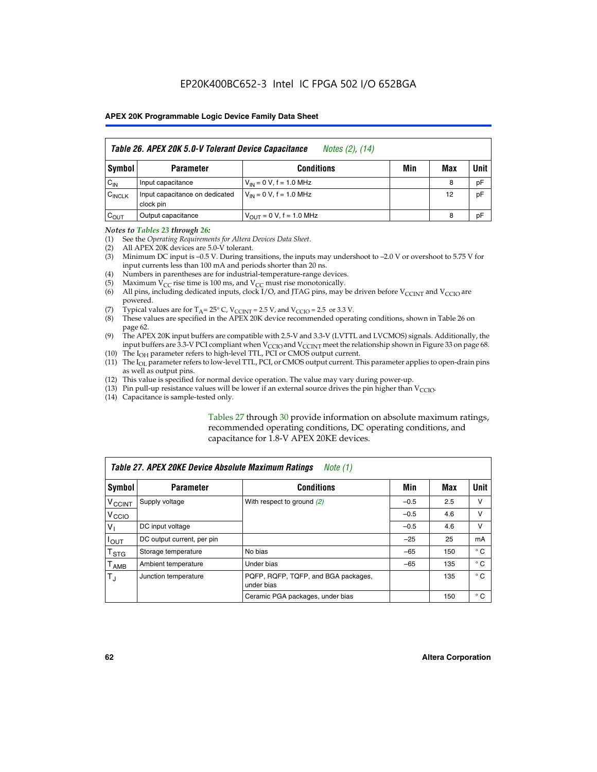|                    | Table 26. APEX 20K 5.0-V Tolerant Device Capacitance<br>Notes (2), (14) |                                     |     |     |      |
|--------------------|-------------------------------------------------------------------------|-------------------------------------|-----|-----|------|
| Symbol             | <b>Parameter</b>                                                        | <b>Conditions</b>                   | Min | Max | Unit |
| $C_{IN}$           | Input capacitance                                                       | $V_{1N} = 0 V$ , f = 1.0 MHz        |     | 8   | pF   |
| $C_{\text{INCLK}}$ | Input capacitance on dedicated<br>clock pin                             | $V_{IN} = 0 V$ , f = 1.0 MHz        |     | 12  | pF   |
| $C_{OUT}$          | Output capacitance                                                      | $V_{\text{OUT}} = 0 V, f = 1.0 MHz$ |     | 8   | pF   |

#### *Notes to Tables 23 through 26:*

- (1) See the *Operating Requirements for Altera Devices Data Sheet*.
- (2) All APEX 20K devices are 5.0-V tolerant.
- (3) Minimum DC input is –0.5 V. During transitions, the inputs may undershoot to –2.0 V or overshoot to 5.75 V for input currents less than 100 mA and periods shorter than 20 ns.
- (4) Numbers in parentheses are for industrial-temperature-range devices.
- (5) Maximum  $V_{CC}$  rise time is 100 ms, and  $V_{CC}$  must rise monotonically.<br>(6) All pins, including dedicated inputs, clock I/O, and JTAG pins, may b
- All pins, including dedicated inputs, clock I/O, and JTAG pins, may be driven before  $V_{\text{CCINT}}$  and  $V_{\text{CCIO}}$  are powered.
- (7) Typical values are for  $T_A = 25^\circ$  C, V<sub>CCINT</sub> = 2.5 V, and V<sub>CCIO</sub> = 2.5 or 3.3 V.<br>(8) These values are specified in the APEX 20K device recommended operat
- These values are specified in the APEX 20K device recommended operating conditions, shown in Table 26 on page 62.
- (9) The APEX 20K input buffers are compatible with 2.5-V and 3.3-V (LVTTL and LVCMOS) signals. Additionally, the input buffers are 3.3-V PCI compliant when  $V_{\text{CCIO}}$  and  $V_{\text{CCINI}}$  meet the relationship shown in Figure 33 on page 68.
- (10) The  $I<sub>OH</sub>$  parameter refers to high-level TTL, PCI or CMOS output current.
- (11) The I<sub>OL</sub> parameter refers to low-level TTL, PCI, or CMOS output current. This parameter applies to open-drain pins as well as output pins.
- (12) This value is specified for normal device operation. The value may vary during power-up.
- (13) Pin pull-up resistance values will be lower if an external source drives the pin higher than  $V_{\text{CCIO}}$ .
- (14) Capacitance is sample-tested only.

Tables 27 through 30 provide information on absolute maximum ratings, recommended operating conditions, DC operating conditions, and capacitance for 1.8-V APEX 20KE devices.

|                             | Table 27. APEX 20KE Device Absolute Maximum Ratings<br>Note (1) |                                                   |        |     |              |  |  |
|-----------------------------|-----------------------------------------------------------------|---------------------------------------------------|--------|-----|--------------|--|--|
| Symbol                      | <b>Parameter</b>                                                | <b>Conditions</b>                                 | Min    | Max | Unit         |  |  |
| $V_{\text{CCINT}}$          | Supply voltage                                                  | With respect to ground (2)                        | $-0.5$ | 2.5 | v            |  |  |
| V <sub>CCIO</sub>           |                                                                 |                                                   | $-0.5$ | 4.6 | v            |  |  |
| $V_{1}$                     | DC input voltage                                                |                                                   | $-0.5$ | 4.6 | $\vee$       |  |  |
| $I_{OUT}$                   | DC output current, per pin                                      |                                                   | $-25$  | 25  | mA           |  |  |
| $\mathsf{T}_{\texttt{STG}}$ | Storage temperature                                             | No bias                                           | $-65$  | 150 | $^{\circ}$ C |  |  |
| Т <sub>АМВ</sub>            | Ambient temperature                                             | Under bias                                        | $-65$  | 135 | $^{\circ}$ C |  |  |
| $\mathsf{T}_{\text{d}}$     | Junction temperature                                            | PQFP, RQFP, TQFP, and BGA packages,<br>under bias |        | 135 | $^{\circ}$ C |  |  |
|                             |                                                                 | Ceramic PGA packages, under bias                  |        | 150 | $^{\circ}$ C |  |  |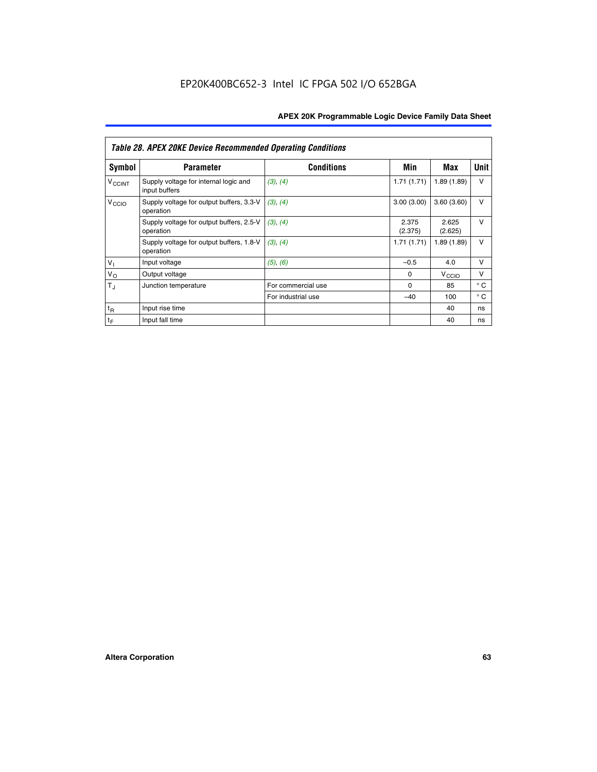|                             | <b>Table 28. APEX 20KE Device Recommended Operating Conditions</b> |                    |                  |                   |              |  |
|-----------------------------|--------------------------------------------------------------------|--------------------|------------------|-------------------|--------------|--|
| <b>Symbol</b>               | <b>Parameter</b>                                                   | <b>Conditions</b>  | Min              | Max               | <b>Unit</b>  |  |
| <b>V<sub>CCINT</sub></b>    | Supply voltage for internal logic and<br>input buffers             | (3), (4)           | 1.71(1.71)       | 1.89(1.89)        | $\vee$       |  |
| V <sub>CCIO</sub>           | Supply voltage for output buffers, 3.3-V<br>operation              | (3), (4)           | 3.00(3.00)       | 3.60(3.60)        | $\vee$       |  |
|                             | Supply voltage for output buffers, 2.5-V<br>operation              | (3), (4)           | 2.375<br>(2.375) | 2.625<br>(2.625)  | $\vee$       |  |
|                             | Supply voltage for output buffers, 1.8-V<br>operation              | (3), (4)           | 1.71(1.71)       | 1.89(1.89)        | $\vee$       |  |
| $V_1$                       | Input voltage                                                      | (5), (6)           | $-0.5$           | 4.0               | $\vee$       |  |
| $V_{\rm O}$                 | Output voltage                                                     |                    | $\Omega$         | V <sub>CCIO</sub> | v            |  |
| $T_{\rm J}$                 | Junction temperature                                               | For commercial use | $\Omega$         | 85                | $^{\circ}$ C |  |
|                             |                                                                    | For industrial use | $-40$            | 100               | $^{\circ}$ C |  |
| $t_{R}$                     | Input rise time                                                    |                    |                  | 40                | ns           |  |
| $\mathfrak{t}_{\mathsf{F}}$ | Input fall time                                                    |                    |                  | 40                | ns           |  |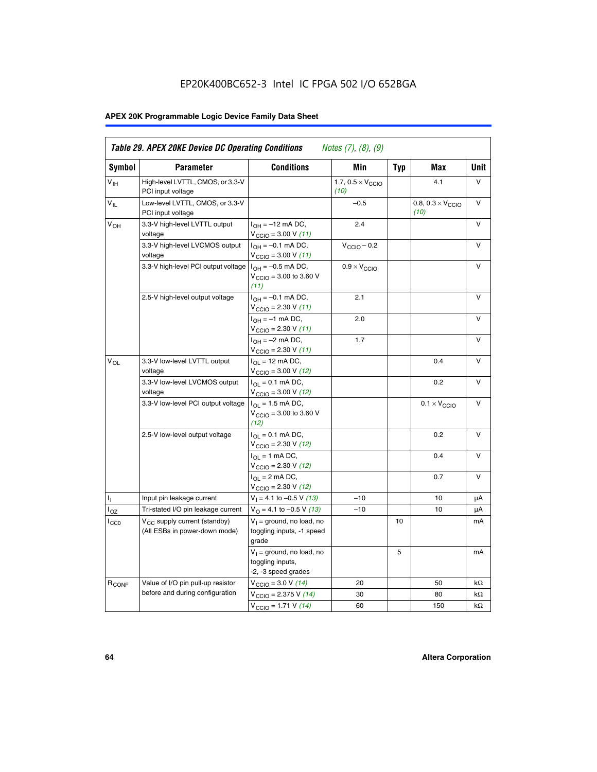# EP20K400BC652-3 Intel IC FPGA 502 I/O 652BGA

# **APEX 20K Programmable Logic Device Family Data Sheet**

| Symbol            | <b>Parameter</b>                                                          | <b>Conditions</b>                                                                                    | Min                                       | <b>Typ</b> | Max                                       | Unit      |
|-------------------|---------------------------------------------------------------------------|------------------------------------------------------------------------------------------------------|-------------------------------------------|------------|-------------------------------------------|-----------|
| $V_{\text{IH}}$   | High-level LVTTL, CMOS, or 3.3-V<br>PCI input voltage                     |                                                                                                      | 1.7, $0.5 \times V_{\text{CCIO}}$<br>(10) |            | 4.1                                       | V         |
| $V_{IL}$          | Low-level LVTTL, CMOS, or 3.3-V<br>PCI input voltage                      |                                                                                                      | $-0.5$                                    |            | 0.8, $0.3 \times V_{\text{CCIO}}$<br>(10) | $\vee$    |
| $V_{OH}$          | 3.3-V high-level LVTTL output<br>voltage                                  | $I_{OH} = -12$ mA DC,<br>$V_{\text{CCIO}}$ = 3.00 V (11)                                             | 2.4                                       |            |                                           | v         |
|                   | 3.3-V high-level LVCMOS output<br>voltage                                 | $I_{OH} = -0.1$ mA DC,<br>$V_{\text{CCIO}} = 3.00 \text{ V} (11)$                                    | $V_{\text{CCIO}} - 0.2$                   |            |                                           | v         |
|                   | 3.3-V high-level PCI output voltage $1_{OH} = -0.5$ mA DC,                | $V_{\text{CGIO}} = 3.00$ to 3.60 V<br>(11)                                                           | $0.9 \times V_{\text{CCIO}}$              |            |                                           | $\vee$    |
|                   | 2.5-V high-level output voltage                                           | $I_{OH} = -0.1$ mA DC,<br>$V_{\text{CCIO}} = 2.30 V (11)$                                            | 2.1                                       |            |                                           | v         |
|                   |                                                                           | $I_{OH} = -1$ mA DC,<br>$V_{\text{CCIO}} = 2.30 V (11)$                                              | 2.0                                       |            |                                           | $\vee$    |
|                   |                                                                           | $I_{OH} = -2$ mA DC,<br>$V_{\text{CCIO}}$ = 2.30 V (11)                                              | 1.7                                       |            |                                           | v         |
| $V_{OL}$          | 3.3-V low-level LVTTL output<br>voltage                                   | $I_{\text{OL}} = 12 \text{ mA DC}$ ,<br>$V_{\text{CCIO}} = 3.00 V (12)$                              |                                           |            | 0.4                                       | $\vee$    |
|                   | 3.3-V low-level LVCMOS output<br>voltage                                  | $I_{\Omega} = 0.1$ mA DC,<br>$V_{\text{CCIO}} = 3.00 V (12)$                                         |                                           |            | 0.2                                       | $\vee$    |
|                   | 3.3-V low-level PCI output voltage                                        | $I_{\text{OL}} = 1.5 \text{ mA DC}$ ,<br>$V_{\text{CCIO}} = 3.00 \text{ to } 3.60 \text{ V}$<br>(12) |                                           |            | $0.1 \times V_{\text{CCIO}}$              | V         |
|                   | 2.5-V low-level output voltage                                            | $I_{OL} = 0.1$ mA DC,<br>V <sub>CCIO</sub> = 2.30 V (12)                                             |                                           |            | 0.2                                       | v         |
|                   |                                                                           | $I_{\Omega}$ = 1 mA DC,<br>$V_{\text{CCIO}} = 2.30 V (12)$                                           |                                           |            | 0.4                                       | v         |
|                   |                                                                           | $I_{\Omega} = 2 \text{ mA DC},$<br>$V_{\text{CCIO}}$ = 2.30 V (12)                                   |                                           |            | 0.7                                       | v         |
| Ъ.                | Input pin leakage current                                                 | $V_1 = 4.1$ to -0.5 V (13)                                                                           | $-10$                                     |            | 10                                        | μA        |
| $I_{OZ}$          | Tri-stated I/O pin leakage current                                        | $V_{\Omega}$ = 4.1 to -0.5 V (13)                                                                    | $-10$                                     |            | 10                                        | μA        |
| ICCO              | V <sub>CC</sub> supply current (standby)<br>(All ESBs in power-down mode) | $V_1$ = ground, no load, no<br>toggling inputs, -1 speed<br>grade                                    |                                           | 10         |                                           | mA        |
|                   |                                                                           | $V_1$ = ground, no load, no<br>toggling inputs,<br>-2, -3 speed grades                               |                                           | 5          |                                           | mA        |
| R <sub>CONF</sub> | Value of I/O pin pull-up resistor                                         | $V_{\text{CCIO}} = 3.0 V (14)$                                                                       | 20                                        |            | 50                                        | $k\Omega$ |
|                   | before and during configuration                                           | $V_{\text{CGIO}} = 2.375 V (14)$                                                                     | 30                                        |            | 80                                        | kΩ        |
|                   |                                                                           | $V_{\text{CCIO}} = 1.71 V (14)$                                                                      | 60                                        |            | 150                                       | $k\Omega$ |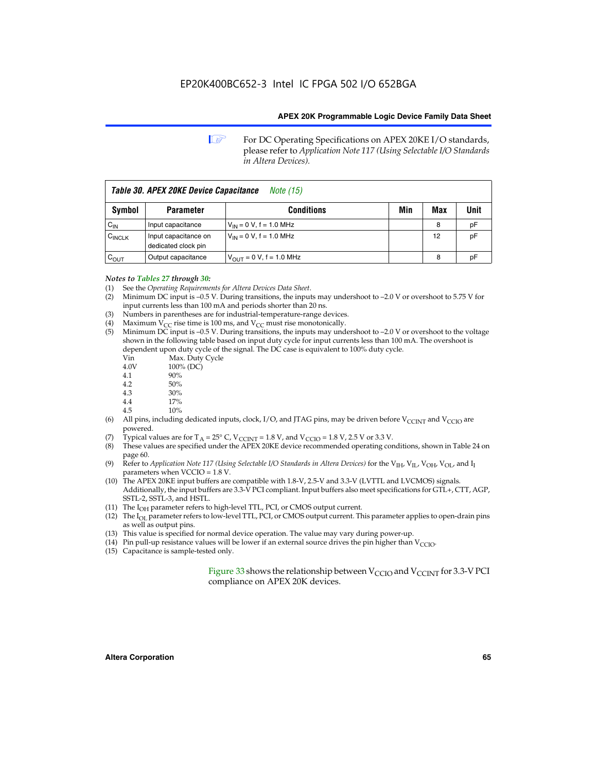**1 For DC Operating Specifications on APEX 20KE I/O standards,** please refer to *Application Note 117 (Using Selectable I/O Standards in Altera Devices).*

| Table 30. APEX 20KE Device Capacitance<br><i>Note</i> (15) |                                             |                               |     |     |      |
|------------------------------------------------------------|---------------------------------------------|-------------------------------|-----|-----|------|
| Symbol                                                     | <b>Parameter</b>                            | <b>Conditions</b>             | Min | Max | Unit |
| $C_{IN}$                                                   | Input capacitance                           | $V_{IN} = 0 V$ , f = 1.0 MHz  |     | 8   | pF   |
| $C_{\text{INCLK}}$                                         | Input capacitance on<br>dedicated clock pin | $V_{IN} = 0 V$ , f = 1.0 MHz  |     | 12  | pF   |
| $C_{\text{OUT}}$                                           | Output capacitance                          | $V_{OUT} = 0 V$ , f = 1.0 MHz |     | 8   | рF   |

#### *Notes to Tables 27 through 30:*

- (1) See the *Operating Requirements for Altera Devices Data Sheet*.
- (2) Minimum DC input is –0.5 V. During transitions, the inputs may undershoot to –2.0 V or overshoot to 5.75 V for input currents less than 100 mA and periods shorter than 20 ns.
- (3) Numbers in parentheses are for industrial-temperature-range devices.
- (4) Maximum  $V_{CC}$  rise time is 100 ms, and  $V_{CC}$  must rise monotonically.<br>(5) Minimum DC input is -0.5 V. During transitions, the inputs may und
- Minimum DC input is  $-0.5$  V. During transitions, the inputs may undershoot to  $-2.0$  V or overshoot to the voltage shown in the following table based on input duty cycle for input currents less than 100 mA. The overshoot is dependent upon duty cycle of the signal. The DC case is equivalent to 100% duty cycle.

| Vin  | Max. Duty Cycle |
|------|-----------------|
| 4.0V | 100% (DC)       |
| 4.1  | 90%             |
| 4.2  | 50%             |
| 4.3  | 30%             |
| . .  |                 |

- 4.4  $17\%$ <br>4.5  $10\%$
- 10%
- (6) All pins, including dedicated inputs, clock, I/O, and JTAG pins, may be driven before  $V_{\text{CCINT}}$  and  $V_{\text{CCIO}}$  are powered.
- (7) Typical values are for  $T_A = 25^\circ$  C, V<sub>CCINT</sub> = 1.8 V, and V<sub>CCIO</sub> = 1.8 V, 2.5 V or 3.3 V.
- (8) These values are specified under the APEX 20KE device recommended operating conditions, shown in Table 24 on page 60.
- (9) Refer to *Application Note 117 (Using Selectable I/O Standards in Altera Devices)* for the V<sub>IH</sub>, V<sub>IL</sub>, V<sub>OH</sub>, V<sub>OL</sub>, and I<sub>I</sub> parameters when VCCIO = 1.8 V.
- (10) The APEX 20KE input buffers are compatible with 1.8-V, 2.5-V and 3.3-V (LVTTL and LVCMOS) signals. Additionally, the input buffers are 3.3-V PCI compliant. Input buffers also meet specifications for GTL+, CTT, AGP, SSTL-2, SSTL-3, and HSTL.
- (11) The  $I_{OH}$  parameter refers to high-level TTL, PCI, or CMOS output current.
- (12) The I<sub>OL</sub> parameter refers to low-level TTL, PCI, or CMOS output current. This parameter applies to open-drain pins as well as output pins.
- (13) This value is specified for normal device operation. The value may vary during power-up.
- (14) Pin pull-up resistance values will be lower if an external source drives the pin higher than  $V_{CCIO}$ .
- (15) Capacitance is sample-tested only.

Figure 33 shows the relationship between  $V_{\text{CCIO}}$  and  $V_{\text{CCINT}}$  for 3.3-V PCI compliance on APEX 20K devices.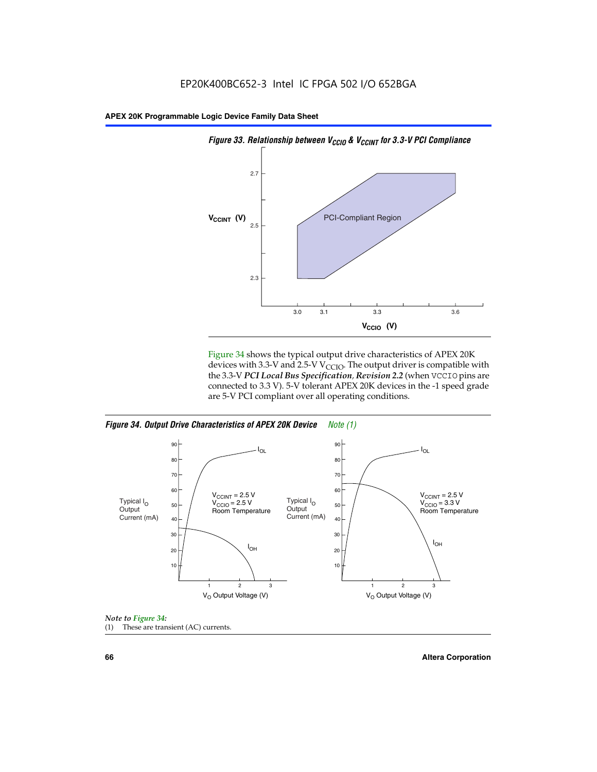



Figure 34 shows the typical output drive characteristics of APEX 20K devices with 3.3-V and 2.5-V V<sub>CCIO</sub>. The output driver is compatible with the 3.3-V *PCI Local Bus Specification, Revision 2.2* (when VCCIO pins are connected to 3.3 V). 5-V tolerant APEX 20K devices in the -1 speed grade are 5-V PCI compliant over all operating conditions.

*Figure 34. Output Drive Characteristics of APEX 20K Device Note (1)*





**66 Altera Corporation**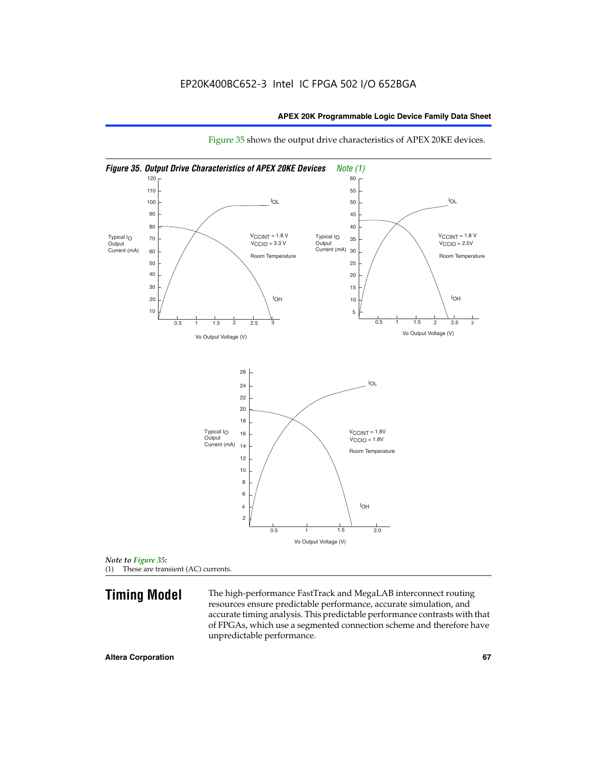

Figure 35 shows the output drive characteristics of APEX 20KE devices.

*Note to Figure 35:* (1) These are transient (AC) currents.

**Timing Model** The high-performance FastTrack and MegaLAB interconnect routing resources ensure predictable performance, accurate simulation, and accurate timing analysis. This predictable performance contrasts with that of FPGAs, which use a segmented connection scheme and therefore have unpredictable performance.

#### **Altera Corporation 67** 67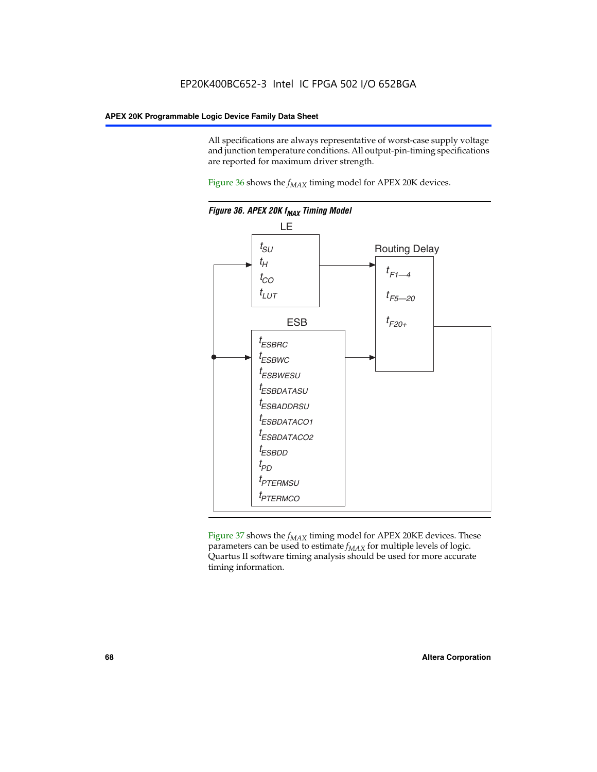All specifications are always representative of worst-case supply voltage and junction temperature conditions. All output-pin-timing specifications are reported for maximum driver strength.

Figure  $36$  shows the  $f_{MAX}$  timing model for APEX 20K devices.



Figure 37 shows the  $f_{MAX}$  timing model for APEX 20KE devices. These parameters can be used to estimate  $f_{MAX}$  for multiple levels of logic. Quartus II software timing analysis should be used for more accurate timing information.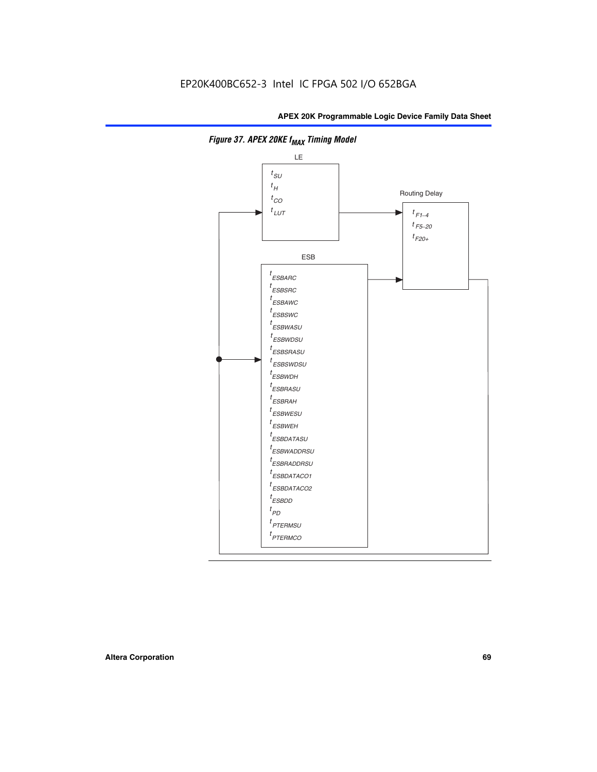

**Figure 37. APEX 20KE f<sub>MAX</sub> Timing Model**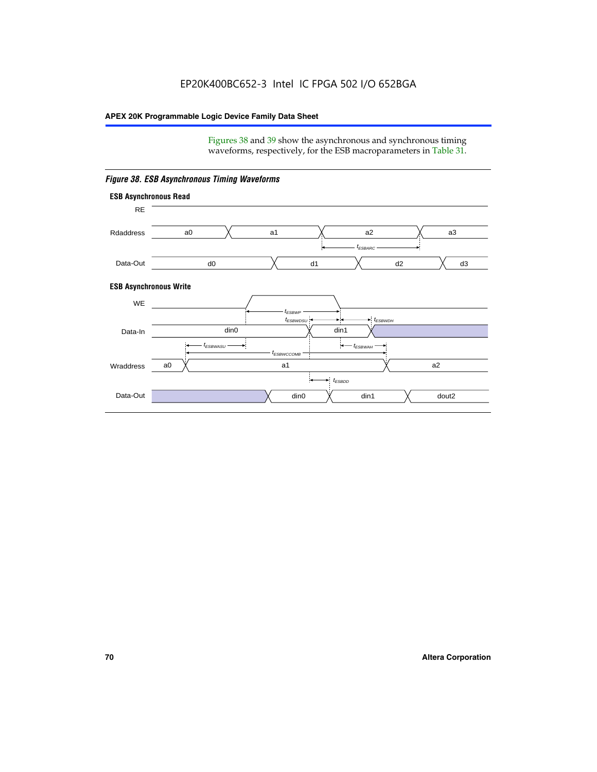Figures 38 and 39 show the asynchronous and synchronous timing waveforms, respectively, for the ESB macroparameters in Table 31.



*Figure 38. ESB Asynchronous Timing Waveforms*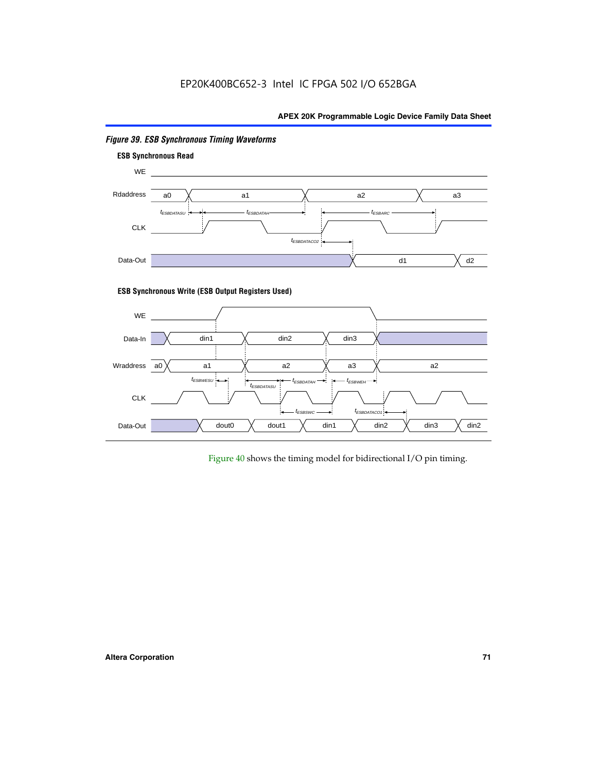

# *Figure 39. ESB Synchronous Timing Waveforms*

# **ESB Synchronous Write (ESB Output Registers Used)**



Figure 40 shows the timing model for bidirectional I/O pin timing.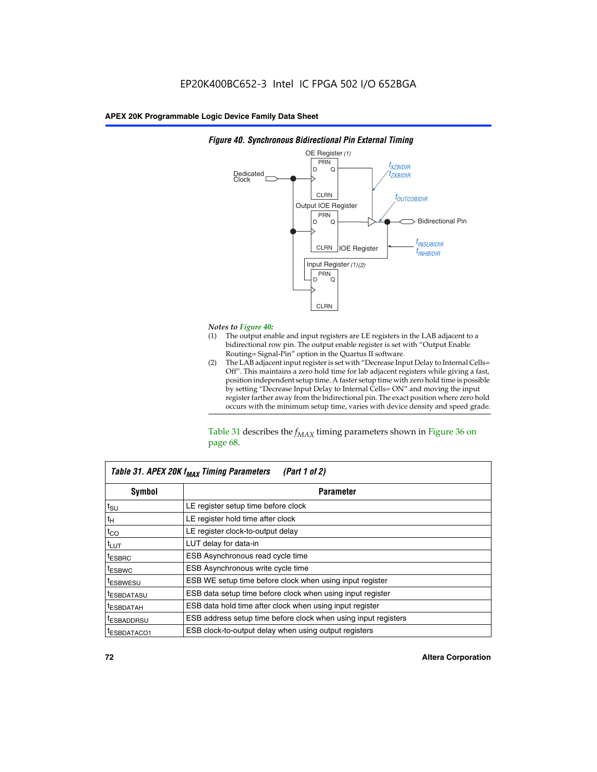

### *Figure 40. Synchronous Bidirectional Pin External Timing*

# *Notes to Figure 40:*

- The output enable and input registers are LE registers in the LAB adjacent to a bidirectional row pin. The output enable register is set with "Output Enable Routing= Signal-Pin" option in the Quartus II software.
- (2) The LAB adjacent input register is set with "Decrease Input Delay to Internal Cells= Off". This maintains a zero hold time for lab adjacent registers while giving a fast, position independent setup time. A faster setup time with zero hold time is possible by setting "Decrease Input Delay to Internal Cells= ON" and moving the input register farther away from the bidirectional pin. The exact position where zero hold occurs with the minimum setup time, varies with device density and speed grade.

Table 31 describes the  $f_{MAX}$  timing parameters shown in Figure 36 on page 68.

| Table 31. APEX 20K f <sub>MAX</sub> Timing Parameters<br>(Part 1 of 2) |                                                                |  |  |  |  |
|------------------------------------------------------------------------|----------------------------------------------------------------|--|--|--|--|
| Symbol                                                                 | <b>Parameter</b>                                               |  |  |  |  |
| $t_{\text{SU}}$                                                        | LE register setup time before clock                            |  |  |  |  |
| $t_H$                                                                  | LE register hold time after clock                              |  |  |  |  |
| $t_{CO}$                                                               | LE register clock-to-output delay                              |  |  |  |  |
| t <sub>LUT</sub>                                                       | LUT delay for data-in                                          |  |  |  |  |
| <sup>t</sup> ESBRC                                                     | ESB Asynchronous read cycle time                               |  |  |  |  |
| <sup>t</sup> ESBWC                                                     | ESB Asynchronous write cycle time                              |  |  |  |  |
| <sup>t</sup> ESBWESU                                                   | ESB WE setup time before clock when using input register       |  |  |  |  |
| <sup>t</sup> ESBDATASU                                                 | ESB data setup time before clock when using input register     |  |  |  |  |
| <sup>t</sup> ESBDATAH                                                  | ESB data hold time after clock when using input register       |  |  |  |  |
| <sup>t</sup> ESBADDRSU                                                 | ESB address setup time before clock when using input registers |  |  |  |  |
| ESBDATACO1                                                             | ESB clock-to-output delay when using output registers          |  |  |  |  |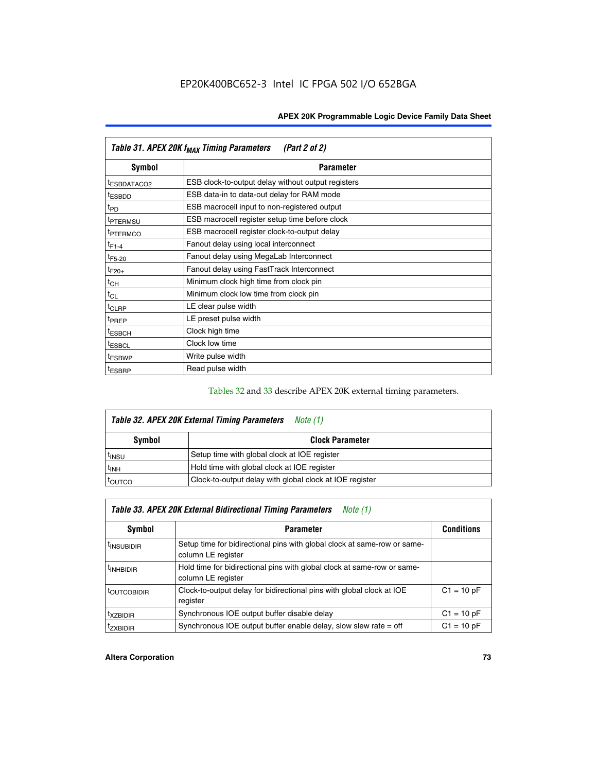| Table 31. APEX 20K f <sub>MAX</sub> Timing Parameters<br>(Part 2 of 2) |                                                    |  |  |  |  |
|------------------------------------------------------------------------|----------------------------------------------------|--|--|--|--|
| Symbol                                                                 | <b>Parameter</b>                                   |  |  |  |  |
| <sup>t</sup> ESBDATACO2                                                | ESB clock-to-output delay without output registers |  |  |  |  |
| <sup>t</sup> ESBDD                                                     | ESB data-in to data-out delay for RAM mode         |  |  |  |  |
| t <sub>PD</sub>                                                        | ESB macrocell input to non-registered output       |  |  |  |  |
| <sup>t</sup> PTERMSU                                                   | ESB macrocell register setup time before clock     |  |  |  |  |
| <sup>t</sup> PTERMCO                                                   | ESB macrocell register clock-to-output delay       |  |  |  |  |
| $t_{F1-4}$                                                             | Fanout delay using local interconnect              |  |  |  |  |
| $t_{F5-20}$                                                            | Fanout delay using MegaLab Interconnect            |  |  |  |  |
| $t_{F20+}$                                                             | Fanout delay using FastTrack Interconnect          |  |  |  |  |
| $t_{CH}$                                                               | Minimum clock high time from clock pin             |  |  |  |  |
| $t_{CL}$                                                               | Minimum clock low time from clock pin              |  |  |  |  |
| $t_{CLRP}$                                                             | LE clear pulse width                               |  |  |  |  |
| t <sub>PREP</sub>                                                      | LE preset pulse width                              |  |  |  |  |
| <sup>t</sup> ESBCH                                                     | Clock high time                                    |  |  |  |  |
| <sup>t</sup> ESBCL                                                     | Clock low time                                     |  |  |  |  |
| <sup>t</sup> ESBWP                                                     | Write pulse width                                  |  |  |  |  |
| <sup>t</sup> ESBRP                                                     | Read pulse width                                   |  |  |  |  |

## Tables 32 and 33 describe APEX 20K external timing parameters.

| Table 32. APEX 20K External Timing Parameters<br>Note (1) |                                                         |  |  |  |  |
|-----------------------------------------------------------|---------------------------------------------------------|--|--|--|--|
| Symbol                                                    | <b>Clock Parameter</b>                                  |  |  |  |  |
| <sup>t</sup> insu                                         | Setup time with global clock at IOE register            |  |  |  |  |
| $t_{\mathsf{INH}}$                                        | Hold time with global clock at IOE register             |  |  |  |  |
| toutco                                                    | Clock-to-output delay with global clock at IOE register |  |  |  |  |

| Table 33. APEX 20K External Bidirectional Timing Parameters<br>Note (1) |                                                                                                |              |  |  |  |
|-------------------------------------------------------------------------|------------------------------------------------------------------------------------------------|--------------|--|--|--|
| Symbol<br><b>Conditions</b><br><b>Parameter</b>                         |                                                                                                |              |  |  |  |
| <sup>I</sup> INSUBIDIR                                                  | Setup time for bidirectional pins with global clock at same-row or same-<br>column LE register |              |  |  |  |
| <sup>t</sup> INHBIDIR                                                   | Hold time for bidirectional pins with global clock at same-row or same-<br>column LE register  |              |  |  |  |
| <sup>t</sup> OUTCOBIDIR                                                 | Clock-to-output delay for bidirectional pins with global clock at IOE<br>register              | $C1 = 10 pF$ |  |  |  |
| <sup>T</sup> XZBIDIR                                                    | Synchronous IOE output buffer disable delay                                                    | $C1 = 10 pF$ |  |  |  |
| <sup>I</sup> ZXBIDIR                                                    | Synchronous IOE output buffer enable delay, slow slew rate $=$ off                             | $C1 = 10 pF$ |  |  |  |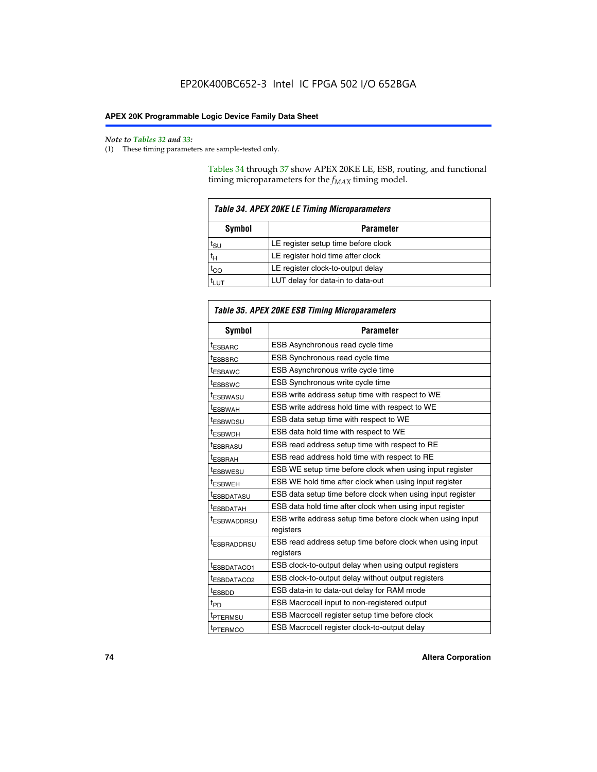$\mathbf{r}$ 

#### *Note to Tables 32 and 33:*

(1) These timing parameters are sample-tested only.

Tables 34 through 37 show APEX 20KE LE, ESB, routing, and functional timing microparameters for the  $f_{MAX}$  timing model.

| <b>Table 34. APEX 20KE LE Timing Microparameters</b> |                                     |  |  |  |  |
|------------------------------------------------------|-------------------------------------|--|--|--|--|
| Symbol<br><b>Parameter</b>                           |                                     |  |  |  |  |
| t <sub>SU</sub>                                      | LE register setup time before clock |  |  |  |  |
| $t_H$                                                | LE register hold time after clock   |  |  |  |  |
| $t_{CO}$                                             | LE register clock-to-output delay   |  |  |  |  |
|                                                      | LUT delay for data-in to data-out   |  |  |  |  |

| <b>Table 35. APEX 20KE ESB Timing Microparameters</b> |                                                            |  |  |  |
|-------------------------------------------------------|------------------------------------------------------------|--|--|--|
| Symbol                                                | <b>Parameter</b>                                           |  |  |  |
| <sup>t</sup> ESBARC                                   | ESB Asynchronous read cycle time                           |  |  |  |
| <sup>t</sup> ESBSRC                                   | ESB Synchronous read cycle time                            |  |  |  |
| <b><i>ESBAWC</i></b>                                  | ESB Asynchronous write cycle time                          |  |  |  |
| t <sub>ESBSWC</sub>                                   | ESB Synchronous write cycle time                           |  |  |  |
| t <sub>ESBWASU</sub>                                  | ESB write address setup time with respect to WE            |  |  |  |
| <sup>t</sup> ESBWAH                                   | ESB write address hold time with respect to WE             |  |  |  |
| t <sub>ESBWDSU</sub>                                  | ESB data setup time with respect to WE                     |  |  |  |
| <sup>t</sup> ESBWDH                                   | ESB data hold time with respect to WE                      |  |  |  |
| tESBRASU                                              | ESB read address setup time with respect to RE             |  |  |  |
| <sup>t</sup> ESBRAH                                   | ESB read address hold time with respect to RE              |  |  |  |
| <i><b>ESBWESU</b></i>                                 | ESB WE setup time before clock when using input register   |  |  |  |
| t <sub>ESBWEH</sub>                                   | ESB WE hold time after clock when using input register     |  |  |  |
| <b><i>t</i>ESBDATASU</b>                              | ESB data setup time before clock when using input register |  |  |  |
| t <sub>ESBDATAH</sub>                                 | ESB data hold time after clock when using input register   |  |  |  |
| t <sub>ESBWADDRSU</sub>                               | ESB write address setup time before clock when using input |  |  |  |
|                                                       | registers                                                  |  |  |  |
| <i><b>LESBRADDRSU</b></i>                             | ESB read address setup time before clock when using input  |  |  |  |
|                                                       | registers                                                  |  |  |  |
| t <sub>ESBDATACO1</sub>                               | ESB clock-to-output delay when using output registers      |  |  |  |
| t <sub>ESBDATACO2</sub>                               | ESB clock-to-output delay without output registers         |  |  |  |
| $t_{ESBDD}$                                           | ESB data-in to data-out delay for RAM mode                 |  |  |  |
| $t_{\mathsf{PD}}$                                     | ESB Macrocell input to non-registered output               |  |  |  |
| t <sub>PTERMSU</sub>                                  | ESB Macrocell register setup time before clock             |  |  |  |
| t <sub>PTERMCO</sub>                                  | ESB Macrocell register clock-to-output delay               |  |  |  |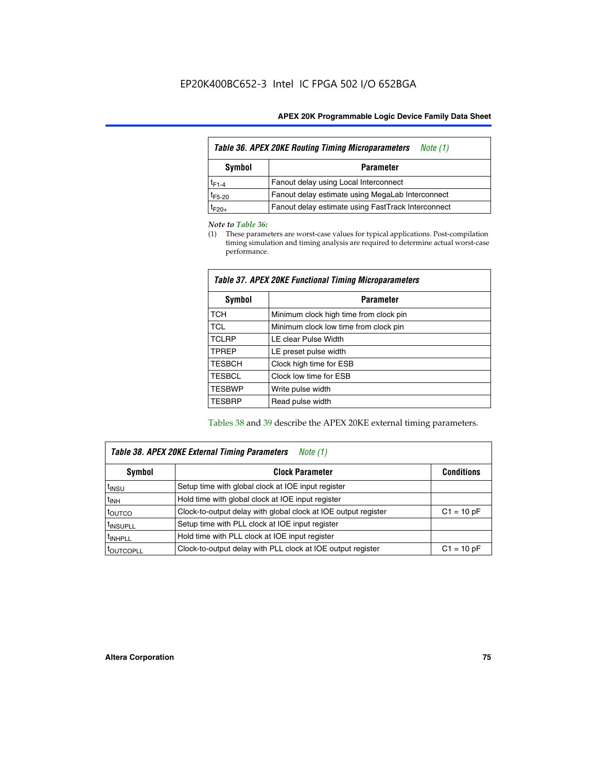| Table 36. APEX 20KE Routing Timing Microparameters<br>Note (1) |                                                    |  |  |  |  |
|----------------------------------------------------------------|----------------------------------------------------|--|--|--|--|
| Symbol<br><b>Parameter</b>                                     |                                                    |  |  |  |  |
| $t_{F1-4}$                                                     | Fanout delay using Local Interconnect              |  |  |  |  |
| $t_{F5-20}$                                                    | Fanout delay estimate using MegaLab Interconnect   |  |  |  |  |
| t <sub>F20+</sub>                                              | Fanout delay estimate using FastTrack Interconnect |  |  |  |  |

#### *Note to Table 36:*

(1) These parameters are worst-case values for typical applications. Post-compilation timing simulation and timing analysis are required to determine actual worst-case performance.

| Symbol        | <b>Parameter</b>                       |
|---------------|----------------------------------------|
| <b>TCH</b>    | Minimum clock high time from clock pin |
| <b>TCL</b>    | Minimum clock low time from clock pin  |
| <b>TCLRP</b>  | LE clear Pulse Width                   |
| <b>TPREP</b>  | LE preset pulse width                  |
| <b>TESBCH</b> | Clock high time for ESB                |
| <b>TESBCL</b> | Clock low time for ESB                 |
| <b>TESBWP</b> | Write pulse width                      |
| <b>TESBRP</b> | Read pulse width                       |

### *Table 37. APEX 20KE Functional Timing Microparameters*

Tables 38 and 39 describe the APEX 20KE external timing parameters.

| Table 38. APEX 20KE External Timing Parameters<br>Note (1) |                                                                |              |  |  |  |
|------------------------------------------------------------|----------------------------------------------------------------|--------------|--|--|--|
| <b>Clock Parameter</b><br>Symbol<br><b>Conditions</b>      |                                                                |              |  |  |  |
| <sup>t</sup> insu                                          | Setup time with global clock at IOE input register             |              |  |  |  |
| $t_{\text{INH}}$                                           | Hold time with global clock at IOE input register              |              |  |  |  |
| toutco                                                     | Clock-to-output delay with global clock at IOE output register | $C1 = 10 pF$ |  |  |  |
| <sup>t</sup> INSUPLL                                       | Setup time with PLL clock at IOE input register                |              |  |  |  |
| <sup>t</sup> INHPLL                                        | Hold time with PLL clock at IOE input register                 |              |  |  |  |
| <sup>I</sup> OUTCOPLL                                      | Clock-to-output delay with PLL clock at IOE output register    | $C1 = 10 pF$ |  |  |  |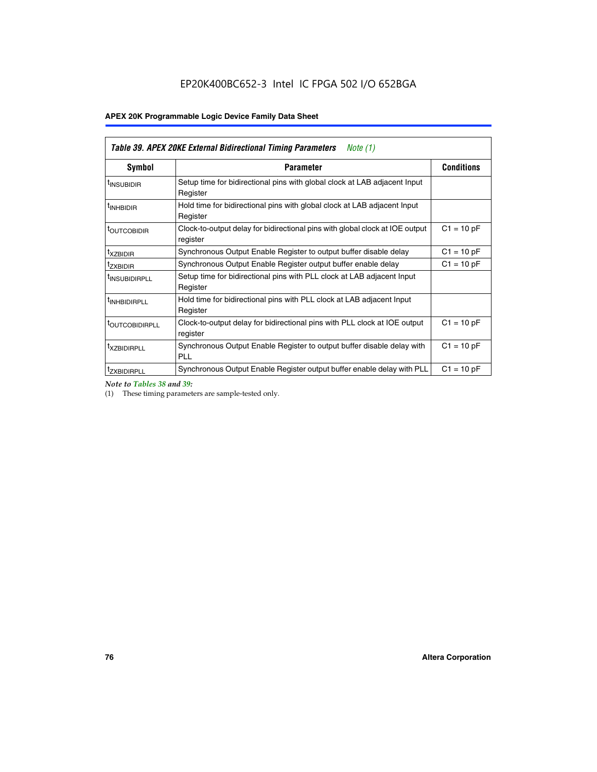| Table 39. APEX 20KE External Bidirectional Timing Parameters<br>Note $(1)$ |                                                                                                          |              |  |  |  |  |  |  |
|----------------------------------------------------------------------------|----------------------------------------------------------------------------------------------------------|--------------|--|--|--|--|--|--|
| Symbol                                                                     | <b>Conditions</b><br><b>Parameter</b>                                                                    |              |  |  |  |  |  |  |
| <sup>t</sup> INSUBIDIR                                                     | Setup time for bidirectional pins with global clock at LAB adjacent Input<br>Register                    |              |  |  |  |  |  |  |
| <sup>t</sup> INHBIDIR                                                      | Hold time for bidirectional pins with global clock at LAB adjacent Input<br>Register                     |              |  |  |  |  |  |  |
| <b><i>LOUTCOBIDIR</i></b>                                                  | $C1 = 10 pF$<br>Clock-to-output delay for bidirectional pins with global clock at IOE output<br>register |              |  |  |  |  |  |  |
| t <sub>XZBIDIR</sub>                                                       | $C1 = 10 pF$<br>Synchronous Output Enable Register to output buffer disable delay                        |              |  |  |  |  |  |  |
| <sup>t</sup> zxbidir                                                       | Synchronous Output Enable Register output buffer enable delay                                            | $C1 = 10 pF$ |  |  |  |  |  |  |
| <sup>I</sup> INSUBIDIRPLL                                                  | Setup time for bidirectional pins with PLL clock at LAB adjacent Input<br>Register                       |              |  |  |  |  |  |  |
| <sup>t</sup> INHBIDIRPLL                                                   | Hold time for bidirectional pins with PLL clock at LAB adjacent Input<br>Register                        |              |  |  |  |  |  |  |
| <sup>t</sup> OUTCOBIDIRPLL                                                 | Clock-to-output delay for bidirectional pins with PLL clock at IOE output<br>register                    | $C1 = 10 pF$ |  |  |  |  |  |  |
| <sup>t</sup> XZBIDIRPLL                                                    | Synchronous Output Enable Register to output buffer disable delay with<br><b>PLL</b>                     | $C1 = 10 pF$ |  |  |  |  |  |  |
| <sup>I</sup> ZXBIDIRPLL                                                    | Synchronous Output Enable Register output buffer enable delay with PLL                                   | $C1 = 10 pF$ |  |  |  |  |  |  |

*Note to Tables 38 and 39:*

(1) These timing parameters are sample-tested only.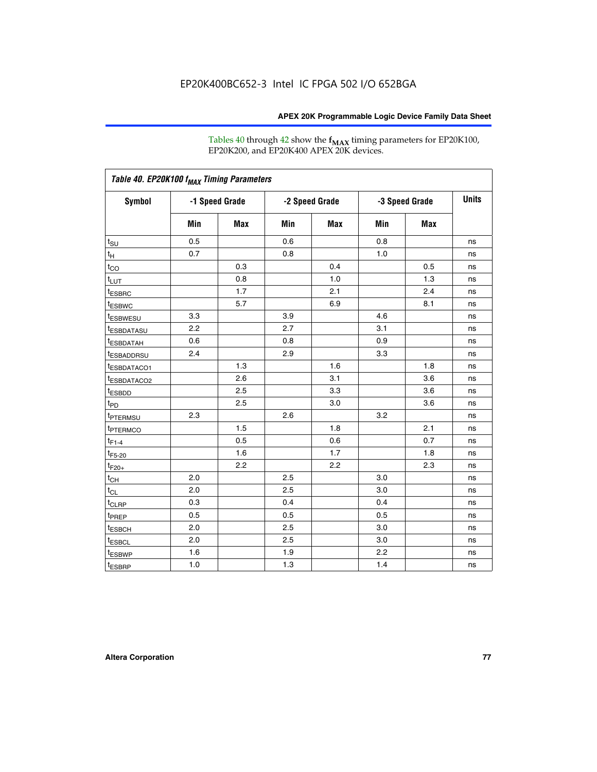Tables 40 through 42 show the **f<sub>MAX</sub>** timing parameters for EP20K100, EP20K200, and EP20K400 APEX 20K devices.

| Table 40. EP20K100 f <sub>MAX</sub> Timing Parameters |                |     |                |     |                |            |              |
|-------------------------------------------------------|----------------|-----|----------------|-----|----------------|------------|--------------|
| <b>Symbol</b>                                         | -1 Speed Grade |     | -2 Speed Grade |     | -3 Speed Grade |            | <b>Units</b> |
|                                                       | Min            | Max | Min            | Max | Min            | <b>Max</b> |              |
| $t_{\text{SU}}$                                       | 0.5            |     | 0.6            |     | 0.8            |            | ns           |
| $t_H$                                                 | 0.7            |     | 0.8            |     | 1.0            |            | ns           |
| $t_{CO}$                                              |                | 0.3 |                | 0.4 |                | 0.5        | ns           |
| $t_{LUT}$                                             |                | 0.8 |                | 1.0 |                | 1.3        | ns           |
| <sup>t</sup> ESBRC                                    |                | 1.7 |                | 2.1 |                | 2.4        | ns           |
| t <sub>ESBWC</sub>                                    |                | 5.7 |                | 6.9 |                | 8.1        | ns           |
| t <sub>ESBWESU</sub>                                  | 3.3            |     | 3.9            |     | 4.6            |            | ns           |
| <sup>t</sup> ESBDATASU                                | 2.2            |     | 2.7            |     | 3.1            |            | ns           |
| <sup>t</sup> ESBDATAH                                 | 0.6            |     | 0.8            |     | 0.9            |            | ns           |
| <sup>t</sup> ESBADDRSU                                | 2.4            |     | 2.9            |     | 3.3            |            | ns           |
| <sup>t</sup> ESBDATACO1                               |                | 1.3 |                | 1.6 |                | 1.8        | ns           |
| t <sub>ESBDATACO2</sub>                               |                | 2.6 |                | 3.1 |                | 3.6        | ns           |
| t <sub>ESBDD</sub>                                    |                | 2.5 |                | 3.3 |                | 3.6        | ns           |
| $t_{PD}$                                              |                | 2.5 |                | 3.0 |                | 3.6        | ns           |
| t <sub>PTERMSU</sub>                                  | 2.3            |     | 2.6            |     | 3.2            |            | ns           |
| t <sub>PTERMCO</sub>                                  |                | 1.5 |                | 1.8 |                | 2.1        | ns           |
| $t_{F1-4}$                                            |                | 0.5 |                | 0.6 |                | 0.7        | ns           |
| $t_{F5-20}$                                           |                | 1.6 |                | 1.7 |                | 1.8        | ns           |
| $t_{F20+}$                                            |                | 2.2 |                | 2.2 |                | 2.3        | ns           |
| $t_{\mathsf{CH}}$                                     | 2.0            |     | 2.5            |     | 3.0            |            | ns           |
| $t_{CL}$                                              | 2.0            |     | 2.5            |     | 3.0            |            | ns           |
| t <sub>CLRP</sub>                                     | 0.3            |     | 0.4            |     | 0.4            |            | ns           |
| t <sub>PREP</sub>                                     | 0.5            |     | 0.5            |     | 0.5            |            | ns           |
| <sup>t</sup> ESBCH                                    | 2.0            |     | 2.5            |     | 3.0            |            | ns           |
| <b>t</b> ESBCL                                        | 2.0            |     | 2.5            |     | 3.0            |            | ns           |
| t <sub>ESBWP</sub>                                    | 1.6            |     | 1.9            |     | 2.2            |            | ns           |
| $t_{ESBRP}$                                           | 1.0            |     | 1.3            |     | 1.4            |            | ns           |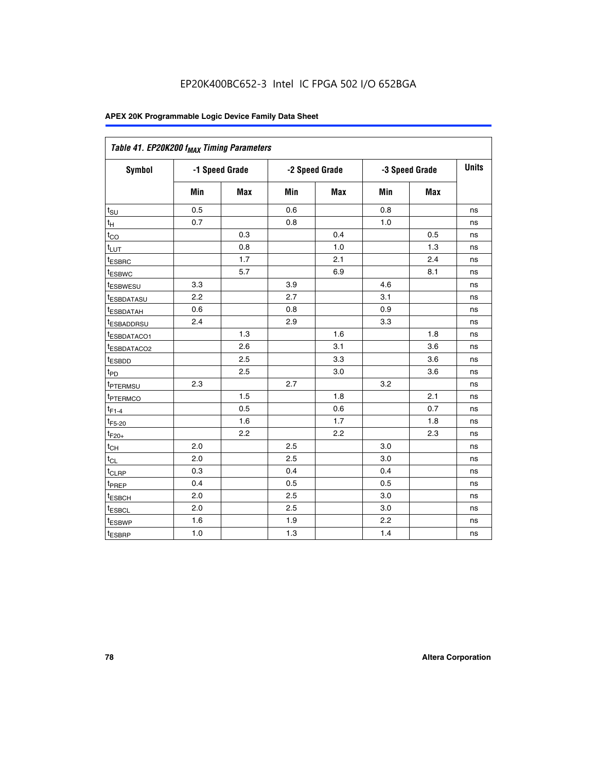| Table 41. EP20K200 f <sub>MAX</sub> Timing Parameters |                |     |     |                |     |                |    |
|-------------------------------------------------------|----------------|-----|-----|----------------|-----|----------------|----|
| Symbol                                                | -1 Speed Grade |     |     | -2 Speed Grade |     | -3 Speed Grade |    |
|                                                       | Min            | Max | Min | <b>Max</b>     | Min | Max            |    |
| $t_{\text{SU}}$                                       | 0.5            |     | 0.6 |                | 0.8 |                | ns |
| $t_H$                                                 | 0.7            |     | 0.8 |                | 1.0 |                | ns |
| $t_{CO}$                                              |                | 0.3 |     | 0.4            |     | 0.5            | ns |
| $t_{LUT}$                                             |                | 0.8 |     | 1.0            |     | 1.3            | ns |
| t <sub>ESBRC</sub>                                    |                | 1.7 |     | 2.1            |     | 2.4            | ns |
| t <sub>ESBWC</sub>                                    |                | 5.7 |     | 6.9            |     | 8.1            | ns |
| t <sub>ESBWESU</sub>                                  | 3.3            |     | 3.9 |                | 4.6 |                | ns |
| <sup>t</sup> ESBDATASU                                | 2.2            |     | 2.7 |                | 3.1 |                | ns |
| t <sub>ESBDATAH</sub>                                 | 0.6            |     | 0.8 |                | 0.9 |                | ns |
| t <sub>ESBADDRSU</sub>                                | 2.4            |     | 2.9 |                | 3.3 |                | ns |
| <u>t<sub>ESBDATACO1</sub></u>                         |                | 1.3 |     | 1.6            |     | 1.8            | ns |
| <sup>t</sup> ESBDATACO2                               |                | 2.6 |     | 3.1            |     | 3.6            | ns |
| t <sub>ESBDD</sub>                                    |                | 2.5 |     | 3.3            |     | 3.6            | ns |
| t <sub>PD</sub>                                       |                | 2.5 |     | 3.0            |     | 3.6            | ns |
| t <sub>PTERMSU</sub>                                  | 2.3            |     | 2.7 |                | 3.2 |                | ns |
| t <sub>PTERMCO</sub>                                  |                | 1.5 |     | 1.8            |     | 2.1            | ns |
| $t_{F1-4}$                                            |                | 0.5 |     | 0.6            |     | 0.7            | ns |
| $t_{F5-20}$                                           |                | 1.6 |     | 1.7            |     | 1.8            | ns |
| $t_{F20+}$                                            |                | 2.2 |     | 2.2            |     | 2.3            | ns |
| $\textnormal{t}_{\textnormal{CH}}$                    | 2.0            |     | 2.5 |                | 3.0 |                | ns |
| $t_{CL}$                                              | 2.0            |     | 2.5 |                | 3.0 |                | ns |
| t <sub>CLRP</sub>                                     | 0.3            |     | 0.4 |                | 0.4 |                | ns |
| t <sub>PREP</sub>                                     | 0.4            |     | 0.5 |                | 0.5 |                | ns |
| t <sub>ESBCH</sub>                                    | 2.0            |     | 2.5 |                | 3.0 |                | ns |
| t <sub>ESBCL</sub>                                    | 2.0            |     | 2.5 |                | 3.0 |                | ns |
| t <sub>ESBWP</sub>                                    | 1.6            |     | 1.9 |                | 2.2 |                | ns |
| t <sub>ESBRP</sub>                                    | 1.0            |     | 1.3 |                | 1.4 |                | ns |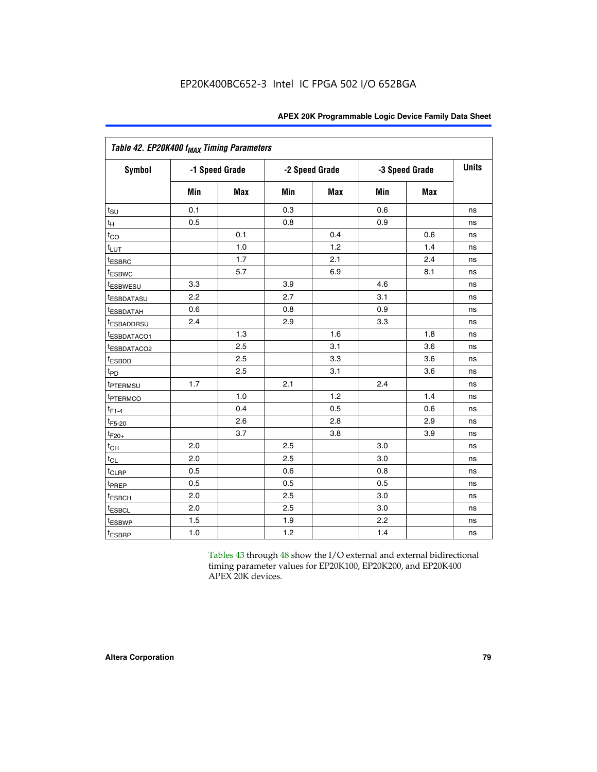| Table 42. EP20K400 f <sub>MAX</sub> Timing Parameters |     |                |                |            |     |                |              |  |
|-------------------------------------------------------|-----|----------------|----------------|------------|-----|----------------|--------------|--|
| <b>Symbol</b>                                         |     | -1 Speed Grade | -2 Speed Grade |            |     | -3 Speed Grade | <b>Units</b> |  |
|                                                       | Min | Max            | Min            | <b>Max</b> | Min | <b>Max</b>     |              |  |
| $t_{\text{SU}}$                                       | 0.1 |                | 0.3            |            | 0.6 |                | ns           |  |
| $t_H$                                                 | 0.5 |                | 0.8            |            | 0.9 |                | ns           |  |
| $t_{CO}$                                              |     | 0.1            |                | 0.4        |     | 0.6            | ns           |  |
| $t_{LUT}$                                             |     | 1.0            |                | 1.2        |     | 1.4            | ns           |  |
| t <sub>ESBRC</sub>                                    |     | 1.7            |                | 2.1        |     | 2.4            | ns           |  |
| t <sub>ESBWC</sub>                                    |     | 5.7            |                | 6.9        |     | 8.1            | ns           |  |
| <i>t</i> ESBWESU                                      | 3.3 |                | 3.9            |            | 4.6 |                | ns           |  |
| <i>t</i> ESBDATASU                                    | 2.2 |                | 2.7            |            | 3.1 |                | ns           |  |
| <sup>t</sup> ESBDATAH                                 | 0.6 |                | 0.8            |            | 0.9 |                | ns           |  |
| <sup>t</sup> ESBADDRSU                                | 2.4 |                | 2.9            |            | 3.3 |                | ns           |  |
| t <sub>ESBDATACO1</sub>                               |     | 1.3            |                | 1.6        |     | 1.8            | ns           |  |
| t <sub>ESBDATACO2</sub>                               |     | 2.5            |                | 3.1        |     | 3.6            | ns           |  |
| t <sub>ESBDD</sub>                                    |     | 2.5            |                | 3.3        |     | 3.6            | ns           |  |
| t <sub>PD</sub>                                       |     | 2.5            |                | 3.1        |     | 3.6            | ns           |  |
| t <sub>PTERMSU</sub>                                  | 1.7 |                | 2.1            |            | 2.4 |                | ns           |  |
| <sup>t</sup> PTERMCO                                  |     | 1.0            |                | 1.2        |     | 1.4            | ns           |  |
| $t_{F1-4}$                                            |     | 0.4            |                | 0.5        |     | 0.6            | ns           |  |
| $t_{F5-20}$                                           |     | 2.6            |                | 2.8        |     | 2.9            | ns           |  |
| $t_{F20+}$                                            |     | 3.7            |                | 3.8        |     | 3.9            | ns           |  |
| $t_{CH}$                                              | 2.0 |                | 2.5            |            | 3.0 |                | ns           |  |
| $t_{CL}$                                              | 2.0 |                | 2.5            |            | 3.0 |                | ns           |  |
| $t_{CLRP}$                                            | 0.5 |                | 0.6            |            | 0.8 |                | ns           |  |
| t <sub>PREP</sub>                                     | 0.5 |                | 0.5            |            | 0.5 |                | ns           |  |
| <sup>t</sup> ESBCH                                    | 2.0 |                | 2.5            |            | 3.0 |                | ns           |  |
| t <sub>ESBCL</sub>                                    | 2.0 |                | 2.5            |            | 3.0 |                | ns           |  |
| t <sub>ESBWP</sub>                                    | 1.5 |                | 1.9            |            | 2.2 |                | ns           |  |
| t <sub>ESBRP</sub>                                    | 1.0 |                | 1.2            |            | 1.4 |                | ns           |  |

Tables 43 through 48 show the I/O external and external bidirectional timing parameter values for EP20K100, EP20K200, and EP20K400 APEX 20K devices.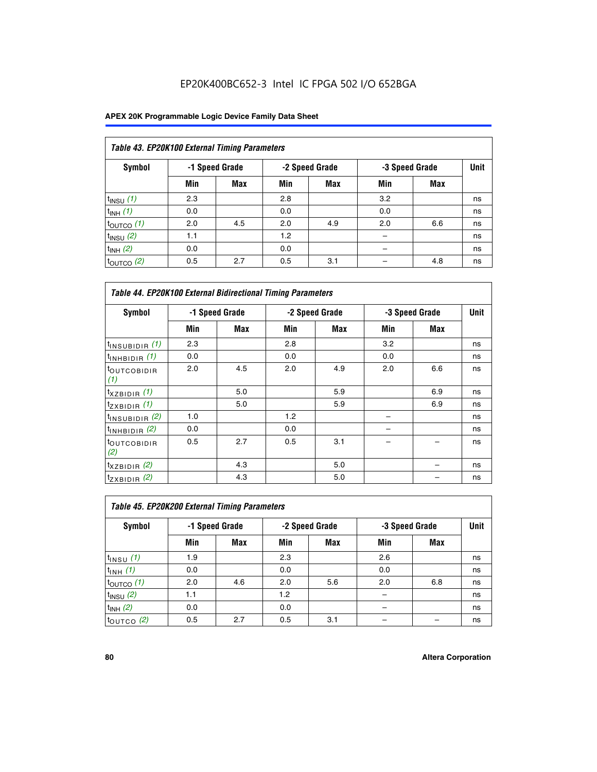| Table 43. EP20K100 External Timing Parameters |     |                |     |                |     |                |             |  |  |  |
|-----------------------------------------------|-----|----------------|-----|----------------|-----|----------------|-------------|--|--|--|
| Symbol                                        |     | -1 Speed Grade |     | -2 Speed Grade |     | -3 Speed Grade | <b>Unit</b> |  |  |  |
|                                               | Min | Max            | Min | <b>Max</b>     | Min | <b>Max</b>     |             |  |  |  |
| $t_{INSU}$ (1)                                | 2.3 |                | 2.8 |                | 3.2 |                | ns          |  |  |  |
| $t_{INH}$ (1)                                 | 0.0 |                | 0.0 |                | 0.0 |                | ns          |  |  |  |
| $t_{\text{OUTCO}}(1)$                         | 2.0 | 4.5            | 2.0 | 4.9            | 2.0 | 6.6            | ns          |  |  |  |
| $t_{INSU}(2)$                                 | 1.1 |                | 1.2 |                |     |                | ns          |  |  |  |
| $t_{INH}$ (2)                                 | 0.0 |                | 0.0 |                |     |                | ns          |  |  |  |
| $t_{\text{OUTCO}}$ (2)                        | 0.5 | 2.7            | 0.5 | 3.1            |     | 4.8            | ns          |  |  |  |

| <b>Table 44. EP20K100 External Bidirectional Timing Parameters</b> |     |                |     |                |     |                |    |
|--------------------------------------------------------------------|-----|----------------|-----|----------------|-----|----------------|----|
| Symbol                                                             |     | -1 Speed Grade |     | -2 Speed Grade |     | -3 Speed Grade |    |
|                                                                    | Min | Max            | Min | Max            | Min | Max            |    |
| $t_{\text{INSUBIDIR}}(1)$                                          | 2.3 |                | 2.8 |                | 3.2 |                | ns |
| $t_{INHBIDIR}$ (1)                                                 | 0.0 |                | 0.0 |                | 0.0 |                | ns |
| <sup>t</sup> OUTCOBIDIR<br>(1)                                     | 2.0 | 4.5            | 2.0 | 4.9            | 2.0 | 6.6            | ns |
| $t_{XZBIDIR}$ (1)                                                  |     | 5.0            |     | 5.9            |     | 6.9            | ns |
| $t_{ZXBIDIR}$ (1)                                                  |     | 5.0            |     | 5.9            |     | 6.9            | ns |
| $t_{INSUBIDIR}$ (2)                                                | 1.0 |                | 1.2 |                |     |                | ns |
| $t_{INHBIDIR}$ (2)                                                 | 0.0 |                | 0.0 |                |     |                | ns |
| <sup>t</sup> OUTCOBIDIR<br>(2)                                     | 0.5 | 2.7            | 0.5 | 3.1            |     |                | ns |
| $t_{XZBIDIR}$ (2)                                                  |     | 4.3            |     | 5.0            |     |                | ns |
| $t_{ZXBIDIR}$ (2)                                                  |     | 4.3            |     | 5.0            |     |                | ns |

| Table 45. EP20K200 External Timing Parameters |                |            |     |                |     |                |      |  |  |  |  |
|-----------------------------------------------|----------------|------------|-----|----------------|-----|----------------|------|--|--|--|--|
| Symbol                                        | -1 Speed Grade |            |     | -2 Speed Grade |     | -3 Speed Grade | Unit |  |  |  |  |
|                                               | Min            | <b>Max</b> | Min | <b>Max</b>     | Min | <b>Max</b>     |      |  |  |  |  |
| $t$ <sub>INSU</sub> $(1)$                     | 1.9            |            | 2.3 |                | 2.6 |                | ns   |  |  |  |  |
| $t_{INH}$ (1)                                 | 0.0            |            | 0.0 |                | 0.0 |                | ns   |  |  |  |  |
| $t_{\text{OUTCO}}(1)$                         | 2.0            | 4.6        | 2.0 | 5.6            | 2.0 | 6.8            | ns   |  |  |  |  |
| $t_{INSU}$ (2)                                | 1.1            |            | 1.2 |                |     |                | ns   |  |  |  |  |
| $t_{INH}$ (2)                                 | 0.0            |            | 0.0 |                |     |                | ns   |  |  |  |  |
| $t_{\text{OUTCO}}$ (2)                        | 0.5            | 2.7        | 0.5 | 3.1            |     |                | ns   |  |  |  |  |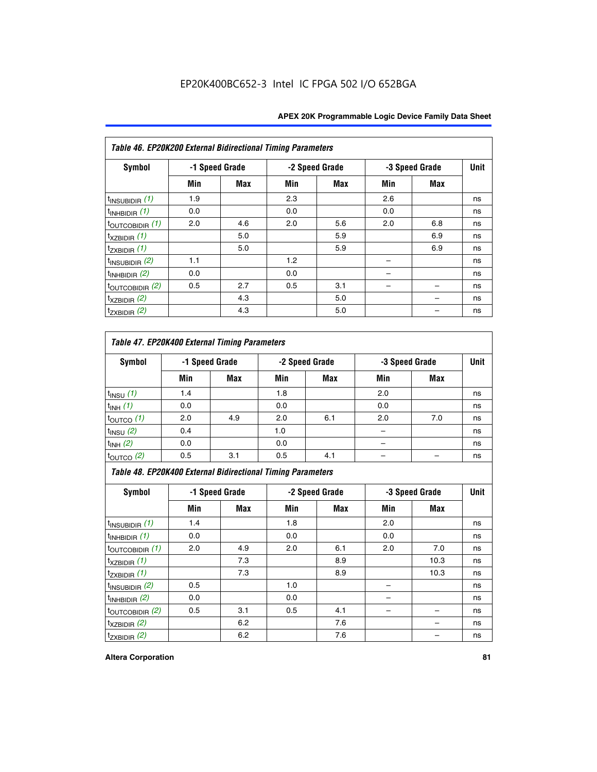| Table 46. EP20K200 External Bidirectional Timing Parameters |     |                |     |                |     |                |             |
|-------------------------------------------------------------|-----|----------------|-----|----------------|-----|----------------|-------------|
| Symbol                                                      |     | -1 Speed Grade |     | -2 Speed Grade |     | -3 Speed Grade | <b>Unit</b> |
|                                                             | Min | Max            | Min | Max            | Min | Max            |             |
| $t_{\text{INSUBIDIR}}(1)$                                   | 1.9 |                | 2.3 |                | 2.6 |                | ns          |
| $t_{INHBIDIR}$ (1)                                          | 0.0 |                | 0.0 |                | 0.0 |                | ns          |
| $t_{\text{OUTCOBIDIR}}(1)$                                  | 2.0 | 4.6            | 2.0 | 5.6            | 2.0 | 6.8            | ns          |
| $t_{XZBIDIR}$ (1)                                           |     | 5.0            |     | 5.9            |     | 6.9            | ns          |
| $t_{ZXBIDIR}$ (1)                                           |     | 5.0            |     | 5.9            |     | 6.9            | ns          |
| $t_{INSUBIDIR}$ (2)                                         | 1.1 |                | 1.2 |                |     |                | ns          |
| $t_{INHBIDIR}$ (2)                                          | 0.0 |                | 0.0 |                |     |                | ns          |
| $t_{\text{OUTCOBIDIR}}$ (2)                                 | 0.5 | 2.7            | 0.5 | 3.1            |     |                | ns          |
| $t_{XZBIDIR}$ (2)                                           |     | 4.3            |     | 5.0            |     |                | ns          |
| $t_{ZXBIDIR}$ (2)                                           |     | 4.3            |     | 5.0            |     |                | ns          |

## *Table 47. EP20K400 External Timing Parameters*

| Symbol                |     | -1 Speed Grade |     | -2 Speed Grade |     | -3 Speed Grade |    |
|-----------------------|-----|----------------|-----|----------------|-----|----------------|----|
|                       | Min | <b>Max</b>     | Min | <b>Max</b>     | Min | <b>Max</b>     |    |
| $t_{INSU}$ (1)        | 1.4 |                | 1.8 |                | 2.0 |                | ns |
| $t_{INH}$ (1)         | 0.0 |                | 0.0 |                | 0.0 |                | ns |
| $t_{\text{OUTCO}}(1)$ | 2.0 | 4.9            | 2.0 | 6.1            | 2.0 | 7.0            | ns |
| $t_{INSU}$ (2)        | 0.4 |                | 1.0 |                |     |                | ns |
| $t_{INH}$ (2)         | 0.0 |                | 0.0 |                |     |                | ns |
| $t_{\text{OUTCO}}(2)$ | 0.5 | 3.1            | 0.5 | 4.1            |     |                | ns |

*Table 48. EP20K400 External Bidirectional Timing Parameters*

| Symbol                      | -1 Speed Grade |     | -2 Speed Grade |     |     | -3 Speed Grade | <b>Unit</b> |
|-----------------------------|----------------|-----|----------------|-----|-----|----------------|-------------|
|                             | Min            | Max | Min            | Max | Min | <b>Max</b>     |             |
| $t_{\text{INSUBIDIR}}(1)$   | 1.4            |     | 1.8            |     | 2.0 |                | ns          |
| $t_{INHBIDIR}$ (1)          | 0.0            |     | 0.0            |     | 0.0 |                | ns          |
| $t_{\text{OUTCOBIDIR}}(1)$  | 2.0            | 4.9 | 2.0            | 6.1 | 2.0 | 7.0            | ns          |
| $t_{XZBIDIR}$ (1)           |                | 7.3 |                | 8.9 |     | 10.3           | ns          |
| $t_{ZXBIDIR}$ (1)           |                | 7.3 |                | 8.9 |     | 10.3           | ns          |
| $t_{\text{INSUBIDIR}}(2)$   | 0.5            |     | 1.0            |     |     |                | ns          |
| $t_{INHBIDIR}$ (2)          | 0.0            |     | 0.0            |     |     |                | ns          |
| $t_{\text{OUTCOBIDIR}}$ (2) | 0.5            | 3.1 | 0.5            | 4.1 |     |                | ns          |
| $t_{XZBIDIR}$ (2)           |                | 6.2 |                | 7.6 |     |                | ns          |
| $t_{ZXBIDIR}$ $(2)$         |                | 6.2 |                | 7.6 |     |                | ns          |

#### **Altera Corporation 81**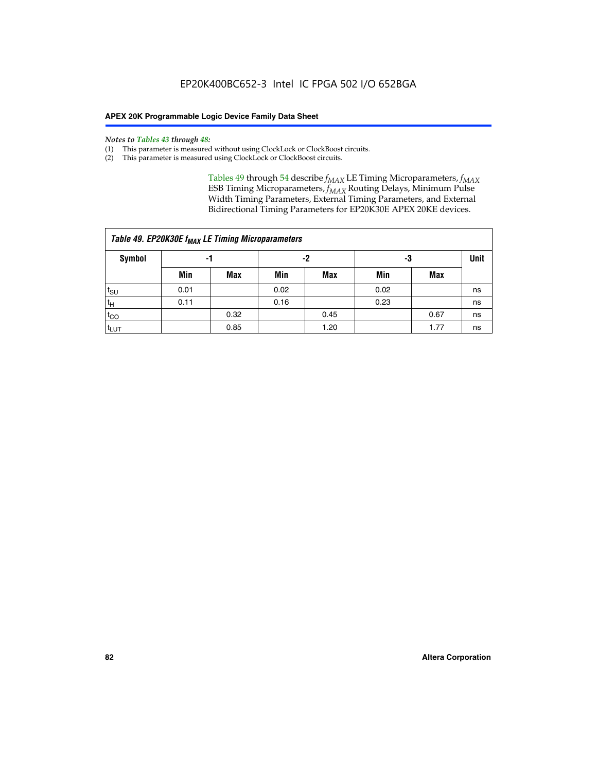#### *Notes to Tables 43 through 48:*

- (1) This parameter is measured without using ClockLock or ClockBoost circuits.
- (2) This parameter is measured using ClockLock or ClockBoost circuits.

Tables 49 through 54 describe  $f_{MAX}$  LE Timing Microparameters,  $f_{MAX}$ ESB Timing Microparameters, *f<sub>MAX</sub>* Routing Delays, Minimum Pulse Width Timing Parameters, External Timing Parameters, and External Bidirectional Timing Parameters for EP20K30E APEX 20KE devices.

| Table 49. EP20K30E f <sub>MAX</sub> LE Timing Microparameters |      |      |      |            |      |      |    |  |  |  |  |
|---------------------------------------------------------------|------|------|------|------------|------|------|----|--|--|--|--|
| <b>Symbol</b>                                                 |      | -1   |      | -2         |      | -3   |    |  |  |  |  |
|                                                               | Min  | Max  | Min  | <b>Max</b> | Min  | Max  |    |  |  |  |  |
| t <sub>SU</sub>                                               | 0.01 |      | 0.02 |            | 0.02 |      | ns |  |  |  |  |
| $t_H$                                                         | 0.11 |      | 0.16 |            | 0.23 |      | ns |  |  |  |  |
| $t_{CO}$                                                      |      | 0.32 |      | 0.45       |      | 0.67 | ns |  |  |  |  |
| t <sub>LUT</sub>                                              |      | 0.85 |      | 1.20       |      | 1.77 | ns |  |  |  |  |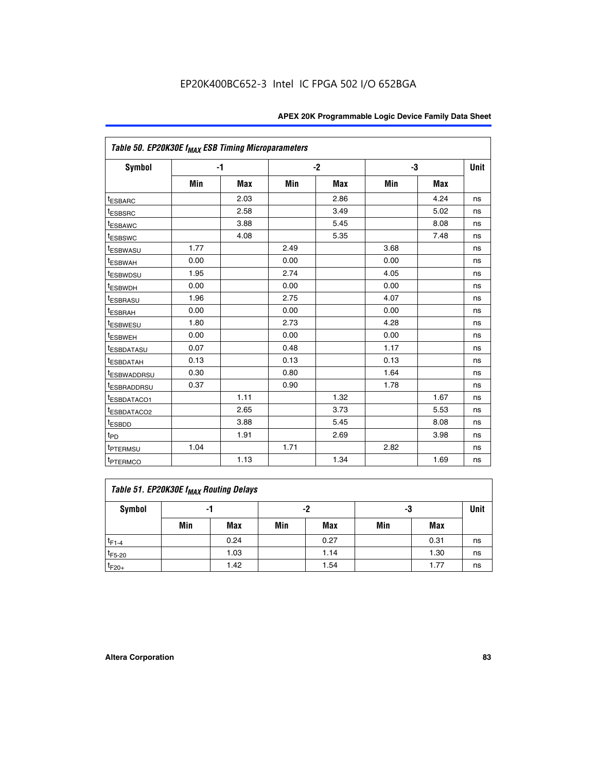| Table 50. EP20K30E f <sub>MAX</sub> ESB Timing Microparameters |      |      |      |            |      |            |             |
|----------------------------------------------------------------|------|------|------|------------|------|------------|-------------|
| Symbol                                                         |      | $-1$ |      | $-2$       | -3   |            | <b>Unit</b> |
|                                                                | Min  | Max  | Min  | <b>Max</b> | Min  | <b>Max</b> |             |
| <sup>t</sup> ESBARC                                            |      | 2.03 |      | 2.86       |      | 4.24       | ns          |
| <sup>t</sup> ESBSRC                                            |      | 2.58 |      | 3.49       |      | 5.02       | ns          |
| <sup>t</sup> ESBAWC                                            |      | 3.88 |      | 5.45       |      | 8.08       | ns          |
| <sup>t</sup> ESBSWC                                            |      | 4.08 |      | 5.35       |      | 7.48       | ns          |
| <b><i>ESBWASU</i></b>                                          | 1.77 |      | 2.49 |            | 3.68 |            | ns          |
| <sup>t</sup> ESBWAH                                            | 0.00 |      | 0.00 |            | 0.00 |            | ns          |
| <sup>t</sup> ESBWDSU                                           | 1.95 |      | 2.74 |            | 4.05 |            | ns          |
| t <sub>ESBWDH</sub>                                            | 0.00 |      | 0.00 |            | 0.00 |            | ns          |
| <b>ESBRASU</b>                                                 | 1.96 |      | 2.75 |            | 4.07 |            | ns          |
| <sup>t</sup> ESBRAH                                            | 0.00 |      | 0.00 |            | 0.00 |            | ns          |
| <i>t</i> ESBWESU                                               | 1.80 |      | 2.73 |            | 4.28 |            | ns          |
| <sup>t</sup> ESBWEH                                            | 0.00 |      | 0.00 |            | 0.00 |            | ns          |
| <sup>t</sup> ESBDATASU                                         | 0.07 |      | 0.48 |            | 1.17 |            | ns          |
| <sup>t</sup> ESBDATAH                                          | 0.13 |      | 0.13 |            | 0.13 |            | ns          |
| t <sub>ESBWADDRSU</sub>                                        | 0.30 |      | 0.80 |            | 1.64 |            | ns          |
| <sup>I</sup> ESBRADDRSU                                        | 0.37 |      | 0.90 |            | 1.78 |            | ns          |
| <sup>t</sup> ESBDATACO1                                        |      | 1.11 |      | 1.32       |      | 1.67       | ns          |
| <sup>t</sup> ESBDATACO2                                        |      | 2.65 |      | 3.73       |      | 5.53       | ns          |
| t <sub>ESBDD</sub>                                             |      | 3.88 |      | 5.45       |      | 8.08       | ns          |
| $t_{\text{PD}}$                                                |      | 1.91 |      | 2.69       |      | 3.98       | ns          |
| <sup>t</sup> PTERMSU                                           | 1.04 |      | 1.71 |            | 2.82 |            | ns          |
| t <sub>PTERMCO</sub>                                           |      | 1.13 |      | 1.34       |      | 1.69       | ns          |

## **Table 51. EP20K30E f<sub>MAX</sub> Routing Delays**

| Symbol      | - 1 |            | -2  |            | -3  |            | Unit |
|-------------|-----|------------|-----|------------|-----|------------|------|
|             | Min | <b>Max</b> | Min | <b>Max</b> | Min | <b>Max</b> |      |
| $t_{F1-4}$  |     | 0.24       |     | 0.27       |     | 0.31       | ns   |
| $t_{F5-20}$ |     | 1.03       |     | 1.14       |     | 1.30       | ns   |
| $t_{F20+}$  |     | 1.42       |     | 1.54       |     | 1.77       | ns   |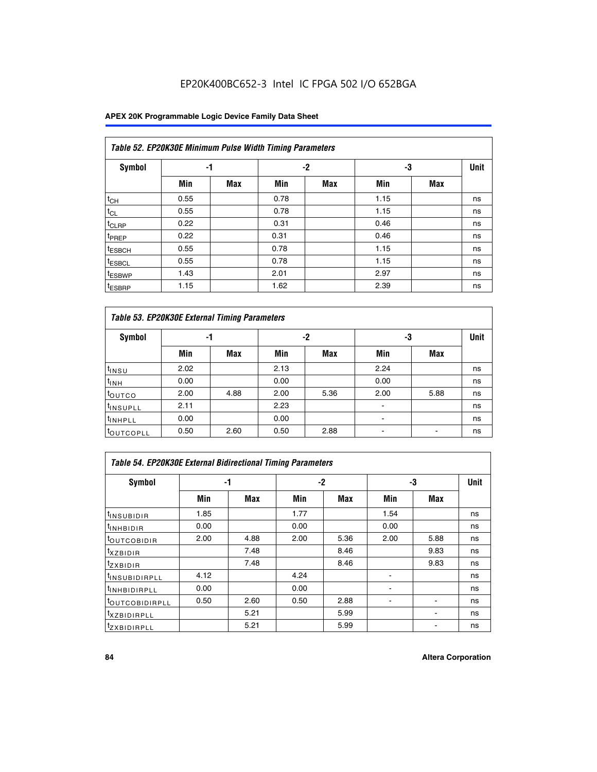### **APEX 20K Programmable Logic Device Family Data Sheet**

|                    | Table 52. EP20K30E Minimum Pulse Width Timing Parameters |            |      |            |      |            |    |  |  |  |  |  |
|--------------------|----------------------------------------------------------|------------|------|------------|------|------------|----|--|--|--|--|--|
| <b>Symbol</b>      | -1                                                       |            |      | $-2$       | -3   |            |    |  |  |  |  |  |
|                    | Min                                                      | <b>Max</b> | Min  | <b>Max</b> | Min  | <b>Max</b> |    |  |  |  |  |  |
| $t_{CH}$           | 0.55                                                     |            | 0.78 |            | 1.15 |            | ns |  |  |  |  |  |
| $t_{CL}$           | 0.55                                                     |            | 0.78 |            | 1.15 |            | ns |  |  |  |  |  |
| $t_{CLRP}$         | 0.22                                                     |            | 0.31 |            | 0.46 |            | ns |  |  |  |  |  |
| <sup>t</sup> PREP  | 0.22                                                     |            | 0.31 |            | 0.46 |            | ns |  |  |  |  |  |
| <sup>t</sup> ESBCH | 0.55                                                     |            | 0.78 |            | 1.15 |            | ns |  |  |  |  |  |
| <sup>t</sup> ESBCL | 0.55                                                     |            | 0.78 |            | 1.15 |            | ns |  |  |  |  |  |
| <sup>t</sup> ESBWP | 1.43                                                     |            | 2.01 |            | 2.97 |            | ns |  |  |  |  |  |
| <sup>t</sup> ESBRP | 1.15                                                     |            | 1.62 |            | 2.39 |            | ns |  |  |  |  |  |

|                      | Table 53. EP20K30E External Timing Parameters |            |      |            |                |            |             |  |  |  |  |  |
|----------------------|-----------------------------------------------|------------|------|------------|----------------|------------|-------------|--|--|--|--|--|
| <b>Symbol</b>        | -1                                            |            |      | -2         |                | -3         | <b>Unit</b> |  |  |  |  |  |
|                      | Min                                           | <b>Max</b> | Min  | <b>Max</b> | Min            | <b>Max</b> |             |  |  |  |  |  |
| t <sub>INSU</sub>    | 2.02                                          |            | 2.13 |            | 2.24           |            | ns          |  |  |  |  |  |
| $t_{\text{INH}}$     | 0.00                                          |            | 0.00 |            | 0.00           |            | ns          |  |  |  |  |  |
| toutco               | 2.00                                          | 4.88       | 2.00 | 5.36       | 2.00           | 5.88       | ns          |  |  |  |  |  |
| <sup>t</sup> INSUPLL | 2.11                                          |            | 2.23 |            |                |            | ns          |  |  |  |  |  |
| <sup>t</sup> INHPLL  | 0.00                                          |            | 0.00 |            | $\blacksquare$ |            | ns          |  |  |  |  |  |
| <b>LOUTCOPLL</b>     | 0.50                                          | 2.60       | 0.50 | 2.88       |                |            | ns          |  |  |  |  |  |

| Table 54. EP20K30E External Bidirectional Timing Parameters |      |      |      |      |                          |      |             |  |  |  |  |
|-------------------------------------------------------------|------|------|------|------|--------------------------|------|-------------|--|--|--|--|
| Symbol                                                      |      | -1   |      | $-2$ |                          | -3   | <b>Unit</b> |  |  |  |  |
|                                                             | Min  | Max  | Min  | Max  | Min                      | Max  |             |  |  |  |  |
| <sup>t</sup> INSUBIDIR                                      | 1.85 |      | 1.77 |      | 1.54                     |      | ns          |  |  |  |  |
| <b>INHBIDIR</b>                                             | 0.00 |      | 0.00 |      | 0.00                     |      | ns          |  |  |  |  |
| <b>LOUTCOBIDIR</b>                                          | 2.00 | 4.88 | 2.00 | 5.36 | 2.00                     | 5.88 | ns          |  |  |  |  |
| <sup>T</sup> XZBIDIR                                        |      | 7.48 |      | 8.46 |                          | 9.83 | ns          |  |  |  |  |
| <sup>t</sup> zxbidir                                        |      | 7.48 |      | 8.46 |                          | 9.83 | ns          |  |  |  |  |
| <sup>I</sup> INSUBIDIRPLL                                   | 4.12 |      | 4.24 |      | $\overline{\phantom{0}}$ |      | ns          |  |  |  |  |
| <b>INHBIDIRPLL</b>                                          | 0.00 |      | 0.00 |      |                          |      | ns          |  |  |  |  |
| <b><i>COUTCOBIDIRPLL</i></b>                                | 0.50 | 2.60 | 0.50 | 2.88 |                          |      | ns          |  |  |  |  |
| <sup>I</sup> XZBIDIRPLL                                     |      | 5.21 |      | 5.99 |                          |      | ns          |  |  |  |  |
| <sup>I</sup> ZXBIDIRPLL                                     |      | 5.21 |      | 5.99 |                          |      | ns          |  |  |  |  |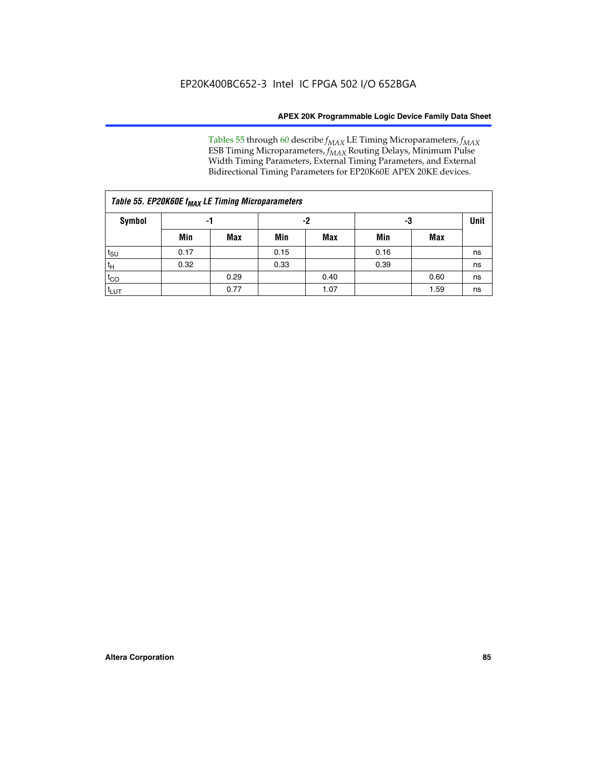Tables 55 through 60 describe *f<sub>MAX</sub>* LE Timing Microparameters, *f<sub>MAX</sub>* ESB Timing Microparameters, *f<sub>MAX</sub>* Routing Delays, Minimum Pulse Width Timing Parameters, External Timing Parameters, and External Bidirectional Timing Parameters for EP20K60E APEX 20KE devices.

| Table 55. EP20K60E f <sub>MAX</sub> LE Timing Microparameters |      |      |      |      |      |      |             |  |  |  |  |
|---------------------------------------------------------------|------|------|------|------|------|------|-------------|--|--|--|--|
| <b>Symbol</b>                                                 |      | -1   |      | -2   |      | -3   | <b>Unit</b> |  |  |  |  |
|                                                               | Min  | Max  | Min  | Max  | Min  | Max  |             |  |  |  |  |
| $t_{\text{SU}}$                                               | 0.17 |      | 0.15 |      | 0.16 |      | ns          |  |  |  |  |
| $t_H$                                                         | 0.32 |      | 0.33 |      | 0.39 |      | ns          |  |  |  |  |
| $t_{CO}$                                                      |      | 0.29 |      | 0.40 |      | 0.60 | ns          |  |  |  |  |
| t <sub>lut</sub>                                              |      | 0.77 |      | 1.07 |      | 1.59 | ns          |  |  |  |  |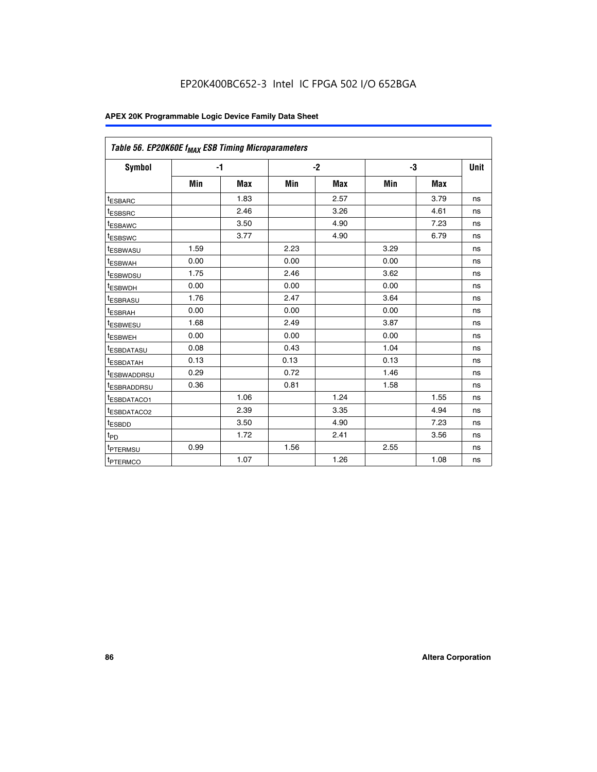| Table 56. EP20K60E f <sub>MAX</sub> ESB Timing Microparameters |      |            |      |            |      |            |             |
|----------------------------------------------------------------|------|------------|------|------------|------|------------|-------------|
| <b>Symbol</b>                                                  |      | $-1$       |      | $-2$       |      | -3         | <b>Unit</b> |
|                                                                | Min  | <b>Max</b> | Min  | <b>Max</b> | Min  | <b>Max</b> |             |
| <sup>t</sup> ESBARC                                            |      | 1.83       |      | 2.57       |      | 3.79       | ns          |
| t <sub>ESBSRC</sub>                                            |      | 2.46       |      | 3.26       |      | 4.61       | ns          |
| <sup>t</sup> ESBAWC                                            |      | 3.50       |      | 4.90       |      | 7.23       | ns          |
| <sup>t</sup> ESBSWC                                            |      | 3.77       |      | 4.90       |      | 6.79       | ns          |
| <sup>t</sup> ESBWASU                                           | 1.59 |            | 2.23 |            | 3.29 |            | ns          |
| <sup>t</sup> ESBWAH                                            | 0.00 |            | 0.00 |            | 0.00 |            | ns          |
| t <sub>ESBWDSU</sub>                                           | 1.75 |            | 2.46 |            | 3.62 |            | ns          |
| <sup>t</sup> ESBWDH                                            | 0.00 |            | 0.00 |            | 0.00 |            | ns          |
| t <sub>ESBRASU</sub>                                           | 1.76 |            | 2.47 |            | 3.64 |            | ns          |
| <sup>t</sup> ESBRAH                                            | 0.00 |            | 0.00 |            | 0.00 |            | ns          |
| t <sub>ESBWESU</sub>                                           | 1.68 |            | 2.49 |            | 3.87 |            | ns          |
| t <sub>ESBWEH</sub>                                            | 0.00 |            | 0.00 |            | 0.00 |            | ns          |
| <sup>t</sup> ESBDATASU                                         | 0.08 |            | 0.43 |            | 1.04 |            | ns          |
| t <sub>ESBDATAH</sub>                                          | 0.13 |            | 0.13 |            | 0.13 |            | ns          |
| <sup>t</sup> ESBWADDRSU                                        | 0.29 |            | 0.72 |            | 1.46 |            | ns          |
| <sup>t</sup> ESBRADDRSU                                        | 0.36 |            | 0.81 |            | 1.58 |            | ns          |
| <sup>I</sup> ESBDATACO1                                        |      | 1.06       |      | 1.24       |      | 1.55       | ns          |
| <sup>t</sup> ESBDATACO2                                        |      | 2.39       |      | 3.35       |      | 4.94       | ns          |
| <sup>t</sup> ESBDD                                             |      | 3.50       |      | 4.90       |      | 7.23       | ns          |
| t <sub>PD</sub>                                                |      | 1.72       |      | 2.41       |      | 3.56       | ns          |
| t <sub>PTERMSU</sub>                                           | 0.99 |            | 1.56 |            | 2.55 |            | ns          |
| t <sub>PTERMCO</sub>                                           |      | 1.07       |      | 1.26       |      | 1.08       | ns          |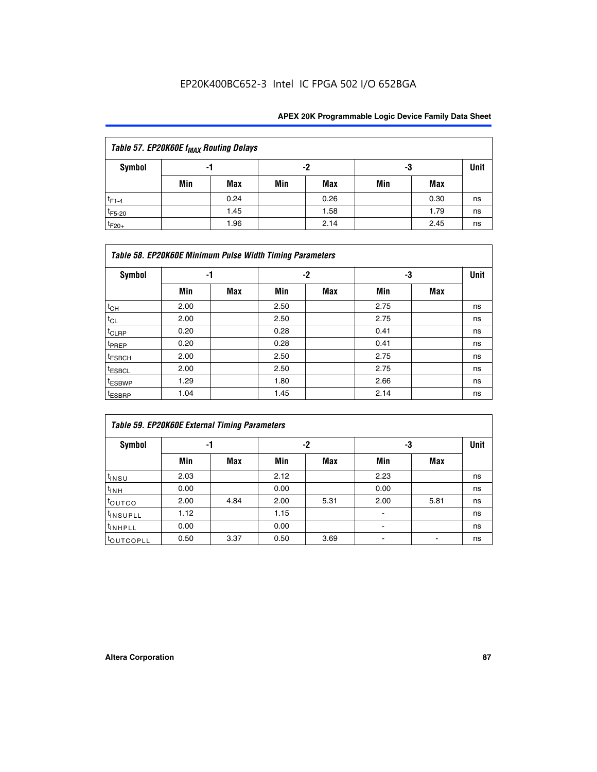| Table 57. EP20K60E f <sub>MAX</sub> Routing Delays |     |      |     |      |     |      |             |  |  |  |  |
|----------------------------------------------------|-----|------|-----|------|-----|------|-------------|--|--|--|--|
| Symbol                                             |     | -1   | -2  |      |     | -3   | <b>Unit</b> |  |  |  |  |
|                                                    | Min | Max  | Min | Max  | Min | Max  |             |  |  |  |  |
| $t_{F1-4}$                                         |     | 0.24 |     | 0.26 |     | 0.30 | ns          |  |  |  |  |
| $t_{F5-20}$                                        |     | 1.45 |     | 1.58 |     | 1.79 | ns          |  |  |  |  |
| $t_{F20+}$                                         |     | 1.96 |     | 2.14 |     | 2.45 | ns          |  |  |  |  |

|                    | Table 58. EP20K60E Minimum Pulse Width Timing Parameters |            |      |            |      |     |             |  |  |  |  |  |  |
|--------------------|----------------------------------------------------------|------------|------|------------|------|-----|-------------|--|--|--|--|--|--|
| Symbol             |                                                          | -1         |      | $-2$       |      | -3  | <b>Unit</b> |  |  |  |  |  |  |
|                    | Min                                                      | <b>Max</b> | Min  | <b>Max</b> | Min  | Max |             |  |  |  |  |  |  |
| $t_{CH}$           | 2.00                                                     |            | 2.50 |            | 2.75 |     | ns          |  |  |  |  |  |  |
| $t_{CL}$           | 2.00                                                     |            | 2.50 |            | 2.75 |     | ns          |  |  |  |  |  |  |
| t <sub>CLRP</sub>  | 0.20                                                     |            | 0.28 |            | 0.41 |     | ns          |  |  |  |  |  |  |
| t <sub>PREP</sub>  | 0.20                                                     |            | 0.28 |            | 0.41 |     | ns          |  |  |  |  |  |  |
| <sup>t</sup> ESBCH | 2.00                                                     |            | 2.50 |            | 2.75 |     | ns          |  |  |  |  |  |  |
| <sup>t</sup> ESBCL | 2.00                                                     |            | 2.50 |            | 2.75 |     | ns          |  |  |  |  |  |  |
| t <sub>ESBWP</sub> | 1.29                                                     |            | 1.80 |            | 2.66 |     | ns          |  |  |  |  |  |  |
| <sup>t</sup> ESBRP | 1.04                                                     |            | 1.45 |            | 2.14 |     | ns          |  |  |  |  |  |  |

| Table 59. EP20K60E External Timing Parameters |      |      |      |      |      |      |      |  |  |  |  |
|-----------------------------------------------|------|------|------|------|------|------|------|--|--|--|--|
| Symbol                                        | -1   |      |      | -2   | -3   |      | Unit |  |  |  |  |
|                                               | Min  | Max  | Min  | Max  | Min  | Max  |      |  |  |  |  |
| $t_{INSU}$                                    | 2.03 |      | 2.12 |      | 2.23 |      | ns   |  |  |  |  |
| t <sub>INH</sub>                              | 0.00 |      | 0.00 |      | 0.00 |      | ns   |  |  |  |  |
| toutco                                        | 2.00 | 4.84 | 2.00 | 5.31 | 2.00 | 5.81 | ns   |  |  |  |  |
| <sup>t</sup> INSUPLL                          | 1.12 |      | 1.15 |      |      |      | ns   |  |  |  |  |
| <sup>t</sup> INHPLL                           | 0.00 |      | 0.00 |      | ۰    |      | ns   |  |  |  |  |
| toutcopll                                     | 0.50 | 3.37 | 0.50 | 3.69 |      |      | ns   |  |  |  |  |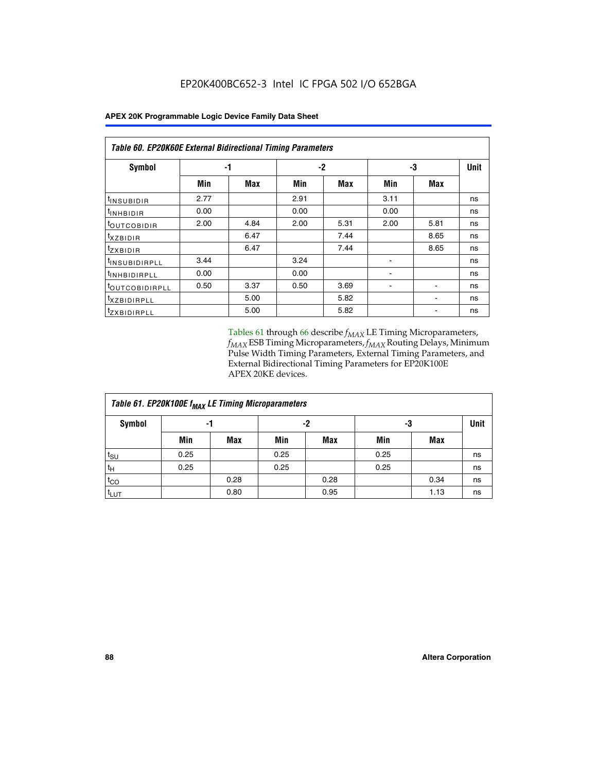| <b>Table 60. EP20K60E External Bidirectional Timing Parameters</b> |      |      |      |            |      |      |      |  |  |  |  |
|--------------------------------------------------------------------|------|------|------|------------|------|------|------|--|--|--|--|
| Symbol                                                             | -1   |      |      | $-2$       |      | -3   | Unit |  |  |  |  |
|                                                                    | Min  | Max  | Min  | <b>Max</b> | Min  | Max  |      |  |  |  |  |
| <sup>t</sup> insubidir                                             | 2.77 |      | 2.91 |            | 3.11 |      | ns   |  |  |  |  |
| <sup>t</sup> inhbidir                                              | 0.00 |      | 0.00 |            | 0.00 |      | ns   |  |  |  |  |
| <sup>t</sup> OUTCOBIDIR                                            | 2.00 | 4.84 | 2.00 | 5.31       | 2.00 | 5.81 | ns   |  |  |  |  |
| <sup>t</sup> xzbidir                                               |      | 6.47 |      | 7.44       |      | 8.65 | ns   |  |  |  |  |
| <sup>t</sup> zxbidir                                               |      | 6.47 |      | 7.44       |      | 8.65 | ns   |  |  |  |  |
| <sup>t</sup> insubidirpll                                          | 3.44 |      | 3.24 |            |      |      | ns   |  |  |  |  |
| <sup>t</sup> inhbidirpll                                           | 0.00 |      | 0.00 |            |      |      | ns   |  |  |  |  |
| t <sub>outcobidirpll</sub>                                         | 0.50 | 3.37 | 0.50 | 3.69       |      |      | ns   |  |  |  |  |
| <sup>t</sup> xzbidirpll                                            |      | 5.00 |      | 5.82       |      |      | ns   |  |  |  |  |
| <sup>t</sup> zxbidirpll                                            |      | 5.00 |      | 5.82       |      |      | ns   |  |  |  |  |

Tables 61 through 66 describe  $f_{MAX}$  LE Timing Microparameters, *fMAX* ESB Timing Microparameters, *fMAX* Routing Delays, Minimum Pulse Width Timing Parameters, External Timing Parameters, and External Bidirectional Timing Parameters for EP20K100E APEX 20KE devices.

| Table 61. EP20K100E f <sub>MAX</sub> LE Timing Microparameters |      |      |      |            |      |            |             |  |  |  |  |
|----------------------------------------------------------------|------|------|------|------------|------|------------|-------------|--|--|--|--|
| <b>Symbol</b>                                                  |      | -1   |      | -2         |      | -3         | <b>Unit</b> |  |  |  |  |
|                                                                | Min  | Max  | Min  | <b>Max</b> | Min  | <b>Max</b> |             |  |  |  |  |
| $t_{\text{SU}}$                                                | 0.25 |      | 0.25 |            | 0.25 |            | ns          |  |  |  |  |
| tμ                                                             | 0.25 |      | 0.25 |            | 0.25 |            | ns          |  |  |  |  |
| $t_{CO}$                                                       |      | 0.28 |      | 0.28       |      | 0.34       | ns          |  |  |  |  |
| t <sub>LUT</sub>                                               |      | 0.80 |      | 0.95       |      | 1.13       | ns          |  |  |  |  |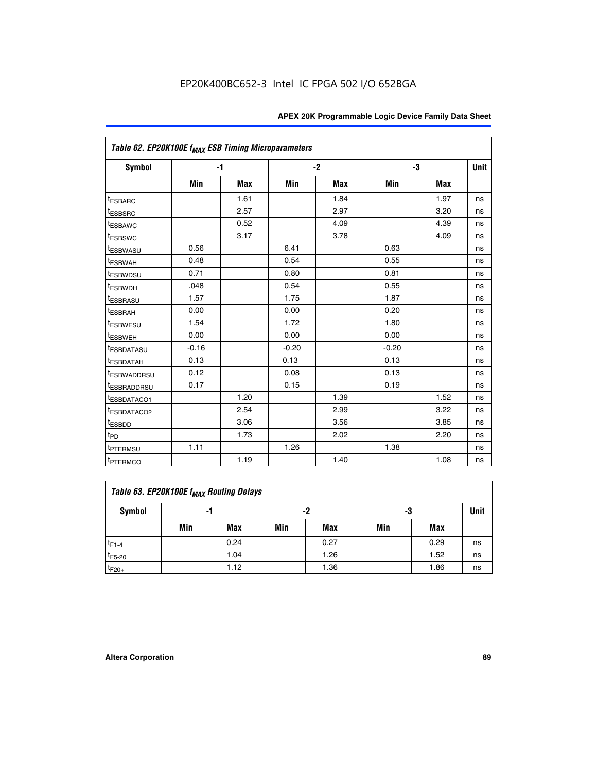|                         | Table 62. EP20K100E f <sub>MAX</sub> ESB Timing Microparameters |            |         |      |         |            |             |  |  |  |  |
|-------------------------|-----------------------------------------------------------------|------------|---------|------|---------|------------|-------------|--|--|--|--|
| <b>Symbol</b>           |                                                                 | $-1$       |         | $-2$ |         | -3         | <b>Unit</b> |  |  |  |  |
|                         | Min                                                             | <b>Max</b> | Min     | Max  | Min     | <b>Max</b> |             |  |  |  |  |
| <sup>t</sup> ESBARC     |                                                                 | 1.61       |         | 1.84 |         | 1.97       | ns          |  |  |  |  |
| <sup>t</sup> ESBSRC     |                                                                 | 2.57       |         | 2.97 |         | 3.20       | ns          |  |  |  |  |
| <sup>t</sup> ESBAWC     |                                                                 | 0.52       |         | 4.09 |         | 4.39       | ns          |  |  |  |  |
| <sup>t</sup> ESBSWC     |                                                                 | 3.17       |         | 3.78 |         | 4.09       | ns          |  |  |  |  |
| <sup>t</sup> ESBWASU    | 0.56                                                            |            | 6.41    |      | 0.63    |            | ns          |  |  |  |  |
| <sup>t</sup> ESBWAH     | 0.48                                                            |            | 0.54    |      | 0.55    |            | ns          |  |  |  |  |
| <sup>t</sup> ESBWDSU    | 0.71                                                            |            | 0.80    |      | 0.81    |            | ns          |  |  |  |  |
| t <sub>ESBWDH</sub>     | .048                                                            |            | 0.54    |      | 0.55    |            | ns          |  |  |  |  |
| <sup>t</sup> ESBRASU    | 1.57                                                            |            | 1.75    |      | 1.87    |            | ns          |  |  |  |  |
| t <sub>ESBRAH</sub>     | 0.00                                                            |            | 0.00    |      | 0.20    |            | ns          |  |  |  |  |
| <b>ESBWESU</b>          | 1.54                                                            |            | 1.72    |      | 1.80    |            | ns          |  |  |  |  |
| t <sub>ESBWEH</sub>     | 0.00                                                            |            | 0.00    |      | 0.00    |            | ns          |  |  |  |  |
| <sup>t</sup> ESBDATASU  | $-0.16$                                                         |            | $-0.20$ |      | $-0.20$ |            | ns          |  |  |  |  |
| <sup>t</sup> ESBDATAH   | 0.13                                                            |            | 0.13    |      | 0.13    |            | ns          |  |  |  |  |
| <sup>t</sup> ESBWADDRSU | 0.12                                                            |            | 0.08    |      | 0.13    |            | ns          |  |  |  |  |
| <sup>t</sup> ESBRADDRSU | 0.17                                                            |            | 0.15    |      | 0.19    |            | ns          |  |  |  |  |
| ESBDATACO1              |                                                                 | 1.20       |         | 1.39 |         | 1.52       | ns          |  |  |  |  |
| <sup>t</sup> ESBDATACO2 |                                                                 | 2.54       |         | 2.99 |         | 3.22       | ns          |  |  |  |  |
| <sup>t</sup> ESBDD      |                                                                 | 3.06       |         | 3.56 |         | 3.85       | ns          |  |  |  |  |
| t <sub>PD</sub>         |                                                                 | 1.73       |         | 2.02 |         | 2.20       | ns          |  |  |  |  |
| t <sub>PTERMSU</sub>    | 1.11                                                            |            | 1.26    |      | 1.38    |            | ns          |  |  |  |  |
| <sup>t</sup> PTERMCO    |                                                                 | 1.19       |         | 1.40 |         | 1.08       | ns          |  |  |  |  |

| Table 63. EP20K100E f <sub>MAX</sub> Routing Delays |                |      |     |            |     |      |             |  |  |  |
|-----------------------------------------------------|----------------|------|-----|------------|-----|------|-------------|--|--|--|
| Symbol                                              | -2<br>-3<br>-1 |      |     |            |     |      | <b>Unit</b> |  |  |  |
|                                                     | Min            | Max  | Min | <b>Max</b> | Min | Max  |             |  |  |  |
| $t_{F1-4}$                                          |                | 0.24 |     | 0.27       |     | 0.29 | ns          |  |  |  |
| $t_{F5-20}$                                         |                | 1.04 |     | 1.26       |     | 1.52 | ns          |  |  |  |
| $t_{F20+}$                                          |                | 1.12 |     | 1.36       |     | 1.86 | ns          |  |  |  |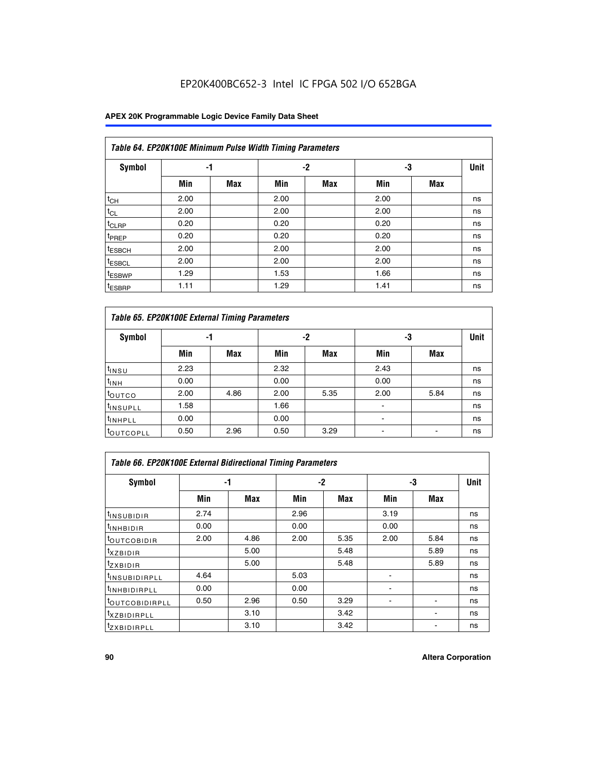|                    | Table 64. EP20K100E Minimum Pulse Width Timing Parameters |            |      |            |      |            |             |  |  |  |  |  |  |
|--------------------|-----------------------------------------------------------|------------|------|------------|------|------------|-------------|--|--|--|--|--|--|
| <b>Symbol</b>      | -1                                                        |            |      | $-2$       | -3   |            | <b>Unit</b> |  |  |  |  |  |  |
|                    | Min                                                       | <b>Max</b> | Min  | <b>Max</b> | Min  | <b>Max</b> |             |  |  |  |  |  |  |
| $t_{CH}$           | 2.00                                                      |            | 2.00 |            | 2.00 |            | ns          |  |  |  |  |  |  |
| $t_{CL}$           | 2.00                                                      |            | 2.00 |            | 2.00 |            | ns          |  |  |  |  |  |  |
| t <sub>CLRP</sub>  | 0.20                                                      |            | 0.20 |            | 0.20 |            | ns          |  |  |  |  |  |  |
| <sup>t</sup> PREP  | 0.20                                                      |            | 0.20 |            | 0.20 |            | ns          |  |  |  |  |  |  |
| <sup>t</sup> ESBCH | 2.00                                                      |            | 2.00 |            | 2.00 |            | ns          |  |  |  |  |  |  |
| <sup>t</sup> ESBCL | 2.00                                                      |            | 2.00 |            | 2.00 |            | ns          |  |  |  |  |  |  |
| <sup>t</sup> ESBWP | 1.29                                                      |            | 1.53 |            | 1.66 |            | ns          |  |  |  |  |  |  |
| <sup>t</sup> ESBRP | 1.11                                                      |            | 1.29 |            | 1.41 |            | ns          |  |  |  |  |  |  |

| Table 65. EP20K100E External Timing Parameters |      |            |      |            |                |            |    |  |  |  |  |
|------------------------------------------------|------|------------|------|------------|----------------|------------|----|--|--|--|--|
| <b>Symbol</b>                                  | -1   |            |      | -2         |                | -3         |    |  |  |  |  |
|                                                | Min  | <b>Max</b> | Min  | <b>Max</b> | Min            | <b>Max</b> |    |  |  |  |  |
| $t_{INSU}$                                     | 2.23 |            | 2.32 |            | 2.43           |            | ns |  |  |  |  |
| $t_{\rm INH}$                                  | 0.00 |            | 0.00 |            | 0.00           |            | ns |  |  |  |  |
| toutco                                         | 2.00 | 4.86       | 2.00 | 5.35       | 2.00           | 5.84       | ns |  |  |  |  |
| <sup>t</sup> INSUPLL                           | 1.58 |            | 1.66 |            |                |            | ns |  |  |  |  |
| <sup>t</sup> INHPLL                            | 0.00 |            | 0.00 |            | $\blacksquare$ |            | ns |  |  |  |  |
| <b>LOUTCOPLL</b>                               | 0.50 | 2.96       | 0.50 | 3.29       | -              |            | ns |  |  |  |  |

| <b>Table 66. EP20K100E External Bidirectional Timing Parameters</b> |      |      |      |      |      |                          |             |  |  |  |
|---------------------------------------------------------------------|------|------|------|------|------|--------------------------|-------------|--|--|--|
| Symbol                                                              | -1   |      | -2   |      | -3   |                          | <b>Unit</b> |  |  |  |
|                                                                     | Min  | Max  | Min  | Max  | Min  | Max                      |             |  |  |  |
| <sup>t</sup> INSUBIDIR                                              | 2.74 |      | 2.96 |      | 3.19 |                          | ns          |  |  |  |
| <sup>t</sup> INHBIDIR                                               | 0.00 |      | 0.00 |      | 0.00 |                          | ns          |  |  |  |
| <b>LOUTCOBIDIR</b>                                                  | 2.00 | 4.86 | 2.00 | 5.35 | 2.00 | 5.84                     | ns          |  |  |  |
| txzBIDIR                                                            |      | 5.00 |      | 5.48 |      | 5.89                     | ns          |  |  |  |
| <sup>t</sup> zxbidir                                                |      | 5.00 |      | 5.48 |      | 5.89                     | ns          |  |  |  |
| <sup>t</sup> INSUBIDIRPLL                                           | 4.64 |      | 5.03 |      |      |                          | ns          |  |  |  |
| <sup>t</sup> INHBIDIRPLL                                            | 0.00 |      | 0.00 |      |      |                          | ns          |  |  |  |
| <b><i>LOUTCOBIDIRPLL</i></b>                                        | 0.50 | 2.96 | 0.50 | 3.29 |      | $\overline{\phantom{a}}$ | ns          |  |  |  |
| <sup>t</sup> XZBIDIRPLL                                             |      | 3.10 |      | 3.42 |      |                          | ns          |  |  |  |
| <sup>I</sup> ZXBIDIRPLL                                             |      | 3.10 |      | 3.42 |      |                          | ns          |  |  |  |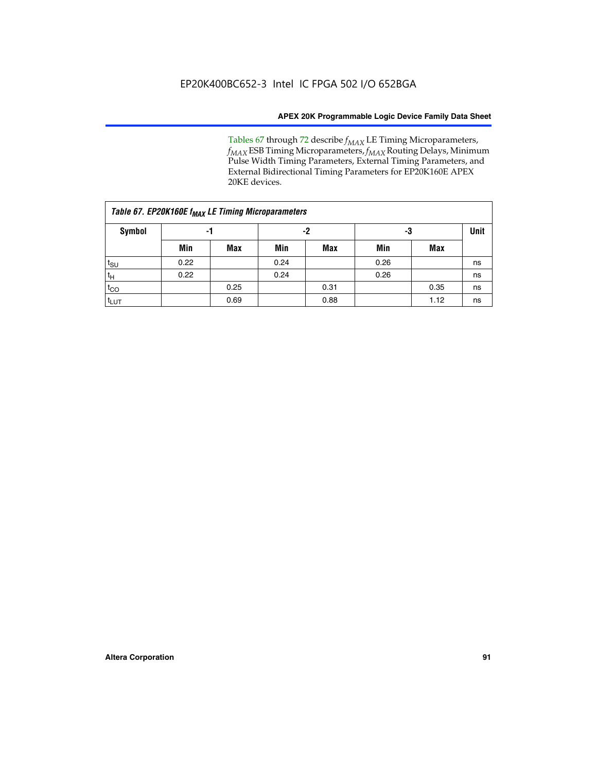Tables 67 through 72 describe *f<sub>MAX</sub>* LE Timing Microparameters, *f<sub>MAX</sub>* ESB Timing Microparameters, *f<sub>MAX</sub>* Routing Delays, Minimum Pulse Width Timing Parameters, External Timing Parameters, and External Bidirectional Timing Parameters for EP20K160E APEX 20KE devices.

|                  | Table 67. EP20K160E f <sub>MAX</sub> LE Timing Microparameters |            |      |            |      |      |             |  |  |  |  |  |
|------------------|----------------------------------------------------------------|------------|------|------------|------|------|-------------|--|--|--|--|--|
| Symbol           | -1                                                             |            |      | -2         | -3   |      | <b>Unit</b> |  |  |  |  |  |
|                  | Min                                                            | <b>Max</b> | Min  | <b>Max</b> | Min  | Max  |             |  |  |  |  |  |
| $t_{\text{SU}}$  | 0.22                                                           |            | 0.24 |            | 0.26 |      | ns          |  |  |  |  |  |
| $t_H$            | 0.22                                                           |            | 0.24 |            | 0.26 |      | ns          |  |  |  |  |  |
| $t_{CO}$         |                                                                | 0.25       |      | 0.31       |      | 0.35 | ns          |  |  |  |  |  |
| t <sub>lut</sub> |                                                                | 0.69       |      | 0.88       |      | 1.12 | ns          |  |  |  |  |  |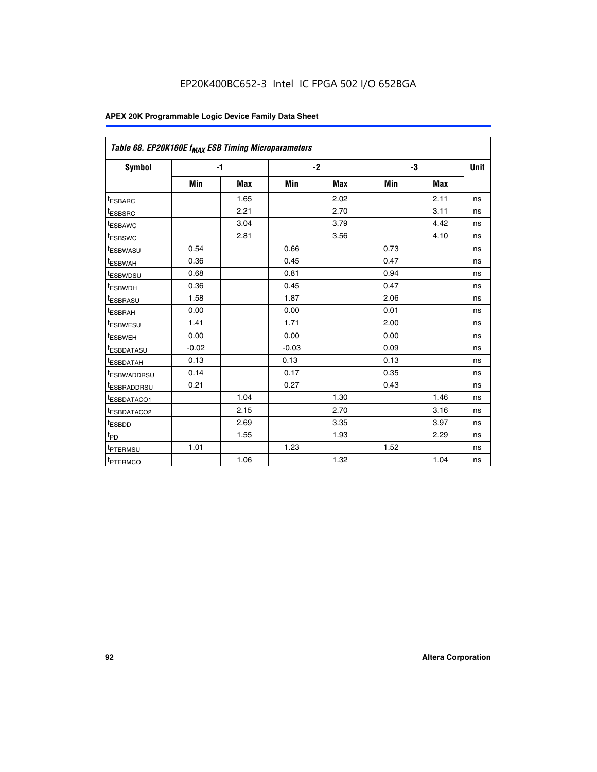| Table 68. EP20K160E f <sub>MAX</sub> ESB Timing Microparameters |         |            |         |            |      |      |      |
|-----------------------------------------------------------------|---------|------------|---------|------------|------|------|------|
| <b>Symbol</b>                                                   |         | $-1$       |         | $-2$       |      | -3   | Unit |
|                                                                 | Min     | <b>Max</b> | Min     | <b>Max</b> | Min  | Max  |      |
| <sup>t</sup> ESBARC                                             |         | 1.65       |         | 2.02       |      | 2.11 | ns   |
| t <sub>ESBSRC</sub>                                             |         | 2.21       |         | 2.70       |      | 3.11 | ns   |
| <sup>t</sup> ESBAWC                                             |         | 3.04       |         | 3.79       |      | 4.42 | ns   |
| t <sub>ESBSWC</sub>                                             |         | 2.81       |         | 3.56       |      | 4.10 | ns   |
| <sup>t</sup> ESBWASU                                            | 0.54    |            | 0.66    |            | 0.73 |      | ns   |
| <sup>t</sup> ESBWAH                                             | 0.36    |            | 0.45    |            | 0.47 |      | ns   |
| t <sub>ESBWDSU</sub>                                            | 0.68    |            | 0.81    |            | 0.94 |      | ns   |
| <sup>t</sup> ESBWDH                                             | 0.36    |            | 0.45    |            | 0.47 |      | ns   |
| t <sub>ESBRASU</sub>                                            | 1.58    |            | 1.87    |            | 2.06 |      | ns   |
| <sup>t</sup> ESBRAH                                             | 0.00    |            | 0.00    |            | 0.01 |      | ns   |
| <sup>t</sup> ESBWESU                                            | 1.41    |            | 1.71    |            | 2.00 |      | ns   |
| t <sub>ESBWEH</sub>                                             | 0.00    |            | 0.00    |            | 0.00 |      | ns   |
| t <sub>ESBDATASU</sub>                                          | $-0.02$ |            | $-0.03$ |            | 0.09 |      | ns   |
| t <sub>ESBDATAH</sub>                                           | 0.13    |            | 0.13    |            | 0.13 |      | ns   |
| t <sub>ESBWADDRSU</sub>                                         | 0.14    |            | 0.17    |            | 0.35 |      | ns   |
| <sup>t</sup> ESBRADDRSU                                         | 0.21    |            | 0.27    |            | 0.43 |      | ns   |
| <sup>I</sup> ESBDATACO1                                         |         | 1.04       |         | 1.30       |      | 1.46 | ns   |
| t <sub>ESBDATACO2</sub>                                         |         | 2.15       |         | 2.70       |      | 3.16 | ns   |
| <sup>t</sup> ESBDD                                              |         | 2.69       |         | 3.35       |      | 3.97 | ns   |
| $t_{\mathsf{PD}}$                                               |         | 1.55       |         | 1.93       |      | 2.29 | ns   |
| t <sub>PTERMSU</sub>                                            | 1.01    |            | 1.23    |            | 1.52 |      | ns   |
| t <sub>PTERMCO</sub>                                            |         | 1.06       |         | 1.32       |      | 1.04 | ns   |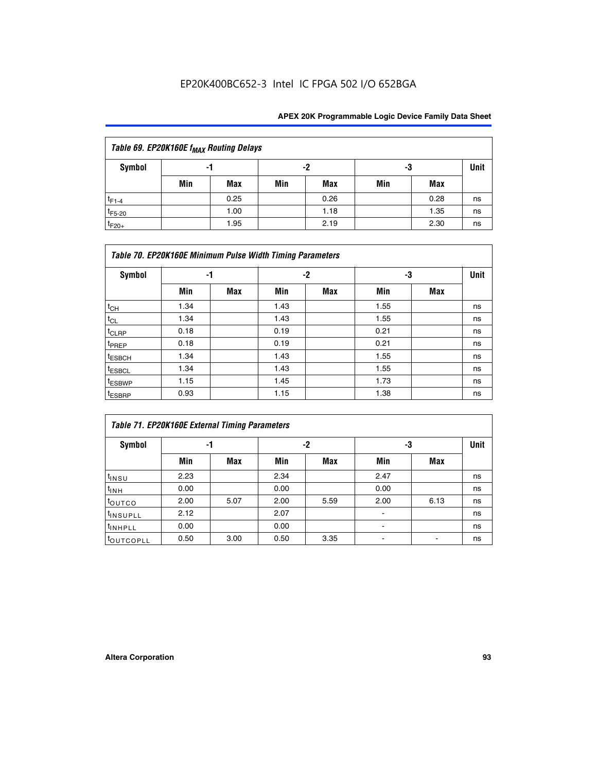| Table 69. EP20K160E f <sub>MAX</sub> Routing Delays |     |      |     |      |     |      |             |  |  |  |
|-----------------------------------------------------|-----|------|-----|------|-----|------|-------------|--|--|--|
| Symbol                                              |     | -1   |     | -2   | -3  |      | <b>Unit</b> |  |  |  |
|                                                     | Min | Max  | Min | Max  | Min | Max  |             |  |  |  |
| $t_{F1-4}$                                          |     | 0.25 |     | 0.26 |     | 0.28 | ns          |  |  |  |
| $t_{F5-20}$                                         |     | 1.00 |     | 1.18 |     | 1.35 | ns          |  |  |  |
| $t_{F20+}$                                          |     | 1.95 |     | 2.19 |     | 2.30 | ns          |  |  |  |

|                    | Table 70. EP20K160E Minimum Pulse Width Timing Parameters |            |      |            |      |     |             |  |  |  |  |
|--------------------|-----------------------------------------------------------|------------|------|------------|------|-----|-------------|--|--|--|--|
| <b>Symbol</b>      |                                                           | -1         |      | -2         |      | -3  | <b>Unit</b> |  |  |  |  |
|                    | Min                                                       | <b>Max</b> | Min  | <b>Max</b> | Min  | Max |             |  |  |  |  |
| $t_{CH}$           | 1.34                                                      |            | 1.43 |            | 1.55 |     | ns          |  |  |  |  |
| $t_{CL}$           | 1.34                                                      |            | 1.43 |            | 1.55 |     | ns          |  |  |  |  |
| $t_{CLRP}$         | 0.18                                                      |            | 0.19 |            | 0.21 |     | ns          |  |  |  |  |
| t <sub>PREP</sub>  | 0.18                                                      |            | 0.19 |            | 0.21 |     | ns          |  |  |  |  |
| <sup>t</sup> ESBCH | 1.34                                                      |            | 1.43 |            | 1.55 |     | ns          |  |  |  |  |
| <sup>t</sup> ESBCL | 1.34                                                      |            | 1.43 |            | 1.55 |     | ns          |  |  |  |  |
| <sup>t</sup> ESBWP | 1.15                                                      |            | 1.45 |            | 1.73 |     | ns          |  |  |  |  |
| <sup>t</sup> ESBRP | 0.93                                                      |            | 1.15 |            | 1.38 |     | ns          |  |  |  |  |

|                      | Table 71. EP20K160E External Timing Parameters |      |      |      |                          |      |    |  |  |  |  |  |
|----------------------|------------------------------------------------|------|------|------|--------------------------|------|----|--|--|--|--|--|
| Symbol               | -1                                             |      |      | -2   |                          | -3   |    |  |  |  |  |  |
|                      | Min                                            | Max  | Min  | Max  | Min                      | Max  |    |  |  |  |  |  |
| t <sub>INSU</sub>    | 2.23                                           |      | 2.34 |      | 2.47                     |      | ns |  |  |  |  |  |
| $t_{\text{INH}}$     | 0.00                                           |      | 0.00 |      | 0.00                     |      | ns |  |  |  |  |  |
| toutco               | 2.00                                           | 5.07 | 2.00 | 5.59 | 2.00                     | 6.13 | ns |  |  |  |  |  |
| t <sub>INSUPLL</sub> | 2.12                                           |      | 2.07 |      | $\overline{\phantom{a}}$ |      | ns |  |  |  |  |  |
| <sup>t</sup> INHPLL  | 0.00                                           |      | 0.00 |      | ۰                        |      | ns |  |  |  |  |  |
| <b>COUTCOPLL</b>     | 0.50                                           | 3.00 | 0.50 | 3.35 |                          |      | ns |  |  |  |  |  |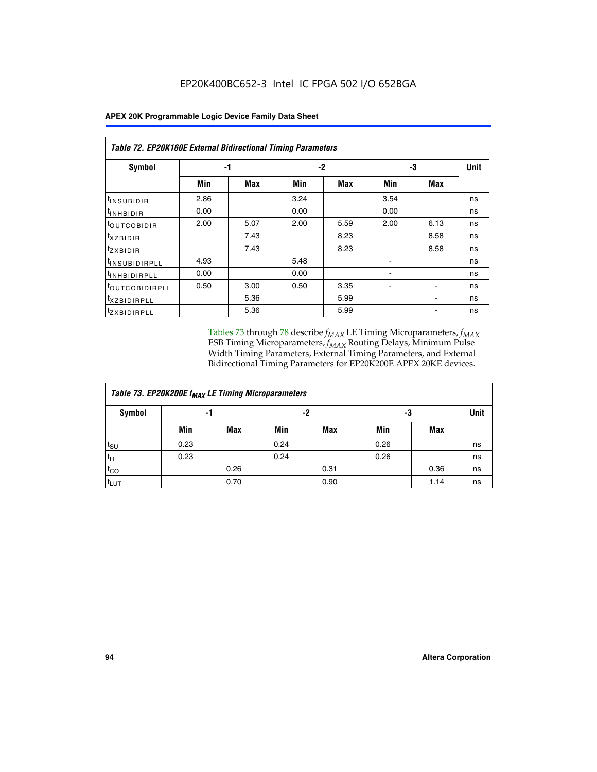|                                | Table 72. EP20K160E External Bidirectional Timing Parameters |      |      |      |      |      |             |  |  |  |  |
|--------------------------------|--------------------------------------------------------------|------|------|------|------|------|-------------|--|--|--|--|
| Symbol                         | -1                                                           |      |      | $-2$ |      | -3   | <b>Unit</b> |  |  |  |  |
|                                | Min                                                          | Max  | Min  | Max  | Min  | Max  |             |  |  |  |  |
| <sup>t</sup> INSUB <u>IDIR</u> | 2.86                                                         |      | 3.24 |      | 3.54 |      | ns          |  |  |  |  |
| <b>UNHBIDIR</b>                | 0.00                                                         |      | 0.00 |      | 0.00 |      | ns          |  |  |  |  |
| <b>LOUTCOBIDIR</b>             | 2.00                                                         | 5.07 | 2.00 | 5.59 | 2.00 | 6.13 | ns          |  |  |  |  |
| KZBIDIR                        |                                                              | 7.43 |      | 8.23 |      | 8.58 | ns          |  |  |  |  |
| <sup>t</sup> zxbidir           |                                                              | 7.43 |      | 8.23 |      | 8.58 | ns          |  |  |  |  |
| <sup>t</sup> INSUBIDIRPLL      | 4.93                                                         |      | 5.48 |      |      |      | ns          |  |  |  |  |
| <sup>I</sup> INHBIDIRPLL       | 0.00                                                         |      | 0.00 |      | ٠    |      | ns          |  |  |  |  |
| <b><i>LOUTCOBIDIRPLL</i></b>   | 0.50                                                         | 3.00 | 0.50 | 3.35 |      |      | ns          |  |  |  |  |
| <sup>T</sup> XZBIDIRPLL        |                                                              | 5.36 |      | 5.99 |      |      | ns          |  |  |  |  |
| <sup>t</sup> ZXBIDIRPLL        |                                                              | 5.36 |      | 5.99 |      |      | ns          |  |  |  |  |

Tables 73 through 78 describe  $f_{MAX}$  LE Timing Microparameters,  $f_{MAX}$ ESB Timing Microparameters, *f<sub>MAX</sub>* Routing Delays, Minimum Pulse Width Timing Parameters, External Timing Parameters, and External Bidirectional Timing Parameters for EP20K200E APEX 20KE devices.

| Table 73. EP20K200E f <sub>MAX</sub> LE Timing Microparameters |      |      |      |            |      |      |    |  |  |  |  |
|----------------------------------------------------------------|------|------|------|------------|------|------|----|--|--|--|--|
| <b>Symbol</b>                                                  |      | -1   |      | -2<br>-3   |      |      |    |  |  |  |  |
|                                                                | Min  | Max  | Min  | <b>Max</b> | Min  | Max  |    |  |  |  |  |
| t <sub>SU</sub>                                                | 0.23 |      | 0.24 |            | 0.26 |      | ns |  |  |  |  |
| tμ                                                             | 0.23 |      | 0.24 |            | 0.26 |      | ns |  |  |  |  |
| $t_{CO}$                                                       |      | 0.26 |      | 0.31       |      | 0.36 | ns |  |  |  |  |
| t <sub>LUT</sub>                                               |      | 0.70 |      | 0.90       |      | 1.14 | ns |  |  |  |  |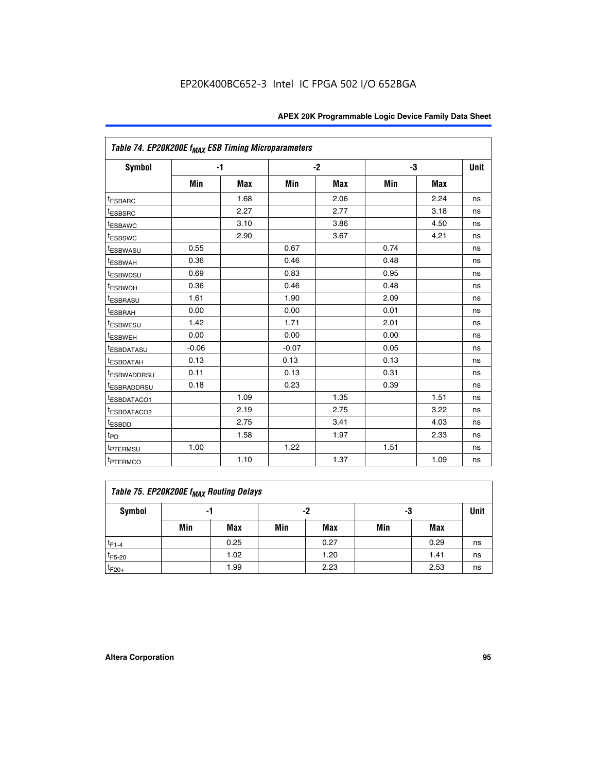|                                     | Table 74. EP20K200E f <sub>MAX</sub> ESB Timing Microparameters |            |         |            |      |            |      |  |  |  |  |
|-------------------------------------|-----------------------------------------------------------------|------------|---------|------------|------|------------|------|--|--|--|--|
| Symbol                              |                                                                 | $-1$       |         | $-2$       |      | -3         | Unit |  |  |  |  |
|                                     | Min                                                             | <b>Max</b> | Min     | <b>Max</b> | Min  | <b>Max</b> |      |  |  |  |  |
| <sup>t</sup> ESBARC                 |                                                                 | 1.68       |         | 2.06       |      | 2.24       | ns   |  |  |  |  |
| <sup>t</sup> ESBSRC                 |                                                                 | 2.27       |         | 2.77       |      | 3.18       | ns   |  |  |  |  |
| t <sub>ESBAWC</sub>                 |                                                                 | 3.10       |         | 3.86       |      | 4.50       | ns   |  |  |  |  |
| <sup>t</sup> ESBSWC                 |                                                                 | 2.90       |         | 3.67       |      | 4.21       | ns   |  |  |  |  |
| t <sub>ESBWASU</sub>                | 0.55                                                            |            | 0.67    |            | 0.74 |            | ns   |  |  |  |  |
| <sup>t</sup> ESBWAH                 | 0.36                                                            |            | 0.46    |            | 0.48 |            | ns   |  |  |  |  |
| <sup>t</sup> ESBWDSU                | 0.69                                                            |            | 0.83    |            | 0.95 |            | ns   |  |  |  |  |
| t <sub>ESBWDH</sub>                 | 0.36                                                            |            | 0.46    |            | 0.48 |            | ns   |  |  |  |  |
| <sup>t</sup> ESBRASU                | 1.61                                                            |            | 1.90    |            | 2.09 |            | ns   |  |  |  |  |
| <sup>t</sup> ESBRAH                 | 0.00                                                            |            | 0.00    |            | 0.01 |            | ns   |  |  |  |  |
| <i>t</i> ESBWESU                    | 1.42                                                            |            | 1.71    |            | 2.01 |            | ns   |  |  |  |  |
| <sup>t</sup> ESBWEH                 | 0.00                                                            |            | 0.00    |            | 0.00 |            | ns   |  |  |  |  |
| <sup>t</sup> ESBDATASU              | $-0.06$                                                         |            | $-0.07$ |            | 0.05 |            | ns   |  |  |  |  |
| <sup>I</sup> ESBDATAH               | 0.13                                                            |            | 0.13    |            | 0.13 |            | ns   |  |  |  |  |
| <sup>t</sup> ESBWADDRSU             | 0.11                                                            |            | 0.13    |            | 0.31 |            | ns   |  |  |  |  |
| <sup>t</sup> ESBRADDRSU             | 0.18                                                            |            | 0.23    |            | 0.39 |            | ns   |  |  |  |  |
| <sup>t</sup> ESBDATACO1             |                                                                 | 1.09       |         | 1.35       |      | 1.51       | ns   |  |  |  |  |
| <sup>t</sup> ESBDATACO <sub>2</sub> |                                                                 | 2.19       |         | 2.75       |      | 3.22       | ns   |  |  |  |  |
| t <sub>ESBDD</sub>                  |                                                                 | 2.75       |         | 3.41       |      | 4.03       | ns   |  |  |  |  |
| $t_{\text{PD}}$                     |                                                                 | 1.58       |         | 1.97       |      | 2.33       | ns   |  |  |  |  |
| <sup>t</sup> PTERMSU                | 1.00                                                            |            | 1.22    |            | 1.51 |            | ns   |  |  |  |  |
| t <sub>PTERMCO</sub>                |                                                                 | 1.10       |         | 1.37       |      | 1.09       | ns   |  |  |  |  |

| Table 75. EP20K200E f <sub>MAX</sub> Routing Delays |     |      |     |            |     |      |             |  |  |  |
|-----------------------------------------------------|-----|------|-----|------------|-----|------|-------------|--|--|--|
| Symbol                                              |     | -1   |     | -2         | -3  |      | <b>Unit</b> |  |  |  |
|                                                     | Min | Max  | Min | <b>Max</b> | Min | Max  |             |  |  |  |
| $t_{F1-4}$                                          |     | 0.25 |     | 0.27       |     | 0.29 | ns          |  |  |  |
| $t_{F5-20}$                                         |     | 1.02 |     | 1.20       |     | 1.41 | ns          |  |  |  |
| $t_{F20+}$                                          |     | 1.99 |     | 2.23       |     | 2.53 | ns          |  |  |  |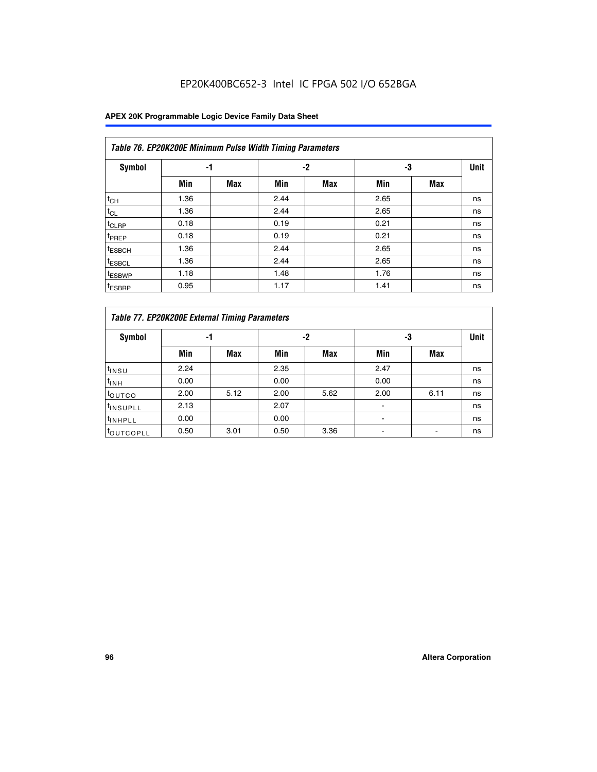|                    | Table 76. EP20K200E Minimum Pulse Width Timing Parameters |            |      |            |      |            |             |  |  |  |  |  |
|--------------------|-----------------------------------------------------------|------------|------|------------|------|------------|-------------|--|--|--|--|--|
| <b>Symbol</b>      | -1                                                        |            |      | $-2$       | -3   |            | <b>Unit</b> |  |  |  |  |  |
|                    | Min                                                       | <b>Max</b> | Min  | <b>Max</b> | Min  | <b>Max</b> |             |  |  |  |  |  |
| $t_{CH}$           | 1.36                                                      |            | 2.44 |            | 2.65 |            | ns          |  |  |  |  |  |
| $t_{CL}$           | 1.36                                                      |            | 2.44 |            | 2.65 |            | ns          |  |  |  |  |  |
| $t_{CLRP}$         | 0.18                                                      |            | 0.19 |            | 0.21 |            | ns          |  |  |  |  |  |
| t <sub>PREP</sub>  | 0.18                                                      |            | 0.19 |            | 0.21 |            | ns          |  |  |  |  |  |
| <sup>t</sup> ESBCH | 1.36                                                      |            | 2.44 |            | 2.65 |            | ns          |  |  |  |  |  |
| t <sub>ESBCL</sub> | 1.36                                                      |            | 2.44 |            | 2.65 |            | ns          |  |  |  |  |  |
| <sup>t</sup> ESBWP | 1.18                                                      |            | 1.48 |            | 1.76 |            | ns          |  |  |  |  |  |
| <sup>t</sup> ESBRP | 0.95                                                      |            | 1.17 |            | 1.41 |            | ns          |  |  |  |  |  |

|                       | Table 77. EP20K200E External Timing Parameters |            |      |            |      |      |    |  |  |  |  |  |
|-----------------------|------------------------------------------------|------------|------|------------|------|------|----|--|--|--|--|--|
| <b>Symbol</b>         |                                                | -1         |      | -2         |      | -3   |    |  |  |  |  |  |
|                       | Min                                            | <b>Max</b> | Min  | <b>Max</b> | Min  | Max  |    |  |  |  |  |  |
| t <sub>INSU</sub>     | 2.24                                           |            | 2.35 |            | 2.47 |      | ns |  |  |  |  |  |
| $t_{\text{INH}}$      | 0.00                                           |            | 0.00 |            | 0.00 |      | ns |  |  |  |  |  |
| toutco                | 2.00                                           | 5.12       | 2.00 | 5.62       | 2.00 | 6.11 | ns |  |  |  |  |  |
| <sup>t</sup> INSUPLL  | 2.13                                           |            | 2.07 |            |      |      | ns |  |  |  |  |  |
| <sup>t</sup> INHPLL   | 0.00                                           |            | 0.00 |            | -    |      | ns |  |  |  |  |  |
| <sup>I</sup> OUTCOPLL | 0.50                                           | 3.01       | 0.50 | 3.36       |      |      | ns |  |  |  |  |  |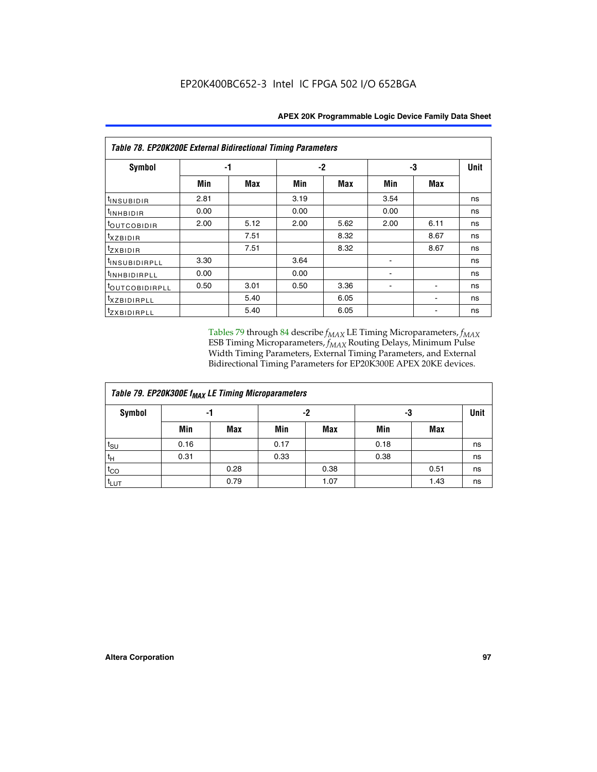| <b>Table 78. EP20K200E External Bidirectional Timing Parameters</b> |      |      |      |      |      |             |    |  |  |  |  |
|---------------------------------------------------------------------|------|------|------|------|------|-------------|----|--|--|--|--|
| Symbol                                                              | -1   |      | $-2$ |      | -3   | <b>Unit</b> |    |  |  |  |  |
|                                                                     | Min  | Max  | Min  | Max  | Min  | <b>Max</b>  |    |  |  |  |  |
| $t_{INSUBIDIR}$                                                     | 2.81 |      | 3.19 |      | 3.54 |             | ns |  |  |  |  |
| t <sub>INHBIDIR</sub>                                               | 0.00 |      | 0.00 |      | 0.00 |             | ns |  |  |  |  |
| t <sub>outcobidir</sub>                                             | 2.00 | 5.12 | 2.00 | 5.62 | 2.00 | 6.11        | ns |  |  |  |  |
| <i>txzbidir</i>                                                     |      | 7.51 |      | 8.32 |      | 8.67        | ns |  |  |  |  |
| tzxbidir                                                            |      | 7.51 |      | 8.32 |      | 8.67        | ns |  |  |  |  |
| t <sub>INSUBIDIRPLL</sub>                                           | 3.30 |      | 3.64 |      |      |             | ns |  |  |  |  |
| <sup>t</sup> INHBIDIRPLL                                            | 0.00 |      | 0.00 |      |      |             | ns |  |  |  |  |
| tout COBIDIRPLL                                                     | 0.50 | 3.01 | 0.50 | 3.36 |      |             | ns |  |  |  |  |
| <i>txzBIDIRPLL</i>                                                  |      | 5.40 |      | 6.05 |      |             | ns |  |  |  |  |
| tzxBIDIRPLL                                                         |      | 5.40 |      | 6.05 |      |             | ns |  |  |  |  |

Tables 79 through 84 describe  $f_{MAX}$  LE Timing Microparameters,  $f_{MAX}$ ESB Timing Microparameters, *f<sub>MAX</sub>* Routing Delays, Minimum Pulse Width Timing Parameters, External Timing Parameters, and External Bidirectional Timing Parameters for EP20K300E APEX 20KE devices.

| Table 79. EP20K300E f <sub>MAX</sub> LE Timing Microparameters |      |            |      |            |      |            |             |  |  |  |
|----------------------------------------------------------------|------|------------|------|------------|------|------------|-------------|--|--|--|
| <b>Symbol</b>                                                  |      | -1         |      | -2         |      | -3         | <b>Unit</b> |  |  |  |
|                                                                | Min  | <b>Max</b> | Min  | <b>Max</b> | Min  | <b>Max</b> |             |  |  |  |
| $t_{\text{SU}}$                                                | 0.16 |            | 0.17 |            | 0.18 |            | ns          |  |  |  |
| $t_H$                                                          | 0.31 |            | 0.33 |            | 0.38 |            | ns          |  |  |  |
| $t_{CO}$                                                       |      | 0.28       |      | 0.38       |      | 0.51       | ns          |  |  |  |
| $t_{LUT}$                                                      |      | 0.79       |      | 1.07       |      | 1.43       | ns          |  |  |  |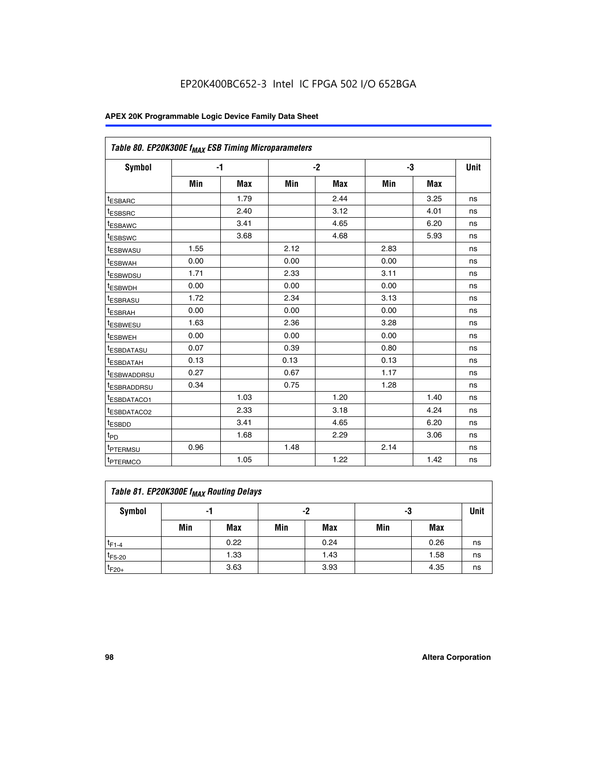| Table 80. EP20K300E f <sub>MAX</sub> ESB Timing Microparameters |      |      |      |      |      |      |      |
|-----------------------------------------------------------------|------|------|------|------|------|------|------|
| <b>Symbol</b>                                                   |      | $-1$ |      | $-2$ |      | -3   | Unit |
|                                                                 | Min  | Max  | Min  | Max  | Min  | Max  |      |
| <sup>t</sup> ESBARC                                             |      | 1.79 |      | 2.44 |      | 3.25 | ns   |
| t <sub>ESBSRC</sub>                                             |      | 2.40 |      | 3.12 |      | 4.01 | ns   |
| t <sub>ESBAWC</sub>                                             |      | 3.41 |      | 4.65 |      | 6.20 | ns   |
| <sup>t</sup> ESBSWC                                             |      | 3.68 |      | 4.68 |      | 5.93 | ns   |
| t <sub>ESBWASU</sub>                                            | 1.55 |      | 2.12 |      | 2.83 |      | ns   |
| t <sub>ESBWAH</sub>                                             | 0.00 |      | 0.00 |      | 0.00 |      | ns   |
| <sup>t</sup> ESBWDSU                                            | 1.71 |      | 2.33 |      | 3.11 |      | ns   |
| <sup>t</sup> ESBWDH                                             | 0.00 |      | 0.00 |      | 0.00 |      | ns   |
| t <sub>ESBRASU</sub>                                            | 1.72 |      | 2.34 |      | 3.13 |      | ns   |
| <sup>t</sup> ESBRAH                                             | 0.00 |      | 0.00 |      | 0.00 |      | ns   |
| t <sub>ESBWESU</sub>                                            | 1.63 |      | 2.36 |      | 3.28 |      | ns   |
| <sup>t</sup> ESBWEH                                             | 0.00 |      | 0.00 |      | 0.00 |      | ns   |
| <sup>t</sup> ESBDATASU                                          | 0.07 |      | 0.39 |      | 0.80 |      | ns   |
| <sup>t</sup> ESBDATAH                                           | 0.13 |      | 0.13 |      | 0.13 |      | ns   |
| <sup>t</sup> ESBWADDRSU                                         | 0.27 |      | 0.67 |      | 1.17 |      | ns   |
| tESBRADDRSU                                                     | 0.34 |      | 0.75 |      | 1.28 |      | ns   |
| <sup>I</sup> ESBDATACO1                                         |      | 1.03 |      | 1.20 |      | 1.40 | ns   |
| <sup>t</sup> ESBDATACO2                                         |      | 2.33 |      | 3.18 |      | 4.24 | ns   |
| <sup>t</sup> ESBDD                                              |      | 3.41 |      | 4.65 |      | 6.20 | ns   |
| t <sub>PD</sub>                                                 |      | 1.68 |      | 2.29 |      | 3.06 | ns   |
| t <sub>PTERMSU</sub>                                            | 0.96 |      | 1.48 |      | 2.14 |      | ns   |
| t <sub>PTERMCO</sub>                                            |      | 1.05 |      | 1.22 |      | 1.42 | ns   |

| Table 81. EP20K300E f <sub>MAX</sub> Routing Delays |                |      |     |      |     |      |      |  |  |  |
|-----------------------------------------------------|----------------|------|-----|------|-----|------|------|--|--|--|
| Symbol                                              | -2<br>-3<br>-1 |      |     |      |     |      | Unit |  |  |  |
|                                                     | Min            | Max  | Min | Max  | Min | Max  |      |  |  |  |
| $t_{F1-4}$                                          |                | 0.22 |     | 0.24 |     | 0.26 | ns   |  |  |  |
| $t_{F5-20}$                                         |                | 1.33 |     | 1.43 |     | 1.58 | ns   |  |  |  |
| $t_{F20+}$                                          |                | 3.63 |     | 3.93 |     | 4.35 | ns   |  |  |  |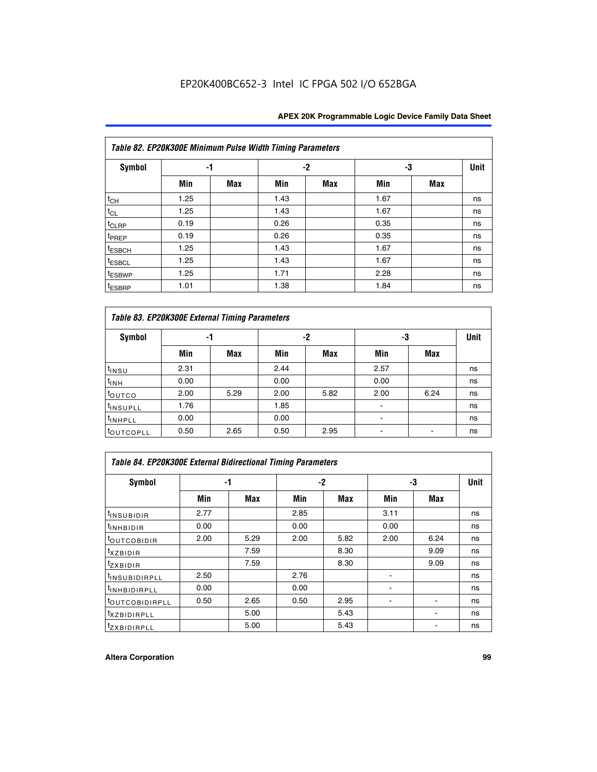|                    | Table 82. EP20K300E Minimum Pulse Width Timing Parameters |            |      |     |      |     |      |  |  |  |  |
|--------------------|-----------------------------------------------------------|------------|------|-----|------|-----|------|--|--|--|--|
| <b>Symbol</b>      | -1                                                        |            |      | -2  |      | -3  | Unit |  |  |  |  |
|                    | Min                                                       | <b>Max</b> | Min  | Max | Min  | Max |      |  |  |  |  |
| $t_{CH}$           | 1.25                                                      |            | 1.43 |     | 1.67 |     | ns   |  |  |  |  |
| $t_{CL}$           | 1.25                                                      |            | 1.43 |     | 1.67 |     | ns   |  |  |  |  |
| t <sub>CLRP</sub>  | 0.19                                                      |            | 0.26 |     | 0.35 |     | ns   |  |  |  |  |
| t <sub>PREP</sub>  | 0.19                                                      |            | 0.26 |     | 0.35 |     | ns   |  |  |  |  |
| t <sub>ESBCH</sub> | 1.25                                                      |            | 1.43 |     | 1.67 |     | ns   |  |  |  |  |
| <sup>t</sup> ESBCL | 1.25                                                      |            | 1.43 |     | 1.67 |     | ns   |  |  |  |  |
| <sup>t</sup> ESBWP | 1.25                                                      |            | 1.71 |     | 2.28 |     | ns   |  |  |  |  |
| <sup>t</sup> ESBRP | 1.01                                                      |            | 1.38 |     | 1.84 |     | ns   |  |  |  |  |

|                       | Table 83. EP20K300E External Timing Parameters |      |      |      |      |            |             |  |  |  |  |  |  |
|-----------------------|------------------------------------------------|------|------|------|------|------------|-------------|--|--|--|--|--|--|
| Symbol                |                                                | -1   |      | -2   |      | -3         | <b>Unit</b> |  |  |  |  |  |  |
|                       | Min                                            | Max  | Min  | Max  | Min  | <b>Max</b> |             |  |  |  |  |  |  |
| t <sub>INSU</sub>     | 2.31                                           |      | 2.44 |      | 2.57 |            | ns          |  |  |  |  |  |  |
| $t_{INH}$             | 0.00                                           |      | 0.00 |      | 0.00 |            | ns          |  |  |  |  |  |  |
| toutco                | 2.00                                           | 5.29 | 2.00 | 5.82 | 2.00 | 6.24       | ns          |  |  |  |  |  |  |
| <sup>t</sup> INSUPLL  | 1.76                                           |      | 1.85 |      |      |            | ns          |  |  |  |  |  |  |
| <sup>t</sup> INHPLL   | 0.00                                           |      | 0.00 |      | -    |            | ns          |  |  |  |  |  |  |
| <sup>t</sup> OUTCOPLL | 0.50                                           | 2.65 | 0.50 | 2.95 |      |            | ns          |  |  |  |  |  |  |

| Table 84. EP20K300E External Bidirectional Timing Parameters |      |      |      |      |      |             |    |  |  |  |  |
|--------------------------------------------------------------|------|------|------|------|------|-------------|----|--|--|--|--|
| Symbol                                                       |      | -1   | $-2$ |      | -3   | <b>Unit</b> |    |  |  |  |  |
|                                                              | Min  | Max  | Min  | Max  | Min  | <b>Max</b>  |    |  |  |  |  |
| <sup>t</sup> INSUBIDIR                                       | 2.77 |      | 2.85 |      | 3.11 |             | ns |  |  |  |  |
| <b>TINHBIDIR</b>                                             | 0.00 |      | 0.00 |      | 0.00 |             | ns |  |  |  |  |
| <sup>t</sup> OUTCOBIDIR                                      | 2.00 | 5.29 | 2.00 | 5.82 | 2.00 | 6.24        | ns |  |  |  |  |
| KZBIDIR                                                      |      | 7.59 |      | 8.30 |      | 9.09        | ns |  |  |  |  |
| $t_{Z}$ <i>x</i> BIDIR                                       |      | 7.59 |      | 8.30 |      | 9.09        | ns |  |  |  |  |
| <b>INSUBIDIRPLL</b>                                          | 2.50 |      | 2.76 |      |      |             | ns |  |  |  |  |
| <sup>t</sup> INHBIDIRPLL                                     | 0.00 |      | 0.00 |      |      |             | ns |  |  |  |  |
| <sup>t</sup> OUTCOBIDIRPLL                                   | 0.50 | 2.65 | 0.50 | 2.95 |      |             | ns |  |  |  |  |
| <sup>t</sup> XZBIDIRPLL                                      |      | 5.00 |      | 5.43 |      |             | ns |  |  |  |  |
| <sup>t</sup> ZXBIDIRPLL                                      |      | 5.00 |      | 5.43 |      |             | ns |  |  |  |  |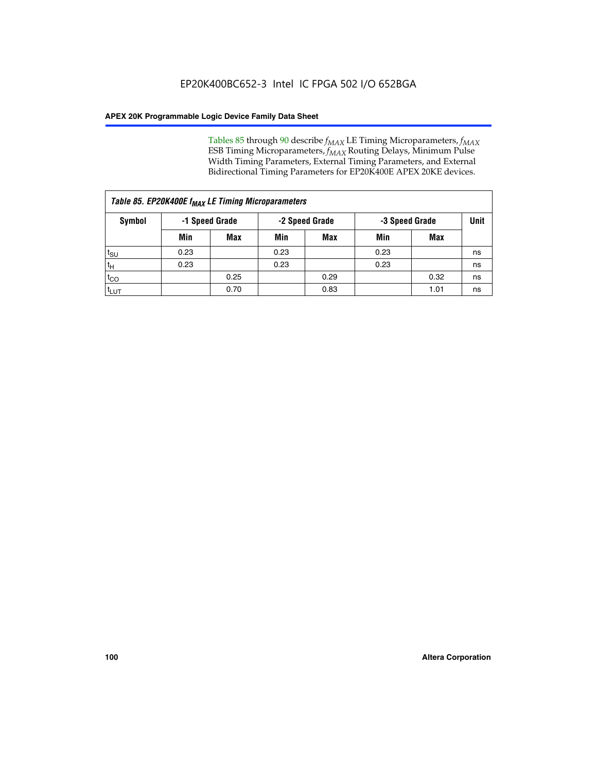Tables 85 through 90 describe  $f_{MAX}$  LE Timing Microparameters,  $f_{MAX}$ ESB Timing Microparameters, *f<sub>MAX</sub>* Routing Delays, Minimum Pulse Width Timing Parameters, External Timing Parameters, and External Bidirectional Timing Parameters for EP20K400E APEX 20KE devices.

| Table 85. EP20K400E f <sub>MAX</sub> LE Timing Microparameters |                |            |                |            |                |      |             |  |  |  |  |
|----------------------------------------------------------------|----------------|------------|----------------|------------|----------------|------|-------------|--|--|--|--|
| Symbol                                                         | -1 Speed Grade |            | -2 Speed Grade |            | -3 Speed Grade |      | <b>Unit</b> |  |  |  |  |
|                                                                | Min            | <b>Max</b> | Min            | <b>Max</b> | Min            | Max  |             |  |  |  |  |
| $t_{\text{SU}}$                                                | 0.23           |            | 0.23           |            | 0.23           |      | ns          |  |  |  |  |
| $t_H$                                                          | 0.23           |            | 0.23           |            | 0.23           |      | ns          |  |  |  |  |
| $t_{CO}$                                                       |                | 0.25       |                | 0.29       |                | 0.32 | ns          |  |  |  |  |
| ι <sup>t</sup> ιυτ                                             |                | 0.70       |                | 0.83       |                | 1.01 | ns          |  |  |  |  |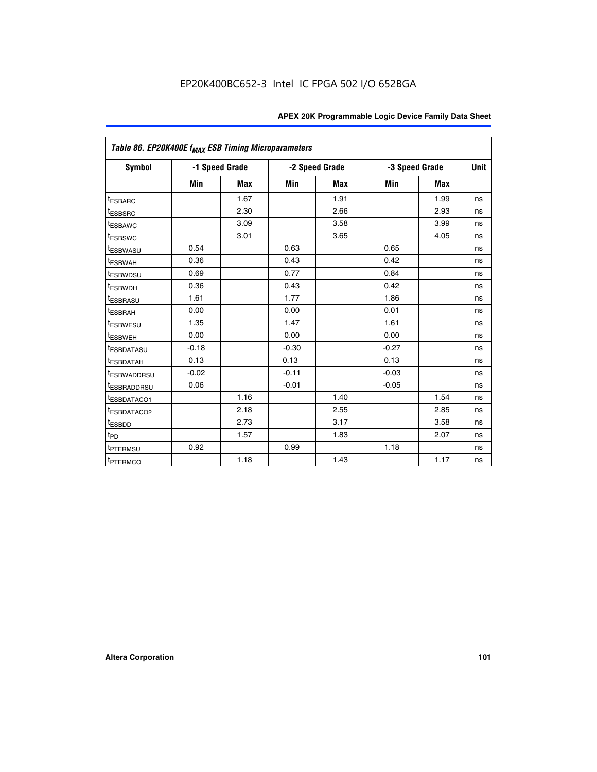| Table 86. EP20K400E f <sub>MAX</sub> ESB Timing Microparameters |         |                |         |                |         |                |             |
|-----------------------------------------------------------------|---------|----------------|---------|----------------|---------|----------------|-------------|
| Symbol                                                          |         | -1 Speed Grade |         | -2 Speed Grade |         | -3 Speed Grade | <b>Unit</b> |
|                                                                 | Min     | <b>Max</b>     | Min     | <b>Max</b>     | Min     | <b>Max</b>     |             |
| <sup>t</sup> ESBARC                                             |         | 1.67           |         | 1.91           |         | 1.99           | ns          |
| <sup>t</sup> ESBSRC                                             |         | 2.30           |         | 2.66           |         | 2.93           | ns          |
| <sup>t</sup> ESBAWC                                             |         | 3.09           |         | 3.58           |         | 3.99           | ns          |
| <sup>t</sup> ESBSWC                                             |         | 3.01           |         | 3.65           |         | 4.05           | ns          |
| <sup>t</sup> ESBWASU                                            | 0.54    |                | 0.63    |                | 0.65    |                | ns          |
| t <sub>ESBWAH</sub>                                             | 0.36    |                | 0.43    |                | 0.42    |                | ns          |
| <sup>t</sup> ESBWDSU                                            | 0.69    |                | 0.77    |                | 0.84    |                | ns          |
| <sup>t</sup> ESBWDH                                             | 0.36    |                | 0.43    |                | 0.42    |                | ns          |
| <sup>t</sup> ESBRASU                                            | 1.61    |                | 1.77    |                | 1.86    |                | ns          |
| <sup>t</sup> ESBRAH                                             | 0.00    |                | 0.00    |                | 0.01    |                | ns          |
| t <sub>ESBWESU</sub>                                            | 1.35    |                | 1.47    |                | 1.61    |                | ns          |
| t <sub>ESBWEH</sub>                                             | 0.00    |                | 0.00    |                | 0.00    |                | ns          |
| <sup>I</sup> ESBDATASU                                          | $-0.18$ |                | $-0.30$ |                | $-0.27$ |                | ns          |
| <b>ESBDATAH</b>                                                 | 0.13    |                | 0.13    |                | 0.13    |                | ns          |
| <sup>t</sup> ESBWADDRSU                                         | $-0.02$ |                | $-0.11$ |                | $-0.03$ |                | ns          |
| t <sub>ESBRADDRSU</sub>                                         | 0.06    |                | $-0.01$ |                | $-0.05$ |                | ns          |
| <sup>t</sup> ESBDATACO1                                         |         | 1.16           |         | 1.40           |         | 1.54           | ns          |
| <sup>I</sup> ESBDATACO2                                         |         | 2.18           |         | 2.55           |         | 2.85           | ns          |
| <sup>t</sup> ESBDD                                              |         | 2.73           |         | 3.17           |         | 3.58           | ns          |
| $t_{\mathsf{PD}}$                                               |         | 1.57           |         | 1.83           |         | 2.07           | ns          |
| t <sub>PTERMSU</sub>                                            | 0.92    |                | 0.99    |                | 1.18    |                | ns          |
| <sup>t</sup> PTERMCO                                            |         | 1.18           |         | 1.43           |         | 1.17           | ns          |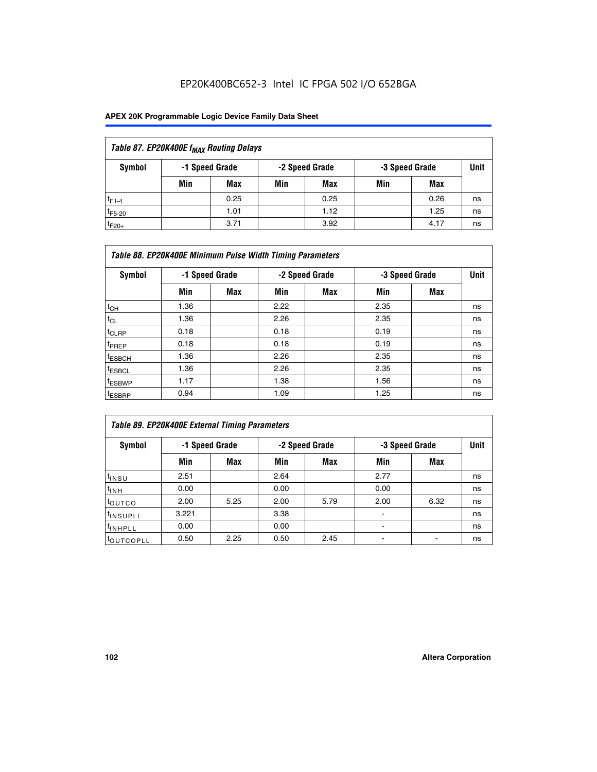| Table 87. EP20K400E f <sub>MAX</sub> Routing Delays |                                                    |            |     |      |     |      |             |  |  |  |
|-----------------------------------------------------|----------------------------------------------------|------------|-----|------|-----|------|-------------|--|--|--|
| Symbol                                              | -2 Speed Grade<br>-1 Speed Grade<br>-3 Speed Grade |            |     |      |     |      | <b>Unit</b> |  |  |  |
|                                                     | Min                                                | <b>Max</b> | Min | Max  | Min | Max  |             |  |  |  |
| $t_{F1-4}$                                          |                                                    | 0.25       |     | 0.25 |     | 0.26 | ns          |  |  |  |
| $t_{F5-20}$                                         |                                                    | 1.01       |     | 1.12 |     | 1.25 | ns          |  |  |  |
| $t_{F20+}$                                          |                                                    | 3.71       |     | 3.92 |     | 4.17 | ns          |  |  |  |

|                    | Table 88. EP20K400E Minimum Pulse Width Timing Parameters |                |      |                |      |                |             |  |  |  |  |
|--------------------|-----------------------------------------------------------|----------------|------|----------------|------|----------------|-------------|--|--|--|--|
| Symbol             |                                                           | -1 Speed Grade |      | -2 Speed Grade |      | -3 Speed Grade | <b>Unit</b> |  |  |  |  |
|                    | Min                                                       | <b>Max</b>     | Min  | <b>Max</b>     | Min  | Max            |             |  |  |  |  |
| $t_{CH}$           | 1.36                                                      |                | 2.22 |                | 2.35 |                | ns          |  |  |  |  |
| $t_{\rm CL}$       | 1.36                                                      |                | 2.26 |                | 2.35 |                | ns          |  |  |  |  |
| $t_{CLRP}$         | 0.18                                                      |                | 0.18 |                | 0.19 |                | ns          |  |  |  |  |
| t <sub>PREP</sub>  | 0.18                                                      |                | 0.18 |                | 0.19 |                | ns          |  |  |  |  |
| <sup>t</sup> ESBCH | 1.36                                                      |                | 2.26 |                | 2.35 |                | ns          |  |  |  |  |
| <sup>t</sup> ESBCL | 1.36                                                      |                | 2.26 |                | 2.35 |                | ns          |  |  |  |  |
| <sup>t</sup> ESBWP | 1.17                                                      |                | 1.38 |                | 1.56 |                | ns          |  |  |  |  |
| <sup>t</sup> ESBRP | 0.94                                                      |                | 1.09 |                | 1.25 |                | ns          |  |  |  |  |

| Table 89. EP20K400E External Timing Parameters |                |      |      |                |                |             |    |  |  |
|------------------------------------------------|----------------|------|------|----------------|----------------|-------------|----|--|--|
| Symbol                                         | -1 Speed Grade |      |      | -2 Speed Grade | -3 Speed Grade | <b>Unit</b> |    |  |  |
|                                                | Min            | Max  | Min  | <b>Max</b>     | Min            | Max         |    |  |  |
| $t_{INSU}$                                     | 2.51           |      | 2.64 |                | 2.77           |             | ns |  |  |
| $t_{INH}$                                      | 0.00           |      | 0.00 |                | 0.00           |             | ns |  |  |
| t <sub>outco</sub>                             | 2.00           | 5.25 | 2.00 | 5.79           | 2.00           | 6.32        | ns |  |  |
| t <sub>insupLL</sub>                           | 3.221          |      | 3.38 |                |                |             | ns |  |  |
| I <sup>t</sup> INHPLL                          | 0.00           |      | 0.00 |                |                |             | ns |  |  |
| t <sub>outcopll</sub>                          | 0.50           | 2.25 | 0.50 | 2.45           |                |             | ns |  |  |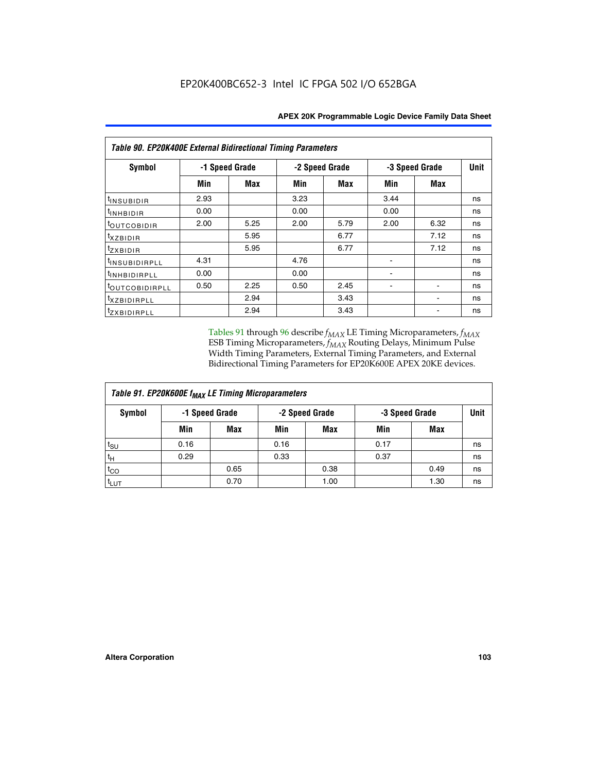| <b>Table 90. EP20K400E External Bidirectional Timing Parameters</b> |      |                |                |      |      |                |             |  |  |
|---------------------------------------------------------------------|------|----------------|----------------|------|------|----------------|-------------|--|--|
| Symbol                                                              |      | -1 Speed Grade | -2 Speed Grade |      |      | -3 Speed Grade | <b>Unit</b> |  |  |
|                                                                     | Min  | Max            | Min            | Max  | Min  | Max            |             |  |  |
| t <sub>INSUBIDIR</sub>                                              | 2.93 |                | 3.23           |      | 3.44 |                | ns          |  |  |
| t <sub>INHBIDIR</sub>                                               | 0.00 |                | 0.00           |      | 0.00 |                | ns          |  |  |
| t <sub>OUTCOBIDIR</sub>                                             | 2.00 | 5.25           | 2.00           | 5.79 | 2.00 | 6.32           | ns          |  |  |
| <i>txzbidir</i>                                                     |      | 5.95           |                | 6.77 |      | 7.12           | ns          |  |  |
| tzxbidir                                                            |      | 5.95           |                | 6.77 |      | 7.12           | ns          |  |  |
| <sup>t</sup> INSUBIDIRPLL                                           | 4.31 |                | 4.76           |      |      |                | ns          |  |  |
| t <sub>INHBIDIRPLL</sub>                                            | 0.00 |                | 0.00           |      |      |                | ns          |  |  |
| toutco <u>bidirpll</u>                                              | 0.50 | 2.25           | 0.50           | 2.45 |      |                | ns          |  |  |
| <sup>t</sup> xzbidirpll                                             |      | 2.94           |                | 3.43 |      |                | ns          |  |  |
| tzxBIDIRPLL                                                         |      | 2.94           |                | 3.43 |      |                | ns          |  |  |

Tables 91 through 96 describe  $f_{MAX}$  LE Timing Microparameters,  $f_{MAX}$ ESB Timing Microparameters, *f<sub>MAX</sub>* Routing Delays, Minimum Pulse Width Timing Parameters, External Timing Parameters, and External Bidirectional Timing Parameters for EP20K600E APEX 20KE devices.

| Table 91. EP20K600E f <sub>MAX</sub> LE Timing Microparameters |                |      |      |                |      |                |    |  |  |
|----------------------------------------------------------------|----------------|------|------|----------------|------|----------------|----|--|--|
| Symbol                                                         | -1 Speed Grade |      |      | -2 Speed Grade |      | -3 Speed Grade |    |  |  |
|                                                                | Min            | Max  | Min  | Max            | Min  | Max            |    |  |  |
| $t_{\text{SU}}$                                                | 0.16           |      | 0.16 |                | 0.17 |                | ns |  |  |
| $t_H$                                                          | 0.29           |      | 0.33 |                | 0.37 |                | ns |  |  |
| $t_{CO}$                                                       |                | 0.65 |      | 0.38           |      | 0.49           | ns |  |  |
| t <sub>LUT</sub>                                               |                | 0.70 |      | 1.00           |      | 1.30           | ns |  |  |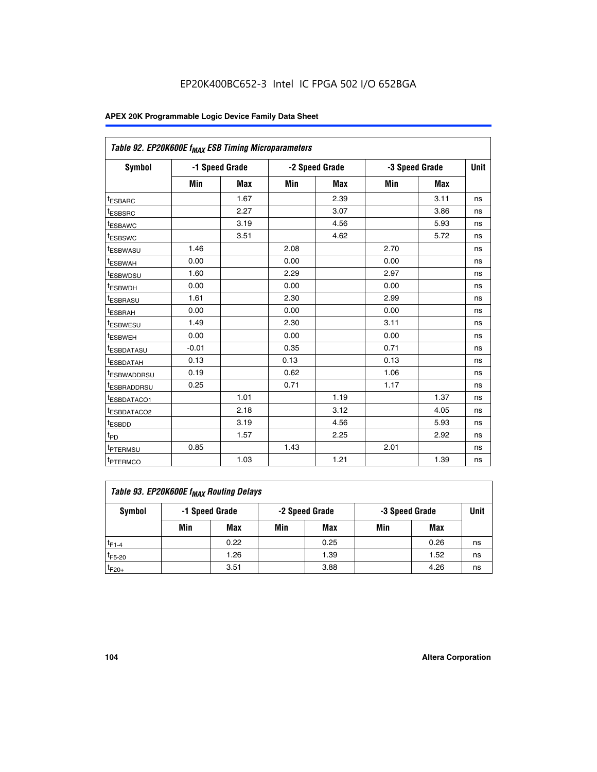| Table 92. EP20K600E f <sub>MAX</sub> ESB Timing Microparameters |         |                |      |                |      |                |    |
|-----------------------------------------------------------------|---------|----------------|------|----------------|------|----------------|----|
| <b>Symbol</b>                                                   |         | -1 Speed Grade |      | -2 Speed Grade |      | -3 Speed Grade |    |
|                                                                 | Min     | Max            | Min  | Max            | Min  | Max            |    |
| <sup>t</sup> ESBARC                                             |         | 1.67           |      | 2.39           |      | 3.11           | ns |
| t <sub>ESBSRC</sub>                                             |         | 2.27           |      | 3.07           |      | 3.86           | ns |
| <sup>t</sup> ESBAWC                                             |         | 3.19           |      | 4.56           |      | 5.93           | ns |
| <sup>t</sup> ESBSWC                                             |         | 3.51           |      | 4.62           |      | 5.72           | ns |
| <sup>t</sup> ESBWASU                                            | 1.46    |                | 2.08 |                | 2.70 |                | ns |
| t <sub>ESBWAH</sub>                                             | 0.00    |                | 0.00 |                | 0.00 |                | ns |
| t <sub>ESBWDSU</sub>                                            | 1.60    |                | 2.29 |                | 2.97 |                | ns |
| t <sub>ESBWDH</sub>                                             | 0.00    |                | 0.00 |                | 0.00 |                | ns |
| <sup>t</sup> ESBRASU                                            | 1.61    |                | 2.30 |                | 2.99 |                | ns |
| <sup>t</sup> ESBRAH                                             | 0.00    |                | 0.00 |                | 0.00 |                | ns |
| <sup>t</sup> ESBWESU                                            | 1.49    |                | 2.30 |                | 3.11 |                | ns |
| t <sub>ESBWEH</sub>                                             | 0.00    |                | 0.00 |                | 0.00 |                | ns |
| t <sub>ESBDATASU</sub>                                          | $-0.01$ |                | 0.35 |                | 0.71 |                | ns |
| <sup>t</sup> ESBDATAH                                           | 0.13    |                | 0.13 |                | 0.13 |                | ns |
| <sup>t</sup> ESBWADDRSU                                         | 0.19    |                | 0.62 |                | 1.06 |                | ns |
| <sup>t</sup> ESBRADDRSU                                         | 0.25    |                | 0.71 |                | 1.17 |                | ns |
| <sup>t</sup> ESBDATACO1                                         |         | 1.01           |      | 1.19           |      | 1.37           | ns |
| <sup>t</sup> ESBDATACO2                                         |         | 2.18           |      | 3.12           |      | 4.05           | ns |
| <sup>t</sup> ESBDD                                              |         | 3.19           |      | 4.56           |      | 5.93           | ns |
| t <sub>PD</sub>                                                 |         | 1.57           |      | 2.25           |      | 2.92           | ns |
| t <sub>PTERMSU</sub>                                            | 0.85    |                | 1.43 |                | 2.01 |                | ns |
| t <sub>PTERMCO</sub>                                            |         | 1.03           |      | 1.21           |      | 1.39           | ns |

| Table 93. EP20K600E f <sub>MAX</sub> Routing Delays |     |                |     |                |     |                |    |  |  |  |
|-----------------------------------------------------|-----|----------------|-----|----------------|-----|----------------|----|--|--|--|
| Symbol                                              |     | -1 Speed Grade |     | -2 Speed Grade |     | -3 Speed Grade |    |  |  |  |
|                                                     | Min | Max            | Min | <b>Max</b>     | Min | Max            |    |  |  |  |
| $t_{F1-4}$                                          |     | 0.22           |     | 0.25           |     | 0.26           | ns |  |  |  |
| $t_{F5-20}$                                         |     | 1.26           |     | 1.39           |     | 1.52           | ns |  |  |  |
| $t_{F20+}$                                          |     | 3.51           |     | 3.88           |     | 4.26           | ns |  |  |  |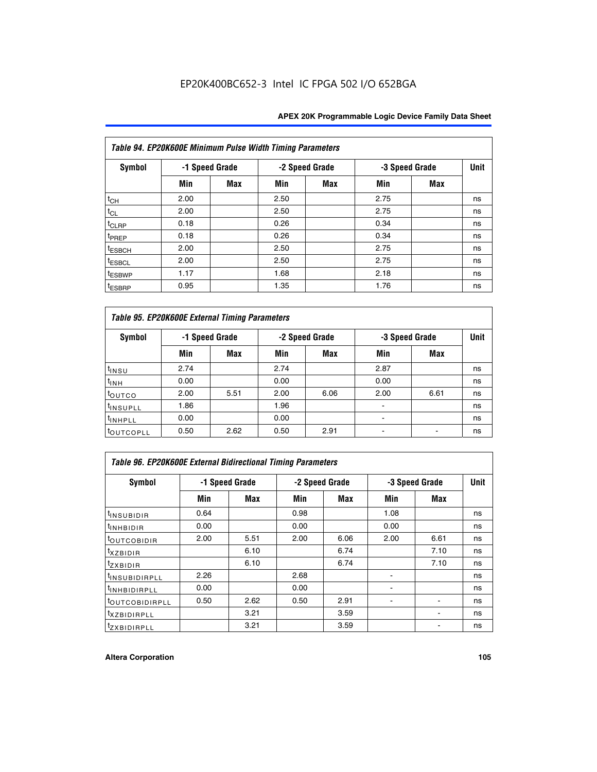| Table 94. EP20K600E Minimum Pulse Width Timing Parameters |      |                |      |                |      |                |    |  |  |  |
|-----------------------------------------------------------|------|----------------|------|----------------|------|----------------|----|--|--|--|
| Symbol                                                    |      | -1 Speed Grade |      | -2 Speed Grade |      | -3 Speed Grade |    |  |  |  |
|                                                           | Min  | <b>Max</b>     | Min  | Max            | Min  | Max            |    |  |  |  |
| $t_{CH}$                                                  | 2.00 |                | 2.50 |                | 2.75 |                | ns |  |  |  |
| $t_{CL}$                                                  | 2.00 |                | 2.50 |                | 2.75 |                | ns |  |  |  |
| t <sub>CLRP</sub>                                         | 0.18 |                | 0.26 |                | 0.34 |                | ns |  |  |  |
| t <sub>PREP</sub>                                         | 0.18 |                | 0.26 |                | 0.34 |                | ns |  |  |  |
| <sup>t</sup> ESBCH                                        | 2.00 |                | 2.50 |                | 2.75 |                | ns |  |  |  |
| <sup>t</sup> ESBCL                                        | 2.00 |                | 2.50 |                | 2.75 |                | ns |  |  |  |
| <sup>t</sup> ESBWP                                        | 1.17 |                | 1.68 |                | 2.18 |                | ns |  |  |  |
| <sup>t</sup> ESBRP                                        | 0.95 |                | 1.35 |                | 1.76 |                | ns |  |  |  |

| Table 95. EP20K600E External Timing Parameters |                |      |      |                |                          |                        |    |  |  |
|------------------------------------------------|----------------|------|------|----------------|--------------------------|------------------------|----|--|--|
| Symbol                                         | -1 Speed Grade |      |      | -2 Speed Grade |                          | Unit<br>-3 Speed Grade |    |  |  |
|                                                | Min            | Max  | Min  | <b>Max</b>     | Min                      | Max                    |    |  |  |
| t <sub>insu</sub>                              | 2.74           |      | 2.74 |                | 2.87                     |                        | ns |  |  |
| $t_{INH}$                                      | 0.00           |      | 0.00 |                | 0.00                     |                        | ns |  |  |
| toutco                                         | 2.00           | 5.51 | 2.00 | 6.06           | 2.00                     | 6.61                   | ns |  |  |
| <sup>t</sup> INSUPLL                           | 1.86           |      | 1.96 |                |                          |                        | ns |  |  |
| <sup>t</sup> INHPLL                            | 0.00           |      | 0.00 |                | $\overline{\phantom{a}}$ |                        | ns |  |  |
| <b>LOUTCOPLL</b>                               | 0.50           | 2.62 | 0.50 | 2.91           |                          |                        | ns |  |  |

| Table 96. EP20K600E External Bidirectional Timing Parameters |                |      |      |                |      |                |             |  |  |
|--------------------------------------------------------------|----------------|------|------|----------------|------|----------------|-------------|--|--|
| Symbol                                                       | -1 Speed Grade |      |      | -2 Speed Grade |      | -3 Speed Grade | <b>Unit</b> |  |  |
|                                                              | Min            | Max  | Min  | Max            | Min  | Max            |             |  |  |
| <sup>t</sup> INSUBIDIR                                       | 0.64           |      | 0.98 |                | 1.08 |                | ns          |  |  |
| <sup>t</sup> INHBIDIR                                        | 0.00           |      | 0.00 |                | 0.00 |                | ns          |  |  |
| <sup>t</sup> OUTCOBIDIR                                      | 2.00           | 5.51 | 2.00 | 6.06           | 2.00 | 6.61           | ns          |  |  |
| $txz$ BIDIR                                                  |                | 6.10 |      | 6.74           |      | 7.10           | ns          |  |  |
| $t_{ZXBIDIR}$                                                |                | 6.10 |      | 6.74           |      | 7.10           | ns          |  |  |
| <sup>t</sup> INSUBIDIRPLL                                    | 2.26           |      | 2.68 |                |      |                | ns          |  |  |
| <sup>t</sup> INHBIDIRPLL                                     | 0.00           |      | 0.00 |                |      |                | ns          |  |  |
| <b><i>LOUTCOBIDIRPLL</i></b>                                 | 0.50           | 2.62 | 0.50 | 2.91           |      |                | ns          |  |  |
| <sup>t</sup> XZBIDIRPLL                                      |                | 3.21 |      | 3.59           |      |                | ns          |  |  |
| <sup>t</sup> zxbidirpll                                      |                | 3.21 |      | 3.59           |      |                | ns          |  |  |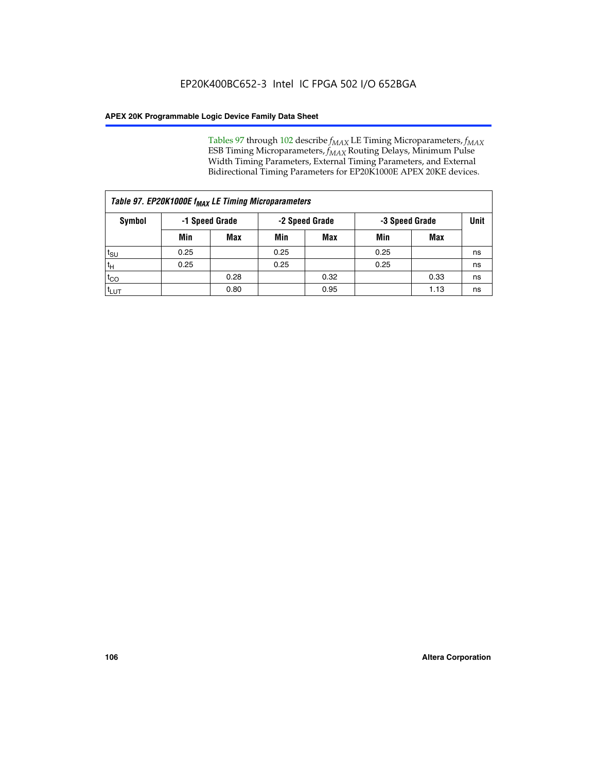Tables 97 through 102 describe  $f_{MAX}$  LE Timing Microparameters,  $f_{MAX}$ ESB Timing Microparameters, *f<sub>MAX</sub>* Routing Delays, Minimum Pulse Width Timing Parameters, External Timing Parameters, and External Bidirectional Timing Parameters for EP20K1000E APEX 20KE devices.

| Table 97. EP20K1000E f <sub>MAX</sub> LE Timing Microparameters |      |                |      |                |                |      |      |  |  |
|-----------------------------------------------------------------|------|----------------|------|----------------|----------------|------|------|--|--|
| Symbol                                                          |      | -1 Speed Grade |      | -2 Speed Grade | -3 Speed Grade |      | Unit |  |  |
|                                                                 | Min  | <b>Max</b>     | Min  | <b>Max</b>     | Min            | Max  |      |  |  |
| $t_{\text{SU}}$                                                 | 0.25 |                | 0.25 |                | 0.25           |      | ns   |  |  |
| $t_H$                                                           | 0.25 |                | 0.25 |                | 0.25           |      | ns   |  |  |
| $t_{CO}$                                                        |      | 0.28           |      | 0.32           |                | 0.33 | ns   |  |  |
| t <sub>LUT</sub>                                                |      | 0.80           |      | 0.95           |                | 1.13 | ns   |  |  |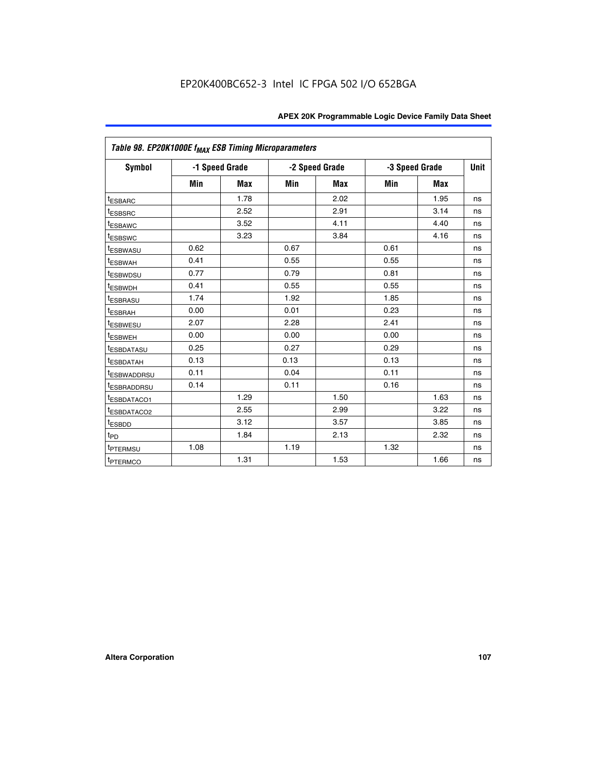| Table 98. EP20K1000E f <sub>MAX</sub> ESB Timing Microparameters |      |                |      |                |      |                |    |
|------------------------------------------------------------------|------|----------------|------|----------------|------|----------------|----|
| Symbol                                                           |      | -1 Speed Grade |      | -2 Speed Grade |      | -3 Speed Grade |    |
|                                                                  | Min  | <b>Max</b>     | Min  | <b>Max</b>     | Min  | <b>Max</b>     |    |
| <sup>t</sup> ESBARC                                              |      | 1.78           |      | 2.02           |      | 1.95           | ns |
| <sup>t</sup> ESBSRC                                              |      | 2.52           |      | 2.91           |      | 3.14           | ns |
| <sup>t</sup> ESBAWC                                              |      | 3.52           |      | 4.11           |      | 4.40           | ns |
| <sup>t</sup> ESBSWC                                              |      | 3.23           |      | 3.84           |      | 4.16           | ns |
| t <sub>ESBWASU</sub>                                             | 0.62 |                | 0.67 |                | 0.61 |                | ns |
| <sup>t</sup> ESBWAH                                              | 0.41 |                | 0.55 |                | 0.55 |                | ns |
| <sup>t</sup> ESBWDSU                                             | 0.77 |                | 0.79 |                | 0.81 |                | ns |
| <sup>t</sup> ESBWDH                                              | 0.41 |                | 0.55 |                | 0.55 |                | ns |
| <sup>t</sup> ESBRASU                                             | 1.74 |                | 1.92 |                | 1.85 |                | ns |
| <sup>t</sup> ESBRAH                                              | 0.00 |                | 0.01 |                | 0.23 |                | ns |
| <sup>t</sup> ESBWESU                                             | 2.07 |                | 2.28 |                | 2.41 |                | ns |
| t <sub>ESBWEH</sub>                                              | 0.00 |                | 0.00 |                | 0.00 |                | ns |
| <sup>t</sup> ESBDATASU                                           | 0.25 |                | 0.27 |                | 0.29 |                | ns |
| <sup>t</sup> ESBDATAH                                            | 0.13 |                | 0.13 |                | 0.13 |                | ns |
| <sup>t</sup> ESBWADDRSU                                          | 0.11 |                | 0.04 |                | 0.11 |                | ns |
| <sup>t</sup> ESBRADDRSU                                          | 0.14 |                | 0.11 |                | 0.16 |                | ns |
| <sup>t</sup> ESBDATACO1                                          |      | 1.29           |      | 1.50           |      | 1.63           | ns |
| <sup>I</sup> ESBDATACO2                                          |      | 2.55           |      | 2.99           |      | 3.22           | ns |
| <sup>t</sup> ESBDD                                               |      | 3.12           |      | 3.57           |      | 3.85           | ns |
| $t_{\mathsf{PD}}$                                                |      | 1.84           |      | 2.13           |      | 2.32           | ns |
| t <sub>PTERMSU</sub>                                             | 1.08 |                | 1.19 |                | 1.32 |                | ns |
| <sup>t</sup> PTERMCO                                             |      | 1.31           |      | 1.53           |      | 1.66           | ns |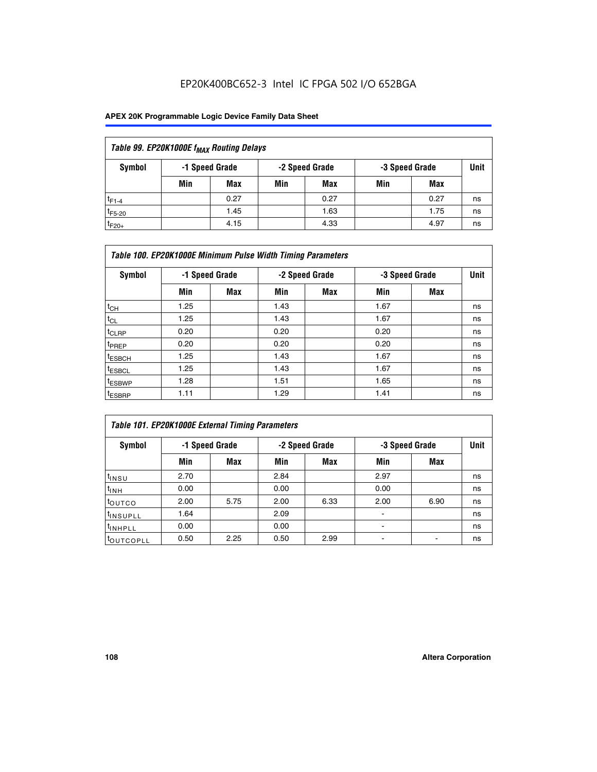## EP20K400BC652-3 Intel IC FPGA 502 I/O 652BGA

### **APEX 20K Programmable Logic Device Family Data Sheet**

| Table 99. EP20K1000E f <sub>MAX</sub> Routing Delays |                |      |     |                |                |      |             |  |  |  |
|------------------------------------------------------|----------------|------|-----|----------------|----------------|------|-------------|--|--|--|
| Symbol                                               | -1 Speed Grade |      |     | -2 Speed Grade | -3 Speed Grade |      | <b>Unit</b> |  |  |  |
|                                                      | Min            | Max  | Min | Max            | Min            | Max  |             |  |  |  |
| $t_{F1-4}$                                           |                | 0.27 |     | 0.27           |                | 0.27 | ns          |  |  |  |
| $t_{F5-20}$                                          |                | 1.45 |     | 1.63           |                | 1.75 | ns          |  |  |  |
| $t_{F20+}$                                           |                | 4.15 |     | 4.33           |                | 4.97 | ns          |  |  |  |

| Table 100. EP20K1000E Minimum Pulse Width Timing Parameters |      |                |      |                |      |                |             |  |  |  |
|-------------------------------------------------------------|------|----------------|------|----------------|------|----------------|-------------|--|--|--|
| Symbol                                                      |      | -1 Speed Grade |      | -2 Speed Grade |      | -3 Speed Grade | <b>Unit</b> |  |  |  |
|                                                             | Min  | Max            | Min  | Max            | Min  | Max            |             |  |  |  |
| $t_{CH}$                                                    | 1.25 |                | 1.43 |                | 1.67 |                | ns          |  |  |  |
| $t_{CL}$                                                    | 1.25 |                | 1.43 |                | 1.67 |                | ns          |  |  |  |
| $t_{CLRP}$                                                  | 0.20 |                | 0.20 |                | 0.20 |                | ns          |  |  |  |
| <sup>t</sup> PREP                                           | 0.20 |                | 0.20 |                | 0.20 |                | ns          |  |  |  |
| <sup>t</sup> ESBCH                                          | 1.25 |                | 1.43 |                | 1.67 |                | ns          |  |  |  |
| <sup>t</sup> ESBCL                                          | 1.25 |                | 1.43 |                | 1.67 |                | ns          |  |  |  |
| <sup>t</sup> ESBWP                                          | 1.28 |                | 1.51 |                | 1.65 |                | ns          |  |  |  |
| <sup>t</sup> ESBRP                                          | 1.11 |                | 1.29 |                | 1.41 |                | ns          |  |  |  |

| Table 101. EP20K1000E External Timing Parameters |      |                |      |                |      |                |    |  |  |  |
|--------------------------------------------------|------|----------------|------|----------------|------|----------------|----|--|--|--|
| Symbol                                           |      | -1 Speed Grade |      | -2 Speed Grade |      | -3 Speed Grade |    |  |  |  |
|                                                  | Min  | <b>Max</b>     | Min  | <b>Max</b>     | Min  | Max            |    |  |  |  |
| t <sub>INSU</sub>                                | 2.70 |                | 2.84 |                | 2.97 |                | ns |  |  |  |
| $t_{INH}$                                        | 0.00 |                | 0.00 |                | 0.00 |                | ns |  |  |  |
| toutco                                           | 2.00 | 5.75           | 2.00 | 6.33           | 2.00 | 6.90           | ns |  |  |  |
| tinsupll                                         | 1.64 |                | 2.09 |                |      |                | ns |  |  |  |
| <sup>t</sup> INHPLL                              | 0.00 |                | 0.00 |                | -    |                | ns |  |  |  |
| toutcopll                                        | 0.50 | 2.25           | 0.50 | 2.99           | -    |                | ns |  |  |  |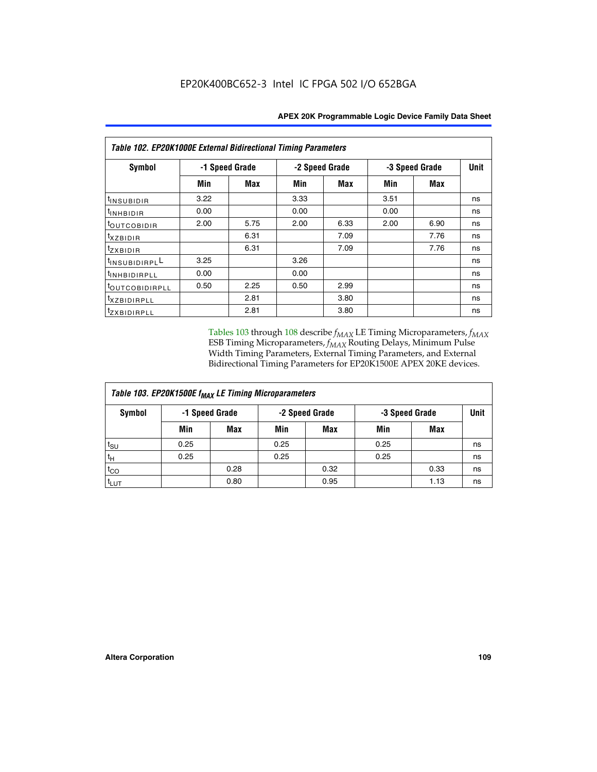| Table 102. EP20K1000E External Bidirectional Timing Parameters |      |                |                |      |                |             |    |  |  |  |
|----------------------------------------------------------------|------|----------------|----------------|------|----------------|-------------|----|--|--|--|
| Symbol                                                         |      | -1 Speed Grade | -2 Speed Grade |      | -3 Speed Grade | <b>Unit</b> |    |  |  |  |
|                                                                | Min  | Max            | Min            | Max  | Min            | <b>Max</b>  |    |  |  |  |
| t <sub>INSUBIDIR</sub>                                         | 3.22 |                | 3.33           |      | 3.51           |             | ns |  |  |  |
| <sup>t</sup> INHBIDIR                                          | 0.00 |                | 0.00           |      | 0.00           |             | ns |  |  |  |
| t <sub>outcobidir</sub>                                        | 2.00 | 5.75           | 2.00           | 6.33 | 2.00           | 6.90        | ns |  |  |  |
| <i>txzbidir</i>                                                |      | 6.31           |                | 7.09 |                | 7.76        | ns |  |  |  |
| tzxbidir                                                       |      | 6.31           |                | 7.09 |                | 7.76        | ns |  |  |  |
| tINSUBIDIRPLL                                                  | 3.25 |                | 3.26           |      |                |             | ns |  |  |  |
| t <sub>INHBIDIRPLL</sub>                                       | 0.00 |                | 0.00           |      |                |             | ns |  |  |  |
| toutco <u>bidirpll</u>                                         | 0.50 | 2.25           | 0.50           | 2.99 |                |             | ns |  |  |  |
| <i>txzBIDIRPLL</i>                                             |      | 2.81           |                | 3.80 |                |             | ns |  |  |  |
| tzxBIDIRPLL                                                    |      | 2.81           |                | 3.80 |                |             | ns |  |  |  |

Tables 103 through 108 describe  $f_{MAX}$  LE Timing Microparameters,  $f_{MAX}$ ESB Timing Microparameters, *f<sub>MAX</sub>* Routing Delays, Minimum Pulse Width Timing Parameters, External Timing Parameters, and External Bidirectional Timing Parameters for EP20K1500E APEX 20KE devices.

| Table 103. EP20K1500E f <sub>MAX</sub> LE Timing Microparameters |                |            |                |            |                |      |             |  |  |  |
|------------------------------------------------------------------|----------------|------------|----------------|------------|----------------|------|-------------|--|--|--|
| Symbol                                                           | -1 Speed Grade |            | -2 Speed Grade |            | -3 Speed Grade |      | <b>Unit</b> |  |  |  |
|                                                                  | Min            | <b>Max</b> | Min            | <b>Max</b> | Min            | Max  |             |  |  |  |
| $t_{\text{SU}}$                                                  | 0.25           |            | 0.25           |            | 0.25           |      | ns          |  |  |  |
| $t_H$                                                            | 0.25           |            | 0.25           |            | 0.25           |      | ns          |  |  |  |
| $t_{CO}$                                                         |                | 0.28       |                | 0.32       |                | 0.33 | ns          |  |  |  |
| t <sub>lut</sub>                                                 |                | 0.80       |                | 0.95       |                | 1.13 | ns          |  |  |  |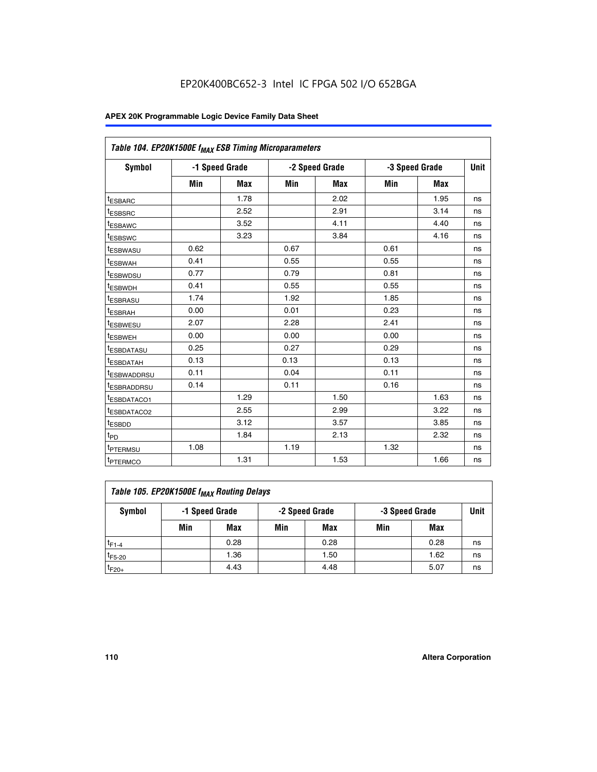| Table 104. EP20K1500E f <sub>MAX</sub> ESB Timing Microparameters |      |                |      |                |            |                |    |
|-------------------------------------------------------------------|------|----------------|------|----------------|------------|----------------|----|
| <b>Symbol</b>                                                     |      | -1 Speed Grade |      | -2 Speed Grade |            | -3 Speed Grade |    |
|                                                                   | Min  | <b>Max</b>     | Min  | <b>Max</b>     | <b>Min</b> | <b>Max</b>     |    |
| t <sub>ESBARC</sub>                                               |      | 1.78           |      | 2.02           |            | 1.95           | ns |
| t <sub>ESBSRC</sub>                                               |      | 2.52           |      | 2.91           |            | 3.14           | ns |
| <sup>t</sup> ESBAWC                                               |      | 3.52           |      | 4.11           |            | 4.40           | ns |
| t <sub>ESBSWC</sub>                                               |      | 3.23           |      | 3.84           |            | 4.16           | ns |
| <sup>t</sup> ESBWASU                                              | 0.62 |                | 0.67 |                | 0.61       |                | ns |
| <sup>t</sup> ESBWAH                                               | 0.41 |                | 0.55 |                | 0.55       |                | ns |
| t <sub>ESBWDSU</sub>                                              | 0.77 |                | 0.79 |                | 0.81       |                | ns |
| <sup>t</sup> ESBWDH                                               | 0.41 |                | 0.55 |                | 0.55       |                | ns |
| <sup>t</sup> ESBRASU                                              | 1.74 |                | 1.92 |                | 1.85       |                | ns |
| <sup>t</sup> ESBRAH                                               | 0.00 |                | 0.01 |                | 0.23       |                | ns |
| <sup>t</sup> ESBWESU                                              | 2.07 |                | 2.28 |                | 2.41       |                | ns |
| t <sub>ESBWEH</sub>                                               | 0.00 |                | 0.00 |                | 0.00       |                | ns |
| <sup>t</sup> ESBDATASU                                            | 0.25 |                | 0.27 |                | 0.29       |                | ns |
| <sup>t</sup> ESBDATAH                                             | 0.13 |                | 0.13 |                | 0.13       |                | ns |
| <sup>t</sup> ESBWADDRSU                                           | 0.11 |                | 0.04 |                | 0.11       |                | ns |
| <sup>t</sup> ESBRADDRSU                                           | 0.14 |                | 0.11 |                | 0.16       |                | ns |
| <sup>t</sup> ESBDATACO1                                           |      | 1.29           |      | 1.50           |            | 1.63           | ns |
| t <sub>ESBDATACO2</sub>                                           |      | 2.55           |      | 2.99           |            | 3.22           | ns |
| <sup>t</sup> ESBDD                                                |      | 3.12           |      | 3.57           |            | 3.85           | ns |
| t <sub>PD</sub>                                                   |      | 1.84           |      | 2.13           |            | 2.32           | ns |
| t <sub>PTERMSU</sub>                                              | 1.08 |                | 1.19 |                | 1.32       |                | ns |
| t <sub>PTERMCO</sub>                                              |      | 1.31           |      | 1.53           |            | 1.66           | ns |

| Table 105. EP20K1500E f <sub>MAX</sub> Routing Delays |     |                |     |                |     |                |             |  |  |  |
|-------------------------------------------------------|-----|----------------|-----|----------------|-----|----------------|-------------|--|--|--|
| Symbol                                                |     | -1 Speed Grade |     | -2 Speed Grade |     | -3 Speed Grade | <b>Unit</b> |  |  |  |
|                                                       | Min | Max            | Min | Max            | Min | Max            |             |  |  |  |
| $t_{F1-4}$                                            |     | 0.28           |     | 0.28           |     | 0.28           | ns          |  |  |  |
| $t_{F5-20}$                                           |     | 1.36           |     | 1.50           |     | 1.62           | ns          |  |  |  |
| $t_{F20+}$                                            |     | 4.43           |     | 4.48           |     | 5.07           | ns          |  |  |  |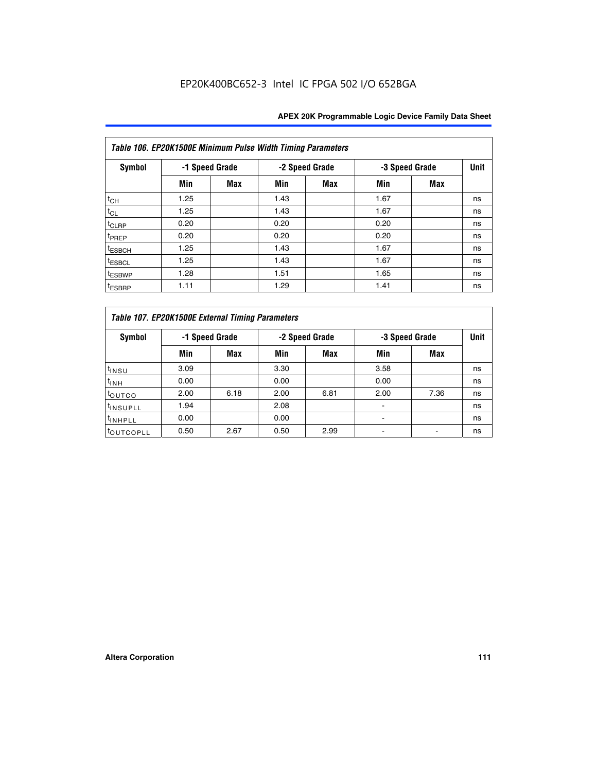|                    | Table 106. EP20K1500E Minimum Pulse Width Timing Parameters |                |      |                |                |            |             |  |  |  |  |
|--------------------|-------------------------------------------------------------|----------------|------|----------------|----------------|------------|-------------|--|--|--|--|
| Symbol             |                                                             | -1 Speed Grade |      | -2 Speed Grade | -3 Speed Grade |            | <b>Unit</b> |  |  |  |  |
|                    | Min                                                         | <b>Max</b>     | Min  | Max            | Min            | <b>Max</b> |             |  |  |  |  |
| $t_{CH}$           | 1.25                                                        |                | 1.43 |                | 1.67           |            | ns          |  |  |  |  |
| $t_{CL}$           | 1.25                                                        |                | 1.43 |                | 1.67           |            | ns          |  |  |  |  |
| t <sub>CLRP</sub>  | 0.20                                                        |                | 0.20 |                | 0.20           |            | ns          |  |  |  |  |
| <sup>t</sup> PREP  | 0.20                                                        |                | 0.20 |                | 0.20           |            | ns          |  |  |  |  |
| <sup>t</sup> ESBCH | 1.25                                                        |                | 1.43 |                | 1.67           |            | ns          |  |  |  |  |
| <sup>t</sup> ESBCL | 1.25                                                        |                | 1.43 |                | 1.67           |            | ns          |  |  |  |  |
| <sup>t</sup> ESBWP | 1.28                                                        |                | 1.51 |                | 1.65           |            | ns          |  |  |  |  |
| <sup>t</sup> ESBRP | 1.11                                                        |                | 1.29 |                | 1.41           |            | ns          |  |  |  |  |

|                       | Table 107. EP20K1500E External Timing Parameters |                |      |                |      |                |    |  |  |  |  |
|-----------------------|--------------------------------------------------|----------------|------|----------------|------|----------------|----|--|--|--|--|
| Symbol                |                                                  | -1 Speed Grade |      | -2 Speed Grade |      | -3 Speed Grade |    |  |  |  |  |
|                       | Min                                              | <b>Max</b>     | Min  | <b>Max</b>     | Min  | Max            |    |  |  |  |  |
| t <sub>insu</sub>     | 3.09                                             |                | 3.30 |                | 3.58 |                | ns |  |  |  |  |
| $t_{INH}$             | 0.00                                             |                | 0.00 |                | 0.00 |                | ns |  |  |  |  |
| toutco                | 2.00                                             | 6.18           | 2.00 | 6.81           | 2.00 | 7.36           | ns |  |  |  |  |
| <sup>t</sup> INSUPLL  | 1.94                                             |                | 2.08 |                |      |                | ns |  |  |  |  |
| <sup>t</sup> INHPLL   | 0.00                                             |                | 0.00 |                |      |                | ns |  |  |  |  |
| <sup>t</sup> OUTCOPLL | 0.50                                             | 2.67           | 0.50 | 2.99           |      |                | ns |  |  |  |  |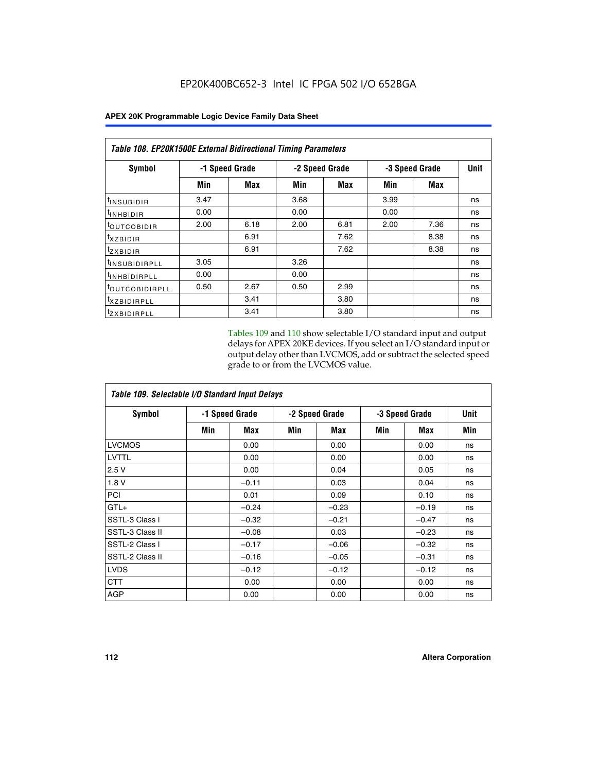|                            | Table 108. EP20K1500E External Bidirectional Timing Parameters |                |                |      |                |            |    |  |  |  |  |
|----------------------------|----------------------------------------------------------------|----------------|----------------|------|----------------|------------|----|--|--|--|--|
| Symbol                     |                                                                | -1 Speed Grade | -2 Speed Grade |      | -3 Speed Grade | Unit       |    |  |  |  |  |
|                            | Min                                                            | <b>Max</b>     | Min            | Max  | Min            | <b>Max</b> |    |  |  |  |  |
| <sup>t</sup> INSUBIDIR     | 3.47                                                           |                | 3.68           |      | 3.99           |            | ns |  |  |  |  |
| <sup>t</sup> INHBIDIR      | 0.00                                                           |                | 0.00           |      | 0.00           |            | ns |  |  |  |  |
| <sup>t</sup> OUTCOBIDIR    | 2.00                                                           | 6.18           | 2.00           | 6.81 | 2.00           | 7.36       | ns |  |  |  |  |
| $t_{XZBIDIR}$              |                                                                | 6.91           |                | 7.62 |                | 8.38       | ns |  |  |  |  |
| $t_{ZXBIDIR}$              |                                                                | 6.91           |                | 7.62 |                | 8.38       | ns |  |  |  |  |
| <sup>t</sup> INSUBIDIRPLL  | 3.05                                                           |                | 3.26           |      |                |            | ns |  |  |  |  |
| <sup>t</sup> INHBIDIRPLL   | 0.00                                                           |                | 0.00           |      |                |            | ns |  |  |  |  |
| <sup>t</sup> OUTCOBIDIRPLL | 0.50                                                           | 2.67           | 0.50           | 2.99 |                |            | ns |  |  |  |  |
| <sup>t</sup> XZBIDIRPLL    |                                                                | 3.41           |                | 3.80 |                |            | ns |  |  |  |  |
| <sup>t</sup> zxbidirpll    |                                                                | 3.41           |                | 3.80 |                |            | ns |  |  |  |  |

Tables 109 and 110 show selectable I/O standard input and output delays for APEX 20KE devices. If you select an I/O standard input or output delay other than LVCMOS, add or subtract the selected speed grade to or from the LVCMOS value.

| Table 109. Selectable I/O Standard Input Delays |     |                |                |         |                |         |             |  |  |  |
|-------------------------------------------------|-----|----------------|----------------|---------|----------------|---------|-------------|--|--|--|
| <b>Symbol</b>                                   |     | -1 Speed Grade | -2 Speed Grade |         | -3 Speed Grade |         | <b>Unit</b> |  |  |  |
|                                                 | Min | Max            | Min            | Max     | Min            | Max     | Min         |  |  |  |
| <b>LVCMOS</b>                                   |     | 0.00           |                | 0.00    |                | 0.00    | ns          |  |  |  |
| <b>LVTTL</b>                                    |     | 0.00           |                | 0.00    |                | 0.00    | ns          |  |  |  |
| 2.5V                                            |     | 0.00           |                | 0.04    |                | 0.05    | ns          |  |  |  |
| 1.8V                                            |     | $-0.11$        |                | 0.03    |                | 0.04    | ns          |  |  |  |
| PCI                                             |     | 0.01           |                | 0.09    |                | 0.10    | ns          |  |  |  |
| $GTL+$                                          |     | $-0.24$        |                | $-0.23$ |                | $-0.19$ | ns          |  |  |  |
| SSTL-3 Class I                                  |     | $-0.32$        |                | $-0.21$ |                | $-0.47$ | ns          |  |  |  |
| SSTL-3 Class II                                 |     | $-0.08$        |                | 0.03    |                | $-0.23$ | ns          |  |  |  |
| SSTL-2 Class I                                  |     | $-0.17$        |                | $-0.06$ |                | $-0.32$ | ns          |  |  |  |
| SSTL-2 Class II                                 |     | $-0.16$        |                | $-0.05$ |                | $-0.31$ | ns          |  |  |  |
| <b>LVDS</b>                                     |     | $-0.12$        |                | $-0.12$ |                | $-0.12$ | ns          |  |  |  |
| <b>CTT</b>                                      |     | 0.00           |                | 0.00    |                | 0.00    | ns          |  |  |  |
| <b>AGP</b>                                      |     | 0.00           |                | 0.00    |                | 0.00    | ns          |  |  |  |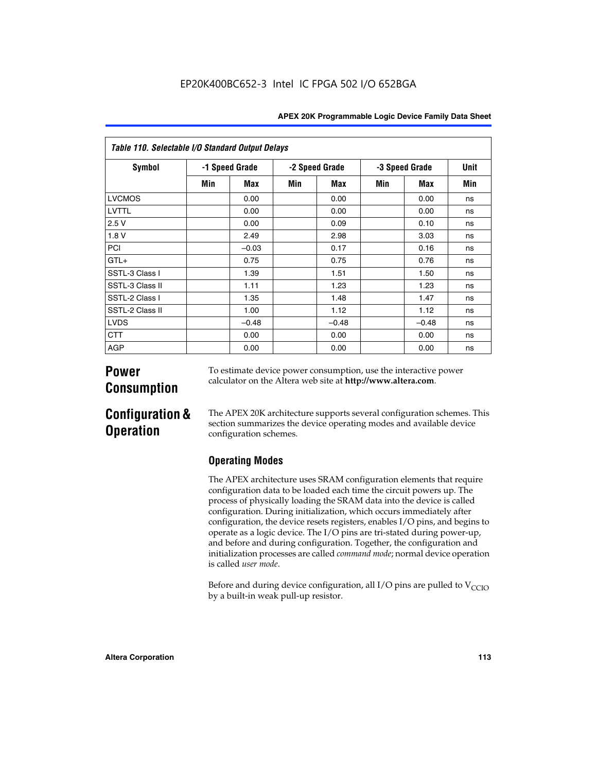| APEX 20K Programmable Logic Device Family Data Sheet |  |  |  |
|------------------------------------------------------|--|--|--|
|------------------------------------------------------|--|--|--|

| Table 110. Selectable I/O Standard Output Delays |                |         |                |         |                |         |             |  |
|--------------------------------------------------|----------------|---------|----------------|---------|----------------|---------|-------------|--|
| <b>Symbol</b>                                    | -1 Speed Grade |         | -2 Speed Grade |         | -3 Speed Grade |         | <b>Unit</b> |  |
|                                                  | Min            | Max     | Min            | Max     | Min            | Max     | Min         |  |
| <b>LVCMOS</b>                                    |                | 0.00    |                | 0.00    |                | 0.00    | ns          |  |
| LVTTL                                            |                | 0.00    |                | 0.00    |                | 0.00    | ns          |  |
| 2.5V                                             |                | 0.00    |                | 0.09    |                | 0.10    | ns          |  |
| 1.8V                                             |                | 2.49    |                | 2.98    |                | 3.03    | ns          |  |
| PCI                                              |                | $-0.03$ |                | 0.17    |                | 0.16    | ns          |  |
| $GTL+$                                           |                | 0.75    |                | 0.75    |                | 0.76    | ns          |  |
| SSTL-3 Class I                                   |                | 1.39    |                | 1.51    |                | 1.50    | ns          |  |
| SSTL-3 Class II                                  |                | 1.11    |                | 1.23    |                | 1.23    | ns          |  |
| SSTL-2 Class I                                   |                | 1.35    |                | 1.48    |                | 1.47    | ns          |  |
| SSTL-2 Class II                                  |                | 1.00    |                | 1.12    |                | 1.12    | ns          |  |
| <b>LVDS</b>                                      |                | $-0.48$ |                | $-0.48$ |                | $-0.48$ | ns          |  |
| <b>CTT</b>                                       |                | 0.00    |                | 0.00    |                | 0.00    | ns          |  |
| <b>AGP</b>                                       |                | 0.00    |                | 0.00    |                | 0.00    | ns          |  |

# **Power Consumption**

To estimate device power consumption, use the interactive power calculator on the Altera web site at **http://www.altera.com**.

# **Configuration & Operation**

The APEX 20K architecture supports several configuration schemes. This section summarizes the device operating modes and available device configuration schemes.

## **Operating Modes**

The APEX architecture uses SRAM configuration elements that require configuration data to be loaded each time the circuit powers up. The process of physically loading the SRAM data into the device is called configuration. During initialization, which occurs immediately after configuration, the device resets registers, enables I/O pins, and begins to operate as a logic device. The I/O pins are tri-stated during power-up, and before and during configuration. Together, the configuration and initialization processes are called *command mode*; normal device operation is called *user mode*.

Before and during device configuration, all I/O pins are pulled to  $V<sub>CCIO</sub>$ by a built-in weak pull-up resistor.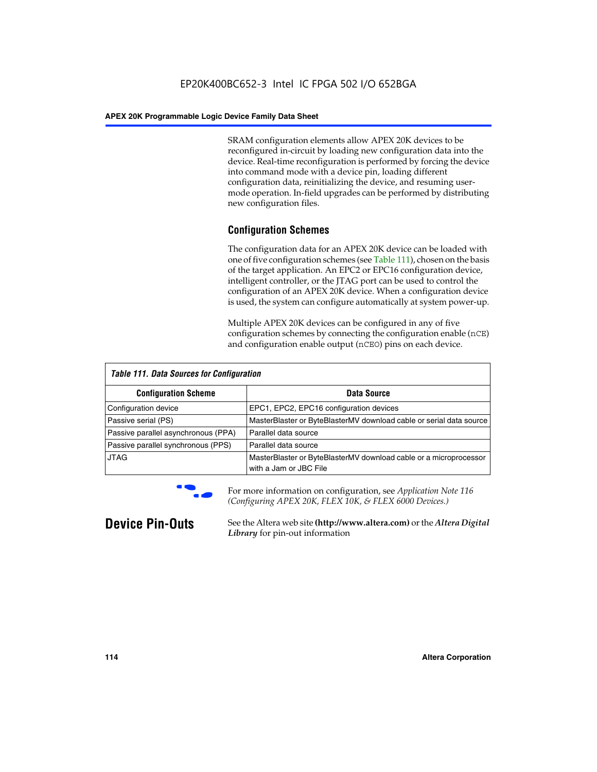SRAM configuration elements allow APEX 20K devices to be reconfigured in-circuit by loading new configuration data into the device. Real-time reconfiguration is performed by forcing the device into command mode with a device pin, loading different configuration data, reinitializing the device, and resuming usermode operation. In-field upgrades can be performed by distributing new configuration files.

## **Configuration Schemes**

The configuration data for an APEX 20K device can be loaded with one of five configuration schemes (see Table 111), chosen on the basis of the target application. An EPC2 or EPC16 configuration device, intelligent controller, or the JTAG port can be used to control the configuration of an APEX 20K device. When a configuration device is used, the system can configure automatically at system power-up.

Multiple APEX 20K devices can be configured in any of five configuration schemes by connecting the configuration enable (nCE) and configuration enable output (nCEO) pins on each device.

| <b>Table 111. Data Sources for Configuration</b> |                                                                                             |  |  |  |  |
|--------------------------------------------------|---------------------------------------------------------------------------------------------|--|--|--|--|
| <b>Configuration Scheme</b>                      | Data Source                                                                                 |  |  |  |  |
| Configuration device                             | EPC1, EPC2, EPC16 configuration devices                                                     |  |  |  |  |
| Passive serial (PS)                              | MasterBlaster or ByteBlasterMV download cable or serial data source                         |  |  |  |  |
| Passive parallel asynchronous (PPA)              | Parallel data source                                                                        |  |  |  |  |
| Passive parallel synchronous (PPS)               | Parallel data source                                                                        |  |  |  |  |
| <b>JTAG</b>                                      | MasterBlaster or ByteBlasterMV download cable or a microprocessor<br>with a Jam or JBC File |  |  |  |  |



**For more information on configuration, see Application Note 116** *(Configuring APEX 20K, FLEX 10K, & FLEX 6000 Devices.)*

**Device Pin-Outs** See the Altera web site **(http://www.altera.com)** or the *Altera Digital Library* for pin-out information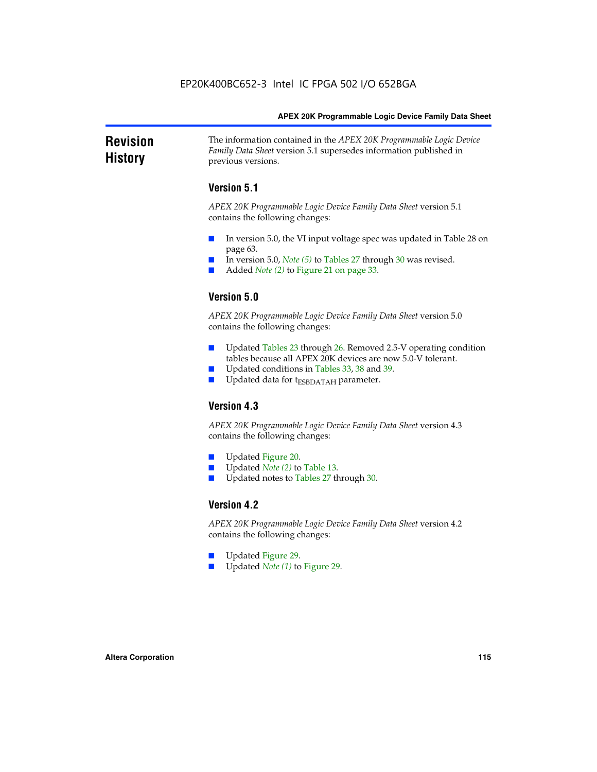### **Revision History** The information contained in the *APEX 20K Programmable Logic Device Family Data Sheet* version 5.1 supersedes information published in previous versions.

## **Version 5.1**

*APEX 20K Programmable Logic Device Family Data Sheet* version 5.1 contains the following changes:

- In version 5.0, the VI input voltage spec was updated in Table 28 on page 63.
- In version 5.0, *Note* (5) to Tables 27 through 30 was revised.
- Added *Note* (2) to Figure 21 on page 33.

## **Version 5.0**

*APEX 20K Programmable Logic Device Family Data Sheet* version 5.0 contains the following changes:

- Updated Tables 23 through 26. Removed 2.5-V operating condition tables because all APEX 20K devices are now 5.0-V tolerant.
- Updated conditions in Tables 33, 38 and 39.
- Updated data for t<sub>ESBDATAH</sub> parameter.

## **Version 4.3**

*APEX 20K Programmable Logic Device Family Data Sheet* version 4.3 contains the following changes:

- Updated Figure 20.
- Updated *Note (2)* to Table 13.
- Updated notes to Tables 27 through 30.

### **Version 4.2**

*APEX 20K Programmable Logic Device Family Data Sheet* version 4.2 contains the following changes:

- Updated Figure 29.
- Updated *Note (1)* to Figure 29.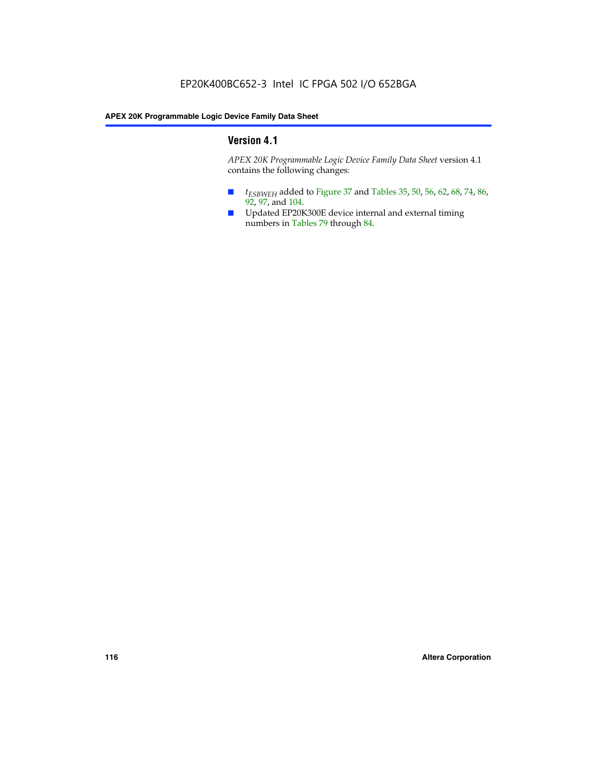## **Version 4.1**

*APEX 20K Programmable Logic Device Family Data Sheet* version 4.1 contains the following changes:

- *t<sub>ESBWEH</sub>* added to Figure 37 and Tables 35, 50, 56, 62, 68, 74, 86, 92, 97, and 104.
- Updated EP20K300E device internal and external timing numbers in Tables 79 through 84.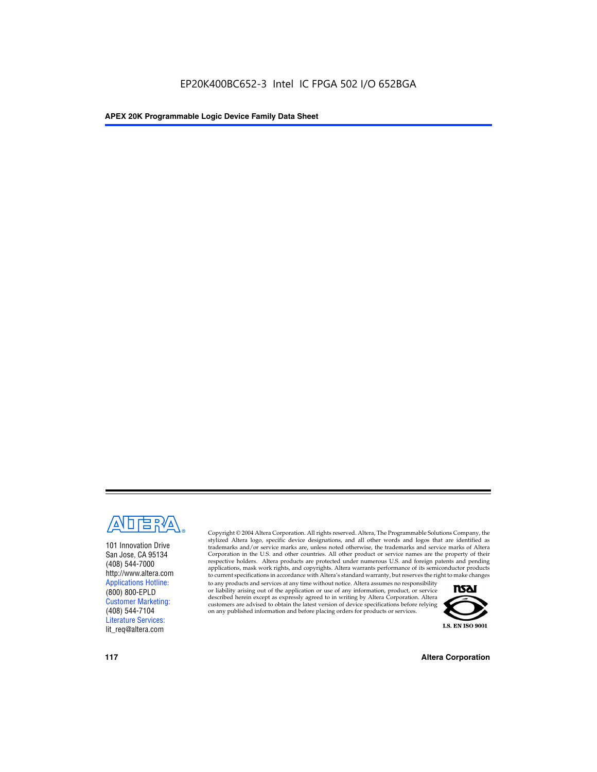

101 Innovation Drive San Jose, CA 95134 (408) 544-7000 http://www.altera.com Applications Hotline: (800) 800-EPLD Customer Marketing: (408) 544-7104 Literature Services: lit\_req@altera.com

Copyright © 2004 Altera Corporation. All rights reserved. Altera, The Programmable Solutions Company, the stylized Altera logo, specific device designations, and all other words and logos that are identified as trademarks and/or service marks are, unless noted otherwise, the trademarks and service marks of Altera Corporation in the U.S. and other countries. All other product or service names are the property of their respective holders. Altera products are protected under numerous U.S. and foreign patents and pending applications, mask work rights, and copyrights. Altera warrants performance of its semiconductor products to current specifications in accordance with Altera's standard warranty, but reserves the right to make changes

to any products and services at any time without notice. Altera assumes no responsibility or liability arising out of the application or use of any information, product, or service described herein except as expressly agreed to in writing by Altera Corporation. Altera customers are advised to obtain the latest version of device specifications before relying on any published information and before placing orders for products or services.



**117 Altera Corporation**